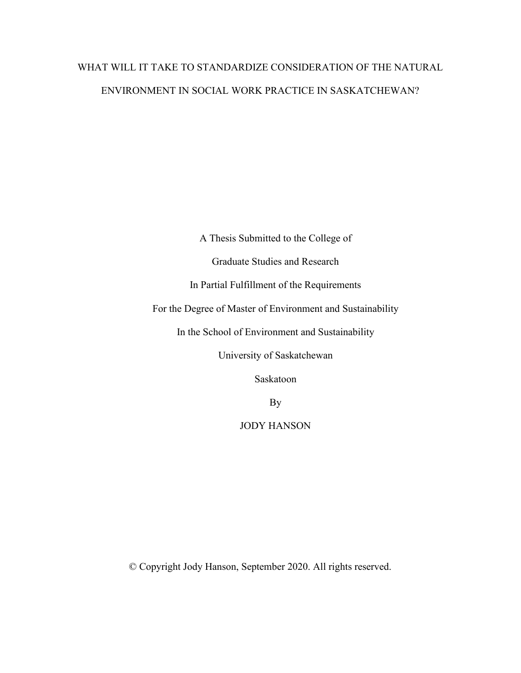# WHAT WILL IT TAKE TO STANDARDIZE CONSIDERATION OF THE NATURAL ENVIRONMENT IN SOCIAL WORK PRACTICE IN SASKATCHEWAN?

A Thesis Submitted to the College of

Graduate Studies and Research

In Partial Fulfillment of the Requirements

For the Degree of Master of Environment and Sustainability

In the School of Environment and Sustainability

University of Saskatchewan

Saskatoon

By

JODY HANSON

© Copyright Jody Hanson, September 2020. All rights reserved.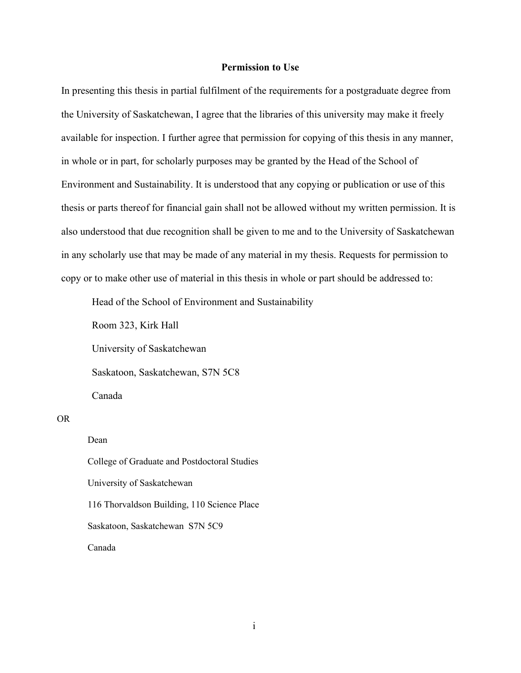#### **Permission to Use**

<span id="page-1-0"></span>In presenting this thesis in partial fulfilment of the requirements for a postgraduate degree from the University of Saskatchewan, I agree that the libraries of this university may make it freely available for inspection. I further agree that permission for copying of this thesis in any manner, in whole or in part, for scholarly purposes may be granted by the Head of the School of Environment and Sustainability. It is understood that any copying or publication or use of this thesis or parts thereof for financial gain shall not be allowed without my written permission. It is also understood that due recognition shall be given to me and to the University of Saskatchewan in any scholarly use that may be made of any material in my thesis. Requests for permission to copy or to make other use of material in this thesis in whole or part should be addressed to:

Head of the School of Environment and Sustainability

Room 323, Kirk Hall

University of Saskatchewan

Saskatoon, Saskatchewan, S7N 5C8

Canada

#### OR

# Dean

College of Graduate and Postdoctoral Studies University of Saskatchewan 116 Thorvaldson Building, 110 Science Place Saskatoon, Saskatchewan S7N 5C9 Canada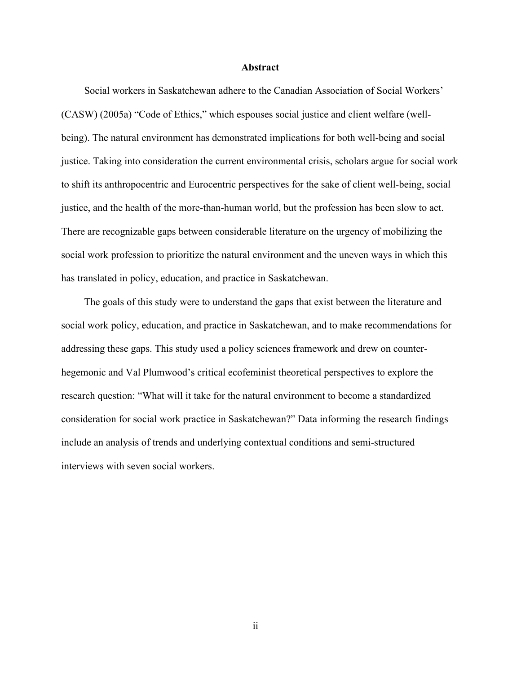#### **Abstract**

<span id="page-2-0"></span>Social workers in Saskatchewan adhere to the Canadian Association of Social Workers' (CASW) (2005a) "Code of Ethics," which espouses social justice and client welfare (wellbeing). The natural environment has demonstrated implications for both well-being and social justice. Taking into consideration the current environmental crisis, scholars argue for social work to shift its anthropocentric and Eurocentric perspectives for the sake of client well-being, social justice, and the health of the more-than-human world, but the profession has been slow to act. There are recognizable gaps between considerable literature on the urgency of mobilizing the social work profession to prioritize the natural environment and the uneven ways in which this has translated in policy, education, and practice in Saskatchewan.

The goals of this study were to understand the gaps that exist between the literature and social work policy, education, and practice in Saskatchewan, and to make recommendations for addressing these gaps. This study used a policy sciences framework and drew on counterhegemonic and Val Plumwood's critical ecofeminist theoretical perspectives to explore the research question: "What will it take for the natural environment to become a standardized consideration for social work practice in Saskatchewan?" Data informing the research findings include an analysis of trends and underlying contextual conditions and semi-structured interviews with seven social workers.

ii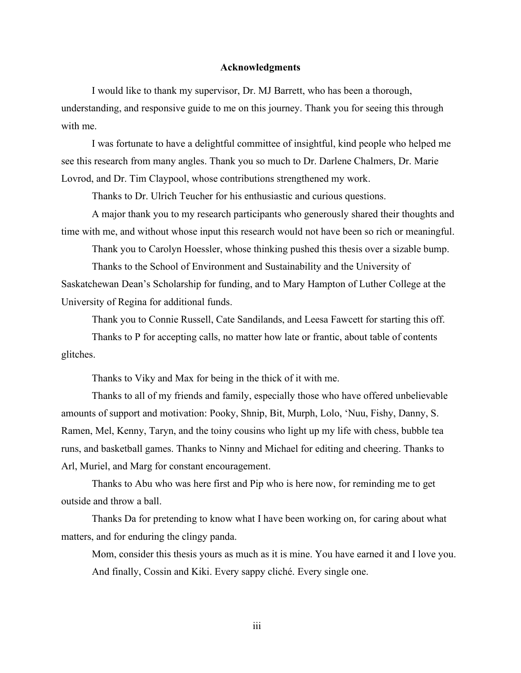#### **Acknowledgments**

<span id="page-3-0"></span>I would like to thank my supervisor, Dr. MJ Barrett, who has been a thorough, understanding, and responsive guide to me on this journey. Thank you for seeing this through with me.

I was fortunate to have a delightful committee of insightful, kind people who helped me see this research from many angles. Thank you so much to Dr. Darlene Chalmers, Dr. Marie Lovrod, and Dr. Tim Claypool, whose contributions strengthened my work.

Thanks to Dr. Ulrich Teucher for his enthusiastic and curious questions.

A major thank you to my research participants who generously shared their thoughts and time with me, and without whose input this research would not have been so rich or meaningful.

Thank you to Carolyn Hoessler, whose thinking pushed this thesis over a sizable bump.

Thanks to the School of Environment and Sustainability and the University of Saskatchewan Dean's Scholarship for funding, and to Mary Hampton of Luther College at the University of Regina for additional funds.

Thank you to Connie Russell, Cate Sandilands, and Leesa Fawcett for starting this off.

Thanks to P for accepting calls, no matter how late or frantic, about table of contents glitches.

Thanks to Viky and Max for being in the thick of it with me.

Thanks to all of my friends and family, especially those who have offered unbelievable amounts of support and motivation: Pooky, Shnip, Bit, Murph, Lolo, 'Nuu, Fishy, Danny, S. Ramen, Mel, Kenny, Taryn, and the toiny cousins who light up my life with chess, bubble tea runs, and basketball games. Thanks to Ninny and Michael for editing and cheering. Thanks to Arl, Muriel, and Marg for constant encouragement.

Thanks to Abu who was here first and Pip who is here now, for reminding me to get outside and throw a ball.

Thanks Da for pretending to know what I have been working on, for caring about what matters, and for enduring the clingy panda.

Mom, consider this thesis yours as much as it is mine. You have earned it and I love you. And finally, Cossin and Kiki. Every sappy cliché. Every single one.

iii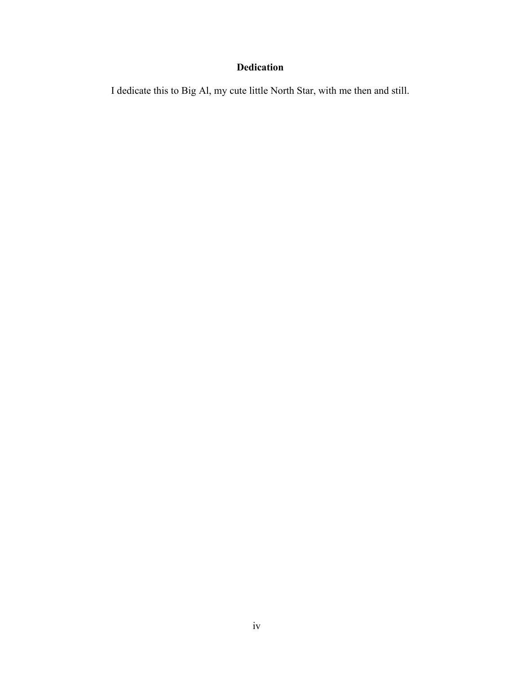# **Dedication**

<span id="page-4-0"></span>I dedicate this to Big Al, my cute little North Star, with me then and still.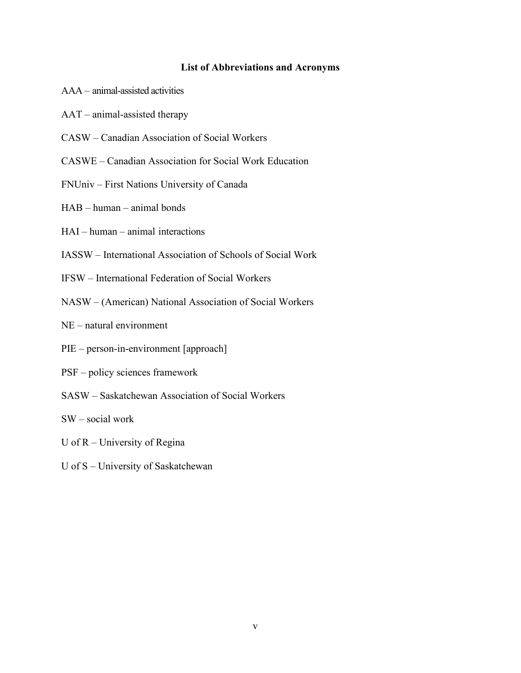# **List of Abbreviations and Acronyms**

- <span id="page-5-0"></span>AAA – animal-assisted activities
- AAT animal-assisted therapy
- CASW Canadian Association of Social Workers
- CASWE Canadian Association for Social Work Education
- FNUniv First Nations University of Canada
- HAB human animal bonds
- HAI human animal interactions
- IASSW International Association of Schools of Social Work
- IFSW International Federation of Social Workers
- NASW (American) National Association of Social Workers
- NE natural environment
- PIE person-in-environment [approach]
- PSF policy sciences framework
- SASW Saskatchewan Association of Social Workers
- SW social work
- U of R University of Regina
- U of S University of Saskatchewan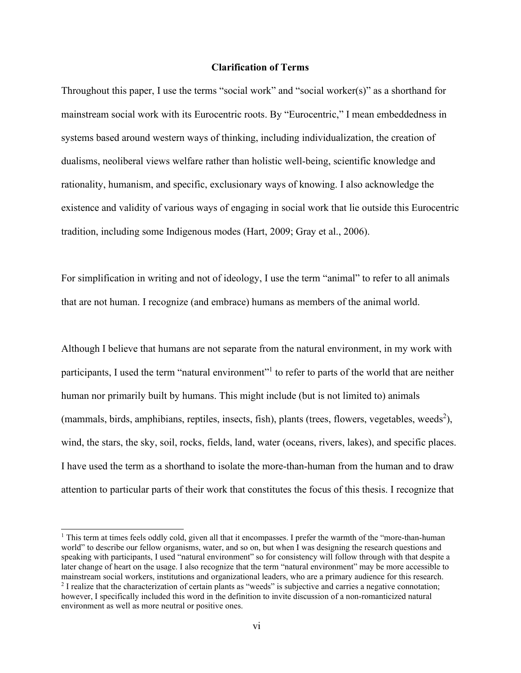# **Clarification of Terms**

<span id="page-6-0"></span>Throughout this paper, I use the terms "social work" and "social worker(s)" as a shorthand for mainstream social work with its Eurocentric roots. By "Eurocentric," I mean embeddedness in systems based around western ways of thinking, including individualization, the creation of dualisms, neoliberal views welfare rather than holistic well-being, scientific knowledge and rationality, humanism, and specific, exclusionary ways of knowing. I also acknowledge the existence and validity of various ways of engaging in social work that lie outside this Eurocentric tradition, including some Indigenous modes (Hart, 2009; Gray et al., 2006).

For simplification in writing and not of ideology, I use the term "animal" to refer to all animals that are not human. I recognize (and embrace) humans as members of the animal world.

Although I believe that humans are not separate from the natural environment, in my work with participants, I used the term "natural environment"<sup>1</sup> to refer to parts of the world that are neither human nor primarily built by humans. This might include (but is not limited to) animals (mammals, birds, amphibians, reptiles, insects, fish), plants (trees, flowers, vegetables, weeds<sup>2</sup>), wind, the stars, the sky, soil, rocks, fields, land, water (oceans, rivers, lakes), and specific places. I have used the term as a shorthand to isolate the more-than-human from the human and to draw attention to particular parts of their work that constitutes the focus of this thesis. I recognize that

<sup>&</sup>lt;sup>1</sup> This term at times feels oddly cold, given all that it encompasses. I prefer the warmth of the "more-than-human" world" to describe our fellow organisms, water, and so on, but when I was designing the research questions and speaking with participants, I used "natural environment" so for consistency will follow through with that despite a later change of heart on the usage. I also recognize that the term "natural environment" may be more accessible to mainstream social workers, institutions and organizational leaders, who are a primary audience for this research. <sup>2</sup> I realize that the characterization of certain plants as "weeds" is subjective and carries a negative connotation; however, I specifically included this word in the definition to invite discussion of a non-romanticized natural environment as well as more neutral or positive ones.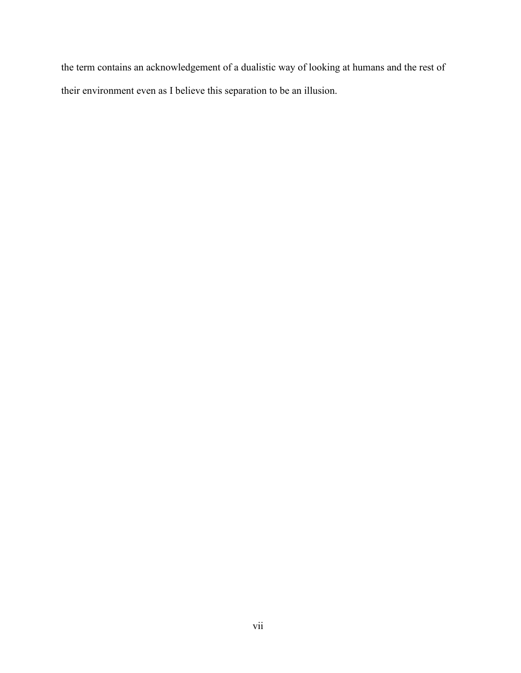the term contains an acknowledgement of a dualistic way of looking at humans and the rest of their environment even as I believe this separation to be an illusion.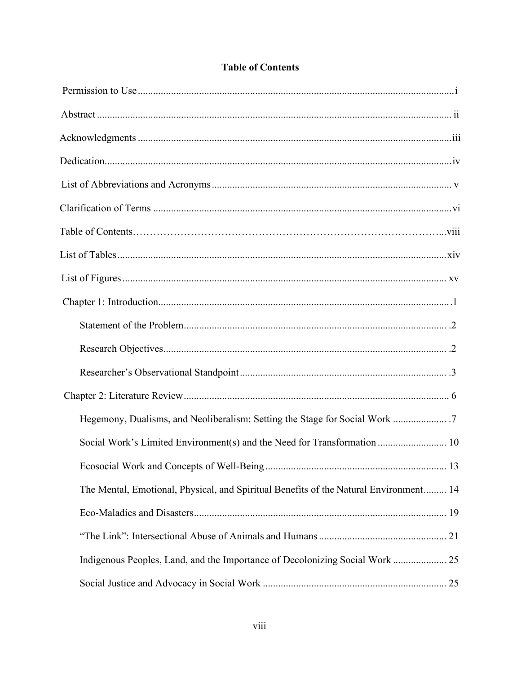| Social Work's Limited Environment(s) and the Need for Transformation  10              |  |
|---------------------------------------------------------------------------------------|--|
| Ecosocial Work and Concepts of Well-Being<br>13                                       |  |
| The Mental, Emotional, Physical, and Spiritual Benefits of the Natural Environment 14 |  |
|                                                                                       |  |
|                                                                                       |  |
|                                                                                       |  |
|                                                                                       |  |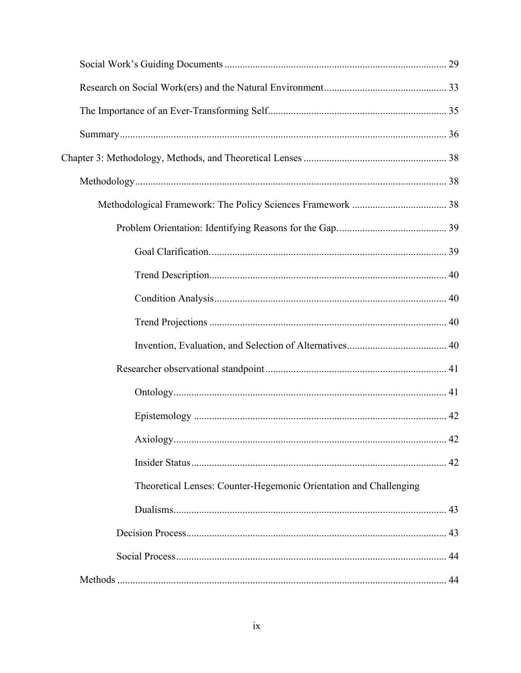| Theoretical Lenses: Counter-Hegemonic Orientation and Challenging |  |
|-------------------------------------------------------------------|--|
|                                                                   |  |
|                                                                   |  |
|                                                                   |  |
|                                                                   |  |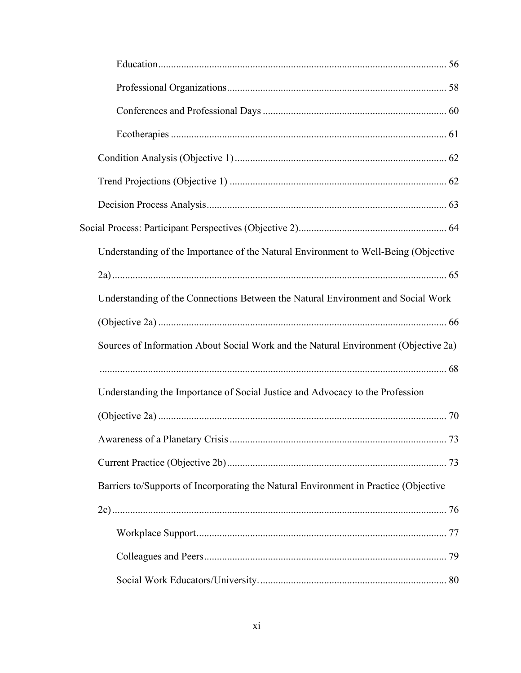| Understanding of the Importance of the Natural Environment to Well-Being (Objective  |
|--------------------------------------------------------------------------------------|
|                                                                                      |
| Understanding of the Connections Between the Natural Environment and Social Work     |
|                                                                                      |
| Sources of Information About Social Work and the Natural Environment (Objective 2a)  |
|                                                                                      |
| Understanding the Importance of Social Justice and Advocacy to the Profession        |
|                                                                                      |
|                                                                                      |
|                                                                                      |
| Barriers to/Supports of Incorporating the Natural Environment in Practice (Objective |
|                                                                                      |
|                                                                                      |
|                                                                                      |
|                                                                                      |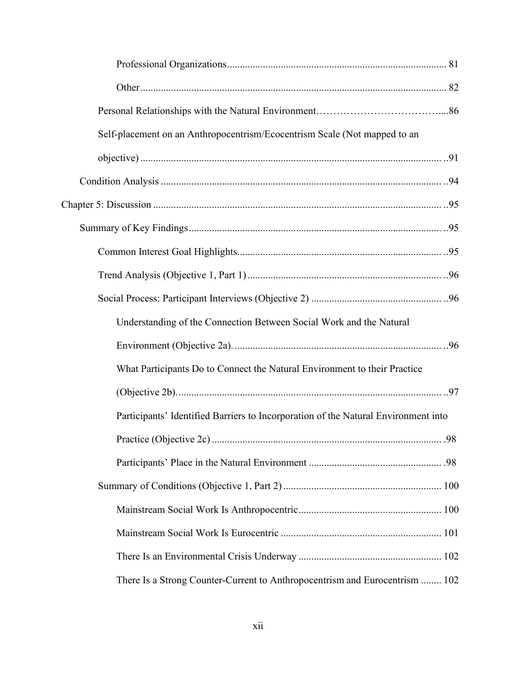| Self-placement on an Anthropocentrism/Ecocentrism Scale (Not mapped to an          |  |
|------------------------------------------------------------------------------------|--|
|                                                                                    |  |
|                                                                                    |  |
|                                                                                    |  |
|                                                                                    |  |
|                                                                                    |  |
|                                                                                    |  |
|                                                                                    |  |
| Understanding of the Connection Between Social Work and the Natural                |  |
|                                                                                    |  |
| What Participants Do to Connect the Natural Environment to their Practice          |  |
|                                                                                    |  |
| Participants' Identified Barriers to Incorporation of the Natural Environment into |  |
|                                                                                    |  |
|                                                                                    |  |
|                                                                                    |  |
|                                                                                    |  |
|                                                                                    |  |
|                                                                                    |  |
| There Is a Strong Counter-Current to Anthropocentrism and Eurocentrism  102        |  |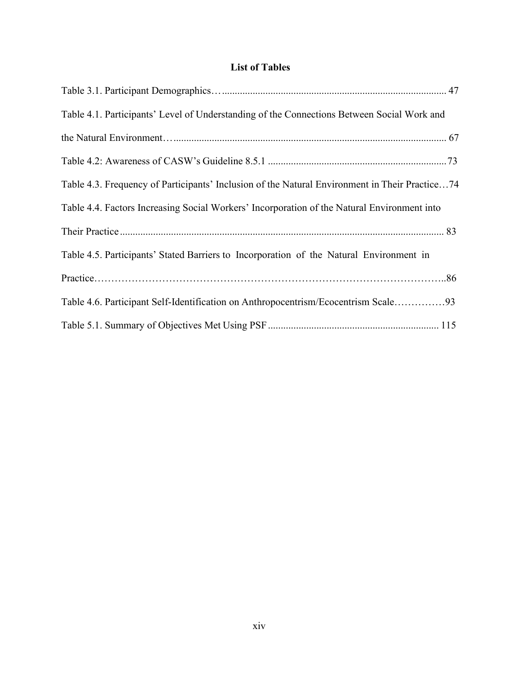# **List of Tables**

<span id="page-14-0"></span>

| Table 4.1. Participants' Level of Understanding of the Connections Between Social Work and     |
|------------------------------------------------------------------------------------------------|
|                                                                                                |
|                                                                                                |
| Table 4.3. Frequency of Participants' Inclusion of the Natural Environment in Their Practice74 |
| Table 4.4. Factors Increasing Social Workers' Incorporation of the Natural Environment into    |
|                                                                                                |
| Table 4.5. Participants' Stated Barriers to Incorporation of the Natural Environment in        |
|                                                                                                |
|                                                                                                |
|                                                                                                |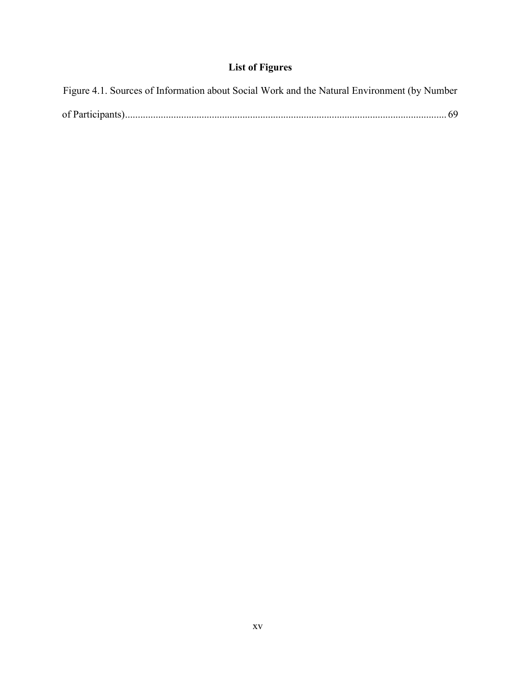# **List of Figures**

<span id="page-15-0"></span>

| Figure 4.1. Sources of Information about Social Work and the Natural Environment (by Number |  |
|---------------------------------------------------------------------------------------------|--|
|                                                                                             |  |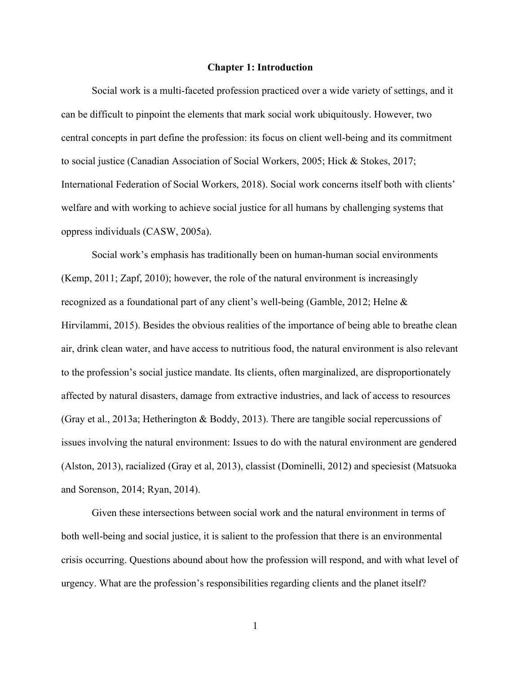#### **Chapter 1: Introduction**

<span id="page-16-0"></span>Social work is a multi-faceted profession practiced over a wide variety of settings, and it can be difficult to pinpoint the elements that mark social work ubiquitously. However, two central concepts in part define the profession: its focus on client well-being and its commitment to social justice (Canadian Association of Social Workers, 2005; Hick & Stokes, 2017; International Federation of Social Workers, 2018). Social work concerns itself both with clients' welfare and with working to achieve social justice for all humans by challenging systems that oppress individuals (CASW, 2005a).

Social work's emphasis has traditionally been on human-human social environments (Kemp, 2011; Zapf, 2010); however, the role of the natural environment is increasingly recognized as a foundational part of any client's well-being (Gamble, 2012; Helne & Hirvilammi, 2015). Besides the obvious realities of the importance of being able to breathe clean air, drink clean water, and have access to nutritious food, the natural environment is also relevant to the profession's social justice mandate. Its clients, often marginalized, are disproportionately affected by natural disasters, damage from extractive industries, and lack of access to resources (Gray et al., 2013a; Hetherington & Boddy, 2013). There are tangible social repercussions of issues involving the natural environment: Issues to do with the natural environment are gendered (Alston, 2013), racialized (Gray et al, 2013), classist (Dominelli, 2012) and speciesist (Matsuoka and Sorenson, 2014; Ryan, 2014).

Given these intersections between social work and the natural environment in terms of both well-being and social justice, it is salient to the profession that there is an environmental crisis occurring. Questions abound about how the profession will respond, and with what level of urgency. What are the profession's responsibilities regarding clients and the planet itself?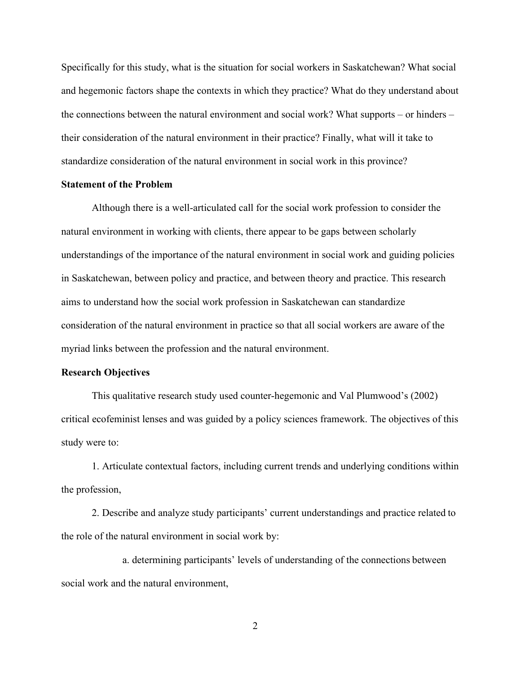Specifically for this study, what is the situation for social workers in Saskatchewan? What social and hegemonic factors shape the contexts in which they practice? What do they understand about the connections between the natural environment and social work? What supports – or hinders – their consideration of the natural environment in their practice? Finally, what will it take to standardize consideration of the natural environment in social work in this province?

#### <span id="page-17-0"></span>**Statement of the Problem**

Although there is a well-articulated call for the social work profession to consider the natural environment in working with clients, there appear to be gaps between scholarly understandings of the importance of the natural environment in social work and guiding policies in Saskatchewan, between policy and practice, and between theory and practice. This research aims to understand how the social work profession in Saskatchewan can standardize consideration of the natural environment in practice so that all social workers are aware of the myriad links between the profession and the natural environment.

#### <span id="page-17-1"></span>**Research Objectives**

This qualitative research study used counter-hegemonic and Val Plumwood's (2002) critical ecofeminist lenses and was guided by a policy sciences framework. The objectives of this study were to:

1. Articulate contextual factors, including current trends and underlying conditions within the profession,

2. Describe and analyze study participants' current understandings and practice related to the role of the natural environment in social work by:

a. determining participants' levels of understanding of the connections between social work and the natural environment,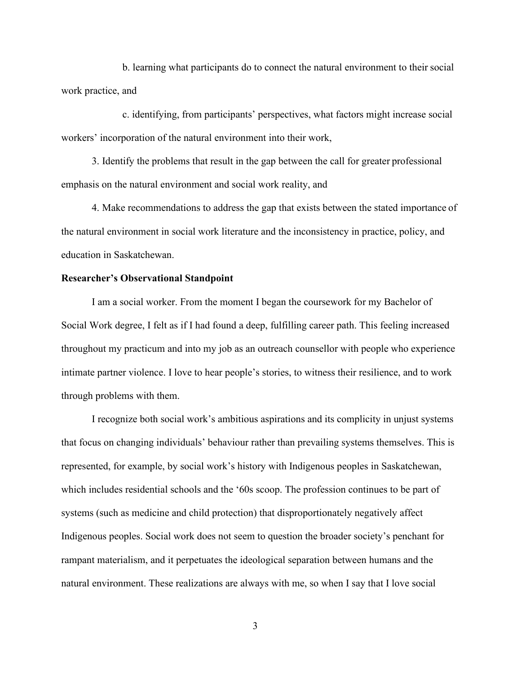b. learning what participants do to connect the natural environment to their social work practice, and

c. identifying, from participants' perspectives, what factors might increase social workers' incorporation of the natural environment into their work,

3. Identify the problems that result in the gap between the call for greater professional emphasis on the natural environment and social work reality, and

4. Make recommendations to address the gap that exists between the stated importance of the natural environment in social work literature and the inconsistency in practice, policy, and education in Saskatchewan.

## <span id="page-18-0"></span>**Researcher's Observational Standpoint**

I am a social worker. From the moment I began the coursework for my Bachelor of Social Work degree, I felt as if I had found a deep, fulfilling career path. This feeling increased throughout my practicum and into my job as an outreach counsellor with people who experience intimate partner violence. I love to hear people's stories, to witness their resilience, and to work through problems with them.

I recognize both social work's ambitious aspirations and its complicity in unjust systems that focus on changing individuals' behaviour rather than prevailing systems themselves. This is represented, for example, by social work's history with Indigenous peoples in Saskatchewan, which includes residential schools and the '60s scoop. The profession continues to be part of systems (such as medicine and child protection) that disproportionately negatively affect Indigenous peoples. Social work does not seem to question the broader society's penchant for rampant materialism, and it perpetuates the ideological separation between humans and the natural environment. These realizations are always with me, so when I say that I love social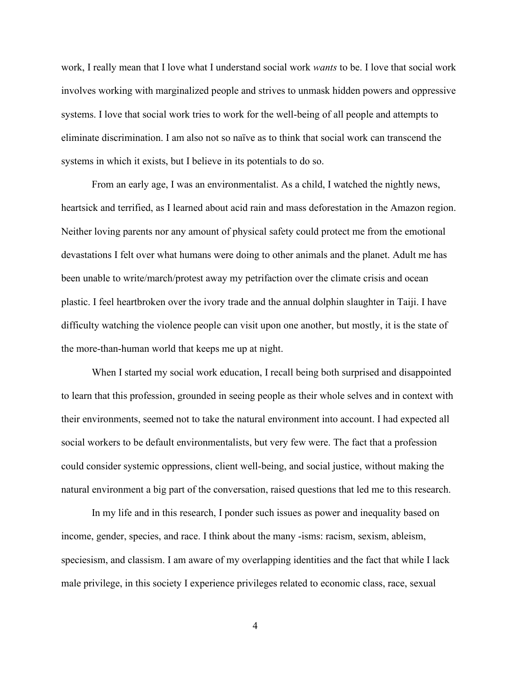work, I really mean that I love what I understand social work *wants* to be. I love that social work involves working with marginalized people and strives to unmask hidden powers and oppressive systems. I love that social work tries to work for the well-being of all people and attempts to eliminate discrimination. I am also not so naïve as to think that social work can transcend the systems in which it exists, but I believe in its potentials to do so.

From an early age, I was an environmentalist. As a child, I watched the nightly news, heartsick and terrified, as I learned about acid rain and mass deforestation in the Amazon region. Neither loving parents nor any amount of physical safety could protect me from the emotional devastations I felt over what humans were doing to other animals and the planet. Adult me has been unable to write/march/protest away my petrifaction over the climate crisis and ocean plastic. I feel heartbroken over the ivory trade and the annual dolphin slaughter in Taiji. I have difficulty watching the violence people can visit upon one another, but mostly, it is the state of the more-than-human world that keeps me up at night.

When I started my social work education, I recall being both surprised and disappointed to learn that this profession, grounded in seeing people as their whole selves and in context with their environments, seemed not to take the natural environment into account. I had expected all social workers to be default environmentalists, but very few were. The fact that a profession could consider systemic oppressions, client well-being, and social justice, without making the natural environment a big part of the conversation, raised questions that led me to this research.

In my life and in this research, I ponder such issues as power and inequality based on income, gender, species, and race. I think about the many -isms: racism, sexism, ableism, speciesism, and classism. I am aware of my overlapping identities and the fact that while I lack male privilege, in this society I experience privileges related to economic class, race, sexual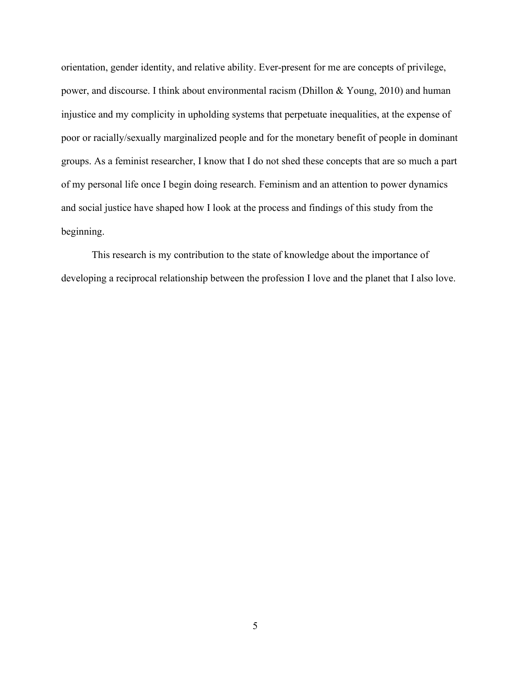orientation, gender identity, and relative ability. Ever-present for me are concepts of privilege, power, and discourse. I think about environmental racism (Dhillon & Young, 2010) and human injustice and my complicity in upholding systems that perpetuate inequalities, at the expense of poor or racially/sexually marginalized people and for the monetary benefit of people in dominant groups. As a feminist researcher, I know that I do not shed these concepts that are so much a part of my personal life once I begin doing research. Feminism and an attention to power dynamics and social justice have shaped how I look at the process and findings of this study from the beginning.

This research is my contribution to the state of knowledge about the importance of developing a reciprocal relationship between the profession I love and the planet that I also love.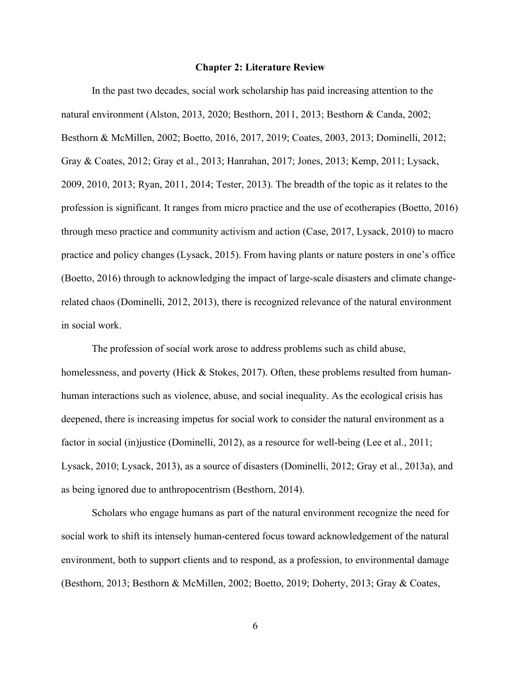#### **Chapter 2: Literature Review**

<span id="page-21-0"></span>In the past two decades, social work scholarship has paid increasing attention to the natural environment (Alston, 2013, 2020; Besthorn, 2011, 2013; Besthorn & Canda, 2002; Besthorn & McMillen, 2002; Boetto, 2016, 2017, 2019; Coates, 2003, 2013; Dominelli, 2012; Gray & Coates, 2012; Gray et al., 2013; Hanrahan, 2017; Jones, 2013; Kemp, 2011; Lysack, 2009, 2010, 2013; Ryan, 2011, 2014; Tester, 2013). The breadth of the topic as it relates to the profession is significant. It ranges from micro practice and the use of ecotherapies (Boetto, 2016) through meso practice and community activism and action (Case, 2017, Lysack, 2010) to macro practice and policy changes (Lysack, 2015). From having plants or nature posters in one's office (Boetto, 2016) through to acknowledging the impact of large-scale disasters and climate changerelated chaos (Dominelli, 2012, 2013), there is recognized relevance of the natural environment in social work.

The profession of social work arose to address problems such as child abuse, homelessness, and poverty (Hick & Stokes, 2017). Often, these problems resulted from humanhuman interactions such as violence, abuse, and social inequality. As the ecological crisis has deepened, there is increasing impetus for social work to consider the natural environment as a factor in social (in)justice (Dominelli, 2012), as a resource for well-being (Lee et al., 2011; Lysack, 2010; Lysack, 2013), as a source of disasters (Dominelli, 2012; Gray et al., 2013a), and as being ignored due to anthropocentrism (Besthorn, 2014).

Scholars who engage humans as part of the natural environment recognize the need for social work to shift its intensely human-centered focus toward acknowledgement of the natural environment, both to support clients and to respond, as a profession, to environmental damage (Besthorn, 2013; Besthorn & McMillen, 2002; Boetto, 2019; Doherty, 2013; Gray & Coates,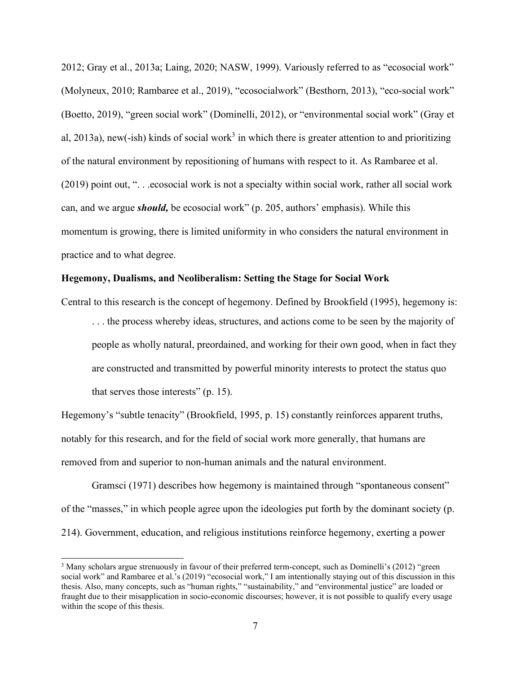2012; Gray et al., 2013a; Laing, 2020; NASW, 1999). Variously referred to as "ecosocial work" (Molyneux, 2010; Rambaree et al., 2019), "ecosocialwork" (Besthorn, 2013), "eco-social work" (Boetto, 2019), "green social work" (Dominelli, 2012), or "environmental social work" (Gray et al, 2013a), new(-ish) kinds of social work<sup>3</sup> in which there is greater attention to and prioritizing of the natural environment by repositioning of humans with respect to it. As Rambaree et al. (2019) point out, ". . .ecosocial work is not a specialty within social work, rather all social work can, and we argue *should,* be ecosocial work" (p. 205, authors' emphasis). While this momentum is growing, there is limited uniformity in who considers the natural environment in practice and to what degree.

## <span id="page-22-0"></span>**Hegemony, Dualisms, and Neoliberalism: Setting the Stage for Social Work**

Central to this research is the concept of hegemony. Defined by Brookfield (1995), hegemony is: . . . the process whereby ideas, structures, and actions come to be seen by the majority of people as wholly natural, preordained, and working for their own good, when in fact they are constructed and transmitted by powerful minority interests to protect the status quo that serves those interests" (p. 15).

Hegemony's "subtle tenacity" (Brookfield, 1995, p. 15) constantly reinforces apparent truths, notably for this research, and for the field of social work more generally, that humans are removed from and superior to non-human animals and the natural environment.

Gramsci (1971) describes how hegemony is maintained through "spontaneous consent" of the "masses," in which people agree upon the ideologies put forth by the dominant society (p. 214). Government, education, and religious institutions reinforce hegemony, exerting a power

<sup>&</sup>lt;sup>3</sup> Many scholars argue strenuously in favour of their preferred term-concept, such as Dominelli's (2012) "green social work" and Rambaree et al.'s (2019) "ecosocial work," I am intentionally staying out of this discussion in this thesis. Also, many concepts, such as "human rights," "sustainability," and "environmental justice" are loaded or fraught due to their misapplication in socio-economic discourses; however, it is not possible to qualify every usage within the scope of this thesis.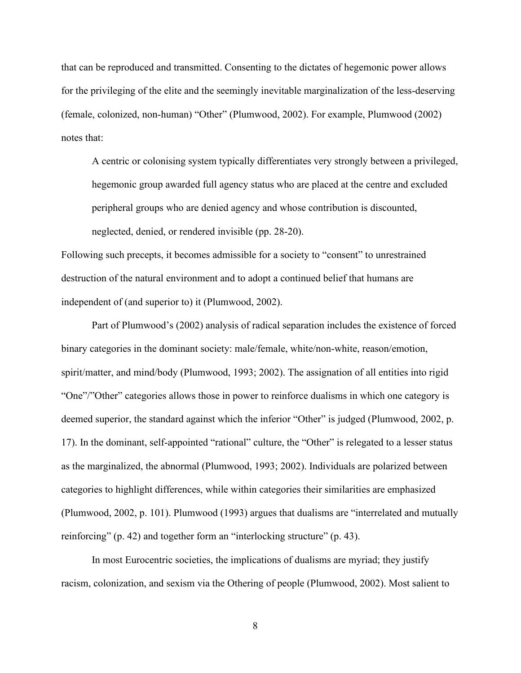that can be reproduced and transmitted. Consenting to the dictates of hegemonic power allows for the privileging of the elite and the seemingly inevitable marginalization of the less-deserving (female, colonized, non-human) "Other" (Plumwood, 2002). For example, Plumwood (2002) notes that:

A centric or colonising system typically differentiates very strongly between a privileged, hegemonic group awarded full agency status who are placed at the centre and excluded peripheral groups who are denied agency and whose contribution is discounted, neglected, denied, or rendered invisible (pp. 28-20).

Following such precepts, it becomes admissible for a society to "consent" to unrestrained destruction of the natural environment and to adopt a continued belief that humans are independent of (and superior to) it (Plumwood, 2002).

Part of Plumwood's (2002) analysis of radical separation includes the existence of forced binary categories in the dominant society: male/female, white/non-white, reason/emotion, spirit/matter, and mind/body (Plumwood, 1993; 2002). The assignation of all entities into rigid "One"/"Other" categories allows those in power to reinforce dualisms in which one category is deemed superior, the standard against which the inferior "Other" is judged (Plumwood, 2002, p. 17). In the dominant, self-appointed "rational" culture, the "Other" is relegated to a lesser status as the marginalized, the abnormal (Plumwood, 1993; 2002). Individuals are polarized between categories to highlight differences, while within categories their similarities are emphasized (Plumwood, 2002, p. 101). Plumwood (1993) argues that dualisms are "interrelated and mutually reinforcing" (p. 42) and together form an "interlocking structure" (p. 43).

In most Eurocentric societies, the implications of dualisms are myriad; they justify racism, colonization, and sexism via the Othering of people (Plumwood, 2002). Most salient to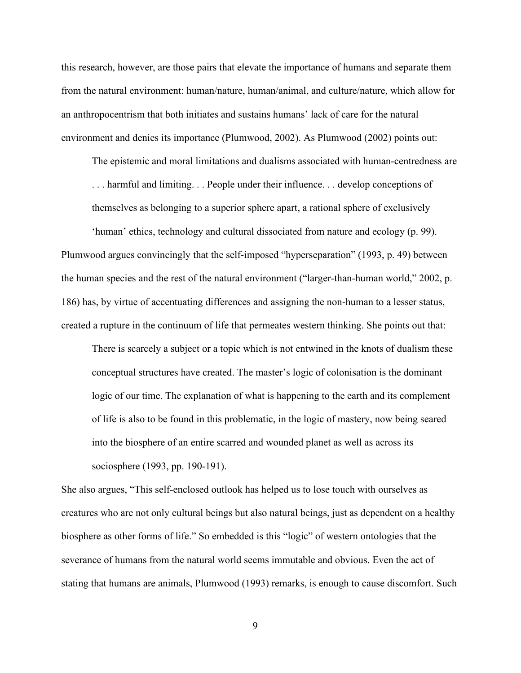this research, however, are those pairs that elevate the importance of humans and separate them from the natural environment: human/nature, human/animal, and culture/nature, which allow for an anthropocentrism that both initiates and sustains humans' lack of care for the natural environment and denies its importance (Plumwood, 2002). As Plumwood (2002) points out:

The epistemic and moral limitations and dualisms associated with human-centredness are . . . harmful and limiting. . . People under their influence. . . develop conceptions of

themselves as belonging to a superior sphere apart, a rational sphere of exclusively

'human' ethics, technology and cultural dissociated from nature and ecology (p. 99). Plumwood argues convincingly that the self-imposed "hyperseparation" (1993, p. 49) between the human species and the rest of the natural environment ("larger-than-human world," 2002, p. 186) has, by virtue of accentuating differences and assigning the non-human to a lesser status, created a rupture in the continuum of life that permeates western thinking. She points out that:

There is scarcely a subject or a topic which is not entwined in the knots of dualism these conceptual structures have created. The master's logic of colonisation is the dominant logic of our time. The explanation of what is happening to the earth and its complement of life is also to be found in this problematic, in the logic of mastery, now being seared into the biosphere of an entire scarred and wounded planet as well as across its sociosphere (1993, pp. 190-191).

She also argues, "This self-enclosed outlook has helped us to lose touch with ourselves as creatures who are not only cultural beings but also natural beings, just as dependent on a healthy biosphere as other forms of life." So embedded is this "logic" of western ontologies that the severance of humans from the natural world seems immutable and obvious. Even the act of stating that humans are animals, Plumwood (1993) remarks, is enough to cause discomfort. Such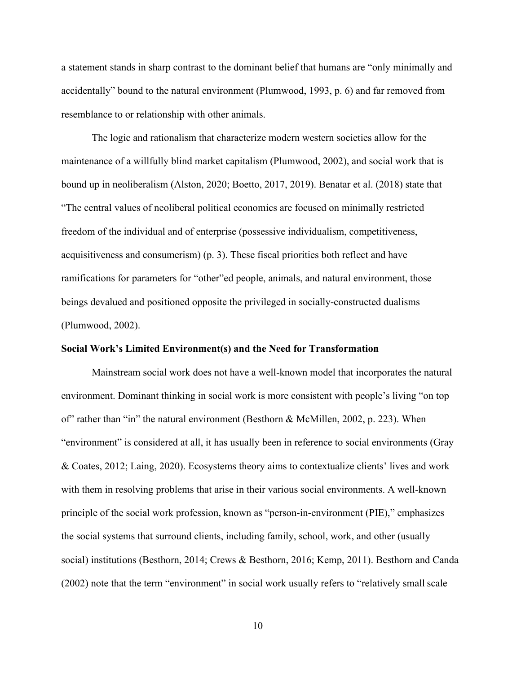a statement stands in sharp contrast to the dominant belief that humans are "only minimally and accidentally" bound to the natural environment (Plumwood, 1993, p. 6) and far removed from resemblance to or relationship with other animals.

The logic and rationalism that characterize modern western societies allow for the maintenance of a willfully blind market capitalism (Plumwood, 2002), and social work that is bound up in neoliberalism (Alston, 2020; Boetto, 2017, 2019). Benatar et al. (2018) state that "The central values of neoliberal political economics are focused on minimally restricted freedom of the individual and of enterprise (possessive individualism, competitiveness, acquisitiveness and consumerism) (p. 3). These fiscal priorities both reflect and have ramifications for parameters for "other"ed people, animals, and natural environment, those beings devalued and positioned opposite the privileged in socially-constructed dualisms (Plumwood, 2002).

### <span id="page-25-0"></span>**Social Work's Limited Environment(s) and the Need for Transformation**

Mainstream social work does not have a well-known model that incorporates the natural environment. Dominant thinking in social work is more consistent with people's living "on top of" rather than "in" the natural environment (Besthorn & McMillen, 2002, p. 223). When "environment" is considered at all, it has usually been in reference to social environments (Gray & Coates, 2012; Laing, 2020). Ecosystems theory aims to contextualize clients' lives and work with them in resolving problems that arise in their various social environments. A well-known principle of the social work profession, known as "person-in-environment (PIE)," emphasizes the social systems that surround clients, including family, school, work, and other (usually social) institutions (Besthorn, 2014; Crews & Besthorn, 2016; Kemp, 2011). Besthorn and Canda (2002) note that the term "environment" in social work usually refers to "relatively small scale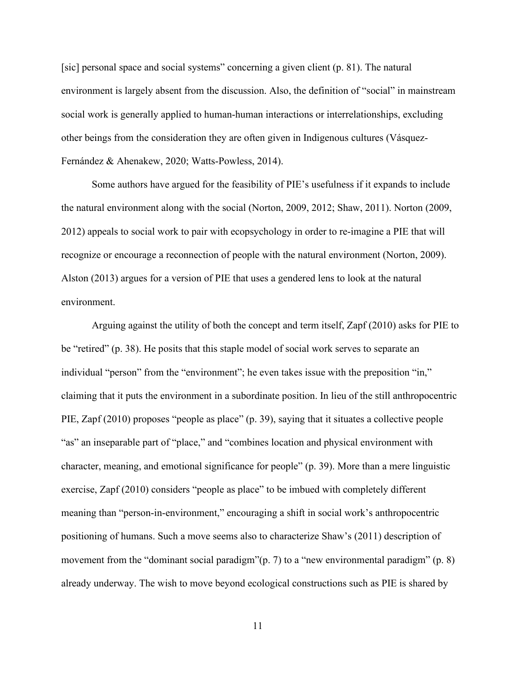[sic] personal space and social systems" concerning a given client (p. 81). The natural environment is largely absent from the discussion. Also, the definition of "social" in mainstream social work is generally applied to human-human interactions or interrelationships, excluding other beings from the consideration they are often given in Indigenous cultures (Vásquez-Fernández & Ahenakew, 2020; Watts-Powless, 2014).

Some authors have argued for the feasibility of PIE's usefulness if it expands to include the natural environment along with the social (Norton, 2009, 2012; Shaw, 2011). Norton (2009, 2012) appeals to social work to pair with ecopsychology in order to re-imagine a PIE that will recognize or encourage a reconnection of people with the natural environment (Norton, 2009). Alston (2013) argues for a version of PIE that uses a gendered lens to look at the natural environment.

Arguing against the utility of both the concept and term itself, Zapf (2010) asks for PIE to be "retired" (p. 38). He posits that this staple model of social work serves to separate an individual "person" from the "environment"; he even takes issue with the preposition "in," claiming that it puts the environment in a subordinate position. In lieu of the still anthropocentric PIE, Zapf (2010) proposes "people as place" (p. 39), saying that it situates a collective people "as" an inseparable part of "place," and "combines location and physical environment with character, meaning, and emotional significance for people" (p. 39). More than a mere linguistic exercise, Zapf (2010) considers "people as place" to be imbued with completely different meaning than "person-in-environment," encouraging a shift in social work's anthropocentric positioning of humans. Such a move seems also to characterize Shaw's (2011) description of movement from the "dominant social paradigm" (p. 7) to a "new environmental paradigm" (p. 8) already underway. The wish to move beyond ecological constructions such as PIE is shared by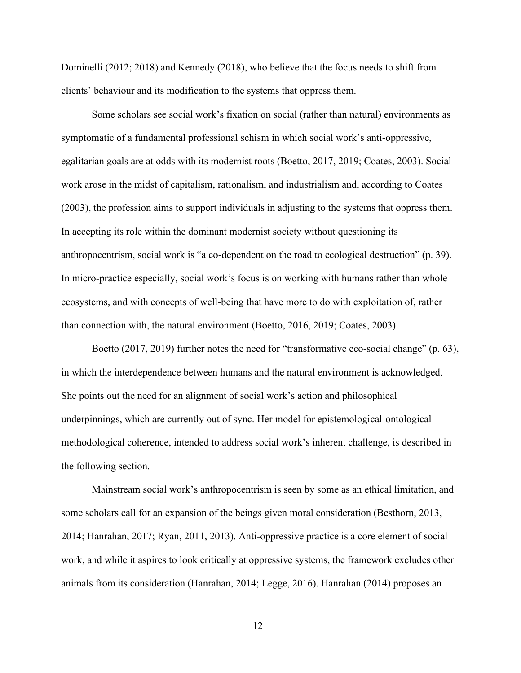Dominelli (2012; 2018) and Kennedy (2018), who believe that the focus needs to shift from clients' behaviour and its modification to the systems that oppress them.

Some scholars see social work's fixation on social (rather than natural) environments as symptomatic of a fundamental professional schism in which social work's anti-oppressive, egalitarian goals are at odds with its modernist roots (Boetto, 2017, 2019; Coates, 2003). Social work arose in the midst of capitalism, rationalism, and industrialism and, according to Coates (2003), the profession aims to support individuals in adjusting to the systems that oppress them. In accepting its role within the dominant modernist society without questioning its anthropocentrism, social work is "a co-dependent on the road to ecological destruction" (p. 39). In micro-practice especially, social work's focus is on working with humans rather than whole ecosystems, and with concepts of well-being that have more to do with exploitation of, rather than connection with, the natural environment (Boetto, 2016, 2019; Coates, 2003).

Boetto (2017, 2019) further notes the need for "transformative eco-social change" (p. 63), in which the interdependence between humans and the natural environment is acknowledged. She points out the need for an alignment of social work's action and philosophical underpinnings, which are currently out of sync. Her model for epistemological-ontologicalmethodological coherence, intended to address social work's inherent challenge, is described in the following section.

Mainstream social work's anthropocentrism is seen by some as an ethical limitation, and some scholars call for an expansion of the beings given moral consideration (Besthorn, 2013, 2014; Hanrahan, 2017; Ryan, 2011, 2013). Anti-oppressive practice is a core element of social work, and while it aspires to look critically at oppressive systems, the framework excludes other animals from its consideration (Hanrahan, 2014; Legge, 2016). Hanrahan (2014) proposes an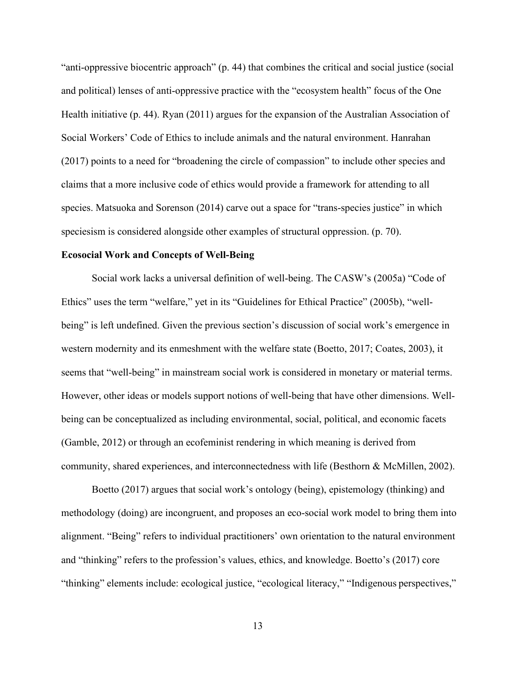"anti-oppressive biocentric approach" (p. 44) that combines the critical and social justice (social and political) lenses of anti-oppressive practice with the "ecosystem health" focus of the One Health initiative (p. 44). Ryan (2011) argues for the expansion of the Australian Association of Social Workers' Code of Ethics to include animals and the natural environment. Hanrahan (2017) points to a need for "broadening the circle of compassion" to include other species and claims that a more inclusive code of ethics would provide a framework for attending to all species. Matsuoka and Sorenson (2014) carve out a space for "trans-species justice" in which speciesism is considered alongside other examples of structural oppression. (p. 70).

#### <span id="page-28-0"></span>**Ecosocial Work and Concepts of Well-Being**

Social work lacks a universal definition of well-being. The CASW's (2005a) "Code of Ethics" uses the term "welfare," yet in its "Guidelines for Ethical Practice" (2005b), "wellbeing" is left undefined. Given the previous section's discussion of social work's emergence in western modernity and its enmeshment with the welfare state (Boetto, 2017; Coates, 2003), it seems that "well-being" in mainstream social work is considered in monetary or material terms. However, other ideas or models support notions of well-being that have other dimensions. Wellbeing can be conceptualized as including environmental, social, political, and economic facets (Gamble, 2012) or through an ecofeminist rendering in which meaning is derived from community, shared experiences, and interconnectedness with life (Besthorn & McMillen, 2002).

Boetto (2017) argues that social work's ontology (being), epistemology (thinking) and methodology (doing) are incongruent, and proposes an eco-social work model to bring them into alignment. "Being" refers to individual practitioners' own orientation to the natural environment and "thinking" refers to the profession's values, ethics, and knowledge. Boetto's (2017) core "thinking" elements include: ecological justice, "ecological literacy," "Indigenous perspectives,"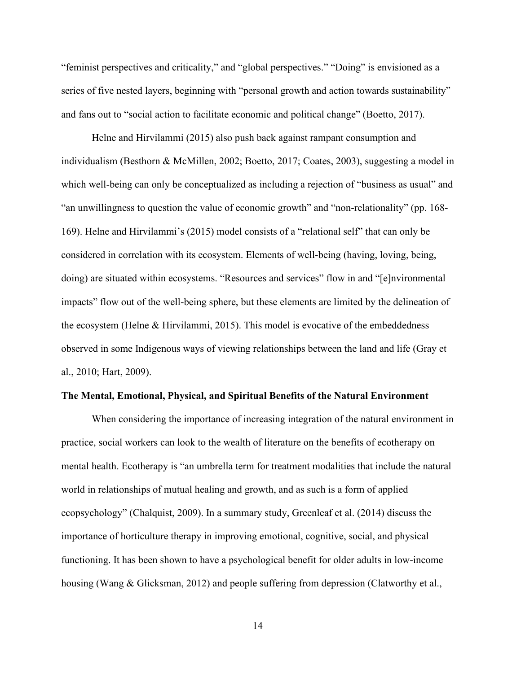"feminist perspectives and criticality," and "global perspectives." "Doing" is envisioned as a series of five nested layers, beginning with "personal growth and action towards sustainability" and fans out to "social action to facilitate economic and political change" (Boetto, 2017).

Helne and Hirvilammi (2015) also push back against rampant consumption and individualism (Besthorn & McMillen, 2002; Boetto, 2017; Coates, 2003), suggesting a model in which well-being can only be conceptualized as including a rejection of "business as usual" and "an unwillingness to question the value of economic growth" and "non-relationality" (pp. 168- 169). Helne and Hirvilammi's (2015) model consists of a "relational self" that can only be considered in correlation with its ecosystem. Elements of well-being (having, loving, being, doing) are situated within ecosystems. "Resources and services" flow in and "[e]nvironmental impacts" flow out of the well-being sphere, but these elements are limited by the delineation of the ecosystem (Helne & Hirvilammi, 2015). This model is evocative of the embeddedness observed in some Indigenous ways of viewing relationships between the land and life (Gray et al., 2010; Hart, 2009).

#### <span id="page-29-0"></span>**The Mental, Emotional, Physical, and Spiritual Benefits of the Natural Environment**

When considering the importance of increasing integration of the natural environment in practice, social workers can look to the wealth of literature on the benefits of ecotherapy on mental health. Ecotherapy is "an umbrella term for treatment modalities that include the natural world in relationships of mutual healing and growth, and as such is a form of applied ecopsychology" (Chalquist, 2009). In a summary study, Greenleaf et al. (2014) discuss the importance of horticulture therapy in improving emotional, cognitive, social, and physical functioning. It has been shown to have a psychological benefit for older adults in low-income housing (Wang & Glicksman, 2012) and people suffering from depression (Clatworthy et al.,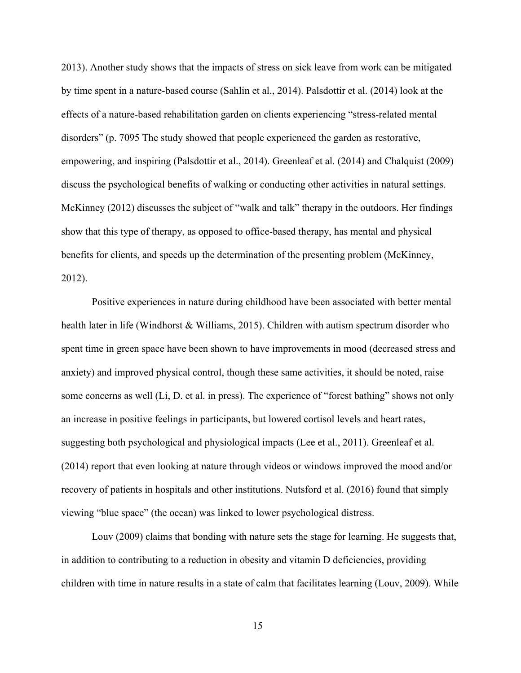2013). Another study shows that the impacts of stress on sick leave from work can be mitigated by time spent in a nature-based course (Sahlin et al., 2014). Palsdottir et al. (2014) look at the effects of a nature-based rehabilitation garden on clients experiencing "stress-related mental disorders" (p. 7095 The study showed that people experienced the garden as restorative, empowering, and inspiring (Palsdottir et al., 2014). Greenleaf et al. (2014) and Chalquist (2009) discuss the psychological benefits of walking or conducting other activities in natural settings. McKinney (2012) discusses the subject of "walk and talk" therapy in the outdoors. Her findings show that this type of therapy, as opposed to office-based therapy, has mental and physical benefits for clients, and speeds up the determination of the presenting problem (McKinney, 2012).

Positive experiences in nature during childhood have been associated with better mental health later in life (Windhorst & Williams, 2015). Children with autism spectrum disorder who spent time in green space have been shown to have improvements in mood (decreased stress and anxiety) and improved physical control, though these same activities, it should be noted, raise some concerns as well (Li, D. et al. in press). The experience of "forest bathing" shows not only an increase in positive feelings in participants, but lowered cortisol levels and heart rates, suggesting both psychological and physiological impacts (Lee et al., 2011). Greenleaf et al. (2014) report that even looking at nature through videos or windows improved the mood and/or recovery of patients in hospitals and other institutions. Nutsford et al. (2016) found that simply viewing "blue space" (the ocean) was linked to lower psychological distress.

Louv (2009) claims that bonding with nature sets the stage for learning. He suggests that, in addition to contributing to a reduction in obesity and vitamin D deficiencies, providing children with time in nature results in a state of calm that facilitates learning (Louv, 2009). While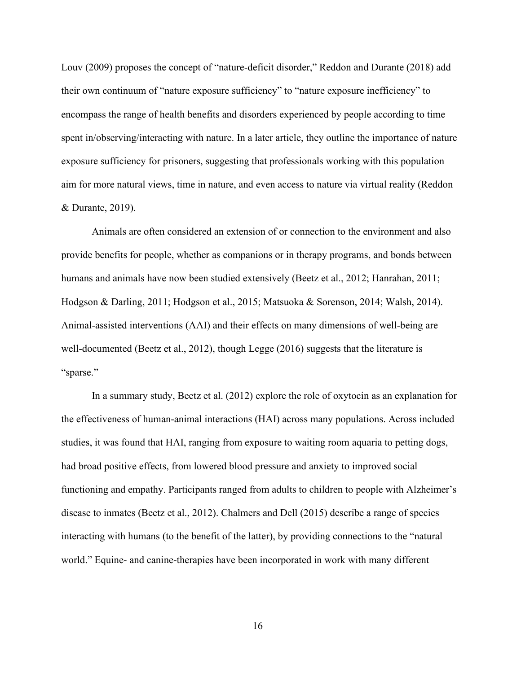Louv (2009) proposes the concept of "nature-deficit disorder," Reddon and Durante (2018) add their own continuum of "nature exposure sufficiency" to "nature exposure inefficiency" to encompass the range of health benefits and disorders experienced by people according to time spent in/observing/interacting with nature. In a later article, they outline the importance of nature exposure sufficiency for prisoners, suggesting that professionals working with this population aim for more natural views, time in nature, and even access to nature via virtual reality (Reddon & Durante, 2019).

Animals are often considered an extension of or connection to the environment and also provide benefits for people, whether as companions or in therapy programs, and bonds between humans and animals have now been studied extensively (Beetz et al., 2012; Hanrahan, 2011; Hodgson & Darling, 2011; Hodgson et al., 2015; Matsuoka & Sorenson, 2014; Walsh, 2014). Animal-assisted interventions (AAI) and their effects on many dimensions of well-being are well-documented (Beetz et al., 2012), though Legge (2016) suggests that the literature is "sparse."

In a summary study, Beetz et al. (2012) explore the role of oxytocin as an explanation for the effectiveness of human-animal interactions (HAI) across many populations. Across included studies, it was found that HAI, ranging from exposure to waiting room aquaria to petting dogs, had broad positive effects, from lowered blood pressure and anxiety to improved social functioning and empathy. Participants ranged from adults to children to people with Alzheimer's disease to inmates (Beetz et al., 2012). Chalmers and Dell (2015) describe a range of species interacting with humans (to the benefit of the latter), by providing connections to the "natural world." Equine- and canine-therapies have been incorporated in work with many different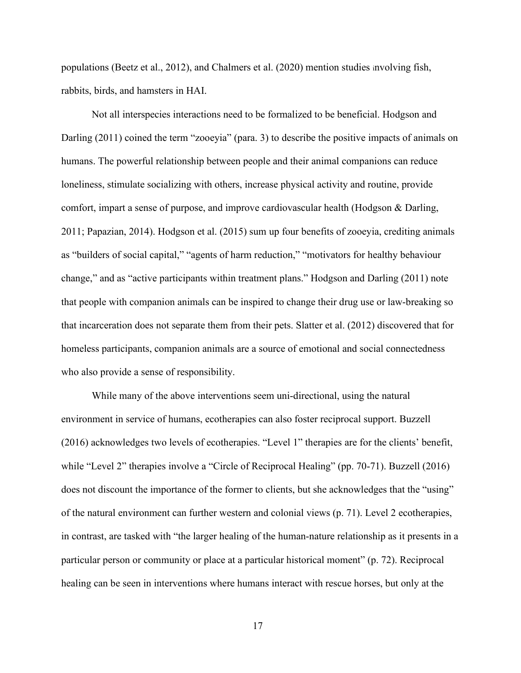populations (Beetz et al., 2012), and Chalmers et al. (2020) mention studies involving fish, rabbits, birds, and hamsters in HAI.

Not all interspecies interactions need to be formalized to be beneficial. Hodgson and Darling (2011) coined the term "zooeyia" (para. 3) to describe the positive impacts of animals on humans. The powerful relationship between people and their animal companions can reduce loneliness, stimulate socializing with others, increase physical activity and routine, provide comfort, impart a sense of purpose, and improve cardiovascular health (Hodgson & Darling, 2011; Papazian, 2014). Hodgson et al. (2015) sum up four benefits of zooeyia, crediting animals as "builders of social capital," "agents of harm reduction," "motivators for healthy behaviour change," and as "active participants within treatment plans." Hodgson and Darling (2011) note that people with companion animals can be inspired to change their drug use or law-breaking so that incarceration does not separate them from their pets. Slatter et al. (2012) discovered that for homeless participants, companion animals are a source of emotional and social connectedness who also provide a sense of responsibility.

While many of the above interventions seem uni-directional, using the natural environment in service of humans, ecotherapies can also foster reciprocal support. Buzzell (2016) acknowledges two levels of ecotherapies. "Level 1" therapies are for the clients' benefit, while "Level 2" therapies involve a "Circle of Reciprocal Healing" (pp. 70-71). Buzzell (2016) does not discount the importance of the former to clients, but she acknowledges that the "using" of the natural environment can further western and colonial views (p. 71). Level 2 ecotherapies, in contrast, are tasked with "the larger healing of the human-nature relationship as it presents in a particular person or community or place at a particular historical moment" (p. 72). Reciprocal healing can be seen in interventions where humans interact with rescue horses, but only at the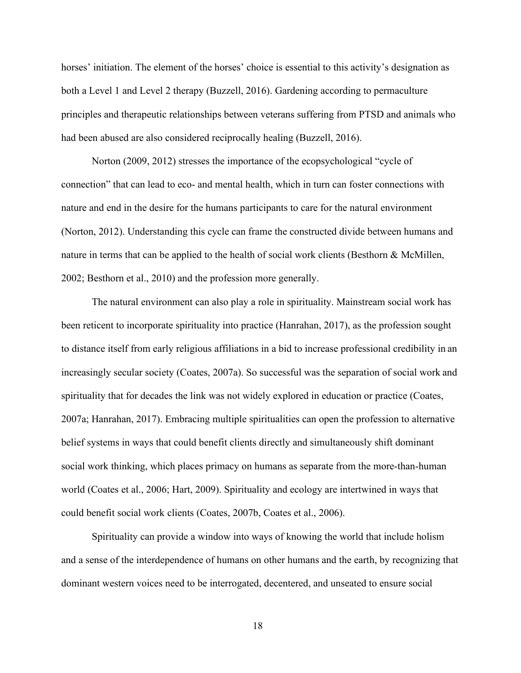horses' initiation. The element of the horses' choice is essential to this activity's designation as both a Level 1 and Level 2 therapy (Buzzell, 2016). Gardening according to permaculture principles and therapeutic relationships between veterans suffering from PTSD and animals who had been abused are also considered reciprocally healing (Buzzell, 2016).

Norton (2009, 2012) stresses the importance of the ecopsychological "cycle of connection" that can lead to eco- and mental health, which in turn can foster connections with nature and end in the desire for the humans participants to care for the natural environment (Norton, 2012). Understanding this cycle can frame the constructed divide between humans and nature in terms that can be applied to the health of social work clients (Besthorn & McMillen, 2002; Besthorn et al., 2010) and the profession more generally.

The natural environment can also play a role in spirituality. Mainstream social work has been reticent to incorporate spirituality into practice (Hanrahan, 2017), as the profession sought to distance itself from early religious affiliations in a bid to increase professional credibility in an increasingly secular society (Coates, 2007a). So successful was the separation of social work and spirituality that for decades the link was not widely explored in education or practice (Coates, 2007a; Hanrahan, 2017). Embracing multiple spiritualities can open the profession to alternative belief systems in ways that could benefit clients directly and simultaneously shift dominant social work thinking, which places primacy on humans as separate from the more-than-human world (Coates et al., 2006; Hart, 2009). Spirituality and ecology are intertwined in ways that could benefit social work clients (Coates, 2007b, Coates et al., 2006).

Spirituality can provide a window into ways of knowing the world that include holism and a sense of the interdependence of humans on other humans and the earth, by recognizing that dominant western voices need to be interrogated, decentered, and unseated to ensure social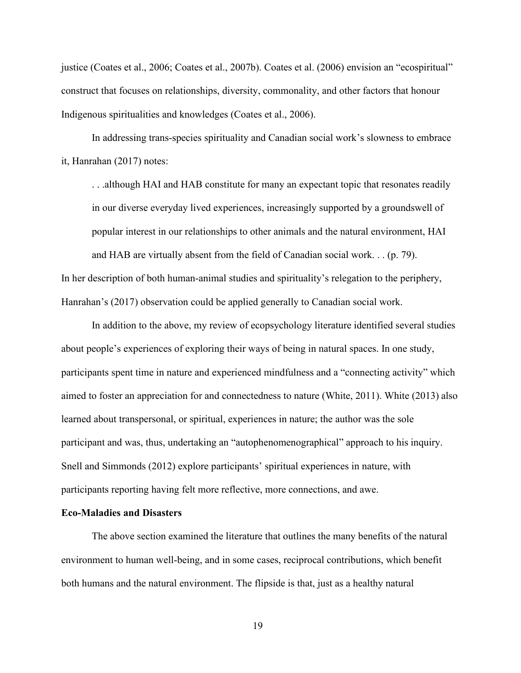justice (Coates et al., 2006; Coates et al., 2007b). Coates et al. (2006) envision an "ecospiritual" construct that focuses on relationships, diversity, commonality, and other factors that honour Indigenous spiritualities and knowledges (Coates et al., 2006).

In addressing trans-species spirituality and Canadian social work's slowness to embrace it, Hanrahan (2017) notes:

. . .although HAI and HAB constitute for many an expectant topic that resonates readily in our diverse everyday lived experiences, increasingly supported by a groundswell of popular interest in our relationships to other animals and the natural environment, HAI and HAB are virtually absent from the field of Canadian social work. . . (p. 79).

In her description of both human-animal studies and spirituality's relegation to the periphery, Hanrahan's (2017) observation could be applied generally to Canadian social work.

In addition to the above, my review of ecopsychology literature identified several studies about people's experiences of exploring their ways of being in natural spaces. In one study, participants spent time in nature and experienced mindfulness and a "connecting activity" which aimed to foster an appreciation for and connectedness to nature (White, 2011). White (2013) also learned about transpersonal, or spiritual, experiences in nature; the author was the sole participant and was, thus, undertaking an "autophenomenographical" approach to his inquiry. Snell and Simmonds (2012) explore participants' spiritual experiences in nature, with participants reporting having felt more reflective, more connections, and awe.

#### <span id="page-34-0"></span>**Eco-Maladies and Disasters**

The above section examined the literature that outlines the many benefits of the natural environment to human well-being, and in some cases, reciprocal contributions, which benefit both humans and the natural environment. The flipside is that, just as a healthy natural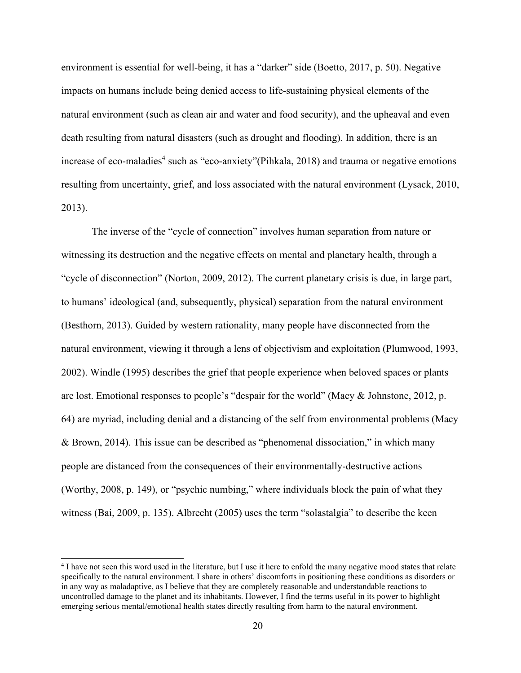environment is essential for well-being, it has a "darker" side (Boetto, 2017, p. 50). Negative impacts on humans include being denied access to life-sustaining physical elements of the natural environment (such as clean air and water and food security), and the upheaval and even death resulting from natural disasters (such as drought and flooding). In addition, there is an increase of eco-maladies<sup>4</sup> such as "eco-anxiety"(Pihkala, 2018) and trauma or negative emotions resulting from uncertainty, grief, and loss associated with the natural environment (Lysack, 2010, 2013).

The inverse of the "cycle of connection" involves human separation from nature or witnessing its destruction and the negative effects on mental and planetary health, through a "cycle of disconnection" (Norton, 2009, 2012). The current planetary crisis is due, in large part, to humans' ideological (and, subsequently, physical) separation from the natural environment (Besthorn, 2013). Guided by western rationality, many people have disconnected from the natural environment, viewing it through a lens of objectivism and exploitation (Plumwood, 1993, 2002). Windle (1995) describes the grief that people experience when beloved spaces or plants are lost. Emotional responses to people's "despair for the world" (Macy & Johnstone, 2012, p. 64) are myriad, including denial and a distancing of the self from environmental problems (Macy & Brown, 2014). This issue can be described as "phenomenal dissociation," in which many people are distanced from the consequences of their environmentally-destructive actions (Worthy, 2008, p. 149), or "psychic numbing," where individuals block the pain of what they witness (Bai, 2009, p. 135). Albrecht (2005) uses the term "solastalgia" to describe the keen

<sup>4</sup> I have not seen this word used in the literature, but I use it here to enfold the many negative mood states that relate specifically to the natural environment. I share in others' discomforts in positioning these conditions as disorders or in any way as maladaptive, as I believe that they are completely reasonable and understandable reactions to uncontrolled damage to the planet and its inhabitants. However, I find the terms useful in its power to highlight emerging serious mental/emotional health states directly resulting from harm to the natural environment.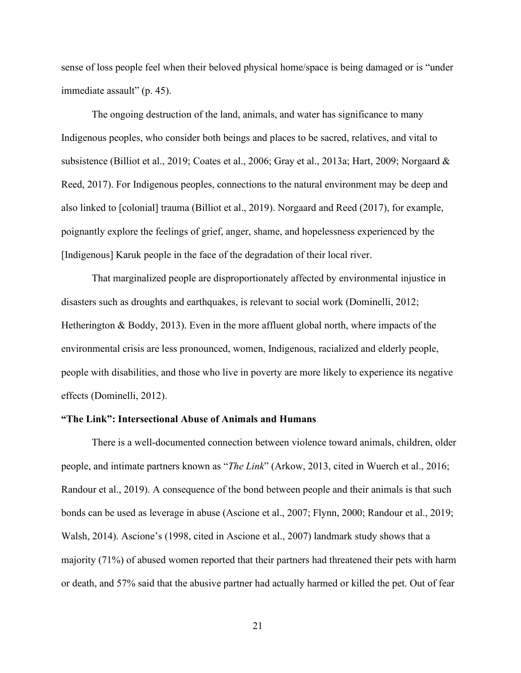sense of loss people feel when their beloved physical home/space is being damaged or is "under immediate assault" (p. 45).

The ongoing destruction of the land, animals, and water has significance to many Indigenous peoples, who consider both beings and places to be sacred, relatives, and vital to subsistence (Billiot et al., 2019; Coates et al., 2006; Gray et al., 2013a; Hart, 2009; Norgaard & Reed, 2017). For Indigenous peoples, connections to the natural environment may be deep and also linked to [colonial] trauma (Billiot et al., 2019). Norgaard and Reed (2017), for example, poignantly explore the feelings of grief, anger, shame, and hopelessness experienced by the [Indigenous] Karuk people in the face of the degradation of their local river.

That marginalized people are disproportionately affected by environmental injustice in disasters such as droughts and earthquakes, is relevant to social work (Dominelli, 2012; Hetherington & Boddy, 2013). Even in the more affluent global north, where impacts of the environmental crisis are less pronounced, women, Indigenous, racialized and elderly people, people with disabilities, and those who live in poverty are more likely to experience its negative effects (Dominelli, 2012).

## **"The Link": Intersectional Abuse of Animals and Humans**

There is a well-documented connection between violence toward animals, children, older people, and intimate partners known as "*The Link*" (Arkow, 2013, cited in Wuerch et al., 2016; Randour et al., 2019). A consequence of the bond between people and their animals is that such bonds can be used as leverage in abuse (Ascione et al., 2007; Flynn, 2000; Randour et al., 2019; Walsh, 2014). Ascione's (1998, cited in Ascione et al., 2007) landmark study shows that a majority (71%) of abused women reported that their partners had threatened their pets with harm or death, and 57% said that the abusive partner had actually harmed or killed the pet. Out of fear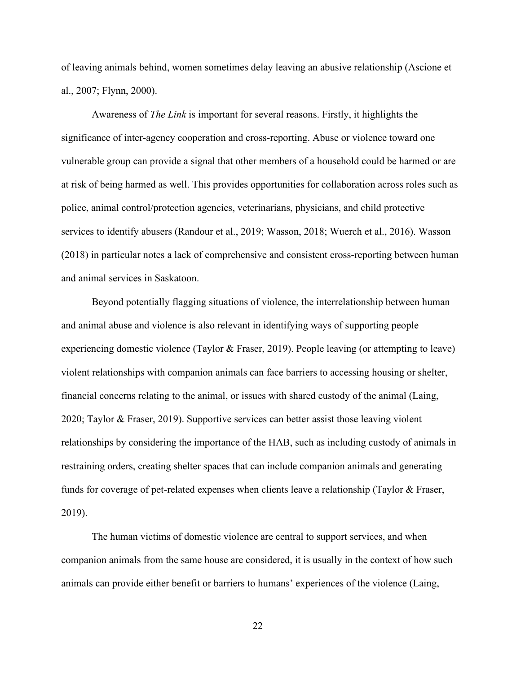of leaving animals behind, women sometimes delay leaving an abusive relationship (Ascione et al., 2007; Flynn, 2000).

Awareness of *The Link* is important for several reasons. Firstly, it highlights the significance of inter-agency cooperation and cross-reporting. Abuse or violence toward one vulnerable group can provide a signal that other members of a household could be harmed or are at risk of being harmed as well. This provides opportunities for collaboration across roles such as police, animal control/protection agencies, veterinarians, physicians, and child protective services to identify abusers (Randour et al., 2019; Wasson, 2018; Wuerch et al., 2016). Wasson (2018) in particular notes a lack of comprehensive and consistent cross-reporting between human and animal services in Saskatoon.

Beyond potentially flagging situations of violence, the interrelationship between human and animal abuse and violence is also relevant in identifying ways of supporting people experiencing domestic violence (Taylor & Fraser, 2019). People leaving (or attempting to leave) violent relationships with companion animals can face barriers to accessing housing or shelter, financial concerns relating to the animal, or issues with shared custody of the animal (Laing, 2020; Taylor & Fraser, 2019). Supportive services can better assist those leaving violent relationships by considering the importance of the HAB, such as including custody of animals in restraining orders, creating shelter spaces that can include companion animals and generating funds for coverage of pet-related expenses when clients leave a relationship (Taylor & Fraser, 2019).

The human victims of domestic violence are central to support services, and when companion animals from the same house are considered, it is usually in the context of how such animals can provide either benefit or barriers to humans' experiences of the violence (Laing,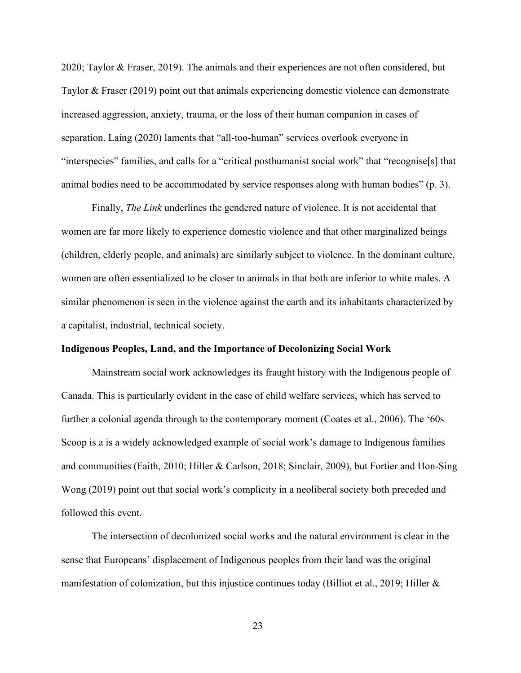2020; Taylor & Fraser, 2019). The animals and their experiences are not often considered, but Taylor & Fraser (2019) point out that animals experiencing domestic violence can demonstrate increased aggression, anxiety, trauma, or the loss of their human companion in cases of separation. Laing (2020) laments that "all-too-human" services overlook everyone in "interspecies" families, and calls for a "critical posthumanist social work" that "recognise[s] that animal bodies need to be accommodated by service responses along with human bodies" (p. 3).

Finally, *The Link* underlines the gendered nature of violence. It is not accidental that women are far more likely to experience domestic violence and that other marginalized beings (children, elderly people, and animals) are similarly subject to violence. In the dominant culture, women are often essentialized to be closer to animals in that both are inferior to white males. A similar phenomenon is seen in the violence against the earth and its inhabitants characterized by a capitalist, industrial, technical society.

### **Indigenous Peoples, Land, and the Importance of Decolonizing Social Work**

Mainstream social work acknowledges its fraught history with the Indigenous people of Canada. This is particularly evident in the case of child welfare services, which has served to further a colonial agenda through to the contemporary moment (Coates et al., 2006). The '60s Scoop is a is a widely acknowledged example of social work's damage to Indigenous families and communities (Faith, 2010; Hiller & Carlson, 2018; Sinclair, 2009), but Fortier and Hon-Sing Wong (2019) point out that social work's complicity in a neoliberal society both preceded and followed this event.

The intersection of decolonized social works and the natural environment is clear in the sense that Europeans' displacement of Indigenous peoples from their land was the original manifestation of colonization, but this injustice continues today (Billiot et al., 2019; Hiller  $\&$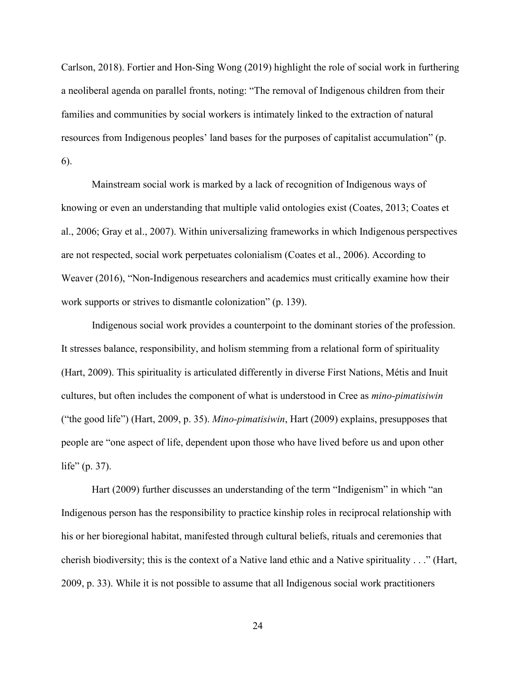Carlson, 2018). Fortier and Hon-Sing Wong (2019) highlight the role of social work in furthering a neoliberal agenda on parallel fronts, noting: "The removal of Indigenous children from their families and communities by social workers is intimately linked to the extraction of natural resources from Indigenous peoples' land bases for the purposes of capitalist accumulation" (p. 6).

Mainstream social work is marked by a lack of recognition of Indigenous ways of knowing or even an understanding that multiple valid ontologies exist (Coates, 2013; Coates et al., 2006; Gray et al., 2007). Within universalizing frameworks in which Indigenous perspectives are not respected, social work perpetuates colonialism (Coates et al., 2006). According to Weaver (2016), "Non-Indigenous researchers and academics must critically examine how their work supports or strives to dismantle colonization" (p. 139).

Indigenous social work provides a counterpoint to the dominant stories of the profession. It stresses balance, responsibility, and holism stemming from a relational form of spirituality (Hart, 2009). This spirituality is articulated differently in diverse First Nations, Métis and Inuit cultures, but often includes the component of what is understood in Cree as *mino-pimatisiwin*  ("the good life") (Hart, 2009, p. 35). *Mino-pimatisiwin*, Hart (2009) explains, presupposes that people are "one aspect of life, dependent upon those who have lived before us and upon other life" (p. 37).

Hart (2009) further discusses an understanding of the term "Indigenism" in which "an Indigenous person has the responsibility to practice kinship roles in reciprocal relationship with his or her bioregional habitat, manifested through cultural beliefs, rituals and ceremonies that cherish biodiversity; this is the context of a Native land ethic and a Native spirituality . . ." (Hart, 2009, p. 33). While it is not possible to assume that all Indigenous social work practitioners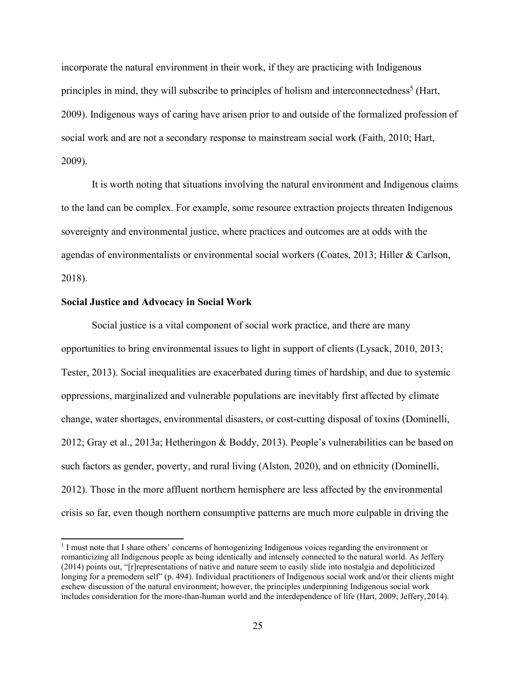incorporate the natural environment in their work, if they are practicing with Indigenous principles in mind, they will subscribe to principles of holism and interconnectedness<sup>5</sup> (Hart, 2009). Indigenous ways of caring have arisen prior to and outside of the formalized profession of social work and are not a secondary response to mainstream social work (Faith, 2010; Hart, 2009).

It is worth noting that situations involving the natural environment and Indigenous claims to the land can be complex. For example, some resource extraction projects threaten Indigenous sovereignty and environmental justice, where practices and outcomes are at odds with the agendas of environmentalists or environmental social workers (Coates, 2013; Hiller & Carlson, 2018).

## **Social Justice and Advocacy in Social Work**

Social justice is a vital component of social work practice, and there are many opportunities to bring environmental issues to light in support of clients (Lysack, 2010, 2013; Tester, 2013). Social inequalities are exacerbated during times of hardship, and due to systemic oppressions, marginalized and vulnerable populations are inevitably first affected by climate change, water shortages, environmental disasters, or cost-cutting disposal of toxins (Dominelli, 2012; Gray et al., 2013a; Hetheringon & Boddy, 2013). People's vulnerabilities can be based on such factors as gender, poverty, and rural living (Alston, 2020), and on ethnicity (Dominelli, 2012). Those in the more affluent northern hemisphere are less affected by the environmental crisis so far, even though northern consumptive patterns are much more culpable in driving the

<sup>&</sup>lt;sup>1</sup> I must note that I share others' concerns of homogenizing Indigenous voices regarding the environment or romanticizing all Indigenous people as being identically and intensely connected to the natural world. As Jeffery (2014) points out, "[r]representations of native and nature seem to easily slide into nostalgia and depoliticized longing for a premodern self<sup>"</sup> (p. 494). Individual practitioners of Indigenous social work and/or their clients might eschew discussion of the natural environment; however, the principles underpinning Indigenous social work includes consideration for the more-than-human world and the interdependence of life (Hart, 2009; Jeffery,2014).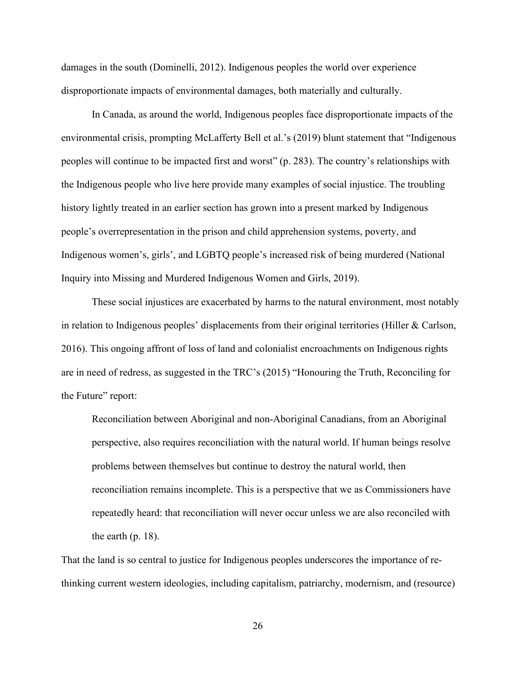damages in the south (Dominelli, 2012). Indigenous peoples the world over experience disproportionate impacts of environmental damages, both materially and culturally.

In Canada, as around the world, Indigenous peoples face disproportionate impacts of the environmental crisis, prompting McLafferty Bell et al.'s (2019) blunt statement that "Indigenous peoples will continue to be impacted first and worst" (p. 283). The country's relationships with the Indigenous people who live here provide many examples of social injustice. The troubling history lightly treated in an earlier section has grown into a present marked by Indigenous people's overrepresentation in the prison and child apprehension systems, poverty, and Indigenous women's, girls', and LGBTQ people's increased risk of being murdered (National Inquiry into Missing and Murdered Indigenous Women and Girls, 2019).

These social injustices are exacerbated by harms to the natural environment, most notably in relation to Indigenous peoples' displacements from their original territories (Hiller & Carlson, 2016). This ongoing affront of loss of land and colonialist encroachments on Indigenous rights are in need of redress, as suggested in the TRC's (2015) "Honouring the Truth, Reconciling for the Future" report:

Reconciliation between Aboriginal and non-Aboriginal Canadians, from an Aboriginal perspective, also requires reconciliation with the natural world. If human beings resolve problems between themselves but continue to destroy the natural world, then reconciliation remains incomplete. This is a perspective that we as Commissioners have repeatedly heard: that reconciliation will never occur unless we are also reconciled with the earth  $(p. 18)$ .

That the land is so central to justice for Indigenous peoples underscores the importance of rethinking current western ideologies, including capitalism, patriarchy, modernism, and (resource)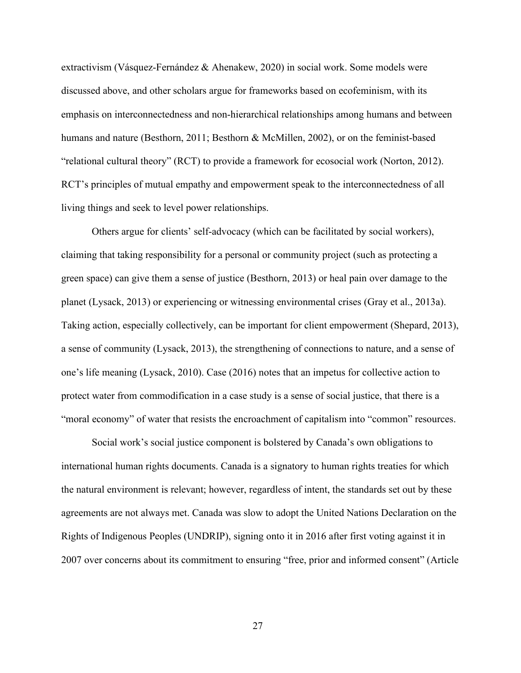extractivism (Vásquez-Fernández & Ahenakew, 2020) in social work. Some models were discussed above, and other scholars argue for frameworks based on ecofeminism, with its emphasis on interconnectedness and non-hierarchical relationships among humans and between humans and nature (Besthorn, 2011; Besthorn & McMillen, 2002), or on the feminist-based "relational cultural theory" (RCT) to provide a framework for ecosocial work (Norton, 2012). RCT's principles of mutual empathy and empowerment speak to the interconnectedness of all living things and seek to level power relationships.

Others argue for clients' self-advocacy (which can be facilitated by social workers), claiming that taking responsibility for a personal or community project (such as protecting a green space) can give them a sense of justice (Besthorn, 2013) or heal pain over damage to the planet (Lysack, 2013) or experiencing or witnessing environmental crises (Gray et al., 2013a). Taking action, especially collectively, can be important for client empowerment (Shepard, 2013), a sense of community (Lysack, 2013), the strengthening of connections to nature, and a sense of one's life meaning (Lysack, 2010). Case (2016) notes that an impetus for collective action to protect water from commodification in a case study is a sense of social justice, that there is a "moral economy" of water that resists the encroachment of capitalism into "common" resources.

Social work's social justice component is bolstered by Canada's own obligations to international human rights documents. Canada is a signatory to human rights treaties for which the natural environment is relevant; however, regardless of intent, the standards set out by these agreements are not always met. Canada was slow to adopt the United Nations Declaration on the Rights of Indigenous Peoples (UNDRIP), signing onto it in 2016 after first voting against it in 2007 over concerns about its commitment to ensuring "free, prior and informed consent" (Article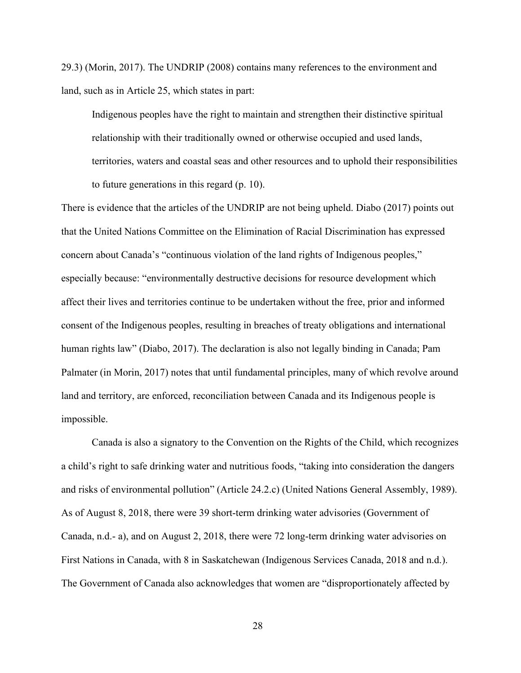29.3) (Morin, 2017). The UNDRIP (2008) contains many references to the environment and land, such as in Article 25, which states in part:

Indigenous peoples have the right to maintain and strengthen their distinctive spiritual relationship with their traditionally owned or otherwise occupied and used lands, territories, waters and coastal seas and other resources and to uphold their responsibilities to future generations in this regard (p. 10).

There is evidence that the articles of the UNDRIP are not being upheld. Diabo (2017) points out that the United Nations Committee on the Elimination of Racial Discrimination has expressed concern about Canada's "continuous violation of the land rights of Indigenous peoples," especially because: "environmentally destructive decisions for resource development which affect their lives and territories continue to be undertaken without the free, prior and informed consent of the Indigenous peoples, resulting in breaches of treaty obligations and international human rights law" (Diabo, 2017). The declaration is also not legally binding in Canada; Pam Palmater (in Morin, 2017) notes that until fundamental principles, many of which revolve around land and territory, are enforced, reconciliation between Canada and its Indigenous people is impossible.

Canada is also a signatory to the Convention on the Rights of the Child, which recognizes a child's right to safe drinking water and nutritious foods, "taking into consideration the dangers and risks of environmental pollution" (Article 24.2.c) (United Nations General Assembly, 1989). As of August 8, 2018, there were 39 short-term drinking water advisories (Government of Canada, n.d.- a), and on August 2, 2018, there were 72 long-term drinking water advisories on First Nations in Canada, with 8 in Saskatchewan (Indigenous Services Canada, 2018 and n.d.). The Government of Canada also acknowledges that women are "disproportionately affected by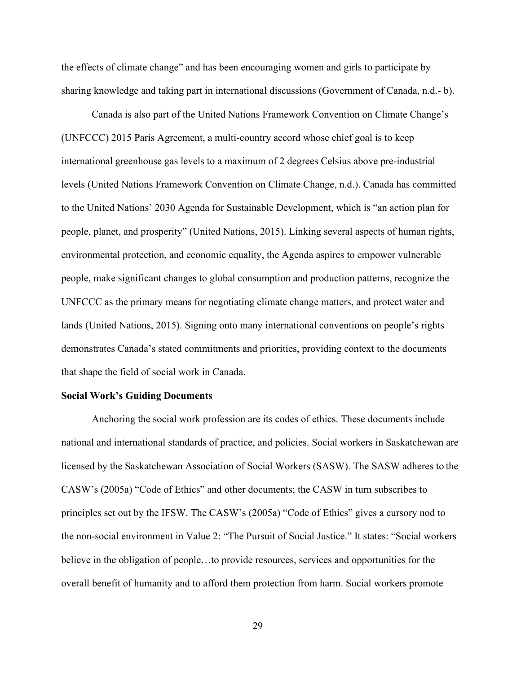the effects of climate change" and has been encouraging women and girls to participate by sharing knowledge and taking part in international discussions (Government of Canada, n.d.- b).

Canada is also part of the United Nations Framework Convention on Climate Change's (UNFCCC) 2015 Paris Agreement, a multi-country accord whose chief goal is to keep international greenhouse gas levels to a maximum of 2 degrees Celsius above pre-industrial levels (United Nations Framework Convention on Climate Change, n.d.). Canada has committed to the United Nations' 2030 Agenda for Sustainable Development, which is "an action plan for people, planet, and prosperity" (United Nations, 2015). Linking several aspects of human rights, environmental protection, and economic equality, the Agenda aspires to empower vulnerable people, make significant changes to global consumption and production patterns, recognize the UNFCCC as the primary means for negotiating climate change matters, and protect water and lands (United Nations, 2015). Signing onto many international conventions on people's rights demonstrates Canada's stated commitments and priorities, providing context to the documents that shape the field of social work in Canada.

## **Social Work's Guiding Documents**

Anchoring the social work profession are its codes of ethics. These documents include national and international standards of practice, and policies. Social workers in Saskatchewan are licensed by the Saskatchewan Association of Social Workers (SASW). The SASW adheres to the CASW's (2005a) "Code of Ethics" and other documents; the CASW in turn subscribes to principles set out by the IFSW. The CASW's (2005a) "Code of Ethics" gives a cursory nod to the non-social environment in Value 2: "The Pursuit of Social Justice." It states: "Social workers believe in the obligation of people…to provide resources, services and opportunities for the overall benefit of humanity and to afford them protection from harm. Social workers promote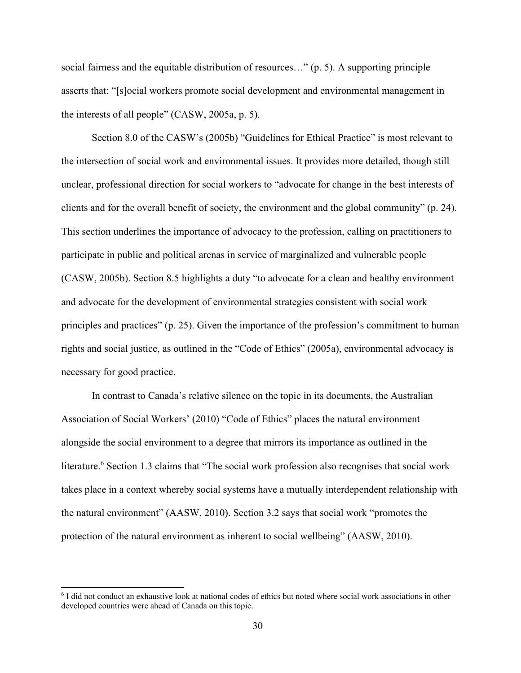social fairness and the equitable distribution of resources…" (p. 5). A supporting principle asserts that: "[s]ocial workers promote social development and environmental management in the interests of all people" (CASW, 2005a, p. 5).

Section 8.0 of the CASW's (2005b) "Guidelines for Ethical Practice" is most relevant to the intersection of social work and environmental issues. It provides more detailed, though still unclear, professional direction for social workers to "advocate for change in the best interests of clients and for the overall benefit of society, the environment and the global community" (p. 24). This section underlines the importance of advocacy to the profession, calling on practitioners to participate in public and political arenas in service of marginalized and vulnerable people (CASW, 2005b). Section 8.5 highlights a duty "to advocate for a clean and healthy environment and advocate for the development of environmental strategies consistent with social work principles and practices" (p. 25). Given the importance of the profession's commitment to human rights and social justice, as outlined in the "Code of Ethics" (2005a), environmental advocacy is necessary for good practice.

In contrast to Canada's relative silence on the topic in its documents, the Australian Association of Social Workers' (2010) "Code of Ethics" places the natural environment alongside the social environment to a degree that mirrors its importance as outlined in the literature.<sup>6</sup> Section 1.3 claims that "The social work profession also recognises that social work takes place in a context whereby social systems have a mutually interdependent relationship with the natural environment" (AASW, 2010). Section 3.2 says that social work "promotes the protection of the natural environment as inherent to social wellbeing" (AASW, 2010).

<sup>6</sup> I did not conduct an exhaustive look at national codes of ethics but noted where social work associations in other developed countries were ahead of Canada on this topic.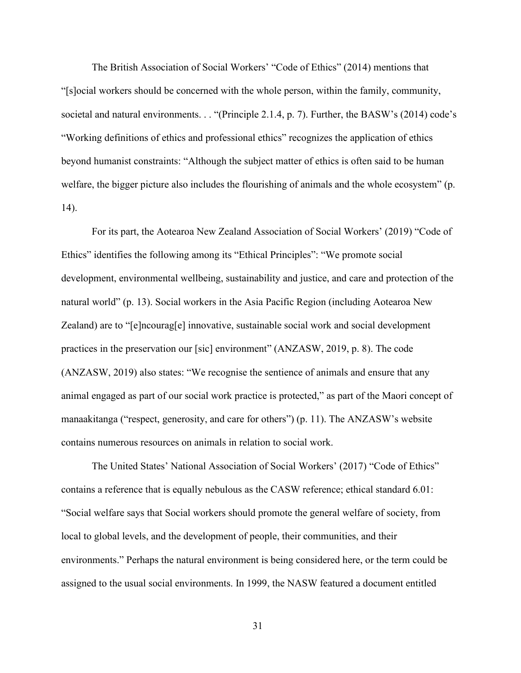The British Association of Social Workers' "Code of Ethics" (2014) mentions that "[s]ocial workers should be concerned with the whole person, within the family, community, societal and natural environments. . . "(Principle 2.1.4, p. 7). Further, the BASW's (2014) code's "Working definitions of ethics and professional ethics" recognizes the application of ethics beyond humanist constraints: "Although the subject matter of ethics is often said to be human welfare, the bigger picture also includes the flourishing of animals and the whole ecosystem" (p. 14).

For its part, the Aotearoa New Zealand Association of Social Workers' (2019) "Code of Ethics" identifies the following among its "Ethical Principles": "We promote social development, environmental wellbeing, sustainability and justice, and care and protection of the natural world" (p. 13). Social workers in the Asia Pacific Region (including Aotearoa New Zealand) are to "[e]ncourag[e] innovative, sustainable social work and social development practices in the preservation our [sic] environment" (ANZASW, 2019, p. 8). The code (ANZASW, 2019) also states: "We recognise the sentience of animals and ensure that any animal engaged as part of our social work practice is protected," as part of the Maori concept of manaakitanga ("respect, generosity, and care for others") (p. 11). The ANZASW's website contains numerous resources on animals in relation to social work.

The United States' National Association of Social Workers' (2017) "Code of Ethics" contains a reference that is equally nebulous as the CASW reference; ethical standard 6.01: "Social welfare says that Social workers should promote the general welfare of society, from local to global levels, and the development of people, their communities, and their environments." Perhaps the natural environment is being considered here, or the term could be assigned to the usual social environments. In 1999, the NASW featured a document entitled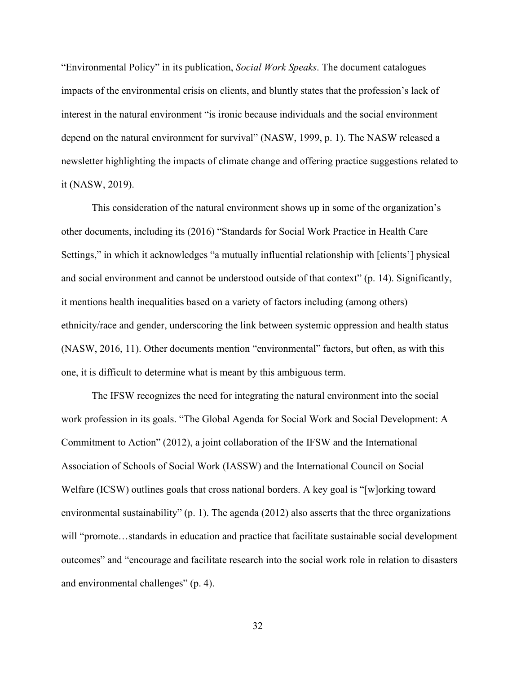"Environmental Policy" in its publication, *Social Work Speaks*. The document catalogues impacts of the environmental crisis on clients, and bluntly states that the profession's lack of interest in the natural environment "is ironic because individuals and the social environment depend on the natural environment for survival" (NASW, 1999, p. 1). The NASW released a newsletter highlighting the impacts of climate change and offering practice suggestions related to it (NASW, 2019).

This consideration of the natural environment shows up in some of the organization's other documents, including its (2016) "Standards for Social Work Practice in Health Care Settings," in which it acknowledges "a mutually influential relationship with [clients'] physical and social environment and cannot be understood outside of that context" (p. 14). Significantly, it mentions health inequalities based on a variety of factors including (among others) ethnicity/race and gender, underscoring the link between systemic oppression and health status (NASW, 2016, 11). Other documents mention "environmental" factors, but often, as with this one, it is difficult to determine what is meant by this ambiguous term.

The IFSW recognizes the need for integrating the natural environment into the social work profession in its goals. "The Global Agenda for Social Work and Social Development: A Commitment to Action" (2012), a joint collaboration of the IFSW and the International Association of Schools of Social Work (IASSW) and the International Council on Social Welfare (ICSW) outlines goals that cross national borders. A key goal is "[w]orking toward environmental sustainability" (p. 1). The agenda (2012) also asserts that the three organizations will "promote...standards in education and practice that facilitate sustainable social development outcomes" and "encourage and facilitate research into the social work role in relation to disasters and environmental challenges" (p. 4).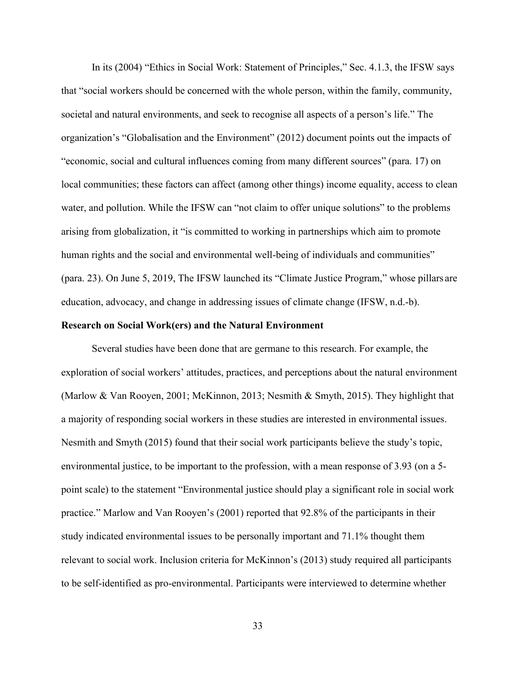In its (2004) "Ethics in Social Work: Statement of Principles," Sec. 4.1.3, the IFSW says that "social workers should be concerned with the whole person, within the family, community, societal and natural environments, and seek to recognise all aspects of a person's life." The organization's "Globalisation and the Environment" (2012) document points out the impacts of "economic, social and cultural influences coming from many different sources" (para. 17) on local communities; these factors can affect (among other things) income equality, access to clean water, and pollution. While the IFSW can "not claim to offer unique solutions" to the problems arising from globalization, it "is committed to working in partnerships which aim to promote human rights and the social and environmental well-being of individuals and communities" (para. 23). On June 5, 2019, The IFSW launched its "Climate Justice Program," whose pillars are education, advocacy, and change in addressing issues of climate change (IFSW, n.d.-b).

## **Research on Social Work(ers) and the Natural Environment**

Several studies have been done that are germane to this research. For example, the exploration of social workers' attitudes, practices, and perceptions about the natural environment (Marlow & Van Rooyen, 2001; McKinnon, 2013; Nesmith & Smyth, 2015). They highlight that a majority of responding social workers in these studies are interested in environmental issues. Nesmith and Smyth (2015) found that their social work participants believe the study's topic, environmental justice, to be important to the profession, with a mean response of 3.93 (on a 5 point scale) to the statement "Environmental justice should play a significant role in social work practice." Marlow and Van Rooyen's (2001) reported that 92.8% of the participants in their study indicated environmental issues to be personally important and 71.1% thought them relevant to social work. Inclusion criteria for McKinnon's (2013) study required all participants to be self-identified as pro-environmental. Participants were interviewed to determine whether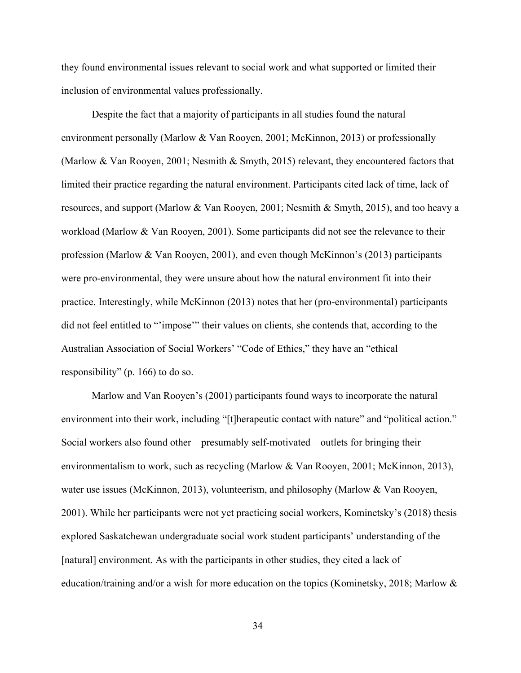they found environmental issues relevant to social work and what supported or limited their inclusion of environmental values professionally.

Despite the fact that a majority of participants in all studies found the natural environment personally (Marlow & Van Rooyen, 2001; McKinnon, 2013) or professionally (Marlow & Van Rooyen, 2001; Nesmith & Smyth, 2015) relevant, they encountered factors that limited their practice regarding the natural environment. Participants cited lack of time, lack of resources, and support (Marlow & Van Rooyen, 2001; Nesmith & Smyth, 2015), and too heavy a workload (Marlow & Van Rooyen, 2001). Some participants did not see the relevance to their profession (Marlow & Van Rooyen, 2001), and even though McKinnon's (2013) participants were pro-environmental, they were unsure about how the natural environment fit into their practice. Interestingly, while McKinnon (2013) notes that her (pro-environmental) participants did not feel entitled to "'impose'" their values on clients, she contends that, according to the Australian Association of Social Workers' "Code of Ethics," they have an "ethical responsibility" (p. 166) to do so.

Marlow and Van Rooyen's (2001) participants found ways to incorporate the natural environment into their work, including "[t]herapeutic contact with nature" and "political action." Social workers also found other – presumably self-motivated – outlets for bringing their environmentalism to work, such as recycling (Marlow & Van Rooyen, 2001; McKinnon, 2013), water use issues (McKinnon, 2013), volunteerism, and philosophy (Marlow & Van Rooyen, 2001). While her participants were not yet practicing social workers, Kominetsky's (2018) thesis explored Saskatchewan undergraduate social work student participants' understanding of the [natural] environment. As with the participants in other studies, they cited a lack of education/training and/or a wish for more education on the topics (Kominetsky, 2018; Marlow &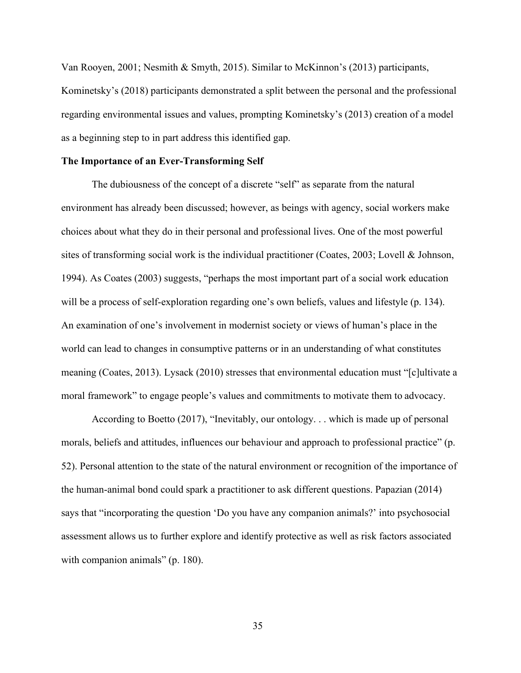Van Rooyen, 2001; Nesmith & Smyth, 2015). Similar to McKinnon's (2013) participants, Kominetsky's (2018) participants demonstrated a split between the personal and the professional regarding environmental issues and values, prompting Kominetsky's (2013) creation of a model as a beginning step to in part address this identified gap.

## **The Importance of an Ever-Transforming Self**

The dubiousness of the concept of a discrete "self" as separate from the natural environment has already been discussed; however, as beings with agency, social workers make choices about what they do in their personal and professional lives. One of the most powerful sites of transforming social work is the individual practitioner (Coates, 2003; Lovell & Johnson, 1994). As Coates (2003) suggests, "perhaps the most important part of a social work education will be a process of self-exploration regarding one's own beliefs, values and lifestyle (p. 134). An examination of one's involvement in modernist society or views of human's place in the world can lead to changes in consumptive patterns or in an understanding of what constitutes meaning (Coates, 2013). Lysack (2010) stresses that environmental education must "[c]ultivate a moral framework" to engage people's values and commitments to motivate them to advocacy.

According to Boetto (2017), "Inevitably, our ontology. . . which is made up of personal morals, beliefs and attitudes, influences our behaviour and approach to professional practice" (p. 52). Personal attention to the state of the natural environment or recognition of the importance of the human-animal bond could spark a practitioner to ask different questions. Papazian (2014) says that "incorporating the question 'Do you have any companion animals?' into psychosocial assessment allows us to further explore and identify protective as well as risk factors associated with companion animals" (p. 180).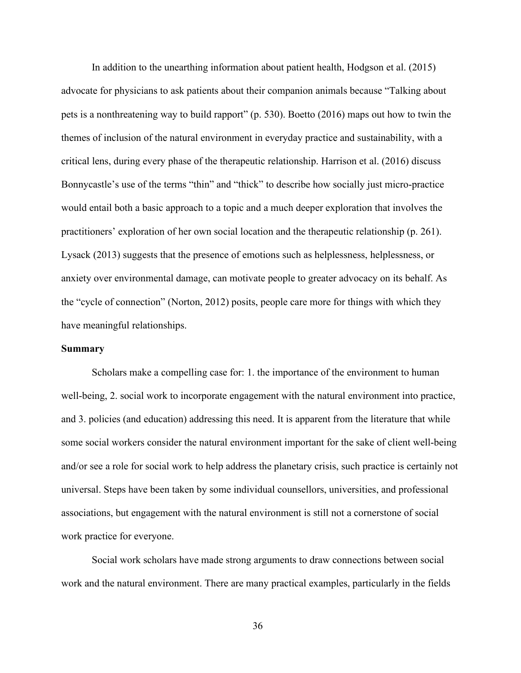In addition to the unearthing information about patient health, Hodgson et al. (2015) advocate for physicians to ask patients about their companion animals because "Talking about pets is a nonthreatening way to build rapport" (p. 530). Boetto (2016) maps out how to twin the themes of inclusion of the natural environment in everyday practice and sustainability, with a critical lens, during every phase of the therapeutic relationship. Harrison et al. (2016) discuss Bonnycastle's use of the terms "thin" and "thick" to describe how socially just micro-practice would entail both a basic approach to a topic and a much deeper exploration that involves the practitioners' exploration of her own social location and the therapeutic relationship (p. 261). Lysack (2013) suggests that the presence of emotions such as helplessness, helplessness, or anxiety over environmental damage, can motivate people to greater advocacy on its behalf. As the "cycle of connection" (Norton, 2012) posits, people care more for things with which they have meaningful relationships.

# **Summary**

Scholars make a compelling case for: 1. the importance of the environment to human well-being, 2. social work to incorporate engagement with the natural environment into practice, and 3. policies (and education) addressing this need. It is apparent from the literature that while some social workers consider the natural environment important for the sake of client well-being and/or see a role for social work to help address the planetary crisis, such practice is certainly not universal. Steps have been taken by some individual counsellors, universities, and professional associations, but engagement with the natural environment is still not a cornerstone of social work practice for everyone.

Social work scholars have made strong arguments to draw connections between social work and the natural environment. There are many practical examples, particularly in the fields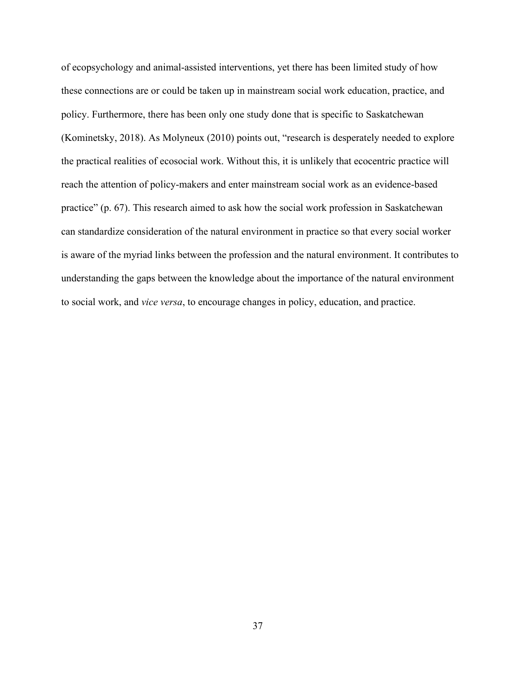of ecopsychology and animal-assisted interventions, yet there has been limited study of how these connections are or could be taken up in mainstream social work education, practice, and policy. Furthermore, there has been only one study done that is specific to Saskatchewan (Kominetsky, 2018). As Molyneux (2010) points out, "research is desperately needed to explore the practical realities of ecosocial work. Without this, it is unlikely that ecocentric practice will reach the attention of policy-makers and enter mainstream social work as an evidence-based practice" (p. 67). This research aimed to ask how the social work profession in Saskatchewan can standardize consideration of the natural environment in practice so that every social worker is aware of the myriad links between the profession and the natural environment. It contributes to understanding the gaps between the knowledge about the importance of the natural environment to social work, and *vice versa*, to encourage changes in policy, education, and practice.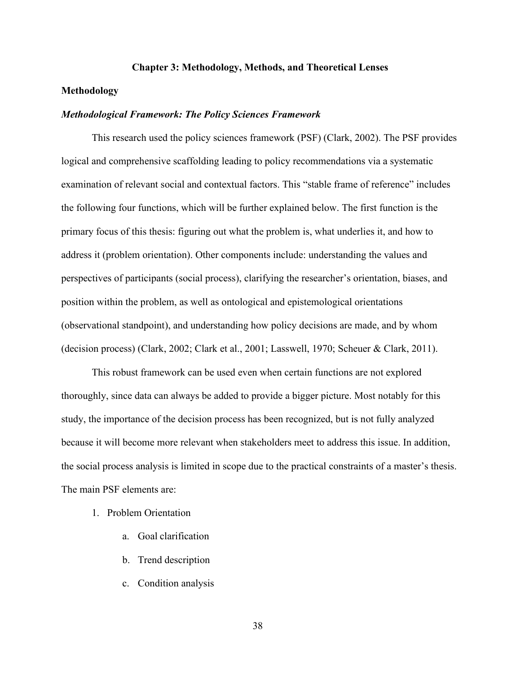# **Chapter 3: Methodology, Methods, and Theoretical Lenses**

## **Methodology**

### *Methodological Framework: The Policy Sciences Framework*

This research used the policy sciences framework (PSF) (Clark, 2002). The PSF provides logical and comprehensive scaffolding leading to policy recommendations via a systematic examination of relevant social and contextual factors. This "stable frame of reference" includes the following four functions, which will be further explained below. The first function is the primary focus of this thesis: figuring out what the problem is, what underlies it, and how to address it (problem orientation). Other components include: understanding the values and perspectives of participants (social process), clarifying the researcher's orientation, biases, and position within the problem, as well as ontological and epistemological orientations (observational standpoint), and understanding how policy decisions are made, and by whom (decision process) (Clark, 2002; Clark et al., 2001; Lasswell, 1970; Scheuer & Clark, 2011).

This robust framework can be used even when certain functions are not explored thoroughly, since data can always be added to provide a bigger picture. Most notably for this study, the importance of the decision process has been recognized, but is not fully analyzed because it will become more relevant when stakeholders meet to address this issue. In addition, the social process analysis is limited in scope due to the practical constraints of a master's thesis. The main PSF elements are:

- 1. Problem Orientation
	- a. Goal clarification
	- b. Trend description
	- c. Condition analysis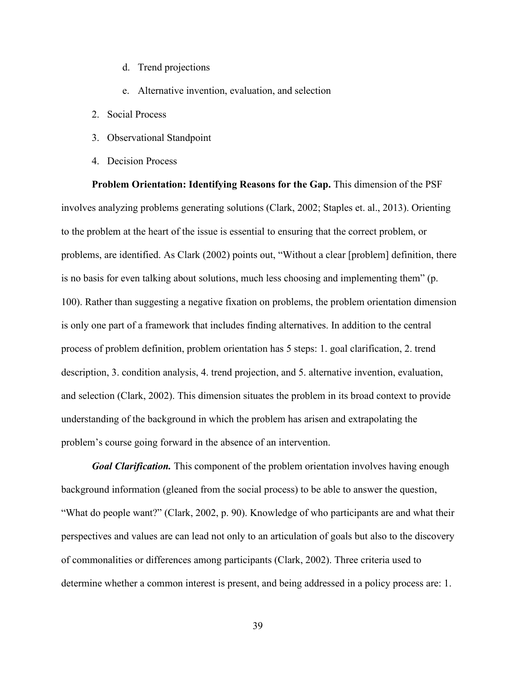- d. Trend projections
- e. Alternative invention, evaluation, and selection
- 2. Social Process
- 3. Observational Standpoint
- 4. Decision Process

**Problem Orientation: Identifying Reasons for the Gap.** This dimension of the PSF involves analyzing problems generating solutions (Clark, 2002; Staples et. al., 2013). Orienting to the problem at the heart of the issue is essential to ensuring that the correct problem, or problems, are identified. As Clark (2002) points out, "Without a clear [problem] definition, there is no basis for even talking about solutions, much less choosing and implementing them" (p. 100). Rather than suggesting a negative fixation on problems, the problem orientation dimension is only one part of a framework that includes finding alternatives. In addition to the central process of problem definition, problem orientation has 5 steps: 1. goal clarification, 2. trend description, 3. condition analysis, 4. trend projection, and 5. alternative invention, evaluation, and selection (Clark, 2002). This dimension situates the problem in its broad context to provide understanding of the background in which the problem has arisen and extrapolating the problem's course going forward in the absence of an intervention.

*Goal Clarification.* This component of the problem orientation involves having enough background information (gleaned from the social process) to be able to answer the question, "What do people want?" (Clark, 2002, p. 90). Knowledge of who participants are and what their perspectives and values are can lead not only to an articulation of goals but also to the discovery of commonalities or differences among participants (Clark, 2002). Three criteria used to determine whether a common interest is present, and being addressed in a policy process are: 1.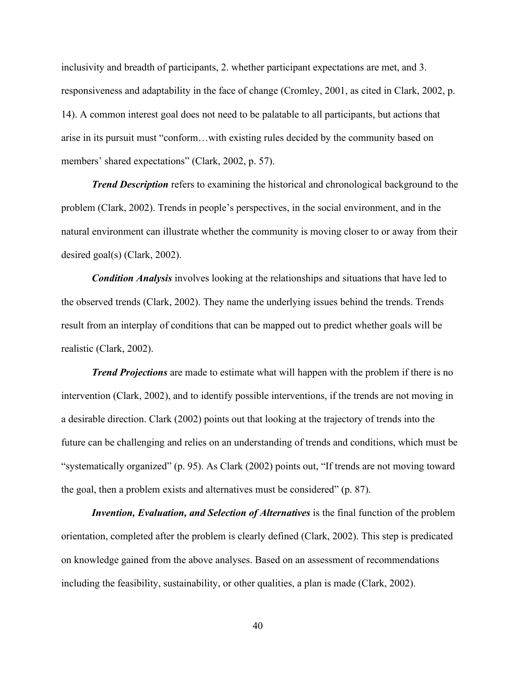inclusivity and breadth of participants, 2. whether participant expectations are met, and 3. responsiveness and adaptability in the face of change (Cromley, 2001, as cited in Clark, 2002, p. 14). A common interest goal does not need to be palatable to all participants, but actions that arise in its pursuit must "conform…with existing rules decided by the community based on members' shared expectations" (Clark, 2002, p. 57).

*Trend Description* refers to examining the historical and chronological background to the problem (Clark, 2002). Trends in people's perspectives, in the social environment, and in the natural environment can illustrate whether the community is moving closer to or away from their desired goal(s) (Clark, 2002).

*Condition Analysis* involves looking at the relationships and situations that have led to the observed trends (Clark, 2002). They name the underlying issues behind the trends. Trends result from an interplay of conditions that can be mapped out to predict whether goals will be realistic (Clark, 2002).

*Trend Projections* are made to estimate what will happen with the problem if there is no intervention (Clark, 2002), and to identify possible interventions, if the trends are not moving in a desirable direction. Clark (2002) points out that looking at the trajectory of trends into the future can be challenging and relies on an understanding of trends and conditions, which must be "systematically organized" (p. 95). As Clark (2002) points out, "If trends are not moving toward the goal, then a problem exists and alternatives must be considered" (p. 87).

*Invention, Evaluation, and Selection of Alternatives* is the final function of the problem orientation, completed after the problem is clearly defined (Clark, 2002). This step is predicated on knowledge gained from the above analyses. Based on an assessment of recommendations including the feasibility, sustainability, or other qualities, a plan is made (Clark, 2002).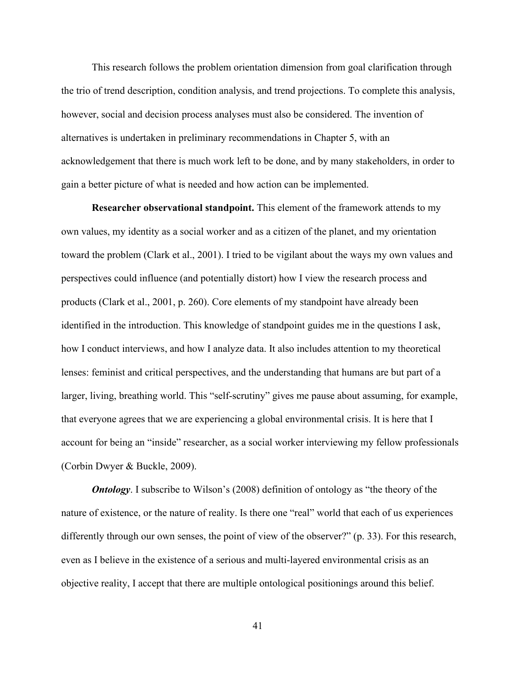This research follows the problem orientation dimension from goal clarification through the trio of trend description, condition analysis, and trend projections. To complete this analysis, however, social and decision process analyses must also be considered. The invention of alternatives is undertaken in preliminary recommendations in Chapter 5, with an acknowledgement that there is much work left to be done, and by many stakeholders, in order to gain a better picture of what is needed and how action can be implemented.

**Researcher observational standpoint.** This element of the framework attends to my own values, my identity as a social worker and as a citizen of the planet, and my orientation toward the problem (Clark et al., 2001). I tried to be vigilant about the ways my own values and perspectives could influence (and potentially distort) how I view the research process and products (Clark et al., 2001, p. 260). Core elements of my standpoint have already been identified in the introduction. This knowledge of standpoint guides me in the questions I ask, how I conduct interviews, and how I analyze data. It also includes attention to my theoretical lenses: feminist and critical perspectives, and the understanding that humans are but part of a larger, living, breathing world. This "self-scrutiny" gives me pause about assuming, for example, that everyone agrees that we are experiencing a global environmental crisis. It is here that I account for being an "inside" researcher, as a social worker interviewing my fellow professionals (Corbin Dwyer & Buckle, 2009).

*Ontology*. I subscribe to Wilson's (2008) definition of ontology as "the theory of the nature of existence, or the nature of reality. Is there one "real" world that each of us experiences differently through our own senses, the point of view of the observer?" (p. 33). For this research, even as I believe in the existence of a serious and multi-layered environmental crisis as an objective reality, I accept that there are multiple ontological positionings around this belief.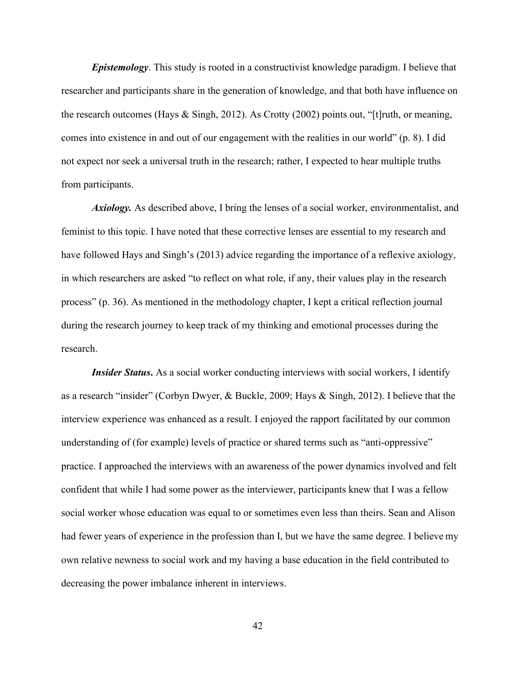*Epistemology*. This study is rooted in a constructivist knowledge paradigm. I believe that researcher and participants share in the generation of knowledge, and that both have influence on the research outcomes (Hays & Singh, 2012). As Crotty (2002) points out, "[t]ruth, or meaning, comes into existence in and out of our engagement with the realities in our world" (p. 8). I did not expect nor seek a universal truth in the research; rather, I expected to hear multiple truths from participants.

*Axiology.* As described above, I bring the lenses of a social worker, environmentalist, and feminist to this topic. I have noted that these corrective lenses are essential to my research and have followed Hays and Singh's (2013) advice regarding the importance of a reflexive axiology, in which researchers are asked "to reflect on what role, if any, their values play in the research process" (p. 36). As mentioned in the methodology chapter, I kept a critical reflection journal during the research journey to keep track of my thinking and emotional processes during the research.

*Insider Status***.** As a social worker conducting interviews with social workers, I identify as a research "insider" (Corbyn Dwyer, & Buckle, 2009; Hays & Singh, 2012). I believe that the interview experience was enhanced as a result. I enjoyed the rapport facilitated by our common understanding of (for example) levels of practice or shared terms such as "anti-oppressive" practice. I approached the interviews with an awareness of the power dynamics involved and felt confident that while I had some power as the interviewer, participants knew that I was a fellow social worker whose education was equal to or sometimes even less than theirs. Sean and Alison had fewer years of experience in the profession than I, but we have the same degree. I believe my own relative newness to social work and my having a base education in the field contributed to decreasing the power imbalance inherent in interviews.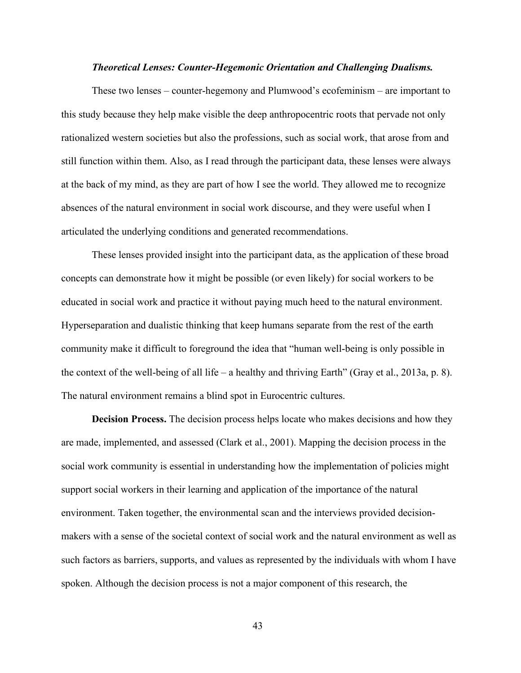## *Theoretical Lenses: Counter-Hegemonic Orientation and Challenging Dualisms.*

These two lenses – counter-hegemony and Plumwood's ecofeminism – are important to this study because they help make visible the deep anthropocentric roots that pervade not only rationalized western societies but also the professions, such as social work, that arose from and still function within them. Also, as I read through the participant data, these lenses were always at the back of my mind, as they are part of how I see the world. They allowed me to recognize absences of the natural environment in social work discourse, and they were useful when I articulated the underlying conditions and generated recommendations.

These lenses provided insight into the participant data, as the application of these broad concepts can demonstrate how it might be possible (or even likely) for social workers to be educated in social work and practice it without paying much heed to the natural environment. Hyperseparation and dualistic thinking that keep humans separate from the rest of the earth community make it difficult to foreground the idea that "human well-being is only possible in the context of the well-being of all life – a healthy and thriving Earth" (Gray et al., 2013a, p. 8). The natural environment remains a blind spot in Eurocentric cultures.

**Decision Process.** The decision process helps locate who makes decisions and how they are made, implemented, and assessed (Clark et al., 2001). Mapping the decision process in the social work community is essential in understanding how the implementation of policies might support social workers in their learning and application of the importance of the natural environment. Taken together, the environmental scan and the interviews provided decisionmakers with a sense of the societal context of social work and the natural environment as well as such factors as barriers, supports, and values as represented by the individuals with whom I have spoken. Although the decision process is not a major component of this research, the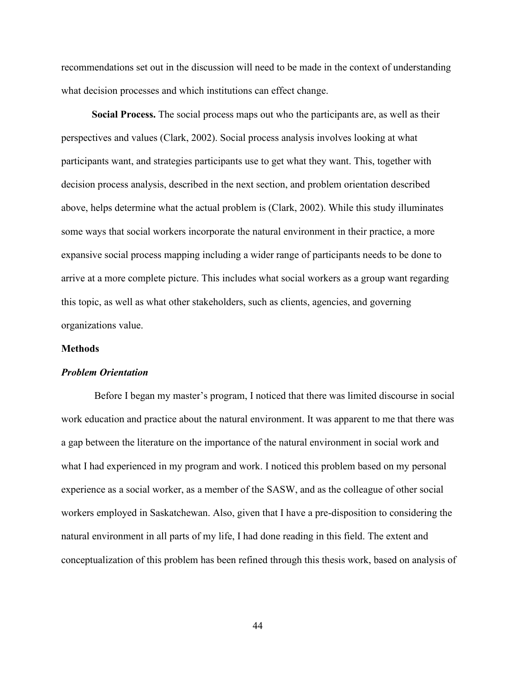recommendations set out in the discussion will need to be made in the context of understanding what decision processes and which institutions can effect change.

**Social Process.** The social process maps out who the participants are, as well as their perspectives and values (Clark, 2002). Social process analysis involves looking at what participants want, and strategies participants use to get what they want. This, together with decision process analysis, described in the next section, and problem orientation described above, helps determine what the actual problem is (Clark, 2002). While this study illuminates some ways that social workers incorporate the natural environment in their practice, a more expansive social process mapping including a wider range of participants needs to be done to arrive at a more complete picture. This includes what social workers as a group want regarding this topic, as well as what other stakeholders, such as clients, agencies, and governing organizations value.

### **Methods**

#### *Problem Orientation*

Before I began my master's program, I noticed that there was limited discourse in social work education and practice about the natural environment. It was apparent to me that there was a gap between the literature on the importance of the natural environment in social work and what I had experienced in my program and work. I noticed this problem based on my personal experience as a social worker, as a member of the SASW, and as the colleague of other social workers employed in Saskatchewan. Also, given that I have a pre-disposition to considering the natural environment in all parts of my life, I had done reading in this field. The extent and conceptualization of this problem has been refined through this thesis work, based on analysis of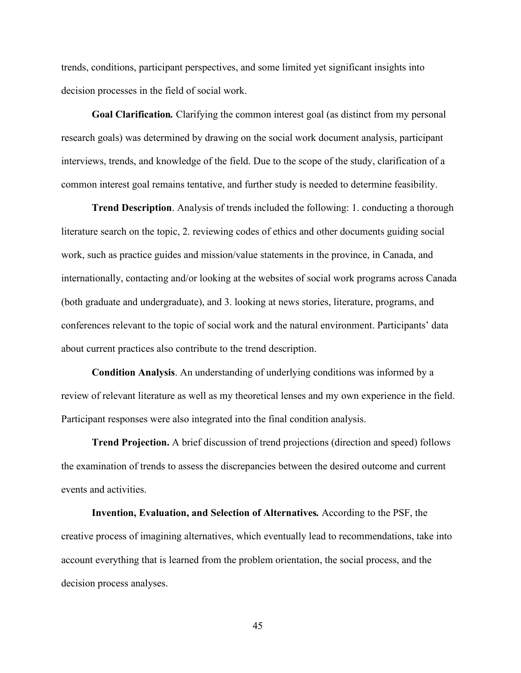trends, conditions, participant perspectives, and some limited yet significant insights into decision processes in the field of social work.

**Goal Clarification***.* Clarifying the common interest goal (as distinct from my personal research goals) was determined by drawing on the social work document analysis, participant interviews, trends, and knowledge of the field. Due to the scope of the study, clarification of a common interest goal remains tentative, and further study is needed to determine feasibility.

**Trend Description**. Analysis of trends included the following: 1. conducting a thorough literature search on the topic, 2. reviewing codes of ethics and other documents guiding social work, such as practice guides and mission/value statements in the province, in Canada, and internationally, contacting and/or looking at the websites of social work programs across Canada (both graduate and undergraduate), and 3. looking at news stories, literature, programs, and conferences relevant to the topic of social work and the natural environment. Participants' data about current practices also contribute to the trend description.

**Condition Analysis**. An understanding of underlying conditions was informed by a review of relevant literature as well as my theoretical lenses and my own experience in the field. Participant responses were also integrated into the final condition analysis.

**Trend Projection.** A brief discussion of trend projections (direction and speed) follows the examination of trends to assess the discrepancies between the desired outcome and current events and activities.

**Invention, Evaluation, and Selection of Alternatives***.* According to the PSF, the creative process of imagining alternatives, which eventually lead to recommendations, take into account everything that is learned from the problem orientation, the social process, and the decision process analyses.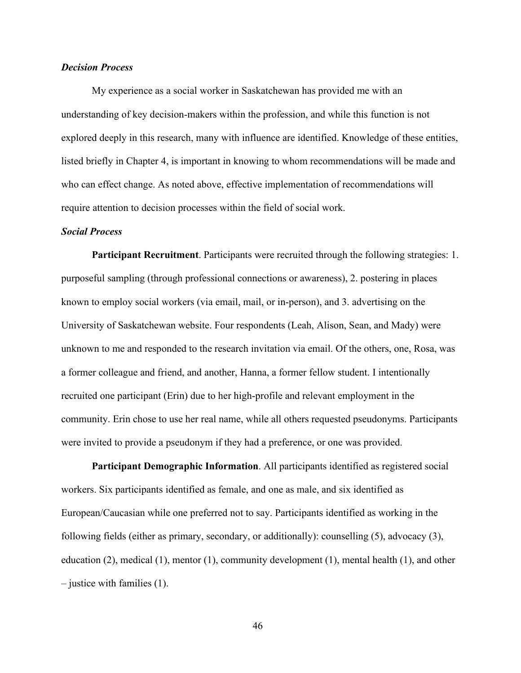## *Decision Process*

My experience as a social worker in Saskatchewan has provided me with an understanding of key decision-makers within the profession, and while this function is not explored deeply in this research, many with influence are identified. Knowledge of these entities, listed briefly in Chapter 4, is important in knowing to whom recommendations will be made and who can effect change. As noted above, effective implementation of recommendations will require attention to decision processes within the field of social work.

### *Social Process*

**Participant Recruitment**. Participants were recruited through the following strategies: 1. purposeful sampling (through professional connections or awareness), 2. postering in places known to employ social workers (via email, mail, or in-person), and 3. advertising on the University of Saskatchewan website. Four respondents (Leah, Alison, Sean, and Mady) were unknown to me and responded to the research invitation via email. Of the others, one, Rosa, was a former colleague and friend, and another, Hanna, a former fellow student. I intentionally recruited one participant (Erin) due to her high-profile and relevant employment in the community. Erin chose to use her real name, while all others requested pseudonyms. Participants were invited to provide a pseudonym if they had a preference, or one was provided.

**Participant Demographic Information**. All participants identified as registered social workers. Six participants identified as female, and one as male, and six identified as European/Caucasian while one preferred not to say. Participants identified as working in the following fields (either as primary, secondary, or additionally): counselling (5), advocacy (3), education (2), medical (1), mentor (1), community development (1), mental health (1), and other – justice with families (1).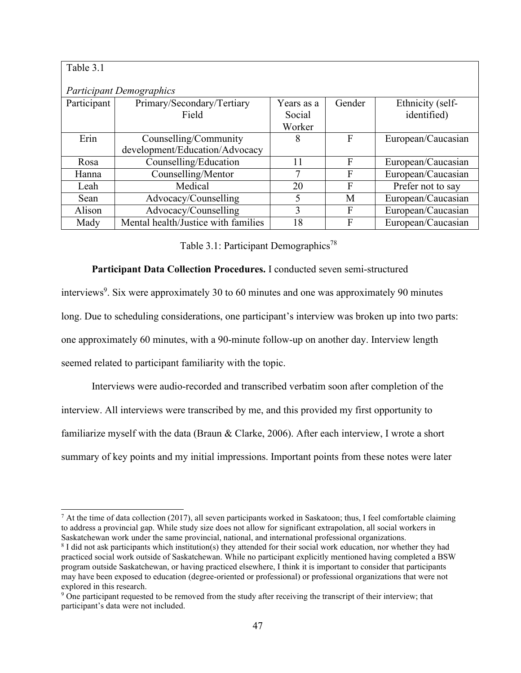| Table 3.1                       |                                     |            |              |                    |
|---------------------------------|-------------------------------------|------------|--------------|--------------------|
|                                 |                                     |            |              |                    |
| <b>Participant Demographics</b> |                                     |            |              |                    |
| Participant                     | Primary/Secondary/Tertiary          | Years as a | Gender       | Ethnicity (self-   |
|                                 | Field                               | Social     |              | identified)        |
|                                 |                                     | Worker     |              |                    |
| Erin                            | Counselling/Community               | 8          | F            | European/Caucasian |
|                                 | development/Education/Advocacy      |            |              |                    |
| Rosa                            | Counselling/Education               | 11         | F            | European/Caucasian |
| Hanna                           | Counselling/Mentor                  | 7          | F            | European/Caucasian |
| Leah                            | Medical                             | 20         | F            | Prefer not to say  |
| Sean                            | Advocacy/Counselling                | 5          | M            | European/Caucasian |
| Alison                          | Advocacy/Counselling                | 3          | F            | European/Caucasian |
| Mady                            | Mental health/Justice with families | 18         | $\mathbf{F}$ | European/Caucasian |

Table 3.1: Participant Demographics<sup>78</sup>

**Participant Data Collection Procedures.** I conducted seven semi-structured

interviews<sup>9</sup>. Six were approximately 30 to 60 minutes and one was approximately 90 minutes long. Due to scheduling considerations, one participant's interview was broken up into two parts: one approximately 60 minutes, with a 90-minute follow-up on another day. Interview length

seemed related to participant familiarity with the topic.

Interviews were audio-recorded and transcribed verbatim soon after completion of the interview. All interviews were transcribed by me, and this provided my first opportunity to familiarize myself with the data (Braun & Clarke, 2006). After each interview, I wrote a short summary of key points and my initial impressions. Important points from these notes were later

 $^7$  At the time of data collection (2017), all seven participants worked in Saskatoon; thus, I feel comfortable claiming to address a provincial gap. While study size does not allow for significant extrapolation, all social workers in Saskatchewan work under the same provincial, national, and international professional organizations.

<sup>8</sup> I did not ask participants which institution(s) they attended for their social work education, nor whether they had practiced social work outside of Saskatchewan. While no participant explicitly mentioned having completed a BSW program outside Saskatchewan, or having practiced elsewhere, I think it is important to consider that participants may have been exposed to education (degree-oriented or professional) or professional organizations that were not explored in this research.

<sup>&</sup>lt;sup>9</sup> One participant requested to be removed from the study after receiving the transcript of their interview; that participant's data were not included.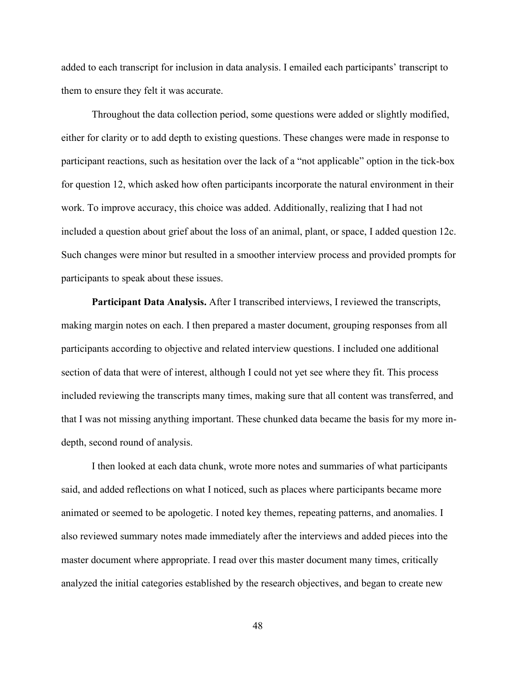added to each transcript for inclusion in data analysis. I emailed each participants' transcript to them to ensure they felt it was accurate.

Throughout the data collection period, some questions were added or slightly modified, either for clarity or to add depth to existing questions. These changes were made in response to participant reactions, such as hesitation over the lack of a "not applicable" option in the tick-box for question 12, which asked how often participants incorporate the natural environment in their work. To improve accuracy, this choice was added. Additionally, realizing that I had not included a question about grief about the loss of an animal, plant, or space, I added question 12c. Such changes were minor but resulted in a smoother interview process and provided prompts for participants to speak about these issues.

**Participant Data Analysis.** After I transcribed interviews, I reviewed the transcripts, making margin notes on each. I then prepared a master document, grouping responses from all participants according to objective and related interview questions. I included one additional section of data that were of interest, although I could not yet see where they fit. This process included reviewing the transcripts many times, making sure that all content was transferred, and that I was not missing anything important. These chunked data became the basis for my more indepth, second round of analysis.

I then looked at each data chunk, wrote more notes and summaries of what participants said, and added reflections on what I noticed, such as places where participants became more animated or seemed to be apologetic. I noted key themes, repeating patterns, and anomalies. I also reviewed summary notes made immediately after the interviews and added pieces into the master document where appropriate. I read over this master document many times, critically analyzed the initial categories established by the research objectives, and began to create new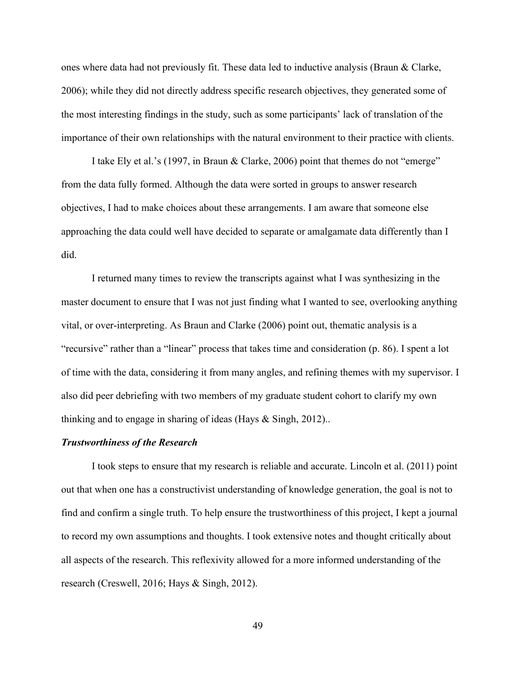ones where data had not previously fit. These data led to inductive analysis (Braun & Clarke, 2006); while they did not directly address specific research objectives, they generated some of the most interesting findings in the study, such as some participants' lack of translation of the importance of their own relationships with the natural environment to their practice with clients.

I take Ely et al.'s (1997, in Braun & Clarke, 2006) point that themes do not "emerge" from the data fully formed. Although the data were sorted in groups to answer research objectives, I had to make choices about these arrangements. I am aware that someone else approaching the data could well have decided to separate or amalgamate data differently than I did.

I returned many times to review the transcripts against what I was synthesizing in the master document to ensure that I was not just finding what I wanted to see, overlooking anything vital, or over-interpreting. As Braun and Clarke (2006) point out, thematic analysis is a "recursive" rather than a "linear" process that takes time and consideration (p. 86). I spent a lot of time with the data, considering it from many angles, and refining themes with my supervisor. I also did peer debriefing with two members of my graduate student cohort to clarify my own thinking and to engage in sharing of ideas (Hays & Singh, 2012)..

### *Trustworthiness of the Research*

I took steps to ensure that my research is reliable and accurate. Lincoln et al. (2011) point out that when one has a constructivist understanding of knowledge generation, the goal is not to find and confirm a single truth. To help ensure the trustworthiness of this project, I kept a journal to record my own assumptions and thoughts. I took extensive notes and thought critically about all aspects of the research. This reflexivity allowed for a more informed understanding of the research (Creswell, 2016; Hays & Singh, 2012).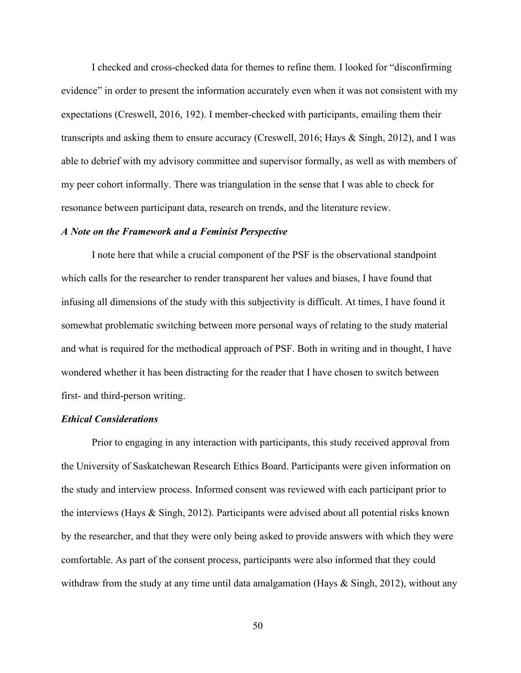I checked and cross-checked data for themes to refine them. I looked for "disconfirming evidence" in order to present the information accurately even when it was not consistent with my expectations (Creswell, 2016, 192). I member-checked with participants, emailing them their transcripts and asking them to ensure accuracy (Creswell, 2016; Hays & Singh, 2012), and I was able to debrief with my advisory committee and supervisor formally, as well as with members of my peer cohort informally. There was triangulation in the sense that I was able to check for resonance between participant data, research on trends, and the literature review.

#### *A Note on the Framework and a Feminist Perspective*

I note here that while a crucial component of the PSF is the observational standpoint which calls for the researcher to render transparent her values and biases, I have found that infusing all dimensions of the study with this subjectivity is difficult. At times, I have found it somewhat problematic switching between more personal ways of relating to the study material and what is required for the methodical approach of PSF. Both in writing and in thought, I have wondered whether it has been distracting for the reader that I have chosen to switch between first- and third-person writing.

## *Ethical Considerations*

Prior to engaging in any interaction with participants, this study received approval from the University of Saskatchewan Research Ethics Board. Participants were given information on the study and interview process. Informed consent was reviewed with each participant prior to the interviews (Hays & Singh, 2012). Participants were advised about all potential risks known by the researcher, and that they were only being asked to provide answers with which they were comfortable. As part of the consent process, participants were also informed that they could withdraw from the study at any time until data amalgamation (Hays  $\&$  Singh, 2012), without any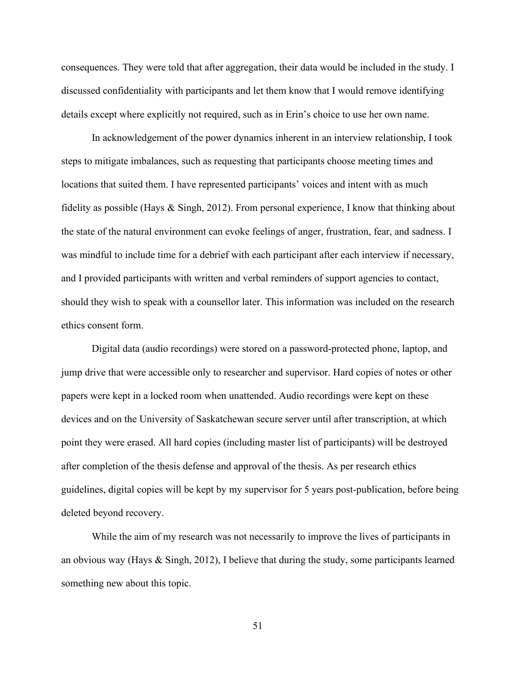consequences. They were told that after aggregation, their data would be included in the study. I discussed confidentiality with participants and let them know that I would remove identifying details except where explicitly not required, such as in Erin's choice to use her own name.

In acknowledgement of the power dynamics inherent in an interview relationship, I took steps to mitigate imbalances, such as requesting that participants choose meeting times and locations that suited them. I have represented participants' voices and intent with as much fidelity as possible (Hays & Singh, 2012). From personal experience, I know that thinking about the state of the natural environment can evoke feelings of anger, frustration, fear, and sadness. I was mindful to include time for a debrief with each participant after each interview if necessary, and I provided participants with written and verbal reminders of support agencies to contact, should they wish to speak with a counsellor later. This information was included on the research ethics consent form.

Digital data (audio recordings) were stored on a password-protected phone, laptop, and jump drive that were accessible only to researcher and supervisor. Hard copies of notes or other papers were kept in a locked room when unattended. Audio recordings were kept on these devices and on the University of Saskatchewan secure server until after transcription, at which point they were erased. All hard copies (including master list of participants) will be destroyed after completion of the thesis defense and approval of the thesis. As per research ethics guidelines, digital copies will be kept by my supervisor for 5 years post-publication, before being deleted beyond recovery.

While the aim of my research was not necessarily to improve the lives of participants in an obvious way (Hays & Singh, 2012), I believe that during the study, some participants learned something new about this topic.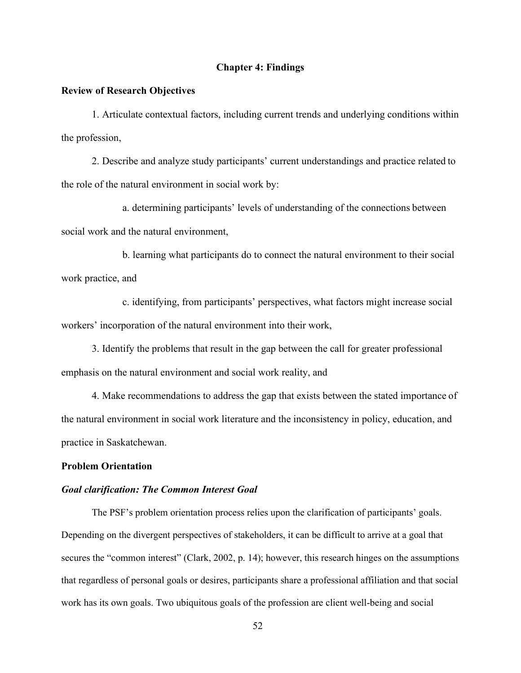# **Chapter 4: Findings**

### **Review of Research Objectives**

1. Articulate contextual factors, including current trends and underlying conditions within the profession,

2. Describe and analyze study participants' current understandings and practice related to the role of the natural environment in social work by:

a. determining participants' levels of understanding of the connections between social work and the natural environment,

b. learning what participants do to connect the natural environment to their social work practice, and

c. identifying, from participants' perspectives, what factors might increase social workers' incorporation of the natural environment into their work,

3. Identify the problems that result in the gap between the call for greater professional emphasis on the natural environment and social work reality, and

4. Make recommendations to address the gap that exists between the stated importance of the natural environment in social work literature and the inconsistency in policy, education, and practice in Saskatchewan.

## **Problem Orientation**

#### *Goal clarification: The Common Interest Goal*

The PSF's problem orientation process relies upon the clarification of participants' goals. Depending on the divergent perspectives of stakeholders, it can be difficult to arrive at a goal that secures the "common interest" (Clark, 2002, p. 14); however, this research hinges on the assumptions that regardless of personal goals or desires, participants share a professional affiliation and that social work has its own goals. Two ubiquitous goals of the profession are client well-being and social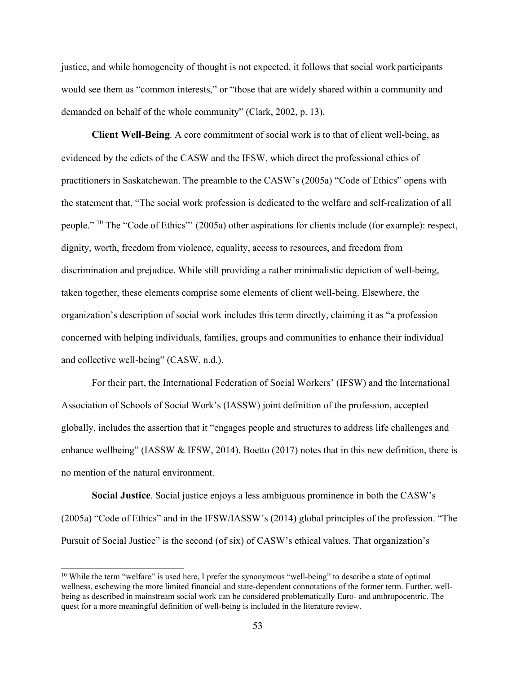justice, and while homogeneity of thought is not expected, it follows that social workparticipants would see them as "common interests," or "those that are widely shared within a community and demanded on behalf of the whole community" (Clark, 2002, p. 13).

**Client Well-Being**. A core commitment of social work is to that of client well-being, as evidenced by the edicts of the CASW and the IFSW, which direct the professional ethics of practitioners in Saskatchewan. The preamble to the CASW's (2005a) "Code of Ethics" opens with the statement that, "The social work profession is dedicated to the welfare and self-realization of all people." 10 The "Code of Ethics"' (2005a) other aspirations for clients include (for example): respect, dignity, worth, freedom from violence, equality, access to resources, and freedom from discrimination and prejudice. While still providing a rather minimalistic depiction of well-being, taken together, these elements comprise some elements of client well-being. Elsewhere, the organization's description of social work includes this term directly, claiming it as "a profession concerned with helping individuals, families, groups and communities to enhance their individual and collective well-being" (CASW, n.d.).

For their part, the International Federation of Social Workers' (IFSW) and the International Association of Schools of Social Work's (IASSW) joint definition of the profession, accepted globally, includes the assertion that it "engages people and structures to address life challenges and enhance wellbeing" (IASSW & IFSW, 2014). Boetto (2017) notes that in this new definition, there is no mention of the natural environment.

**Social Justice**. Social justice enjoys a less ambiguous prominence in both the CASW's (2005a) "Code of Ethics" and in the IFSW/IASSW's (2014) global principles of the profession. "The Pursuit of Social Justice" is the second (of six) of CASW's ethical values. That organization's

<sup>&</sup>lt;sup>10</sup> While the term "welfare" is used here, I prefer the synonymous "well-being" to describe a state of optimal wellness, eschewing the more limited financial and state-dependent connotations of the former term. Further, wellbeing as described in mainstream social work can be considered problematically Euro- and anthropocentric. The quest for a more meaningful definition of well-being is included in the literature review.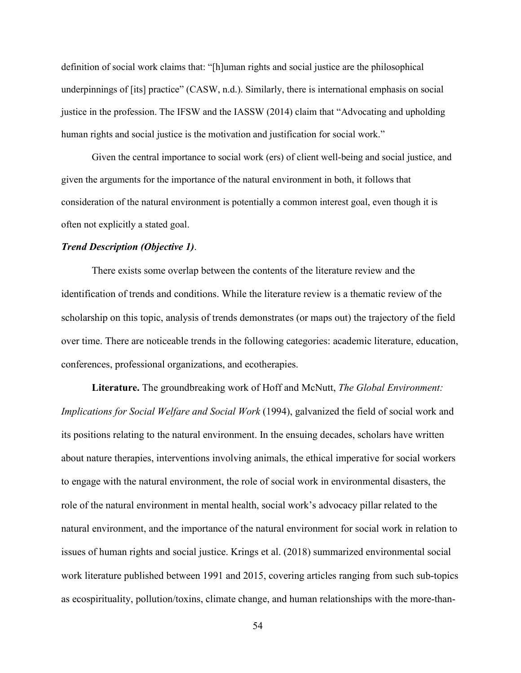definition of social work claims that: "[h]uman rights and social justice are the philosophical underpinnings of [its] practice" (CASW, n.d.). Similarly, there is international emphasis on social justice in the profession. The IFSW and the IASSW (2014) claim that "Advocating and upholding human rights and social justice is the motivation and justification for social work."

Given the central importance to social work (ers) of client well-being and social justice, and given the arguments for the importance of the natural environment in both, it follows that consideration of the natural environment is potentially a common interest goal, even though it is often not explicitly a stated goal.

## *Trend Description (Objective 1)*.

There exists some overlap between the contents of the literature review and the identification of trends and conditions. While the literature review is a thematic review of the scholarship on this topic, analysis of trends demonstrates (or maps out) the trajectory of the field over time. There are noticeable trends in the following categories: academic literature, education, conferences, professional organizations, and ecotherapies.

**Literature.** The groundbreaking work of Hoff and McNutt, *The Global Environment: Implications for Social Welfare and Social Work* (1994), galvanized the field of social work and its positions relating to the natural environment. In the ensuing decades, scholars have written about nature therapies, interventions involving animals, the ethical imperative for social workers to engage with the natural environment, the role of social work in environmental disasters, the role of the natural environment in mental health, social work's advocacy pillar related to the natural environment, and the importance of the natural environment for social work in relation to issues of human rights and social justice. Krings et al. (2018) summarized environmental social work literature published between 1991 and 2015, covering articles ranging from such sub-topics as ecospirituality, pollution/toxins, climate change, and human relationships with the more-than-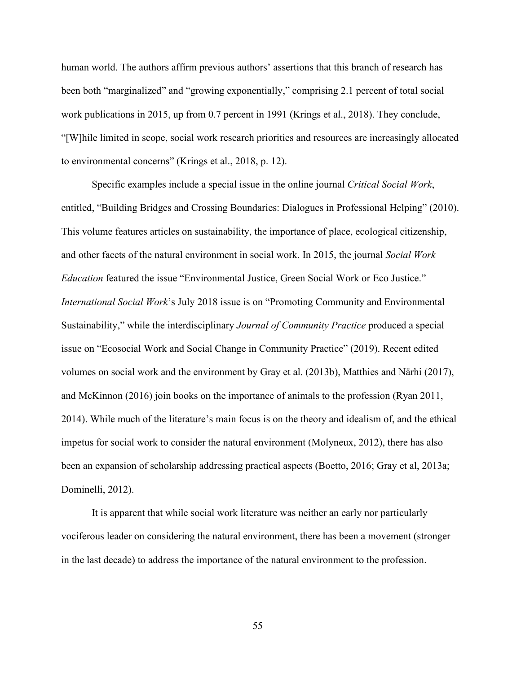human world. The authors affirm previous authors' assertions that this branch of research has been both "marginalized" and "growing exponentially," comprising 2.1 percent of total social work publications in 2015, up from 0.7 percent in 1991 (Krings et al., 2018). They conclude, "[W]hile limited in scope, social work research priorities and resources are increasingly allocated to environmental concerns" (Krings et al., 2018, p. 12).

Specific examples include a special issue in the online journal *Critical Social Work*, entitled, "Building Bridges and Crossing Boundaries: Dialogues in Professional Helping" (2010). This volume features articles on sustainability, the importance of place, ecological citizenship, and other facets of the natural environment in social work. In 2015, the journal *Social Work Education* featured the issue "Environmental Justice, Green Social Work or Eco Justice." *International Social Work*'s July 2018 issue is on "Promoting Community and Environmental Sustainability," while the interdisciplinary *Journal of Community Practice* produced a special issue on "Ecosocial Work and Social Change in Community Practice" (2019). Recent edited volumes on social work and the environment by Gray et al. (2013b), Matthies and Närhi (2017), and McKinnon (2016) join books on the importance of animals to the profession (Ryan 2011, 2014). While much of the literature's main focus is on the theory and idealism of, and the ethical impetus for social work to consider the natural environment (Molyneux, 2012), there has also been an expansion of scholarship addressing practical aspects (Boetto, 2016; Gray et al, 2013a; Dominelli, 2012).

It is apparent that while social work literature was neither an early nor particularly vociferous leader on considering the natural environment, there has been a movement (stronger in the last decade) to address the importance of the natural environment to the profession.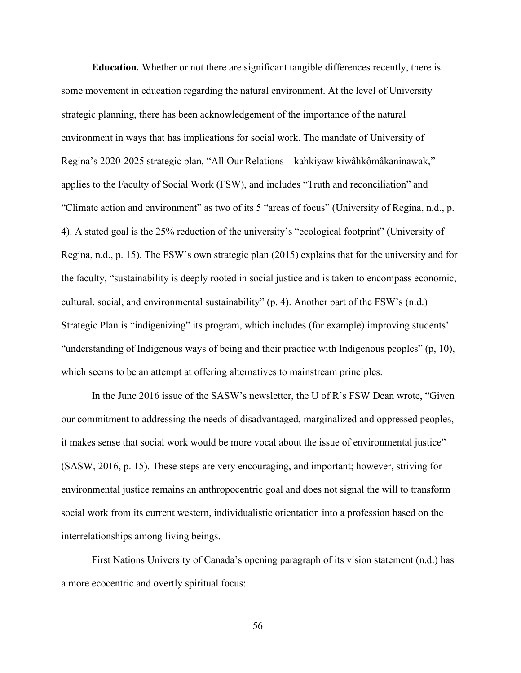**Education***.* Whether or not there are significant tangible differences recently, there is some movement in education regarding the natural environment. At the level of University strategic planning, there has been acknowledgement of the importance of the natural environment in ways that has implications for social work. The mandate of University of Regina's 2020-2025 strategic plan, "All Our Relations – kahkiyaw kiwâhkômâkaninawak," applies to the Faculty of Social Work (FSW), and includes "Truth and reconciliation" and "Climate action and environment" as two of its 5 "areas of focus" (University of Regina, n.d., p. 4). A stated goal is the 25% reduction of the university's "ecological footprint" (University of Regina, n.d., p. 15). The FSW's own strategic plan (2015) explains that for the university and for the faculty, "sustainability is deeply rooted in social justice and is taken to encompass economic, cultural, social, and environmental sustainability" (p. 4). Another part of the FSW's (n.d.) Strategic Plan is "indigenizing" its program, which includes (for example) improving students' "understanding of Indigenous ways of being and their practice with Indigenous peoples" (p, 10), which seems to be an attempt at offering alternatives to mainstream principles.

In the June 2016 issue of the SASW's newsletter, the U of R's FSW Dean wrote, "Given our commitment to addressing the needs of disadvantaged, marginalized and oppressed peoples, it makes sense that social work would be more vocal about the issue of environmental justice" (SASW, 2016, p. 15). These steps are very encouraging, and important; however, striving for environmental justice remains an anthropocentric goal and does not signal the will to transform social work from its current western, individualistic orientation into a profession based on the interrelationships among living beings.

First Nations University of Canada's opening paragraph of its vision statement (n.d.) has a more ecocentric and overtly spiritual focus: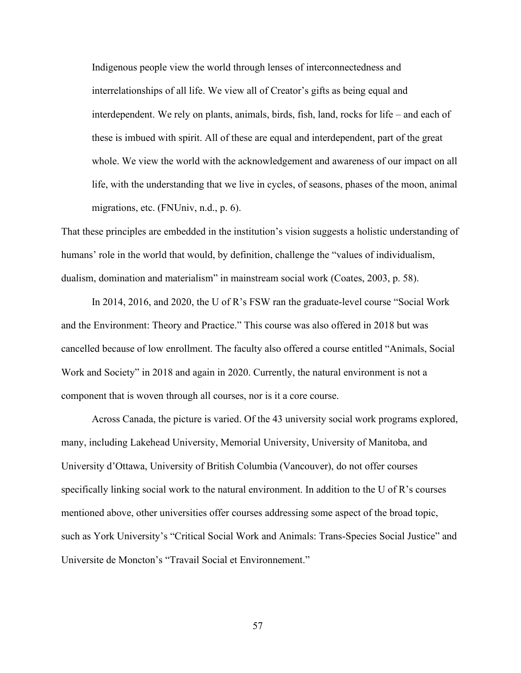Indigenous people view the world through lenses of interconnectedness and interrelationships of all life. We view all of Creator's gifts as being equal and interdependent. We rely on plants, animals, birds, fish, land, rocks for life – and each of these is imbued with spirit. All of these are equal and interdependent, part of the great whole. We view the world with the acknowledgement and awareness of our impact on all life, with the understanding that we live in cycles, of seasons, phases of the moon, animal migrations, etc. (FNUniv, n.d., p. 6).

That these principles are embedded in the institution's vision suggests a holistic understanding of humans' role in the world that would, by definition, challenge the "values of individualism, dualism, domination and materialism" in mainstream social work (Coates, 2003, p. 58).

In 2014, 2016, and 2020, the U of R's FSW ran the graduate-level course "Social Work and the Environment: Theory and Practice." This course was also offered in 2018 but was cancelled because of low enrollment. The faculty also offered a course entitled "Animals, Social Work and Society" in 2018 and again in 2020. Currently, the natural environment is not a component that is woven through all courses, nor is it a core course.

Across Canada, the picture is varied. Of the 43 university social work programs explored, many, including Lakehead University, Memorial University, University of Manitoba, and University d'Ottawa, University of British Columbia (Vancouver), do not offer courses specifically linking social work to the natural environment. In addition to the U of R's courses mentioned above, other universities offer courses addressing some aspect of the broad topic, such as York University's "Critical Social Work and Animals: Trans-Species Social Justice" and Universite de Moncton's "Travail Social et Environnement."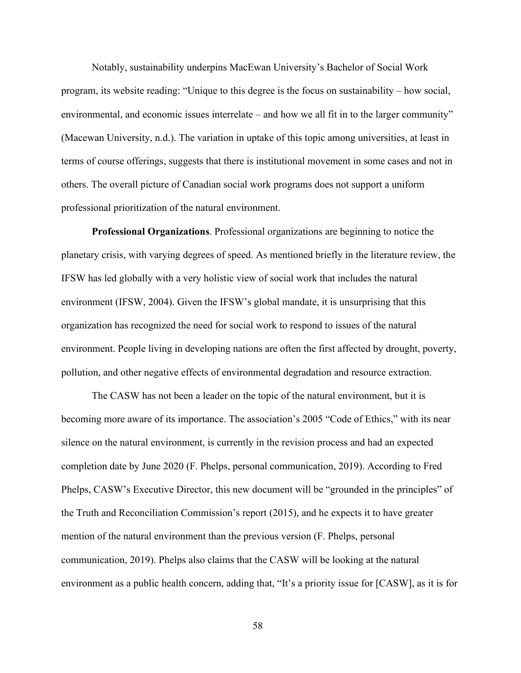Notably, sustainability underpins MacEwan University's Bachelor of Social Work program, its website reading: "Unique to this degree is the focus on sustainability – how social, environmental, and economic issues interrelate – and how we all fit in to the larger community" (Macewan University, n.d.). The variation in uptake of this topic among universities, at least in terms of course offerings, suggests that there is institutional movement in some cases and not in others. The overall picture of Canadian social work programs does not support a uniform professional prioritization of the natural environment.

**Professional Organizations**. Professional organizations are beginning to notice the planetary crisis, with varying degrees of speed. As mentioned briefly in the literature review, the IFSW has led globally with a very holistic view of social work that includes the natural environment (IFSW, 2004). Given the IFSW's global mandate, it is unsurprising that this organization has recognized the need for social work to respond to issues of the natural environment. People living in developing nations are often the first affected by drought, poverty, pollution, and other negative effects of environmental degradation and resource extraction.

The CASW has not been a leader on the topic of the natural environment, but it is becoming more aware of its importance. The association's 2005 "Code of Ethics," with its near silence on the natural environment, is currently in the revision process and had an expected completion date by June 2020 (F. Phelps, personal communication, 2019). According to Fred Phelps, CASW's Executive Director, this new document will be "grounded in the principles" of the Truth and Reconciliation Commission's report (2015), and he expects it to have greater mention of the natural environment than the previous version (F. Phelps, personal communication, 2019). Phelps also claims that the CASW will be looking at the natural environment as a public health concern, adding that, "It's a priority issue for [CASW], as it is for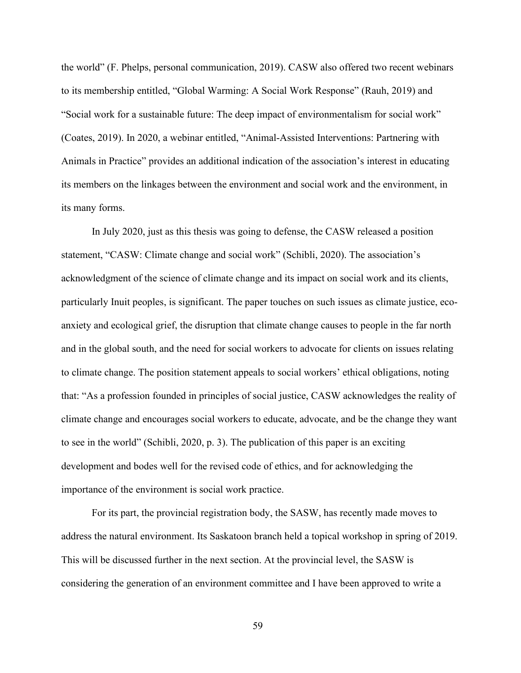the world" (F. Phelps, personal communication, 2019). CASW also offered two recent webinars to its membership entitled, "Global Warming: A Social Work Response" (Rauh, 2019) and "Social work for a sustainable future: The deep impact of environmentalism for social work" (Coates, 2019). In 2020, a webinar entitled, "Animal-Assisted Interventions: Partnering with Animals in Practice" provides an additional indication of the association's interest in educating its members on the linkages between the environment and social work and the environment, in its many forms.

In July 2020, just as this thesis was going to defense, the CASW released a position statement, "CASW: Climate change and social work" (Schibli, 2020). The association's acknowledgment of the science of climate change and its impact on social work and its clients, particularly Inuit peoples, is significant. The paper touches on such issues as climate justice, ecoanxiety and ecological grief, the disruption that climate change causes to people in the far north and in the global south, and the need for social workers to advocate for clients on issues relating to climate change. The position statement appeals to social workers' ethical obligations, noting that: "As a profession founded in principles of social justice, CASW acknowledges the reality of climate change and encourages social workers to educate, advocate, and be the change they want to see in the world" (Schibli, 2020, p. 3). The publication of this paper is an exciting development and bodes well for the revised code of ethics, and for acknowledging the importance of the environment is social work practice.

For its part, the provincial registration body, the SASW, has recently made moves to address the natural environment. Its Saskatoon branch held a topical workshop in spring of 2019. This will be discussed further in the next section. At the provincial level, the SASW is considering the generation of an environment committee and I have been approved to write a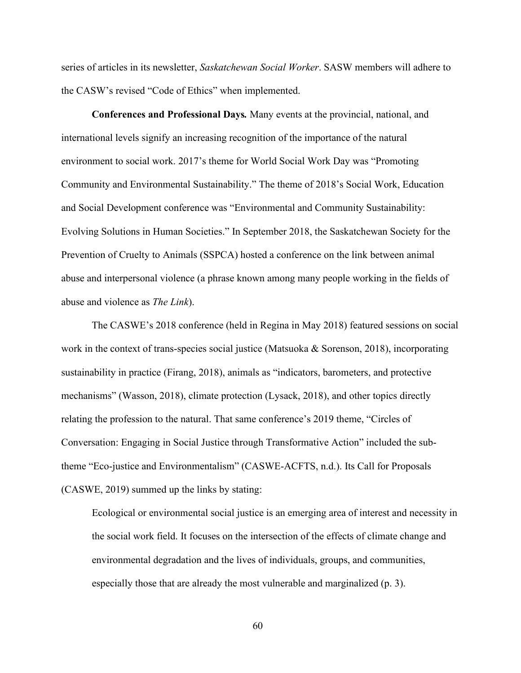series of articles in its newsletter, *Saskatchewan Social Worker*. SASW members will adhere to the CASW's revised "Code of Ethics" when implemented.

**Conferences and Professional Days***.* Many events at the provincial, national, and international levels signify an increasing recognition of the importance of the natural environment to social work. 2017's theme for World Social Work Day was "Promoting Community and Environmental Sustainability." The theme of 2018's Social Work, Education and Social Development conference was "Environmental and Community Sustainability: Evolving Solutions in Human Societies." In September 2018, the Saskatchewan Society for the Prevention of Cruelty to Animals (SSPCA) hosted a conference on the link between animal abuse and interpersonal violence (a phrase known among many people working in the fields of abuse and violence as *The Link*).

The CASWE's 2018 conference (held in Regina in May 2018) featured sessions on social work in the context of trans-species social justice (Matsuoka & Sorenson, 2018), incorporating sustainability in practice (Firang, 2018), animals as "indicators, barometers, and protective mechanisms" (Wasson, 2018), climate protection (Lysack, 2018), and other topics directly relating the profession to the natural. That same conference's 2019 theme, "Circles of Conversation: Engaging in Social Justice through Transformative Action" included the subtheme "Eco-justice and Environmentalism" (CASWE-ACFTS, n.d.). Its Call for Proposals (CASWE, 2019) summed up the links by stating:

Ecological or environmental social justice is an emerging area of interest and necessity in the social work field. It focuses on the intersection of the effects of climate change and environmental degradation and the lives of individuals, groups, and communities, especially those that are already the most vulnerable and marginalized (p. 3).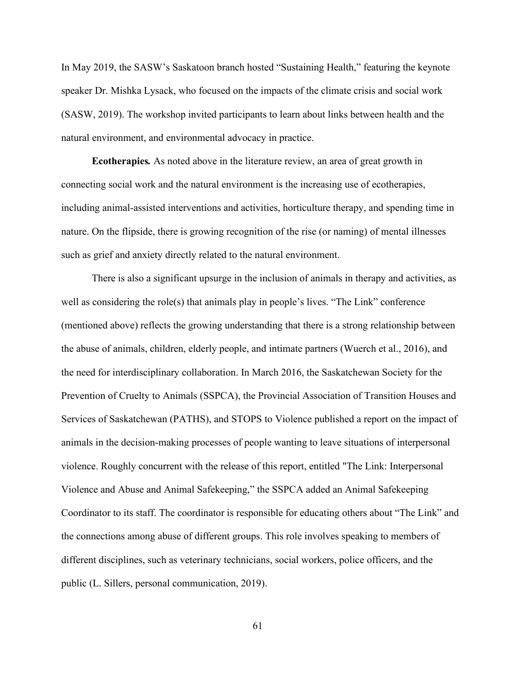In May 2019, the SASW's Saskatoon branch hosted "Sustaining Health," featuring the keynote speaker Dr. Mishka Lysack, who focused on the impacts of the climate crisis and social work (SASW, 2019). The workshop invited participants to learn about links between health and the natural environment, and environmental advocacy in practice.

**Ecotherapies***.* As noted above in the literature review, an area of great growth in connecting social work and the natural environment is the increasing use of ecotherapies, including animal-assisted interventions and activities, horticulture therapy, and spending time in nature. On the flipside, there is growing recognition of the rise (or naming) of mental illnesses such as grief and anxiety directly related to the natural environment.

There is also a significant upsurge in the inclusion of animals in therapy and activities, as well as considering the role(s) that animals play in people's lives. "The Link" conference (mentioned above) reflects the growing understanding that there is a strong relationship between the abuse of animals, children, elderly people, and intimate partners (Wuerch et al., 2016), and the need for interdisciplinary collaboration. In March 2016, the Saskatchewan Society for the Prevention of Cruelty to Animals (SSPCA), the Provincial Association of Transition Houses and Services of Saskatchewan (PATHS), and STOPS to Violence published a report on the impact of animals in the decision-making processes of people wanting to leave situations of interpersonal violence. Roughly concurrent with the release of this report, entitled "The Link: Interpersonal Violence and Abuse and Animal Safekeeping," the SSPCA added an Animal Safekeeping Coordinator to its staff. The coordinator is responsible for educating others about "The Link" and the connections among abuse of different groups. This role involves speaking to members of different disciplines, such as veterinary technicians, social workers, police officers, and the public (L. Sillers, personal communication, 2019).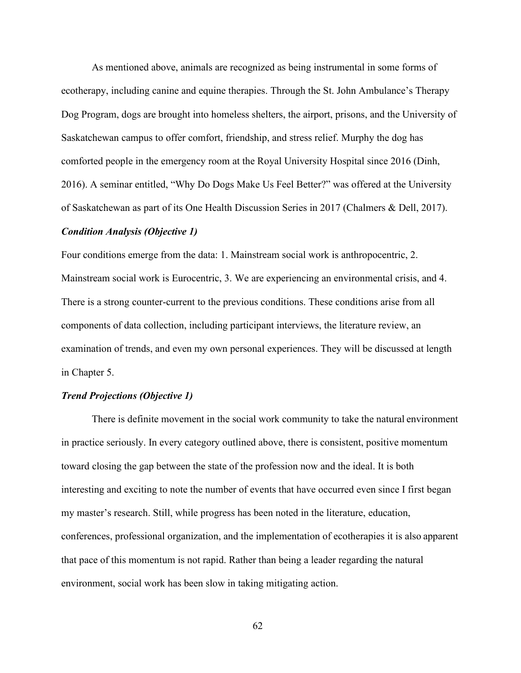As mentioned above, animals are recognized as being instrumental in some forms of ecotherapy, including canine and equine therapies. Through the St. John Ambulance's Therapy Dog Program, dogs are brought into homeless shelters, the airport, prisons, and the University of Saskatchewan campus to offer comfort, friendship, and stress relief. Murphy the dog has comforted people in the emergency room at the Royal University Hospital since 2016 (Dinh, 2016). A seminar entitled, "Why Do Dogs Make Us Feel Better?" was offered at the University of Saskatchewan as part of its One Health Discussion Series in 2017 (Chalmers & Dell, 2017).

#### *Condition Analysis (Objective 1)*

Four conditions emerge from the data: 1. Mainstream social work is anthropocentric, 2. Mainstream social work is Eurocentric, 3. We are experiencing an environmental crisis, and 4. There is a strong counter-current to the previous conditions. These conditions arise from all components of data collection, including participant interviews, the literature review, an examination of trends, and even my own personal experiences. They will be discussed at length in Chapter 5.

#### *Trend Projections (Objective 1)*

There is definite movement in the social work community to take the natural environment in practice seriously. In every category outlined above, there is consistent, positive momentum toward closing the gap between the state of the profession now and the ideal. It is both interesting and exciting to note the number of events that have occurred even since I first began my master's research. Still, while progress has been noted in the literature, education, conferences, professional organization, and the implementation of ecotherapies it is also apparent that pace of this momentum is not rapid. Rather than being a leader regarding the natural environment, social work has been slow in taking mitigating action.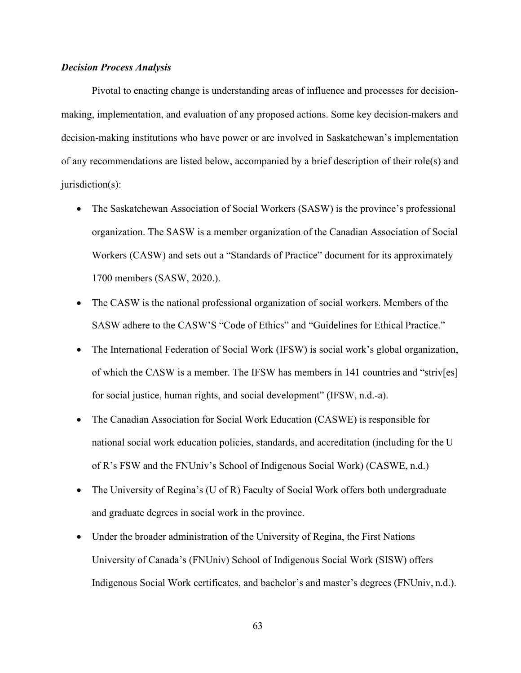#### *Decision Process Analysis*

Pivotal to enacting change is understanding areas of influence and processes for decisionmaking, implementation, and evaluation of any proposed actions. Some key decision-makers and decision-making institutions who have power or are involved in Saskatchewan's implementation of any recommendations are listed below, accompanied by a brief description of their role(s) and jurisdiction(s):

- The Saskatchewan Association of Social Workers (SASW) is the province's professional organization. The SASW is a member organization of the Canadian Association of Social Workers (CASW) and sets out a "Standards of Practice" document for its approximately 1700 members (SASW, 2020.).
- The CASW is the national professional organization of social workers. Members of the SASW adhere to the CASW'S "Code of Ethics" and "Guidelines for Ethical Practice."
- The International Federation of Social Work (IFSW) is social work's global organization, of which the CASW is a member. The IFSW has members in 141 countries and "striv[es] for social justice, human rights, and social development" (IFSW, n.d.-a).
- The Canadian Association for Social Work Education (CASWE) is responsible for national social work education policies, standards, and accreditation (including for the U of R's FSW and the FNUniv's School of Indigenous Social Work) (CASWE, n.d.)
- The University of Regina's (U of R) Faculty of Social Work offers both undergraduate and graduate degrees in social work in the province.
- Under the broader administration of the University of Regina, the First Nations University of Canada's (FNUniv) School of Indigenous Social Work (SISW) offers Indigenous Social Work certificates, and bachelor's and master's degrees (FNUniv, n.d.).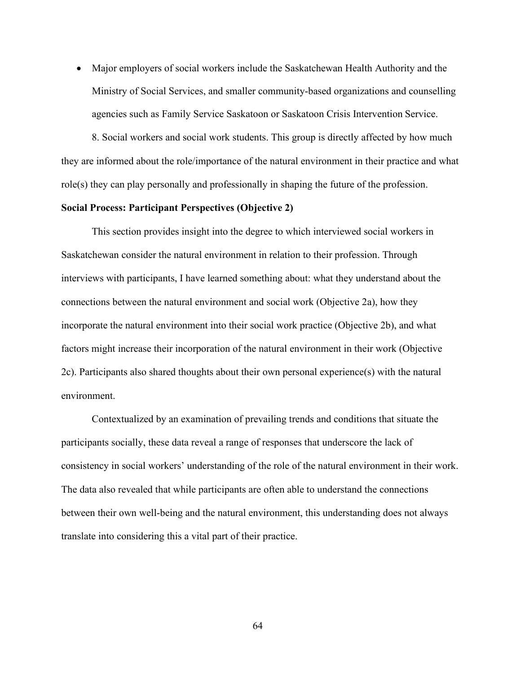• Major employers of social workers include the Saskatchewan Health Authority and the Ministry of Social Services, and smaller community-based organizations and counselling agencies such as Family Service Saskatoon or Saskatoon Crisis Intervention Service.

8. Social workers and social work students. This group is directly affected by how much they are informed about the role/importance of the natural environment in their practice and what role(s) they can play personally and professionally in shaping the future of the profession.

## **Social Process: Participant Perspectives (Objective 2)**

This section provides insight into the degree to which interviewed social workers in Saskatchewan consider the natural environment in relation to their profession. Through interviews with participants, I have learned something about: what they understand about the connections between the natural environment and social work (Objective 2a), how they incorporate the natural environment into their social work practice (Objective 2b), and what factors might increase their incorporation of the natural environment in their work (Objective 2c). Participants also shared thoughts about their own personal experience(s) with the natural environment.

Contextualized by an examination of prevailing trends and conditions that situate the participants socially, these data reveal a range of responses that underscore the lack of consistency in social workers' understanding of the role of the natural environment in their work. The data also revealed that while participants are often able to understand the connections between their own well-being and the natural environment, this understanding does not always translate into considering this a vital part of their practice.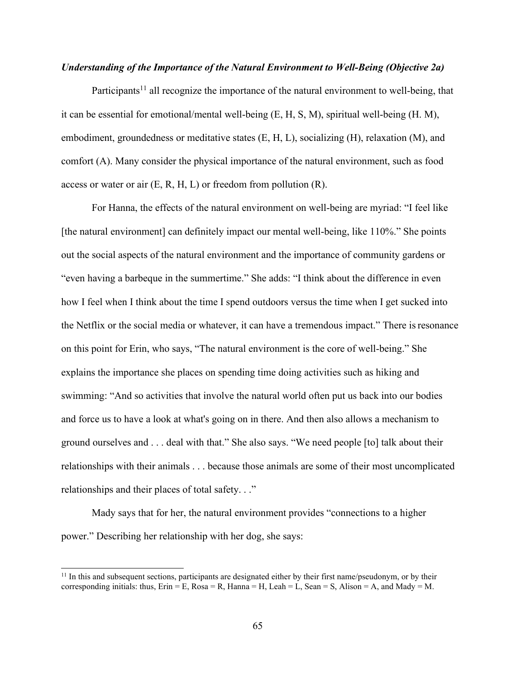#### *Understanding of the Importance of the Natural Environment to Well-Being (Objective 2a)*

Participants<sup>11</sup> all recognize the importance of the natural environment to well-being, that it can be essential for emotional/mental well-being (E, H, S, M), spiritual well-being (H. M), embodiment, groundedness or meditative states (E, H, L), socializing (H), relaxation (M), and comfort (A). Many consider the physical importance of the natural environment, such as food access or water or air  $(E, R, H, L)$  or freedom from pollution  $(R)$ .

For Hanna, the effects of the natural environment on well-being are myriad: "I feel like [the natural environment] can definitely impact our mental well-being, like 110%." She points out the social aspects of the natural environment and the importance of community gardens or "even having a barbeque in the summertime." She adds: "I think about the difference in even how I feel when I think about the time I spend outdoors versus the time when I get sucked into the Netflix or the social media or whatever, it can have a tremendous impact." There isresonance on this point for Erin, who says, "The natural environment is the core of well-being." She explains the importance she places on spending time doing activities such as hiking and swimming: "And so activities that involve the natural world often put us back into our bodies and force us to have a look at what's going on in there. And then also allows a mechanism to ground ourselves and . . . deal with that." She also says. "We need people [to] talk about their relationships with their animals . . . because those animals are some of their most uncomplicated relationships and their places of total safety. . ."

Mady says that for her, the natural environment provides "connections to a higher power." Describing her relationship with her dog, she says:

 $11$  In this and subsequent sections, participants are designated either by their first name/pseudonym, or by their corresponding initials: thus,  $Erin = E$ ,  $Rosa = R$ ,  $Hanna = H$ ,  $Leah = L$ ,  $Sean = S$ ,  $Alison = A$ , and  $Mady = M$ .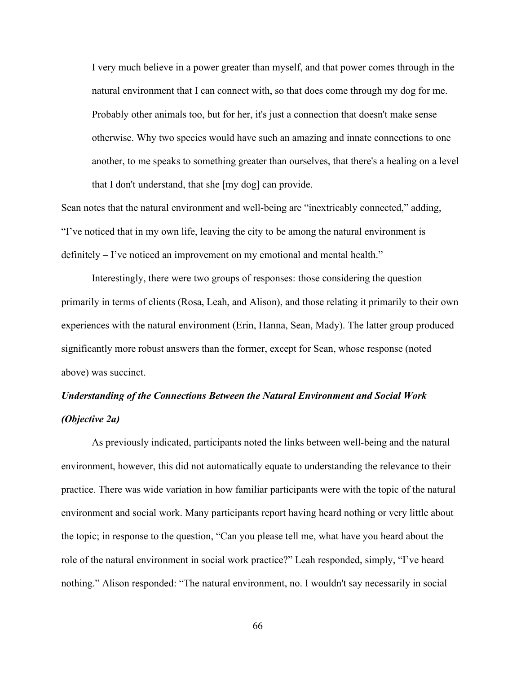I very much believe in a power greater than myself, and that power comes through in the natural environment that I can connect with, so that does come through my dog for me. Probably other animals too, but for her, it's just a connection that doesn't make sense otherwise. Why two species would have such an amazing and innate connections to one another, to me speaks to something greater than ourselves, that there's a healing on a level that I don't understand, that she [my dog] can provide.

Sean notes that the natural environment and well-being are "inextricably connected," adding, "I've noticed that in my own life, leaving the city to be among the natural environment is definitely – I've noticed an improvement on my emotional and mental health."

Interestingly, there were two groups of responses: those considering the question primarily in terms of clients (Rosa, Leah, and Alison), and those relating it primarily to their own experiences with the natural environment (Erin, Hanna, Sean, Mady). The latter group produced significantly more robust answers than the former, except for Sean, whose response (noted above) was succinct.

# *Understanding of the Connections Between the Natural Environment and Social Work (Objective 2a)*

As previously indicated, participants noted the links between well-being and the natural environment, however, this did not automatically equate to understanding the relevance to their practice. There was wide variation in how familiar participants were with the topic of the natural environment and social work. Many participants report having heard nothing or very little about the topic; in response to the question, "Can you please tell me, what have you heard about the role of the natural environment in social work practice?" Leah responded, simply, "I've heard nothing." Alison responded: "The natural environment, no. I wouldn't say necessarily in social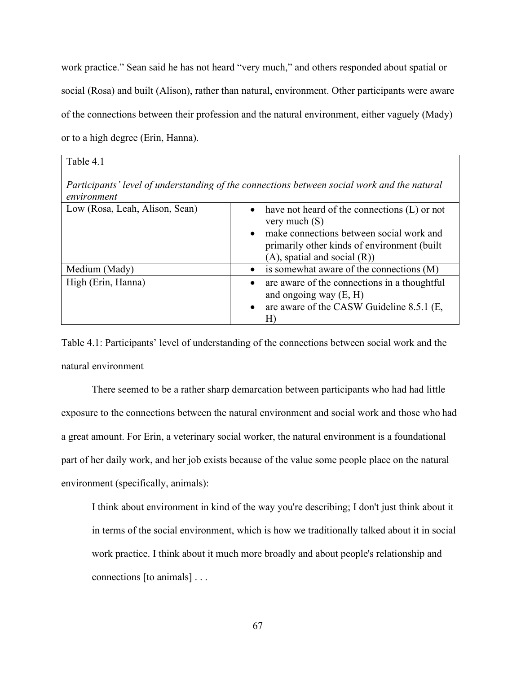work practice." Sean said he has not heard "very much," and others responded about spatial or social (Rosa) and built (Alison), rather than natural, environment. Other participants were aware of the connections between their profession and the natural environment, either vaguely (Mady) or to a high degree (Erin, Hanna).

Table 4.1

*Participants' level of understanding of the connections between social work and the natural environment*

| Low (Rosa, Leah, Alison, Sean) | have not heard of the connections $(L)$ or not<br>$\bullet$<br>very much $(S)$<br>make connections between social work and<br>$\bullet$<br>primarily other kinds of environment (built)<br>$(A)$ , spatial and social $(R)$ ) |
|--------------------------------|-------------------------------------------------------------------------------------------------------------------------------------------------------------------------------------------------------------------------------|
| Medium (Mady)                  | is somewhat aware of the connections (M)                                                                                                                                                                                      |
| High (Erin, Hanna)             | are aware of the connections in a thoughtful<br>$\bullet$<br>and ongoing way $(E, H)$<br>are aware of the CASW Guideline 8.5.1 (E,<br>$\bullet$<br>H <sub>1</sub>                                                             |

Table 4.1: Participants' level of understanding of the connections between social work and the natural environment

There seemed to be a rather sharp demarcation between participants who had had little exposure to the connections between the natural environment and social work and those who had a great amount. For Erin, a veterinary social worker, the natural environment is a foundational part of her daily work, and her job exists because of the value some people place on the natural environment (specifically, animals):

I think about environment in kind of the way you're describing; I don't just think about it in terms of the social environment, which is how we traditionally talked about it in social work practice. I think about it much more broadly and about people's relationship and connections [to animals] . . .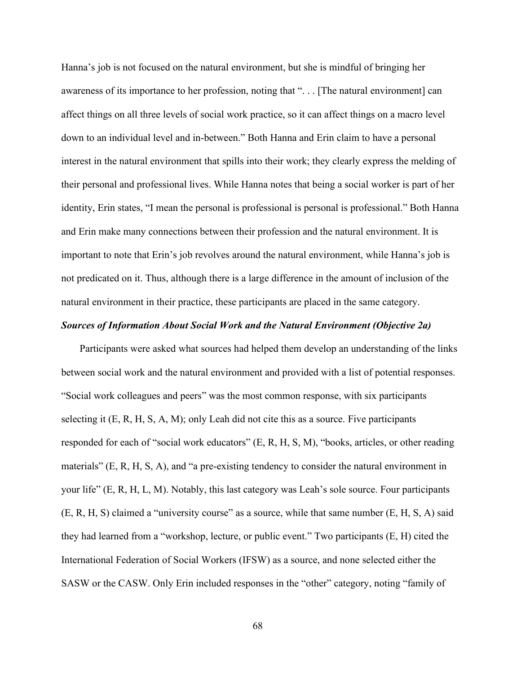Hanna's job is not focused on the natural environment, but she is mindful of bringing her awareness of its importance to her profession, noting that ". . . [The natural environment] can affect things on all three levels of social work practice, so it can affect things on a macro level down to an individual level and in-between." Both Hanna and Erin claim to have a personal interest in the natural environment that spills into their work; they clearly express the melding of their personal and professional lives. While Hanna notes that being a social worker is part of her identity, Erin states, "I mean the personal is professional is personal is professional." Both Hanna and Erin make many connections between their profession and the natural environment. It is important to note that Erin's job revolves around the natural environment, while Hanna's job is not predicated on it. Thus, although there is a large difference in the amount of inclusion of the natural environment in their practice, these participants are placed in the same category.

#### *Sources of Information About Social Work and the Natural Environment (Objective 2a)*

Participants were asked what sources had helped them develop an understanding of the links between social work and the natural environment and provided with a list of potential responses. "Social work colleagues and peers" was the most common response, with six participants selecting it  $(E, R, H, S, A, M)$ ; only Leah did not cite this as a source. Five participants responded for each of "social work educators" (E, R, H, S, M), "books, articles, or other reading materials" (E, R, H, S, A), and "a pre-existing tendency to consider the natural environment in your life" (E, R, H, L, M). Notably, this last category was Leah's sole source. Four participants (E, R, H, S) claimed a "university course" as a source, while that same number (E, H, S, A) said they had learned from a "workshop, lecture, or public event." Two participants (E, H) cited the International Federation of Social Workers (IFSW) as a source, and none selected either the SASW or the CASW. Only Erin included responses in the "other" category, noting "family of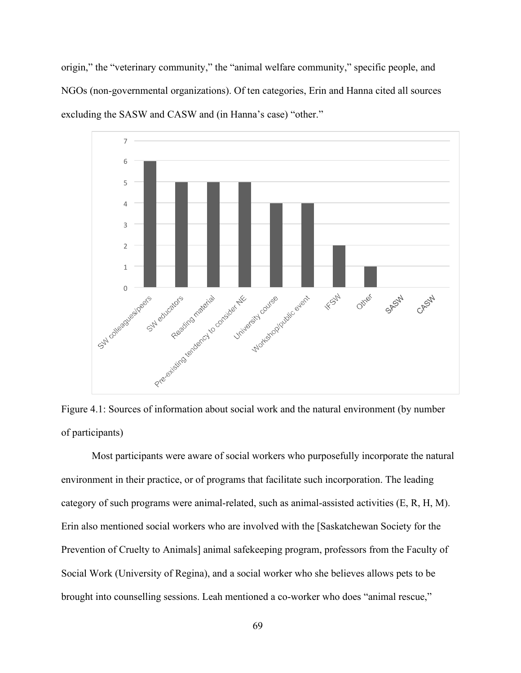origin," the "veterinary community," the "animal welfare community," specific people, and NGOs (non-governmental organizations). Of ten categories, Erin and Hanna cited all sources excluding the SASW and CASW and (in Hanna's case) "other."



Figure 4.1: Sources of information about social work and the natural environment (by number of participants)

Most participants were aware of social workers who purposefully incorporate the natural environment in their practice, or of programs that facilitate such incorporation. The leading category of such programs were animal-related, such as animal-assisted activities (E, R, H, M). Erin also mentioned social workers who are involved with the [Saskatchewan Society for the Prevention of Cruelty to Animals] animal safekeeping program, professors from the Faculty of Social Work (University of Regina), and a social worker who she believes allows pets to be brought into counselling sessions. Leah mentioned a co-worker who does "animal rescue,"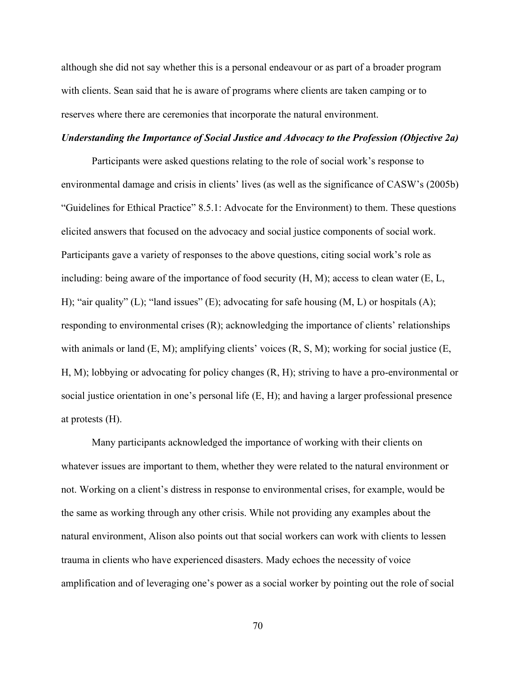although she did not say whether this is a personal endeavour or as part of a broader program with clients. Sean said that he is aware of programs where clients are taken camping or to reserves where there are ceremonies that incorporate the natural environment.

#### *Understanding the Importance of Social Justice and Advocacy to the Profession (Objective 2a)*

Participants were asked questions relating to the role of social work's response to environmental damage and crisis in clients' lives (as well as the significance of CASW's (2005b) "Guidelines for Ethical Practice" 8.5.1: Advocate for the Environment) to them. These questions elicited answers that focused on the advocacy and social justice components of social work. Participants gave a variety of responses to the above questions, citing social work's role as including: being aware of the importance of food security (H, M); access to clean water (E, L, H); "air quality" (L); "land issues" (E); advocating for safe housing  $(M, L)$  or hospitals  $(A)$ ; responding to environmental crises (R); acknowledging the importance of clients' relationships with animals or land (E, M); amplifying clients' voices (R, S, M); working for social justice (E, H, M); lobbying or advocating for policy changes (R, H); striving to have a pro-environmental or social justice orientation in one's personal life (E, H); and having a larger professional presence at protests (H).

Many participants acknowledged the importance of working with their clients on whatever issues are important to them, whether they were related to the natural environment or not. Working on a client's distress in response to environmental crises, for example, would be the same as working through any other crisis. While not providing any examples about the natural environment, Alison also points out that social workers can work with clients to lessen trauma in clients who have experienced disasters. Mady echoes the necessity of voice amplification and of leveraging one's power as a social worker by pointing out the role of social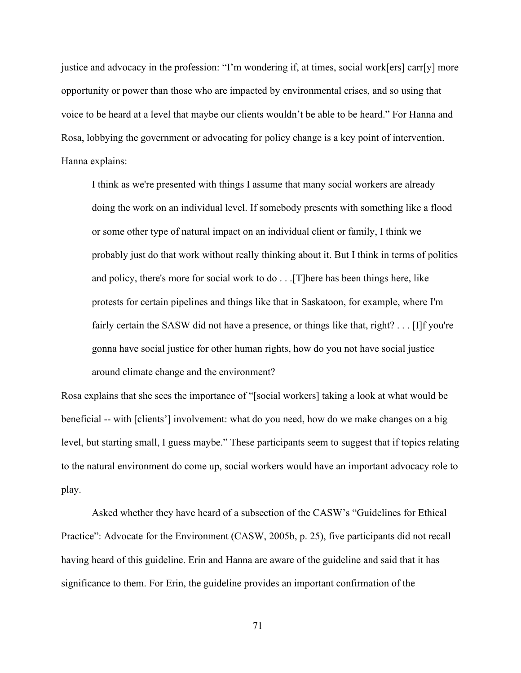justice and advocacy in the profession: "I'm wondering if, at times, social work[ers] carr[y] more opportunity or power than those who are impacted by environmental crises, and so using that voice to be heard at a level that maybe our clients wouldn't be able to be heard." For Hanna and Rosa, lobbying the government or advocating for policy change is a key point of intervention. Hanna explains:

I think as we're presented with things I assume that many social workers are already doing the work on an individual level. If somebody presents with something like a flood or some other type of natural impact on an individual client or family, I think we probably just do that work without really thinking about it. But I think in terms of politics and policy, there's more for social work to do . . .[T]here has been things here, like protests for certain pipelines and things like that in Saskatoon, for example, where I'm fairly certain the SASW did not have a presence, or things like that, right? . . . [I]f you're gonna have social justice for other human rights, how do you not have social justice around climate change and the environment?

Rosa explains that she sees the importance of "[social workers] taking a look at what would be beneficial -- with [clients'] involvement: what do you need, how do we make changes on a big level, but starting small, I guess maybe." These participants seem to suggest that if topics relating to the natural environment do come up, social workers would have an important advocacy role to play.

Asked whether they have heard of a subsection of the CASW's "Guidelines for Ethical Practice": Advocate for the Environment (CASW, 2005b, p. 25), five participants did not recall having heard of this guideline. Erin and Hanna are aware of the guideline and said that it has significance to them. For Erin, the guideline provides an important confirmation of the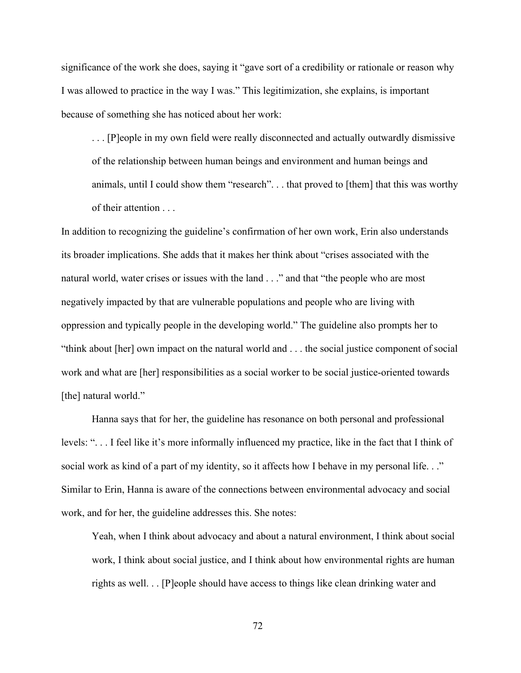significance of the work she does, saying it "gave sort of a credibility or rationale or reason why I was allowed to practice in the way I was." This legitimization, she explains, is important because of something she has noticed about her work:

... [P]eople in my own field were really disconnected and actually outwardly dismissive of the relationship between human beings and environment and human beings and animals, until I could show them "research". . . that proved to [them] that this was worthy of their attention . . .

In addition to recognizing the guideline's confirmation of her own work, Erin also understands its broader implications. She adds that it makes her think about "crises associated with the natural world, water crises or issues with the land . . ." and that "the people who are most negatively impacted by that are vulnerable populations and people who are living with oppression and typically people in the developing world." The guideline also prompts her to "think about [her] own impact on the natural world and . . . the social justice component of social work and what are [her] responsibilities as a social worker to be social justice-oriented towards [the] natural world."

Hanna says that for her, the guideline has resonance on both personal and professional levels: ". . . I feel like it's more informally influenced my practice, like in the fact that I think of social work as kind of a part of my identity, so it affects how I behave in my personal life. . ." Similar to Erin, Hanna is aware of the connections between environmental advocacy and social work, and for her, the guideline addresses this. She notes:

Yeah, when I think about advocacy and about a natural environment, I think about social work, I think about social justice, and I think about how environmental rights are human rights as well. . . [P]eople should have access to things like clean drinking water and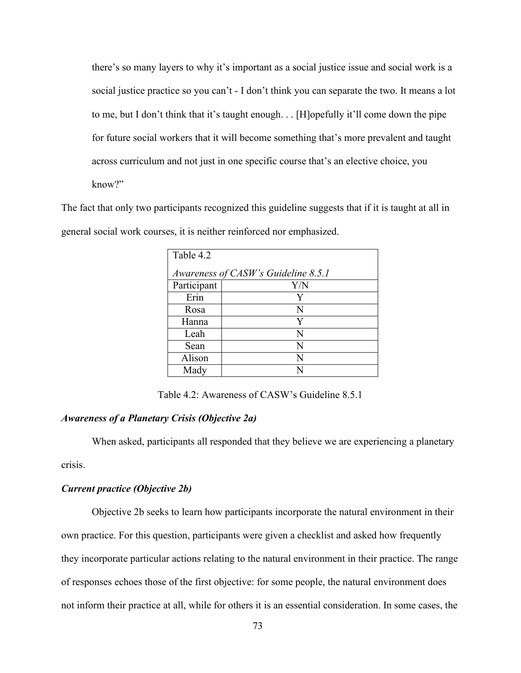there's so many layers to why it's important as a social justice issue and social work is a social justice practice so you can't - I don't think you can separate the two. It means a lot to me, but I don't think that it's taught enough. . . [H]opefully it'll come down the pipe for future social workers that it will become something that's more prevalent and taught across curriculum and not just in one specific course that's an elective choice, you know?"

The fact that only two participants recognized this guideline suggests that if it is taught at all in general social work courses, it is neither reinforced nor emphasized.

| Table 4.2                           |     |  |
|-------------------------------------|-----|--|
| Awareness of CASW's Guideline 8.5.1 |     |  |
| Participant                         | Y/N |  |
| Erin                                | Y   |  |
| Rosa                                | N   |  |
| Hanna                               | Y   |  |
| Leah                                | N   |  |
| Sean                                | N   |  |
| Alison                              | N   |  |
| Mady                                |     |  |

Table 4.2: Awareness of CASW's Guideline 8.5.1

## *Awareness of a Planetary Crisis (Objective 2a)*

When asked, participants all responded that they believe we are experiencing a planetary crisis.

#### *Current practice (Objective 2b)*

Objective 2b seeks to learn how participants incorporate the natural environment in their own practice. For this question, participants were given a checklist and asked how frequently they incorporate particular actions relating to the natural environment in their practice. The range of responses echoes those of the first objective: for some people, the natural environment does not inform their practice at all, while for others it is an essential consideration. In some cases, the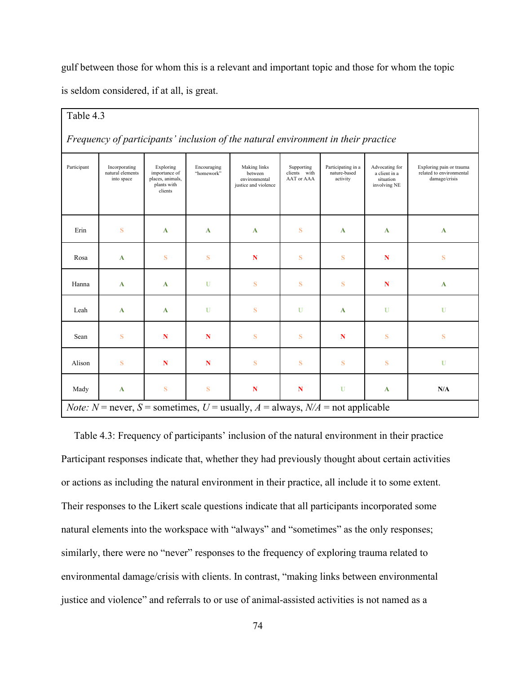gulf between those for whom this is a relevant and important topic and those for whom the topic is seldom considered, if at all, is great.

| Table 4.3                                                                                      |                                                 |                                                                          |                           |                                                                  |                                          |                                                |                                                              |                                                                       |
|------------------------------------------------------------------------------------------------|-------------------------------------------------|--------------------------------------------------------------------------|---------------------------|------------------------------------------------------------------|------------------------------------------|------------------------------------------------|--------------------------------------------------------------|-----------------------------------------------------------------------|
| Frequency of participants' inclusion of the natural environment in their practice              |                                                 |                                                                          |                           |                                                                  |                                          |                                                |                                                              |                                                                       |
| Participant                                                                                    | Incorporating<br>natural elements<br>into space | Exploring<br>importance of<br>places, animals,<br>plants with<br>clients | Encouraging<br>"homework" | Making links<br>between<br>environmental<br>justice and violence | Supporting<br>clients with<br>AAT or AAA | Participating in a<br>nature-based<br>activity | Advocating for<br>a client in a<br>situation<br>involving NE | Exploring pain or trauma<br>related to environmental<br>damage/crisis |
| Erin                                                                                           | S                                               | $\mathbf{A}$                                                             | $\mathbf{A}$              | $\mathbf{A}$                                                     | S                                        | $\mathbf{A}$                                   | $\mathbf{A}$                                                 | $\mathbf{A}$                                                          |
| Rosa                                                                                           | $\mathbf{A}$                                    | S                                                                        | S                         | ${\bf N}$                                                        | S                                        | S                                              | $\mathbf N$                                                  | S                                                                     |
| Hanna                                                                                          | $\mathbf{A}$                                    | $\mathbf{A}$                                                             | U                         | S                                                                | S                                        | S                                              | N                                                            | $\mathbf{A}$                                                          |
| Leah                                                                                           | $\mathbf{A}$                                    | $\mathbf{A}$                                                             | U                         | S                                                                | U                                        | $\mathbf{A}$                                   | U                                                            | U                                                                     |
| Sean                                                                                           | S                                               | $\mathbf N$                                                              | N                         | S                                                                | S                                        | $\mathbf N$                                    | S                                                            | S                                                                     |
| Alison                                                                                         | S                                               | $\mathbf N$                                                              | $\mathbf N$               | S                                                                | S                                        | S                                              | S                                                            | U                                                                     |
| Mady                                                                                           | $\mathbf{A}$                                    | S                                                                        | S                         | $\mathbf N$                                                      | ${\bf N}$                                | $\mathbf U$                                    | $\mathbf{A}$                                                 | N/A                                                                   |
| <i>Note:</i> $N$ = never, $S$ = sometimes, $U$ = usually, $A$ = always, $N/A$ = not applicable |                                                 |                                                                          |                           |                                                                  |                                          |                                                |                                                              |                                                                       |

Table 4.3: Frequency of participants' inclusion of the natural environment in their practice Participant responses indicate that, whether they had previously thought about certain activities or actions as including the natural environment in their practice, all include it to some extent. Their responses to the Likert scale questions indicate that all participants incorporated some natural elements into the workspace with "always" and "sometimes" as the only responses; similarly, there were no "never" responses to the frequency of exploring trauma related to environmental damage/crisis with clients. In contrast, "making links between environmental justice and violence" and referrals to or use of animal-assisted activities is not named as a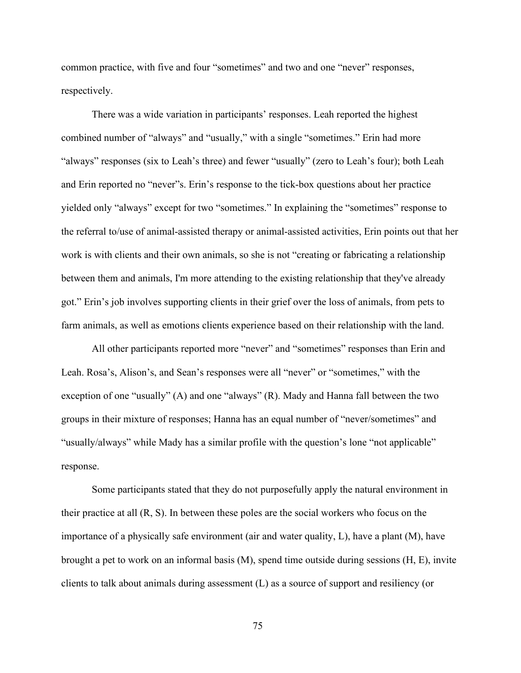common practice, with five and four "sometimes" and two and one "never" responses, respectively.

There was a wide variation in participants' responses. Leah reported the highest combined number of "always" and "usually," with a single "sometimes." Erin had more "always" responses (six to Leah's three) and fewer "usually" (zero to Leah's four); both Leah and Erin reported no "never"s. Erin's response to the tick-box questions about her practice yielded only "always" except for two "sometimes." In explaining the "sometimes" response to the referral to/use of animal-assisted therapy or animal-assisted activities, Erin points out that her work is with clients and their own animals, so she is not "creating or fabricating a relationship between them and animals, I'm more attending to the existing relationship that they've already got." Erin's job involves supporting clients in their grief over the loss of animals, from pets to farm animals, as well as emotions clients experience based on their relationship with the land.

All other participants reported more "never" and "sometimes" responses than Erin and Leah. Rosa's, Alison's, and Sean's responses were all "never" or "sometimes," with the exception of one "usually" (A) and one "always" (R). Mady and Hanna fall between the two groups in their mixture of responses; Hanna has an equal number of "never/sometimes" and "usually/always" while Mady has a similar profile with the question's lone "not applicable" response.

Some participants stated that they do not purposefully apply the natural environment in their practice at all (R, S). In between these poles are the social workers who focus on the importance of a physically safe environment (air and water quality, L), have a plant (M), have brought a pet to work on an informal basis (M), spend time outside during sessions (H, E), invite clients to talk about animals during assessment (L) as a source of support and resiliency (or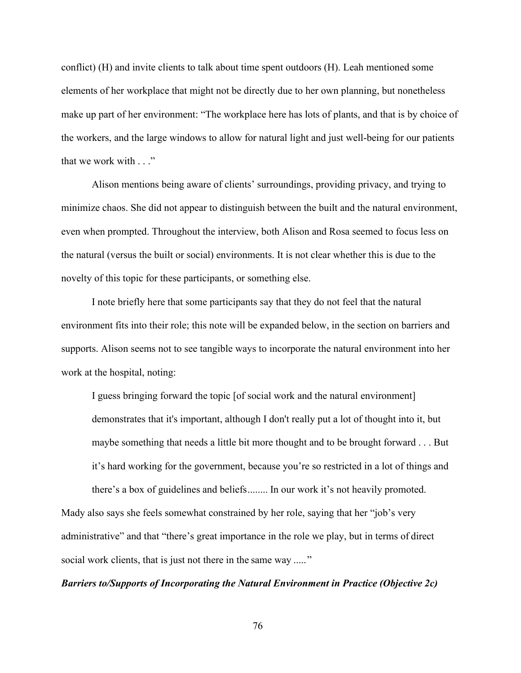conflict) (H) and invite clients to talk about time spent outdoors (H). Leah mentioned some elements of her workplace that might not be directly due to her own planning, but nonetheless make up part of her environment: "The workplace here has lots of plants, and that is by choice of the workers, and the large windows to allow for natural light and just well-being for our patients that we work with . . ."

Alison mentions being aware of clients' surroundings, providing privacy, and trying to minimize chaos. She did not appear to distinguish between the built and the natural environment, even when prompted. Throughout the interview, both Alison and Rosa seemed to focus less on the natural (versus the built or social) environments. It is not clear whether this is due to the novelty of this topic for these participants, or something else.

I note briefly here that some participants say that they do not feel that the natural environment fits into their role; this note will be expanded below, in the section on barriers and supports. Alison seems not to see tangible ways to incorporate the natural environment into her work at the hospital, noting:

I guess bringing forward the topic [of social work and the natural environment] demonstrates that it's important, although I don't really put a lot of thought into it, but maybe something that needs a little bit more thought and to be brought forward . . . But it's hard working for the government, because you're so restricted in a lot of things and there's a box of guidelines and beliefs........ In our work it's not heavily promoted. Mady also says she feels somewhat constrained by her role, saying that her "job's very administrative" and that "there's great importance in the role we play, but in terms of direct

social work clients, that is just not there in the same way ....."

## *Barriers to/Supports of Incorporating the Natural Environment in Practice (Objective 2c)*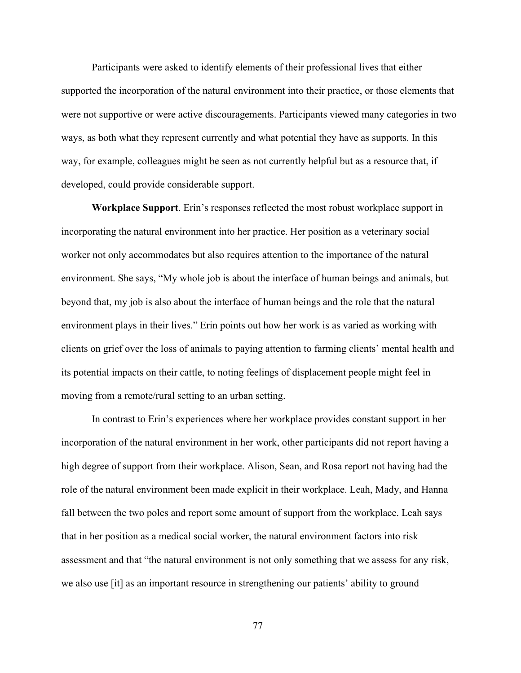Participants were asked to identify elements of their professional lives that either supported the incorporation of the natural environment into their practice, or those elements that were not supportive or were active discouragements. Participants viewed many categories in two ways, as both what they represent currently and what potential they have as supports. In this way, for example, colleagues might be seen as not currently helpful but as a resource that, if developed, could provide considerable support.

**Workplace Support**. Erin's responses reflected the most robust workplace support in incorporating the natural environment into her practice. Her position as a veterinary social worker not only accommodates but also requires attention to the importance of the natural environment. She says, "My whole job is about the interface of human beings and animals, but beyond that, my job is also about the interface of human beings and the role that the natural environment plays in their lives." Erin points out how her work is as varied as working with clients on grief over the loss of animals to paying attention to farming clients' mental health and its potential impacts on their cattle, to noting feelings of displacement people might feel in moving from a remote/rural setting to an urban setting.

In contrast to Erin's experiences where her workplace provides constant support in her incorporation of the natural environment in her work, other participants did not report having a high degree of support from their workplace. Alison, Sean, and Rosa report not having had the role of the natural environment been made explicit in their workplace. Leah, Mady, and Hanna fall between the two poles and report some amount of support from the workplace. Leah says that in her position as a medical social worker, the natural environment factors into risk assessment and that "the natural environment is not only something that we assess for any risk, we also use [it] as an important resource in strengthening our patients' ability to ground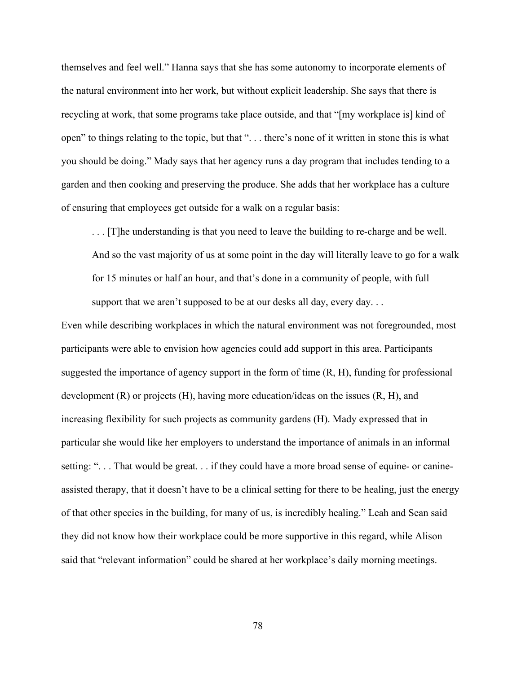themselves and feel well." Hanna says that she has some autonomy to incorporate elements of the natural environment into her work, but without explicit leadership. She says that there is recycling at work, that some programs take place outside, and that "[my workplace is] kind of open" to things relating to the topic, but that ". . . there's none of it written in stone this is what you should be doing." Mady says that her agency runs a day program that includes tending to a garden and then cooking and preserving the produce. She adds that her workplace has a culture of ensuring that employees get outside for a walk on a regular basis:

. . . [T]he understanding is that you need to leave the building to re-charge and be well. And so the vast majority of us at some point in the day will literally leave to go for a walk for 15 minutes or half an hour, and that's done in a community of people, with full support that we aren't supposed to be at our desks all day, every day...

Even while describing workplaces in which the natural environment was not foregrounded, most participants were able to envision how agencies could add support in this area. Participants suggested the importance of agency support in the form of time (R, H), funding for professional development (R) or projects (H), having more education/ideas on the issues (R, H), and increasing flexibility for such projects as community gardens (H). Mady expressed that in particular she would like her employers to understand the importance of animals in an informal setting: "... That would be great... if they could have a more broad sense of equine- or canineassisted therapy, that it doesn't have to be a clinical setting for there to be healing, just the energy of that other species in the building, for many of us, is incredibly healing." Leah and Sean said they did not know how their workplace could be more supportive in this regard, while Alison said that "relevant information" could be shared at her workplace's daily morning meetings.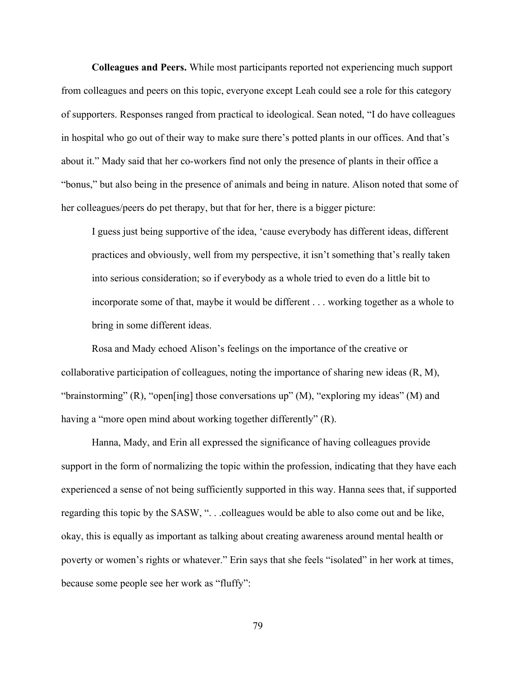**Colleagues and Peers.** While most participants reported not experiencing much support from colleagues and peers on this topic, everyone except Leah could see a role for this category of supporters. Responses ranged from practical to ideological. Sean noted, "I do have colleagues in hospital who go out of their way to make sure there's potted plants in our offices. And that's about it." Mady said that her co-workers find not only the presence of plants in their office a "bonus," but also being in the presence of animals and being in nature. Alison noted that some of her colleagues/peers do pet therapy, but that for her, there is a bigger picture:

I guess just being supportive of the idea, 'cause everybody has different ideas, different practices and obviously, well from my perspective, it isn't something that's really taken into serious consideration; so if everybody as a whole tried to even do a little bit to incorporate some of that, maybe it would be different . . . working together as a whole to bring in some different ideas.

Rosa and Mady echoed Alison's feelings on the importance of the creative or collaborative participation of colleagues, noting the importance of sharing new ideas (R, M), "brainstorming" (R), "open[ing] those conversations up" (M), "exploring my ideas" (M) and having a "more open mind about working together differently" (R).

Hanna, Mady, and Erin all expressed the significance of having colleagues provide support in the form of normalizing the topic within the profession, indicating that they have each experienced a sense of not being sufficiently supported in this way. Hanna sees that, if supported regarding this topic by the SASW, ". . .colleagues would be able to also come out and be like, okay, this is equally as important as talking about creating awareness around mental health or poverty or women's rights or whatever." Erin says that she feels "isolated" in her work at times, because some people see her work as "fluffy":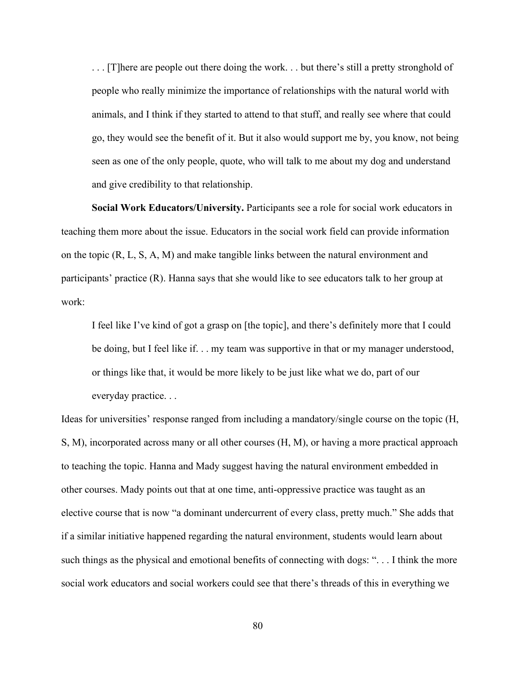... [T]here are people out there doing the work... but there's still a pretty stronghold of people who really minimize the importance of relationships with the natural world with animals, and I think if they started to attend to that stuff, and really see where that could go, they would see the benefit of it. But it also would support me by, you know, not being seen as one of the only people, quote, who will talk to me about my dog and understand and give credibility to that relationship.

**Social Work Educators/University.** Participants see a role for social work educators in teaching them more about the issue. Educators in the social work field can provide information on the topic (R, L, S, A, M) and make tangible links between the natural environment and participants' practice (R). Hanna says that she would like to see educators talk to her group at work:

I feel like I've kind of got a grasp on [the topic], and there's definitely more that I could be doing, but I feel like if. . . my team was supportive in that or my manager understood, or things like that, it would be more likely to be just like what we do, part of our everyday practice. . .

Ideas for universities' response ranged from including a mandatory/single course on the topic (H, S, M), incorporated across many or all other courses (H, M), or having a more practical approach to teaching the topic. Hanna and Mady suggest having the natural environment embedded in other courses. Mady points out that at one time, anti-oppressive practice was taught as an elective course that is now "a dominant undercurrent of every class, pretty much." She adds that if a similar initiative happened regarding the natural environment, students would learn about such things as the physical and emotional benefits of connecting with dogs: ". . . I think the more social work educators and social workers could see that there's threads of this in everything we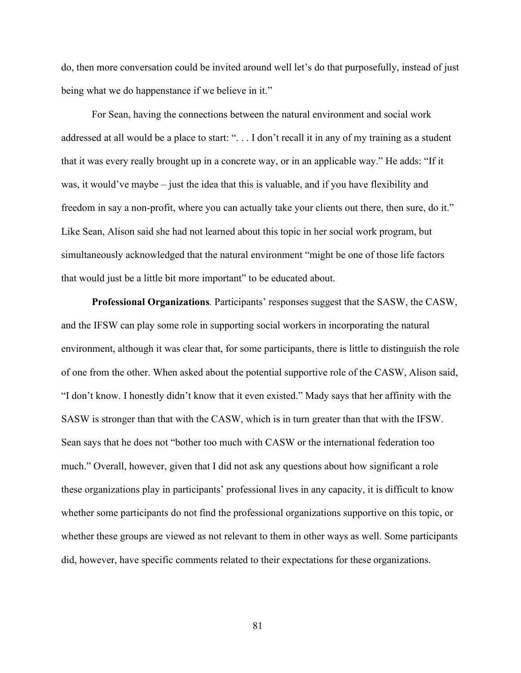do, then more conversation could be invited around well let's do that purposefully, instead of just being what we do happenstance if we believe in it."

For Sean, having the connections between the natural environment and social work addressed at all would be a place to start: ". . . I don't recall it in any of my training as a student that it was every really brought up in a concrete way, or in an applicable way." He adds: "If it was, it would've maybe – just the idea that this is valuable, and if you have flexibility and freedom in say a non-profit, where you can actually take your clients out there, then sure, do it." Like Sean, Alison said she had not learned about this topic in her social work program, but simultaneously acknowledged that the natural environment "might be one of those life factors that would just be a little bit more important" to be educated about.

**Professional Organizations***.* Participants' responses suggest that the SASW, the CASW, and the IFSW can play some role in supporting social workers in incorporating the natural environment, although it was clear that, for some participants, there is little to distinguish the role of one from the other. When asked about the potential supportive role of the CASW, Alison said, "I don't know. I honestly didn't know that it even existed." Mady says that her affinity with the SASW is stronger than that with the CASW, which is in turn greater than that with the IFSW. Sean says that he does not "bother too much with CASW or the international federation too much." Overall, however, given that I did not ask any questions about how significant a role these organizations play in participants' professional lives in any capacity, it is difficult to know whether some participants do not find the professional organizations supportive on this topic, or whether these groups are viewed as not relevant to them in other ways as well. Some participants did, however, have specific comments related to their expectations for these organizations.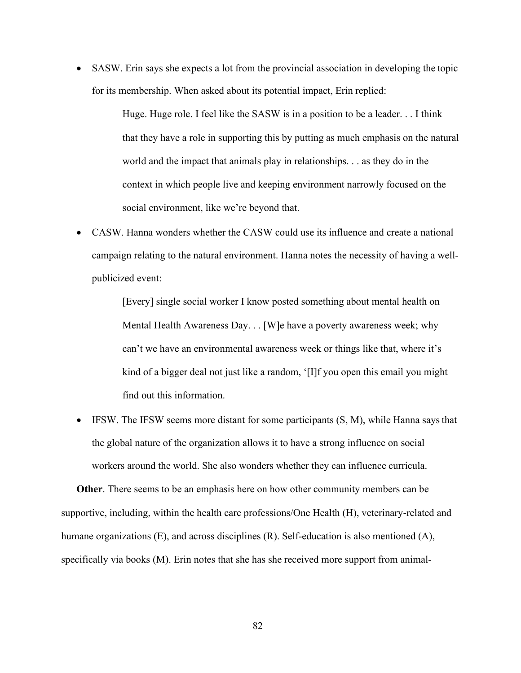• SASW. Erin says she expects a lot from the provincial association in developing the topic for its membership. When asked about its potential impact, Erin replied:

> Huge. Huge role. I feel like the SASW is in a position to be a leader. . . I think that they have a role in supporting this by putting as much emphasis on the natural world and the impact that animals play in relationships. . . as they do in the context in which people live and keeping environment narrowly focused on the social environment, like we're beyond that.

• CASW. Hanna wonders whether the CASW could use its influence and create a national campaign relating to the natural environment. Hanna notes the necessity of having a wellpublicized event:

> [Every] single social worker I know posted something about mental health on Mental Health Awareness Day. . . [W]e have a poverty awareness week; why can't we have an environmental awareness week or things like that, where it's kind of a bigger deal not just like a random, '[I]f you open this email you might find out this information.

• IFSW. The IFSW seems more distant for some participants (S, M), while Hanna saysthat the global nature of the organization allows it to have a strong influence on social workers around the world. She also wonders whether they can influence curricula.

**Other**. There seems to be an emphasis here on how other community members can be supportive, including, within the health care professions/One Health (H), veterinary-related and humane organizations (E), and across disciplines (R). Self-education is also mentioned (A), specifically via books (M). Erin notes that she has she received more support from animal-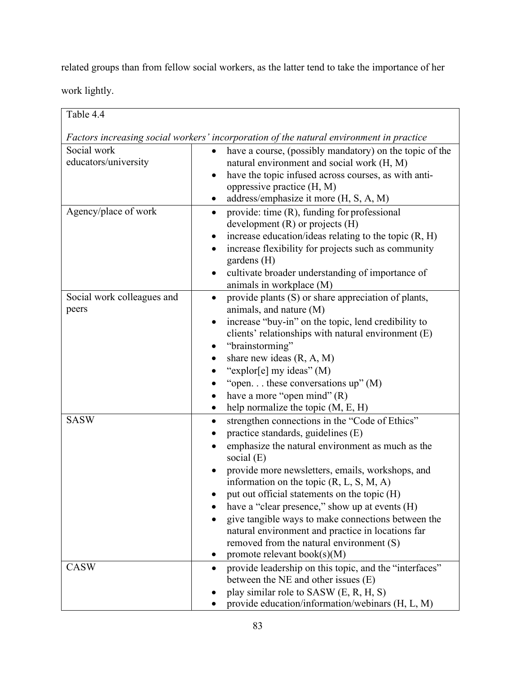related groups than from fellow social workers, as the latter tend to take the importance of her

work lightly.

| Table 4.4                           |                                                                                                                                                                                                                                                                                                                                                                                                                                                                                                                                                                    |
|-------------------------------------|--------------------------------------------------------------------------------------------------------------------------------------------------------------------------------------------------------------------------------------------------------------------------------------------------------------------------------------------------------------------------------------------------------------------------------------------------------------------------------------------------------------------------------------------------------------------|
|                                     | Factors increasing social workers' incorporation of the natural environment in practice                                                                                                                                                                                                                                                                                                                                                                                                                                                                            |
| Social work<br>educators/university | have a course, (possibly mandatory) on the topic of the<br>$\bullet$<br>natural environment and social work (H, M)<br>have the topic infused across courses, as with anti-<br>oppressive practice (H, M)<br>address/emphasize it more (H, S, A, M)                                                                                                                                                                                                                                                                                                                 |
| Agency/place of work                | provide: time (R), funding for professional<br>$\bullet$<br>development $(R)$ or projects $(H)$<br>increase education/ideas relating to the topic $(R, H)$<br>increase flexibility for projects such as community<br>gardens (H)<br>cultivate broader understanding of importance of<br>animals in workplace (M)                                                                                                                                                                                                                                                   |
| Social work colleagues and<br>peers | provide plants (S) or share appreciation of plants,<br>$\bullet$<br>animals, and nature (M)<br>increase "buy-in" on the topic, lend credibility to<br>clients' relationships with natural environment (E)<br>"brainstorming"<br>share new ideas (R, A, M)<br>"explor[e] my ideas" (M)<br>"open these conversations $up$ " (M)<br>have a more "open mind" (R)<br>help normalize the topic (M, E, H)                                                                                                                                                                 |
| <b>SASW</b>                         | strengthen connections in the "Code of Ethics"<br>$\bullet$<br>practice standards, guidelines (E)<br>emphasize the natural environment as much as the<br>social $(E)$<br>provide more newsletters, emails, workshops, and<br>information on the topic $(R, L, S, M, A)$<br>put out official statements on the topic (H)<br>have a "clear presence," show up at events (H)<br>give tangible ways to make connections between the<br>natural environment and practice in locations far<br>removed from the natural environment (S)<br>promote relevant book(s) $(M)$ |
| <b>CASW</b>                         | provide leadership on this topic, and the "interfaces"<br>between the NE and other issues (E)<br>play similar role to SASW (E, R, H, S)<br>provide education/information/webinars (H, L, M)                                                                                                                                                                                                                                                                                                                                                                        |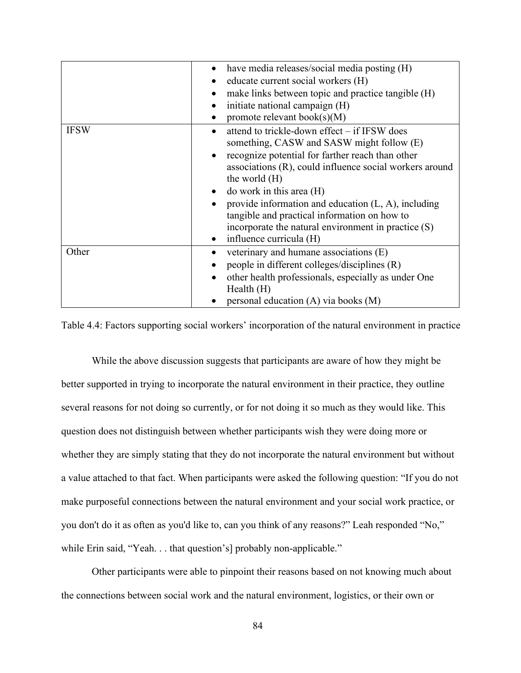|             | have media releases/social media posting (H)<br>٠<br>educate current social workers (H)<br>make links between topic and practice tangible (H)<br>initiate national campaign (H)<br>promote relevant book(s) $(M)$                                                                                                                                                                                                                                                    |
|-------------|----------------------------------------------------------------------------------------------------------------------------------------------------------------------------------------------------------------------------------------------------------------------------------------------------------------------------------------------------------------------------------------------------------------------------------------------------------------------|
| <b>IFSW</b> | attend to trickle-down effect – if IFSW does<br>something, CASW and SASW might follow (E)<br>recognize potential for farther reach than other<br>associations (R), could influence social workers around<br>the world $(H)$<br>do work in this area $(H)$<br>provide information and education $(L, A)$ , including<br>tangible and practical information on how to<br>incorporate the natural environment in practice $(S)$<br>influence curricula (H)<br>$\bullet$ |
| Other       | veterinary and humane associations (E)<br>people in different colleges/disciplines (R)<br>other health professionals, especially as under One<br>Health $(H)$<br>personal education (A) via books (M)                                                                                                                                                                                                                                                                |

Table 4.4: Factors supporting social workers' incorporation of the natural environment in practice

While the above discussion suggests that participants are aware of how they might be better supported in trying to incorporate the natural environment in their practice, they outline several reasons for not doing so currently, or for not doing it so much as they would like. This question does not distinguish between whether participants wish they were doing more or whether they are simply stating that they do not incorporate the natural environment but without a value attached to that fact. When participants were asked the following question: "If you do not make purposeful connections between the natural environment and your social work practice, or you don't do it as often as you'd like to, can you think of any reasons?" Leah responded "No," while Erin said, "Yeah... that question's] probably non-applicable."

Other participants were able to pinpoint their reasons based on not knowing much about the connections between social work and the natural environment, logistics, or their own or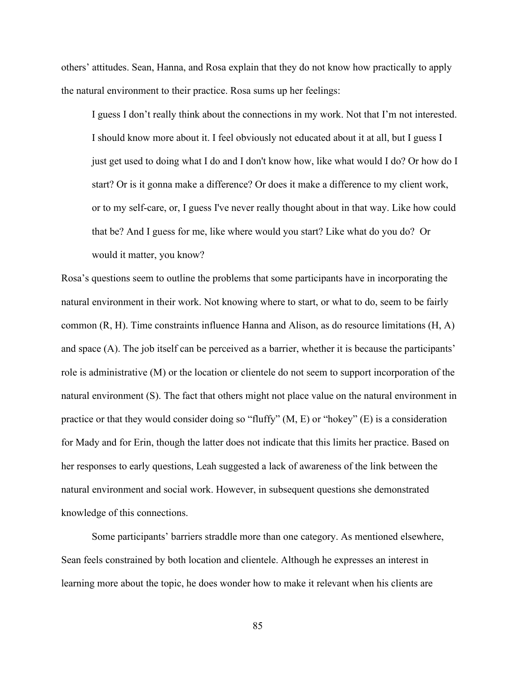others' attitudes. Sean, Hanna, and Rosa explain that they do not know how practically to apply the natural environment to their practice. Rosa sums up her feelings:

I guess I don't really think about the connections in my work. Not that I'm not interested. I should know more about it. I feel obviously not educated about it at all, but I guess I just get used to doing what I do and I don't know how, like what would I do? Or how do I start? Or is it gonna make a difference? Or does it make a difference to my client work, or to my self-care, or, I guess I've never really thought about in that way. Like how could that be? And I guess for me, like where would you start? Like what do you do? Or would it matter, you know?

Rosa's questions seem to outline the problems that some participants have in incorporating the natural environment in their work. Not knowing where to start, or what to do, seem to be fairly common (R, H). Time constraints influence Hanna and Alison, as do resource limitations (H, A) and space (A). The job itself can be perceived as a barrier, whether it is because the participants' role is administrative (M) or the location or clientele do not seem to support incorporation of the natural environment (S). The fact that others might not place value on the natural environment in practice or that they would consider doing so "fluffy" (M, E) or "hokey" (E) is a consideration for Mady and for Erin, though the latter does not indicate that this limits her practice. Based on her responses to early questions, Leah suggested a lack of awareness of the link between the natural environment and social work. However, in subsequent questions she demonstrated knowledge of this connections.

Some participants' barriers straddle more than one category. As mentioned elsewhere, Sean feels constrained by both location and clientele. Although he expresses an interest in learning more about the topic, he does wonder how to make it relevant when his clients are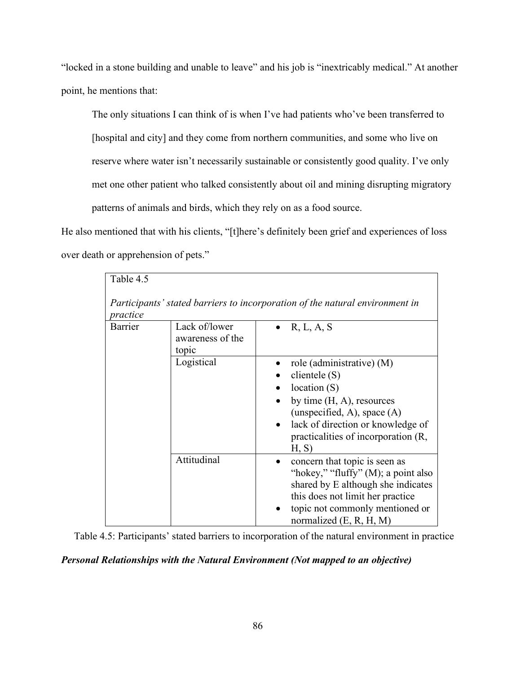"locked in a stone building and unable to leave" and his job is "inextricably medical." At another point, he mentions that:

The only situations I can think of is when I've had patients who've been transferred to [hospital and city] and they come from northern communities, and some who live on reserve where water isn't necessarily sustainable or consistently good quality. I've only met one other patient who talked consistently about oil and mining disrupting migratory patterns of animals and birds, which they rely on as a food source.

He also mentioned that with his clients, "[t]here's definitely been grief and experiences of loss over death or apprehension of pets."

| Table 4.5      |                                            |                                                                                                                                                                                                                  |
|----------------|--------------------------------------------|------------------------------------------------------------------------------------------------------------------------------------------------------------------------------------------------------------------|
| practice       |                                            | Participants' stated barriers to incorporation of the natural environment in                                                                                                                                     |
| <b>Barrier</b> | Lack of/lower<br>awareness of the<br>topic | R, L, A, S                                                                                                                                                                                                       |
|                | Logistical                                 | role (administrative) (M)<br>clientele $(S)$<br>location(S)<br>by time $(H, A)$ , resources<br>(unspecified, A), space $(A)$<br>lack of direction or knowledge of<br>practicalities of incorporation (R,<br>H, S |
|                | Attitudinal                                | concern that topic is seen as<br>"hokey," "fluffy" (M); a point also<br>shared by E although she indicates<br>this does not limit her practice<br>topic not commonly mentioned or<br>normalized $(E, R, H, M)$   |

Table 4.5: Participants' stated barriers to incorporation of the natural environment in practice

## *Personal Relationships with the Natural Environment (Not mapped to an objective)*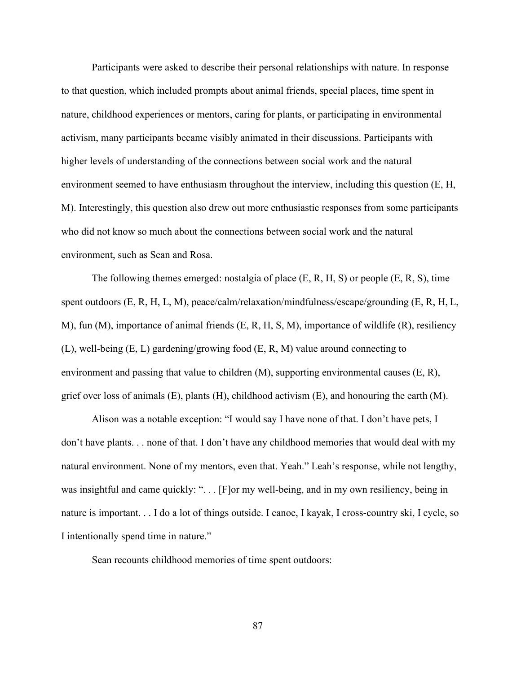Participants were asked to describe their personal relationships with nature. In response to that question, which included prompts about animal friends, special places, time spent in nature, childhood experiences or mentors, caring for plants, or participating in environmental activism, many participants became visibly animated in their discussions. Participants with higher levels of understanding of the connections between social work and the natural environment seemed to have enthusiasm throughout the interview, including this question (E, H, M). Interestingly, this question also drew out more enthusiastic responses from some participants who did not know so much about the connections between social work and the natural environment, such as Sean and Rosa.

The following themes emerged: nostalgia of place (E, R, H, S) or people (E, R, S), time spent outdoors (E, R, H, L, M), peace/calm/relaxation/mindfulness/escape/grounding (E, R, H, L, M), fun (M), importance of animal friends (E, R, H, S, M), importance of wildlife (R), resiliency (L), well-being (E, L) gardening/growing food (E, R, M) value around connecting to environment and passing that value to children (M), supporting environmental causes (E, R), grief over loss of animals (E), plants (H), childhood activism (E), and honouring the earth (M).

Alison was a notable exception: "I would say I have none of that. I don't have pets, I don't have plants. . . none of that. I don't have any childhood memories that would deal with my natural environment. None of my mentors, even that. Yeah." Leah's response, while not lengthy, was insightful and came quickly: "... [F]or my well-being, and in my own resiliency, being in nature is important. . . I do a lot of things outside. I canoe, I kayak, I cross-country ski, I cycle, so I intentionally spend time in nature."

Sean recounts childhood memories of time spent outdoors: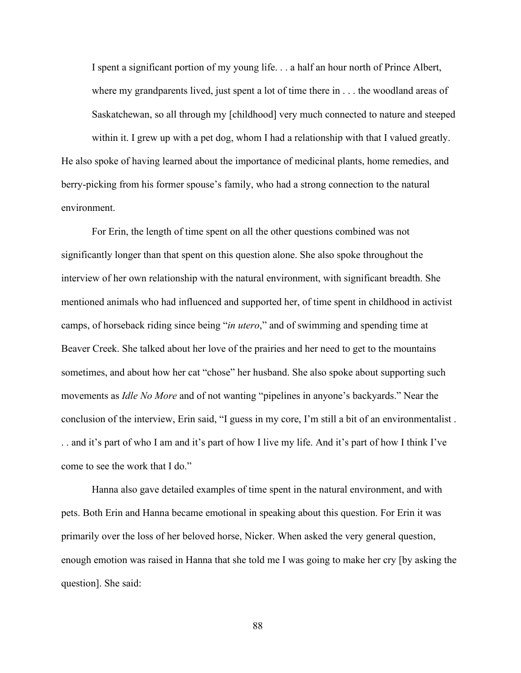I spent a significant portion of my young life. . . a half an hour north of Prince Albert, where my grandparents lived, just spent a lot of time there in . . . the woodland areas of Saskatchewan, so all through my [childhood] very much connected to nature and steeped within it. I grew up with a pet dog, whom I had a relationship with that I valued greatly. He also spoke of having learned about the importance of medicinal plants, home remedies, and berry-picking from his former spouse's family, who had a strong connection to the natural environment.

For Erin, the length of time spent on all the other questions combined was not significantly longer than that spent on this question alone. She also spoke throughout the interview of her own relationship with the natural environment, with significant breadth. She mentioned animals who had influenced and supported her, of time spent in childhood in activist camps, of horseback riding since being "*in utero*," and of swimming and spending time at Beaver Creek. She talked about her love of the prairies and her need to get to the mountains sometimes, and about how her cat "chose" her husband. She also spoke about supporting such movements as *Idle No More* and of not wanting "pipelines in anyone's backyards." Near the conclusion of the interview, Erin said, "I guess in my core, I'm still a bit of an environmentalist . . . and it's part of who I am and it's part of how I live my life. And it's part of how I think I've come to see the work that I do."

Hanna also gave detailed examples of time spent in the natural environment, and with pets. Both Erin and Hanna became emotional in speaking about this question. For Erin it was primarily over the loss of her beloved horse, Nicker. When asked the very general question, enough emotion was raised in Hanna that she told me I was going to make her cry [by asking the question]. She said: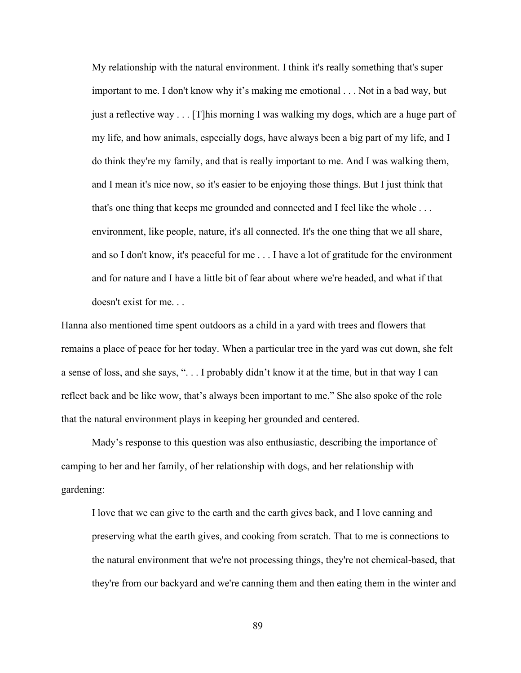My relationship with the natural environment. I think it's really something that's super important to me. I don't know why it's making me emotional . . . Not in a bad way, but just a reflective way . . . [T]his morning I was walking my dogs, which are a huge part of my life, and how animals, especially dogs, have always been a big part of my life, and I do think they're my family, and that is really important to me. And I was walking them, and I mean it's nice now, so it's easier to be enjoying those things. But I just think that that's one thing that keeps me grounded and connected and I feel like the whole . . . environment, like people, nature, it's all connected. It's the one thing that we all share, and so I don't know, it's peaceful for me . . . I have a lot of gratitude for the environment and for nature and I have a little bit of fear about where we're headed, and what if that doesn't exist for me. . .

Hanna also mentioned time spent outdoors as a child in a yard with trees and flowers that remains a place of peace for her today. When a particular tree in the yard was cut down, she felt a sense of loss, and she says, ". . . I probably didn't know it at the time, but in that way I can reflect back and be like wow, that's always been important to me." She also spoke of the role that the natural environment plays in keeping her grounded and centered.

Mady's response to this question was also enthusiastic, describing the importance of camping to her and her family, of her relationship with dogs, and her relationship with gardening:

I love that we can give to the earth and the earth gives back, and I love canning and preserving what the earth gives, and cooking from scratch. That to me is connections to the natural environment that we're not processing things, they're not chemical-based, that they're from our backyard and we're canning them and then eating them in the winter and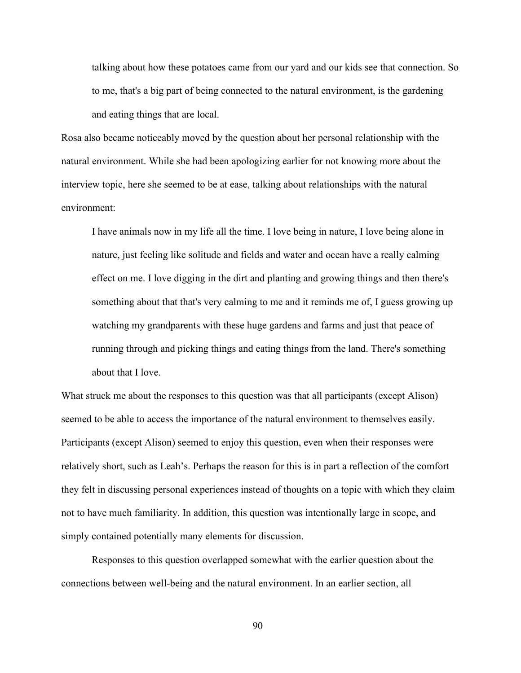talking about how these potatoes came from our yard and our kids see that connection. So to me, that's a big part of being connected to the natural environment, is the gardening and eating things that are local.

Rosa also became noticeably moved by the question about her personal relationship with the natural environment. While she had been apologizing earlier for not knowing more about the interview topic, here she seemed to be at ease, talking about relationships with the natural environment:

I have animals now in my life all the time. I love being in nature, I love being alone in nature, just feeling like solitude and fields and water and ocean have a really calming effect on me. I love digging in the dirt and planting and growing things and then there's something about that that's very calming to me and it reminds me of, I guess growing up watching my grandparents with these huge gardens and farms and just that peace of running through and picking things and eating things from the land. There's something about that I love.

What struck me about the responses to this question was that all participants (except Alison) seemed to be able to access the importance of the natural environment to themselves easily. Participants (except Alison) seemed to enjoy this question, even when their responses were relatively short, such as Leah's. Perhaps the reason for this is in part a reflection of the comfort they felt in discussing personal experiences instead of thoughts on a topic with which they claim not to have much familiarity. In addition, this question was intentionally large in scope, and simply contained potentially many elements for discussion.

Responses to this question overlapped somewhat with the earlier question about the connections between well-being and the natural environment. In an earlier section, all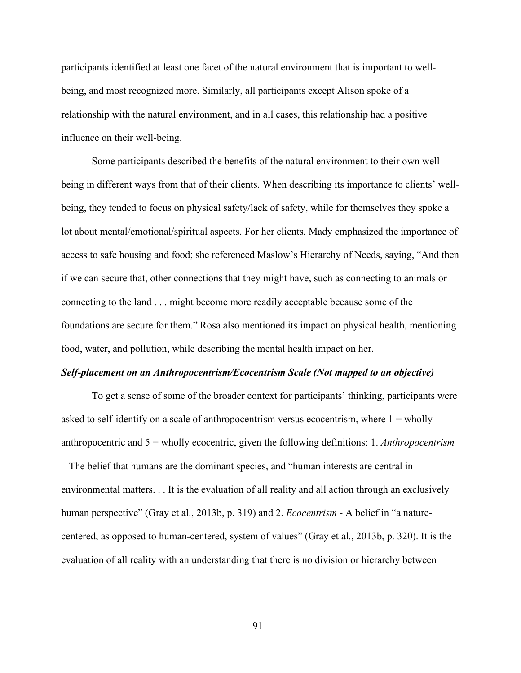participants identified at least one facet of the natural environment that is important to wellbeing, and most recognized more. Similarly, all participants except Alison spoke of a relationship with the natural environment, and in all cases, this relationship had a positive influence on their well-being.

Some participants described the benefits of the natural environment to their own wellbeing in different ways from that of their clients. When describing its importance to clients' wellbeing, they tended to focus on physical safety/lack of safety, while for themselves they spoke a lot about mental/emotional/spiritual aspects. For her clients, Mady emphasized the importance of access to safe housing and food; she referenced Maslow's Hierarchy of Needs, saying, "And then if we can secure that, other connections that they might have, such as connecting to animals or connecting to the land . . . might become more readily acceptable because some of the foundations are secure for them." Rosa also mentioned its impact on physical health, mentioning food, water, and pollution, while describing the mental health impact on her.

#### *Self-placement on an Anthropocentrism/Ecocentrism Scale (Not mapped to an objective)*

To get a sense of some of the broader context for participants' thinking, participants were asked to self-identify on a scale of anthropocentrism versus ecocentrism, where  $1 =$  wholly anthropocentric and 5 = wholly ecocentric, given the following definitions: 1. *Anthropocentrism* – The belief that humans are the dominant species, and "human interests are central in environmental matters. . . It is the evaluation of all reality and all action through an exclusively human perspective" (Gray et al., 2013b, p. 319) and 2. *Ecocentrism* - A belief in "a naturecentered, as opposed to human-centered, system of values" (Gray et al., 2013b, p. 320). It is the evaluation of all reality with an understanding that there is no division or hierarchy between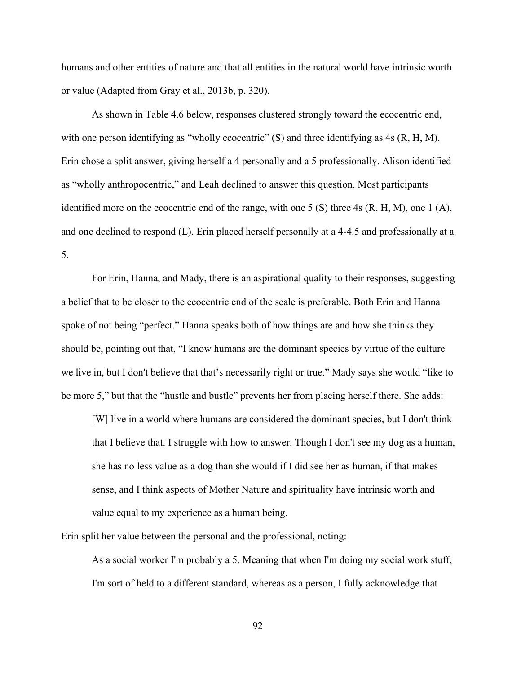humans and other entities of nature and that all entities in the natural world have intrinsic worth or value (Adapted from Gray et al., 2013b, p. 320).

As shown in Table 4.6 below, responses clustered strongly toward the ecocentric end, with one person identifying as "wholly ecocentric" (S) and three identifying as 4s (R, H, M). Erin chose a split answer, giving herself a 4 personally and a 5 professionally. Alison identified as "wholly anthropocentric," and Leah declined to answer this question. Most participants identified more on the ecocentric end of the range, with one 5 (S) three 4s (R, H, M), one 1 (A), and one declined to respond (L). Erin placed herself personally at a 4-4.5 and professionally at a 5.

For Erin, Hanna, and Mady, there is an aspirational quality to their responses, suggesting a belief that to be closer to the ecocentric end of the scale is preferable. Both Erin and Hanna spoke of not being "perfect." Hanna speaks both of how things are and how she thinks they should be, pointing out that, "I know humans are the dominant species by virtue of the culture we live in, but I don't believe that that's necessarily right or true." Mady says she would "like to be more 5," but that the "hustle and bustle" prevents her from placing herself there. She adds:

[W] live in a world where humans are considered the dominant species, but I don't think that I believe that. I struggle with how to answer. Though I don't see my dog as a human, she has no less value as a dog than she would if I did see her as human, if that makes sense, and I think aspects of Mother Nature and spirituality have intrinsic worth and value equal to my experience as a human being.

Erin split her value between the personal and the professional, noting:

As a social worker I'm probably a 5. Meaning that when I'm doing my social work stuff, I'm sort of held to a different standard, whereas as a person, I fully acknowledge that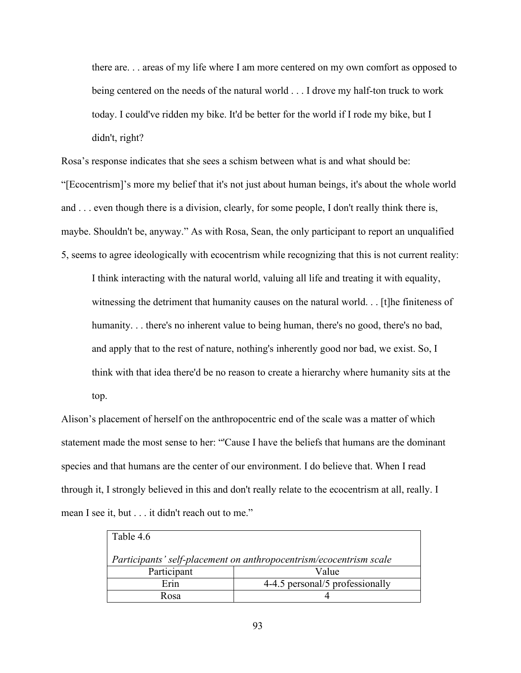there are. . . areas of my life where I am more centered on my own comfort as opposed to being centered on the needs of the natural world . . . I drove my half-ton truck to work today. I could've ridden my bike. It'd be better for the world if I rode my bike, but I didn't, right?

Rosa's response indicates that she sees a schism between what is and what should be: "[Ecocentrism]'s more my belief that it's not just about human beings, it's about the whole world and . . . even though there is a division, clearly, for some people, I don't really think there is, maybe. Shouldn't be, anyway." As with Rosa, Sean, the only participant to report an unqualified 5, seems to agree ideologically with ecocentrism while recognizing that this is not current reality:

I think interacting with the natural world, valuing all life and treating it with equality, witnessing the detriment that humanity causes on the natural world. . . [t]he finiteness of humanity... there's no inherent value to being human, there's no good, there's no bad, and apply that to the rest of nature, nothing's inherently good nor bad, we exist. So, I think with that idea there'd be no reason to create a hierarchy where humanity sits at the top.

Alison's placement of herself on the anthropocentric end of the scale was a matter of which statement made the most sense to her: "'Cause I have the beliefs that humans are the dominant species and that humans are the center of our environment. I do believe that. When I read through it, I strongly believed in this and don't really relate to the ecocentrism at all, really. I mean I see it, but . . . it didn't reach out to me."

| Table 4.6                                                                 |                                 |  |  |  |  |
|---------------------------------------------------------------------------|---------------------------------|--|--|--|--|
| <i>Participants' self-placement on anthropocentrism/ecocentrism scale</i> |                                 |  |  |  |  |
| Participant                                                               | Value                           |  |  |  |  |
| Erin                                                                      | 4-4.5 personal/5 professionally |  |  |  |  |
| Rosa                                                                      |                                 |  |  |  |  |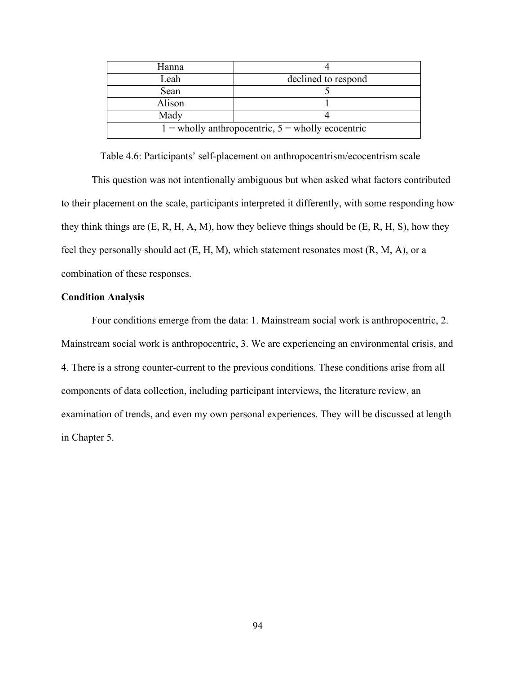| Hanna                                                 |                     |  |  |  |
|-------------------------------------------------------|---------------------|--|--|--|
| Leah                                                  | declined to respond |  |  |  |
| Sean                                                  |                     |  |  |  |
| Alison                                                |                     |  |  |  |
| Mady                                                  |                     |  |  |  |
| $1 =$ wholly anthropocentric, $5 =$ wholly ecocentric |                     |  |  |  |

Table 4.6: Participants' self-placement on anthropocentrism/ecocentrism scale

This question was not intentionally ambiguous but when asked what factors contributed to their placement on the scale, participants interpreted it differently, with some responding how they think things are  $(E, R, H, A, M)$ , how they believe things should be  $(E, R, H, S)$ , how they feel they personally should act  $(E, H, M)$ , which statement resonates most  $(R, M, A)$ , or a combination of these responses.

## **Condition Analysis**

Four conditions emerge from the data: 1. Mainstream social work is anthropocentric, 2. Mainstream social work is anthropocentric, 3. We are experiencing an environmental crisis, and 4. There is a strong counter-current to the previous conditions. These conditions arise from all components of data collection, including participant interviews, the literature review, an examination of trends, and even my own personal experiences. They will be discussed at length in Chapter 5.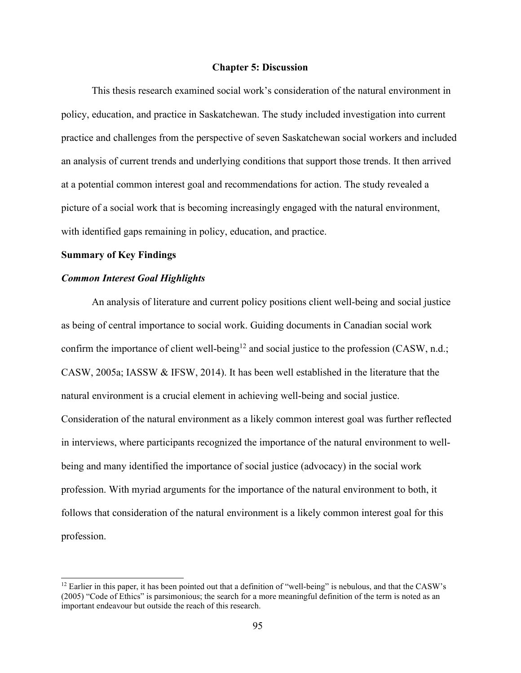## **Chapter 5: Discussion**

This thesis research examined social work's consideration of the natural environment in policy, education, and practice in Saskatchewan. The study included investigation into current practice and challenges from the perspective of seven Saskatchewan social workers and included an analysis of current trends and underlying conditions that support those trends. It then arrived at a potential common interest goal and recommendations for action. The study revealed a picture of a social work that is becoming increasingly engaged with the natural environment, with identified gaps remaining in policy, education, and practice.

# **Summary of Key Findings**

# *Common Interest Goal Highlights*

An analysis of literature and current policy positions client well-being and social justice as being of central importance to social work. Guiding documents in Canadian social work confirm the importance of client well-being<sup>12</sup> and social justice to the profession (CASW, n.d.; CASW, 2005a; IASSW & IFSW, 2014). It has been well established in the literature that the natural environment is a crucial element in achieving well-being and social justice. Consideration of the natural environment as a likely common interest goal was further reflected in interviews, where participants recognized the importance of the natural environment to wellbeing and many identified the importance of social justice (advocacy) in the social work profession. With myriad arguments for the importance of the natural environment to both, it follows that consideration of the natural environment is a likely common interest goal for this profession.

 $12$  Earlier in this paper, it has been pointed out that a definition of "well-being" is nebulous, and that the CASW's (2005) "Code of Ethics" is parsimonious; the search for a more meaningful definition of the term is noted as an important endeavour but outside the reach of this research.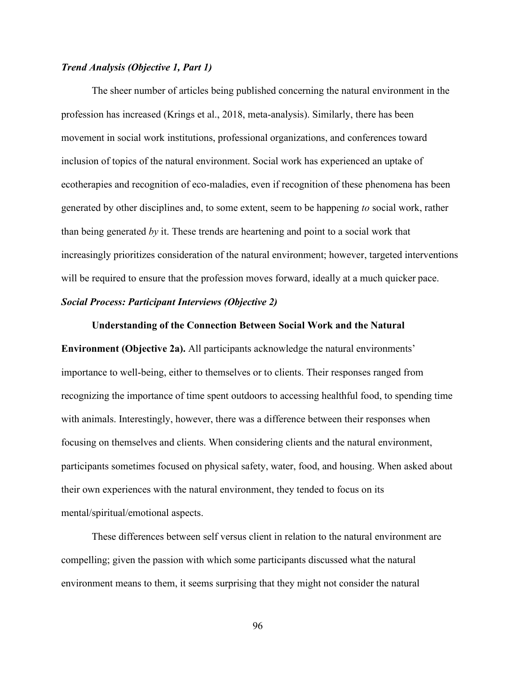# *Trend Analysis (Objective 1, Part 1)*

The sheer number of articles being published concerning the natural environment in the profession has increased (Krings et al., 2018, meta-analysis). Similarly, there has been movement in social work institutions, professional organizations, and conferences toward inclusion of topics of the natural environment. Social work has experienced an uptake of ecotherapies and recognition of eco-maladies, even if recognition of these phenomena has been generated by other disciplines and, to some extent, seem to be happening *to* social work, rather than being generated *by* it. These trends are heartening and point to a social work that increasingly prioritizes consideration of the natural environment; however, targeted interventions will be required to ensure that the profession moves forward, ideally at a much quicker pace.

# *Social Process: Participant Interviews (Objective 2)*

## **Understanding of the Connection Between Social Work and the Natural**

**Environment (Objective 2a).** All participants acknowledge the natural environments' importance to well-being, either to themselves or to clients. Their responses ranged from recognizing the importance of time spent outdoors to accessing healthful food, to spending time with animals. Interestingly, however, there was a difference between their responses when focusing on themselves and clients. When considering clients and the natural environment, participants sometimes focused on physical safety, water, food, and housing. When asked about their own experiences with the natural environment, they tended to focus on its mental/spiritual/emotional aspects.

These differences between self versus client in relation to the natural environment are compelling; given the passion with which some participants discussed what the natural environment means to them, it seems surprising that they might not consider the natural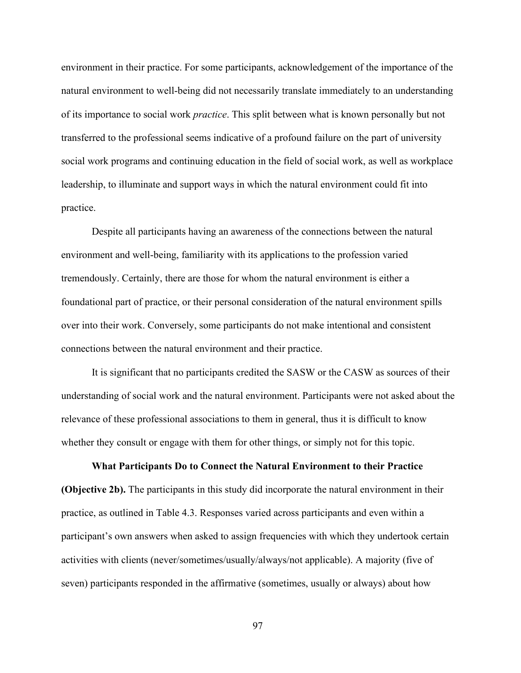environment in their practice. For some participants, acknowledgement of the importance of the natural environment to well-being did not necessarily translate immediately to an understanding of its importance to social work *practice*. This split between what is known personally but not transferred to the professional seems indicative of a profound failure on the part of university social work programs and continuing education in the field of social work, as well as workplace leadership, to illuminate and support ways in which the natural environment could fit into practice.

Despite all participants having an awareness of the connections between the natural environment and well-being, familiarity with its applications to the profession varied tremendously. Certainly, there are those for whom the natural environment is either a foundational part of practice, or their personal consideration of the natural environment spills over into their work. Conversely, some participants do not make intentional and consistent connections between the natural environment and their practice.

It is significant that no participants credited the SASW or the CASW as sources of their understanding of social work and the natural environment. Participants were not asked about the relevance of these professional associations to them in general, thus it is difficult to know whether they consult or engage with them for other things, or simply not for this topic.

## **What Participants Do to Connect the Natural Environment to their Practice**

**(Objective 2b).** The participants in this study did incorporate the natural environment in their practice, as outlined in Table 4.3. Responses varied across participants and even within a participant's own answers when asked to assign frequencies with which they undertook certain activities with clients (never/sometimes/usually/always/not applicable). A majority (five of seven) participants responded in the affirmative (sometimes, usually or always) about how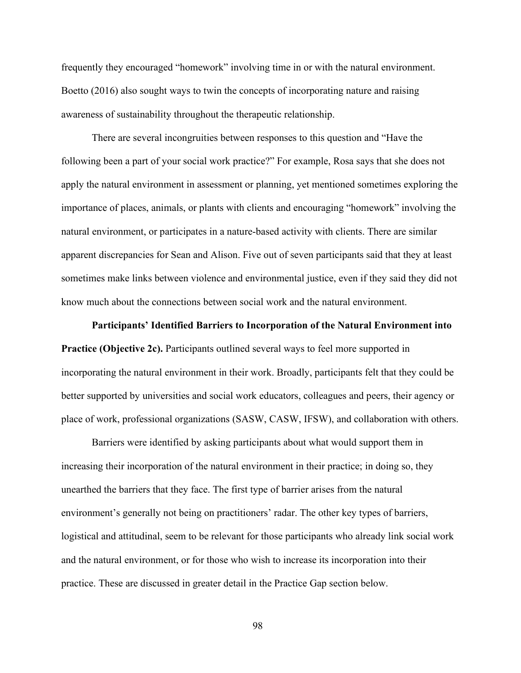frequently they encouraged "homework" involving time in or with the natural environment. Boetto (2016) also sought ways to twin the concepts of incorporating nature and raising awareness of sustainability throughout the therapeutic relationship.

There are several incongruities between responses to this question and "Have the following been a part of your social work practice?" For example, Rosa says that she does not apply the natural environment in assessment or planning, yet mentioned sometimes exploring the importance of places, animals, or plants with clients and encouraging "homework" involving the natural environment, or participates in a nature-based activity with clients. There are similar apparent discrepancies for Sean and Alison. Five out of seven participants said that they at least sometimes make links between violence and environmental justice, even if they said they did not know much about the connections between social work and the natural environment.

**Participants' Identified Barriers to Incorporation of the Natural Environment into Practice (Objective 2c).** Participants outlined several ways to feel more supported in incorporating the natural environment in their work. Broadly, participants felt that they could be better supported by universities and social work educators, colleagues and peers, their agency or place of work, professional organizations (SASW, CASW, IFSW), and collaboration with others.

Barriers were identified by asking participants about what would support them in increasing their incorporation of the natural environment in their practice; in doing so, they unearthed the barriers that they face. The first type of barrier arises from the natural environment's generally not being on practitioners' radar. The other key types of barriers, logistical and attitudinal, seem to be relevant for those participants who already link social work and the natural environment, or for those who wish to increase its incorporation into their practice. These are discussed in greater detail in the Practice Gap section below.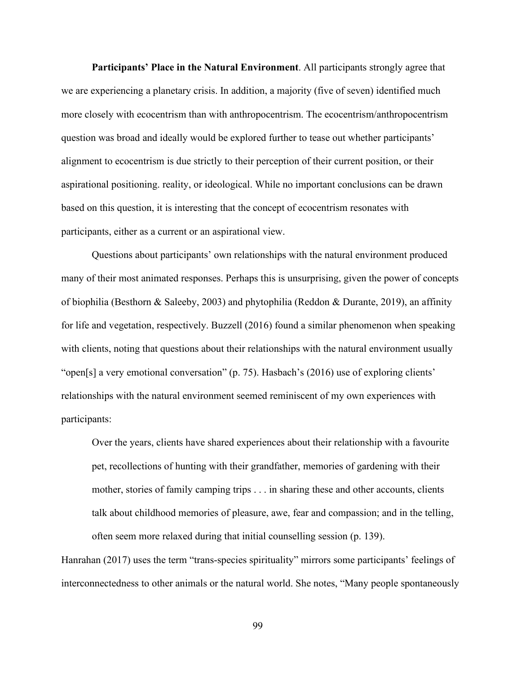**Participants' Place in the Natural Environment**. All participants strongly agree that we are experiencing a planetary crisis. In addition, a majority (five of seven) identified much more closely with ecocentrism than with anthropocentrism. The ecocentrism/anthropocentrism question was broad and ideally would be explored further to tease out whether participants' alignment to ecocentrism is due strictly to their perception of their current position, or their aspirational positioning. reality, or ideological. While no important conclusions can be drawn based on this question, it is interesting that the concept of ecocentrism resonates with participants, either as a current or an aspirational view.

Questions about participants' own relationships with the natural environment produced many of their most animated responses. Perhaps this is unsurprising, given the power of concepts of biophilia (Besthorn & Saleeby, 2003) and phytophilia (Reddon & Durante, 2019), an affinity for life and vegetation, respectively. Buzzell (2016) found a similar phenomenon when speaking with clients, noting that questions about their relationships with the natural environment usually "open[s] a very emotional conversation" (p. 75). Hasbach's (2016) use of exploring clients' relationships with the natural environment seemed reminiscent of my own experiences with participants:

Over the years, clients have shared experiences about their relationship with a favourite pet, recollections of hunting with their grandfather, memories of gardening with their mother, stories of family camping trips . . . in sharing these and other accounts, clients talk about childhood memories of pleasure, awe, fear and compassion; and in the telling, often seem more relaxed during that initial counselling session (p. 139).

Hanrahan (2017) uses the term "trans-species spirituality" mirrors some participants' feelings of interconnectedness to other animals or the natural world. She notes, "Many people spontaneously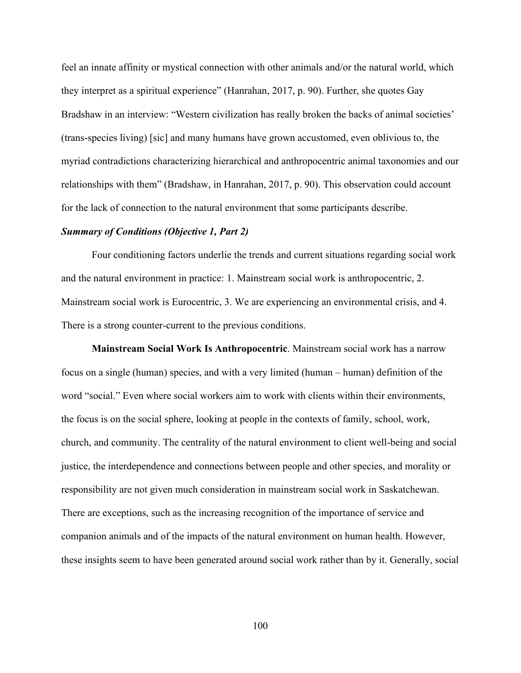feel an innate affinity or mystical connection with other animals and/or the natural world, which they interpret as a spiritual experience" (Hanrahan, 2017, p. 90). Further, she quotes Gay Bradshaw in an interview: "Western civilization has really broken the backs of animal societies' (trans-species living) [sic] and many humans have grown accustomed, even oblivious to, the myriad contradictions characterizing hierarchical and anthropocentric animal taxonomies and our relationships with them" (Bradshaw, in Hanrahan, 2017, p. 90). This observation could account for the lack of connection to the natural environment that some participants describe.

# *Summary of Conditions (Objective 1, Part 2)*

Four conditioning factors underlie the trends and current situations regarding social work and the natural environment in practice: 1. Mainstream social work is anthropocentric, 2. Mainstream social work is Eurocentric, 3. We are experiencing an environmental crisis, and 4. There is a strong counter-current to the previous conditions.

**Mainstream Social Work Is Anthropocentric**. Mainstream social work has a narrow focus on a single (human) species, and with a very limited (human – human) definition of the word "social." Even where social workers aim to work with clients within their environments, the focus is on the social sphere, looking at people in the contexts of family, school, work, church, and community. The centrality of the natural environment to client well-being and social justice, the interdependence and connections between people and other species, and morality or responsibility are not given much consideration in mainstream social work in Saskatchewan. There are exceptions, such as the increasing recognition of the importance of service and companion animals and of the impacts of the natural environment on human health. However, these insights seem to have been generated around social work rather than by it. Generally, social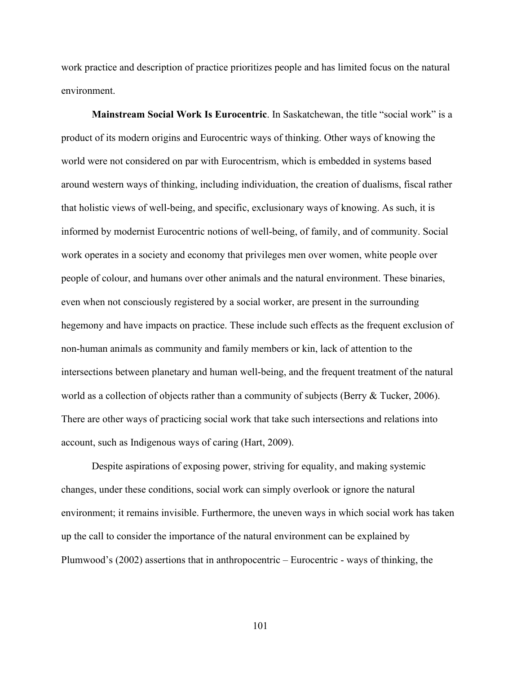work practice and description of practice prioritizes people and has limited focus on the natural environment.

**Mainstream Social Work Is Eurocentric**. In Saskatchewan, the title "social work" is a product of its modern origins and Eurocentric ways of thinking. Other ways of knowing the world were not considered on par with Eurocentrism, which is embedded in systems based around western ways of thinking, including individuation, the creation of dualisms, fiscal rather that holistic views of well-being, and specific, exclusionary ways of knowing. As such, it is informed by modernist Eurocentric notions of well-being, of family, and of community. Social work operates in a society and economy that privileges men over women, white people over people of colour, and humans over other animals and the natural environment. These binaries, even when not consciously registered by a social worker, are present in the surrounding hegemony and have impacts on practice. These include such effects as the frequent exclusion of non-human animals as community and family members or kin, lack of attention to the intersections between planetary and human well-being, and the frequent treatment of the natural world as a collection of objects rather than a community of subjects (Berry & Tucker, 2006). There are other ways of practicing social work that take such intersections and relations into account, such as Indigenous ways of caring (Hart, 2009).

Despite aspirations of exposing power, striving for equality, and making systemic changes, under these conditions, social work can simply overlook or ignore the natural environment; it remains invisible. Furthermore, the uneven ways in which social work has taken up the call to consider the importance of the natural environment can be explained by Plumwood's (2002) assertions that in anthropocentric – Eurocentric - ways of thinking, the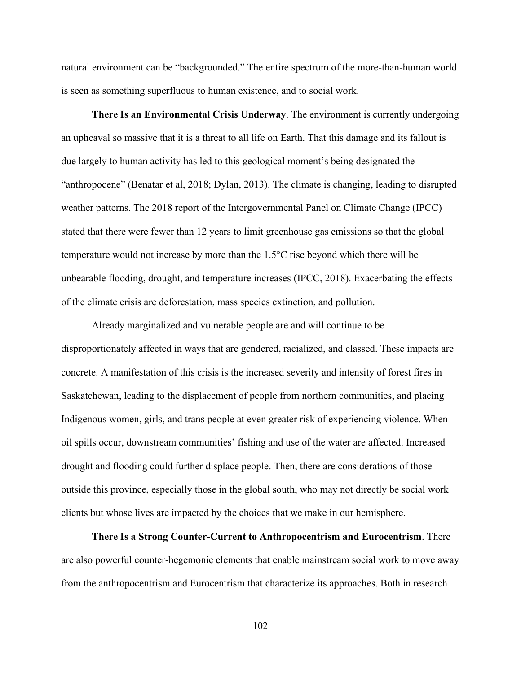natural environment can be "backgrounded." The entire spectrum of the more-than-human world is seen as something superfluous to human existence, and to social work.

**There Is an Environmental Crisis Underway**. The environment is currently undergoing an upheaval so massive that it is a threat to all life on Earth. That this damage and its fallout is due largely to human activity has led to this geological moment's being designated the "anthropocene" (Benatar et al, 2018; Dylan, 2013). The climate is changing, leading to disrupted weather patterns. The 2018 report of the Intergovernmental Panel on Climate Change (IPCC) stated that there were fewer than 12 years to limit greenhouse gas emissions so that the global temperature would not increase by more than the 1.5°C rise beyond which there will be unbearable flooding, drought, and temperature increases (IPCC, 2018). Exacerbating the effects of the climate crisis are deforestation, mass species extinction, and pollution.

Already marginalized and vulnerable people are and will continue to be disproportionately affected in ways that are gendered, racialized, and classed. These impacts are concrete. A manifestation of this crisis is the increased severity and intensity of forest fires in Saskatchewan, leading to the displacement of people from northern communities, and placing Indigenous women, girls, and trans people at even greater risk of experiencing violence. When oil spills occur, downstream communities' fishing and use of the water are affected. Increased drought and flooding could further displace people. Then, there are considerations of those outside this province, especially those in the global south, who may not directly be social work clients but whose lives are impacted by the choices that we make in our hemisphere.

**There Is a Strong Counter-Current to Anthropocentrism and Eurocentrism**. There are also powerful counter-hegemonic elements that enable mainstream social work to move away from the anthropocentrism and Eurocentrism that characterize its approaches. Both in research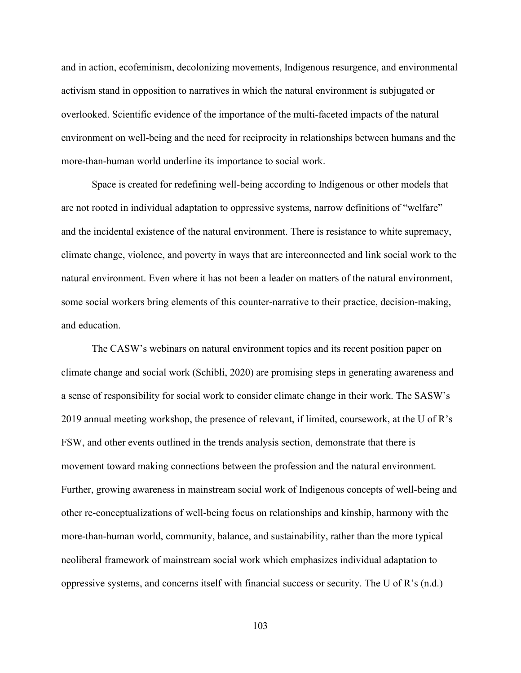and in action, ecofeminism, decolonizing movements, Indigenous resurgence, and environmental activism stand in opposition to narratives in which the natural environment is subjugated or overlooked. Scientific evidence of the importance of the multi-faceted impacts of the natural environment on well-being and the need for reciprocity in relationships between humans and the more-than-human world underline its importance to social work.

Space is created for redefining well-being according to Indigenous or other models that are not rooted in individual adaptation to oppressive systems, narrow definitions of "welfare" and the incidental existence of the natural environment. There is resistance to white supremacy, climate change, violence, and poverty in ways that are interconnected and link social work to the natural environment. Even where it has not been a leader on matters of the natural environment, some social workers bring elements of this counter-narrative to their practice, decision-making, and education.

The CASW's webinars on natural environment topics and its recent position paper on climate change and social work (Schibli, 2020) are promising steps in generating awareness and a sense of responsibility for social work to consider climate change in their work. The SASW's 2019 annual meeting workshop, the presence of relevant, if limited, coursework, at the U of R's FSW, and other events outlined in the trends analysis section, demonstrate that there is movement toward making connections between the profession and the natural environment. Further, growing awareness in mainstream social work of Indigenous concepts of well-being and other re-conceptualizations of well-being focus on relationships and kinship, harmony with the more-than-human world, community, balance, and sustainability, rather than the more typical neoliberal framework of mainstream social work which emphasizes individual adaptation to oppressive systems, and concerns itself with financial success or security. The U of R's (n.d.)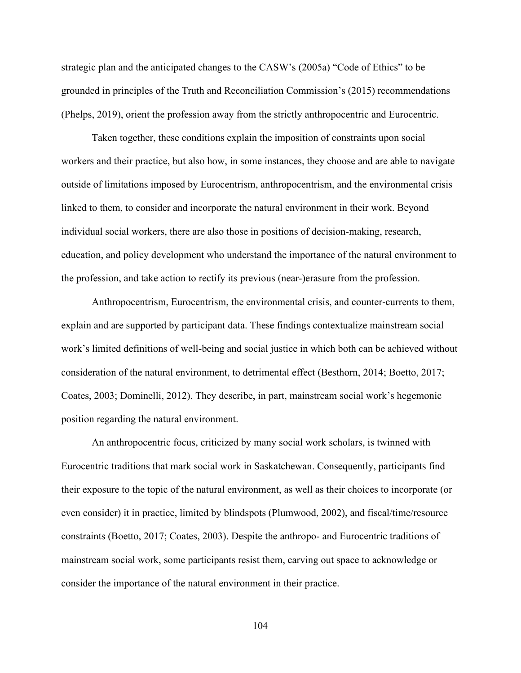strategic plan and the anticipated changes to the CASW's (2005a) "Code of Ethics" to be grounded in principles of the Truth and Reconciliation Commission's (2015) recommendations (Phelps, 2019), orient the profession away from the strictly anthropocentric and Eurocentric.

Taken together, these conditions explain the imposition of constraints upon social workers and their practice, but also how, in some instances, they choose and are able to navigate outside of limitations imposed by Eurocentrism, anthropocentrism, and the environmental crisis linked to them, to consider and incorporate the natural environment in their work. Beyond individual social workers, there are also those in positions of decision-making, research, education, and policy development who understand the importance of the natural environment to the profession, and take action to rectify its previous (near-)erasure from the profession.

Anthropocentrism, Eurocentrism, the environmental crisis, and counter-currents to them, explain and are supported by participant data. These findings contextualize mainstream social work's limited definitions of well-being and social justice in which both can be achieved without consideration of the natural environment, to detrimental effect (Besthorn, 2014; Boetto, 2017; Coates, 2003; Dominelli, 2012). They describe, in part, mainstream social work's hegemonic position regarding the natural environment.

An anthropocentric focus, criticized by many social work scholars, is twinned with Eurocentric traditions that mark social work in Saskatchewan. Consequently, participants find their exposure to the topic of the natural environment, as well as their choices to incorporate (or even consider) it in practice, limited by blindspots (Plumwood, 2002), and fiscal/time/resource constraints (Boetto, 2017; Coates, 2003). Despite the anthropo- and Eurocentric traditions of mainstream social work, some participants resist them, carving out space to acknowledge or consider the importance of the natural environment in their practice.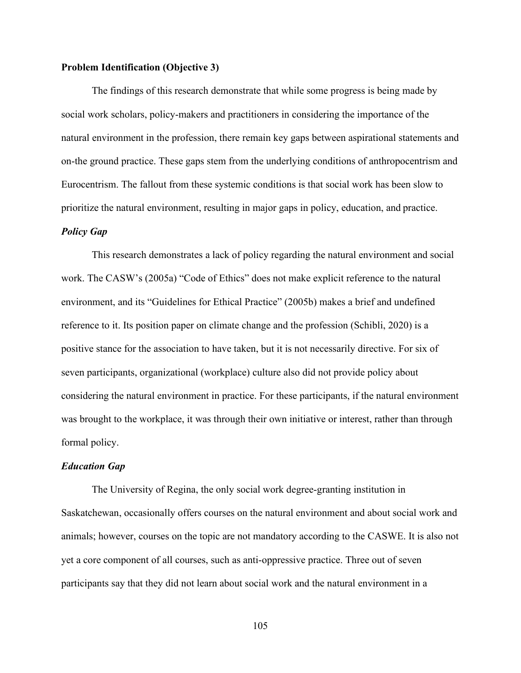## **Problem Identification (Objective 3)**

The findings of this research demonstrate that while some progress is being made by social work scholars, policy-makers and practitioners in considering the importance of the natural environment in the profession, there remain key gaps between aspirational statements and on-the ground practice. These gaps stem from the underlying conditions of anthropocentrism and Eurocentrism. The fallout from these systemic conditions is that social work has been slow to prioritize the natural environment, resulting in major gaps in policy, education, and practice.

## *Policy Gap*

This research demonstrates a lack of policy regarding the natural environment and social work. The CASW's (2005a) "Code of Ethics" does not make explicit reference to the natural environment, and its "Guidelines for Ethical Practice" (2005b) makes a brief and undefined reference to it. Its position paper on climate change and the profession (Schibli, 2020) is a positive stance for the association to have taken, but it is not necessarily directive. For six of seven participants, organizational (workplace) culture also did not provide policy about considering the natural environment in practice. For these participants, if the natural environment was brought to the workplace, it was through their own initiative or interest, rather than through formal policy.

## *Education Gap*

The University of Regina, the only social work degree-granting institution in Saskatchewan, occasionally offers courses on the natural environment and about social work and animals; however, courses on the topic are not mandatory according to the CASWE. It is also not yet a core component of all courses, such as anti-oppressive practice. Three out of seven participants say that they did not learn about social work and the natural environment in a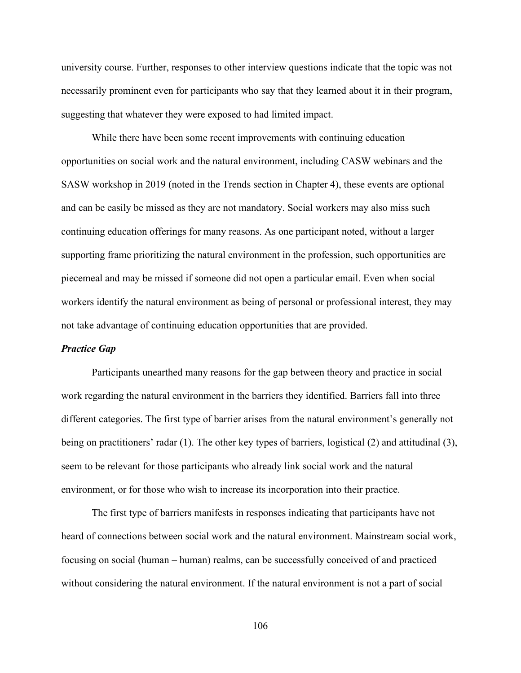university course. Further, responses to other interview questions indicate that the topic was not necessarily prominent even for participants who say that they learned about it in their program, suggesting that whatever they were exposed to had limited impact.

While there have been some recent improvements with continuing education opportunities on social work and the natural environment, including CASW webinars and the SASW workshop in 2019 (noted in the Trends section in Chapter 4), these events are optional and can be easily be missed as they are not mandatory. Social workers may also miss such continuing education offerings for many reasons. As one participant noted, without a larger supporting frame prioritizing the natural environment in the profession, such opportunities are piecemeal and may be missed if someone did not open a particular email. Even when social workers identify the natural environment as being of personal or professional interest, they may not take advantage of continuing education opportunities that are provided.

## *Practice Gap*

Participants unearthed many reasons for the gap between theory and practice in social work regarding the natural environment in the barriers they identified. Barriers fall into three different categories. The first type of barrier arises from the natural environment's generally not being on practitioners' radar (1). The other key types of barriers, logistical (2) and attitudinal (3), seem to be relevant for those participants who already link social work and the natural environment, or for those who wish to increase its incorporation into their practice.

The first type of barriers manifests in responses indicating that participants have not heard of connections between social work and the natural environment. Mainstream social work, focusing on social (human – human) realms, can be successfully conceived of and practiced without considering the natural environment. If the natural environment is not a part of social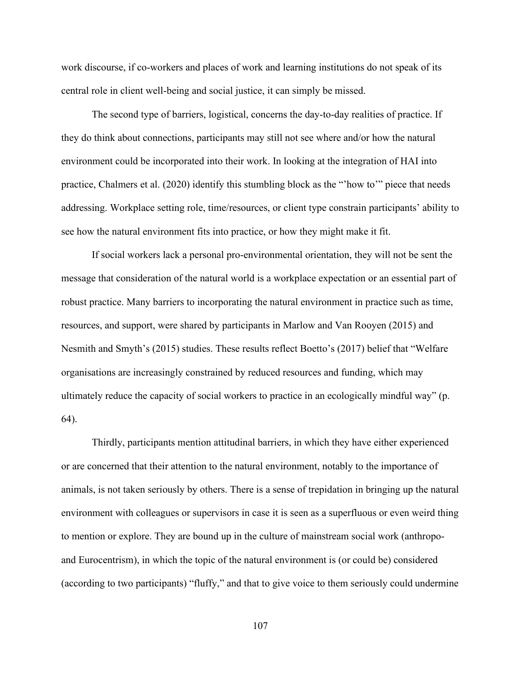work discourse, if co-workers and places of work and learning institutions do not speak of its central role in client well-being and social justice, it can simply be missed.

The second type of barriers, logistical, concerns the day-to-day realities of practice. If they do think about connections, participants may still not see where and/or how the natural environment could be incorporated into their work. In looking at the integration of HAI into practice, Chalmers et al. (2020) identify this stumbling block as the "'how to'" piece that needs addressing. Workplace setting role, time/resources, or client type constrain participants' ability to see how the natural environment fits into practice, or how they might make it fit.

If social workers lack a personal pro-environmental orientation, they will not be sent the message that consideration of the natural world is a workplace expectation or an essential part of robust practice. Many barriers to incorporating the natural environment in practice such as time, resources, and support, were shared by participants in Marlow and Van Rooyen (2015) and Nesmith and Smyth's (2015) studies. These results reflect Boetto's (2017) belief that "Welfare organisations are increasingly constrained by reduced resources and funding, which may ultimately reduce the capacity of social workers to practice in an ecologically mindful way" (p. 64).

Thirdly, participants mention attitudinal barriers, in which they have either experienced or are concerned that their attention to the natural environment, notably to the importance of animals, is not taken seriously by others. There is a sense of trepidation in bringing up the natural environment with colleagues or supervisors in case it is seen as a superfluous or even weird thing to mention or explore. They are bound up in the culture of mainstream social work (anthropoand Eurocentrism), in which the topic of the natural environment is (or could be) considered (according to two participants) "fluffy," and that to give voice to them seriously could undermine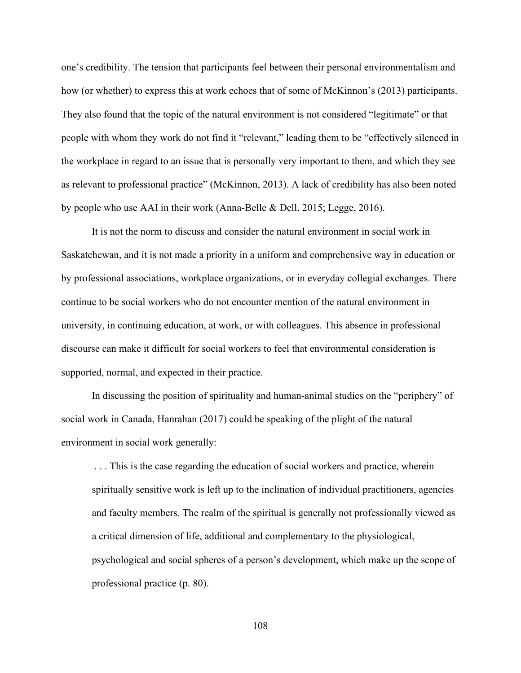one's credibility. The tension that participants feel between their personal environmentalism and how (or whether) to express this at work echoes that of some of McKinnon's (2013) participants. They also found that the topic of the natural environment is not considered "legitimate" or that people with whom they work do not find it "relevant," leading them to be "effectively silenced in the workplace in regard to an issue that is personally very important to them, and which they see as relevant to professional practice" (McKinnon, 2013). A lack of credibility has also been noted by people who use AAI in their work (Anna-Belle & Dell, 2015; Legge, 2016).

It is not the norm to discuss and consider the natural environment in social work in Saskatchewan, and it is not made a priority in a uniform and comprehensive way in education or by professional associations, workplace organizations, or in everyday collegial exchanges. There continue to be social workers who do not encounter mention of the natural environment in university, in continuing education, at work, or with colleagues. This absence in professional discourse can make it difficult for social workers to feel that environmental consideration is supported, normal, and expected in their practice.

In discussing the position of spirituality and human-animal studies on the "periphery" of social work in Canada, Hanrahan (2017) could be speaking of the plight of the natural environment in social work generally:

. . . This is the case regarding the education of social workers and practice, wherein spiritually sensitive work is left up to the inclination of individual practitioners, agencies and faculty members. The realm of the spiritual is generally not professionally viewed as a critical dimension of life, additional and complementary to the physiological, psychological and social spheres of a person's development, which make up the scope of professional practice (p. 80).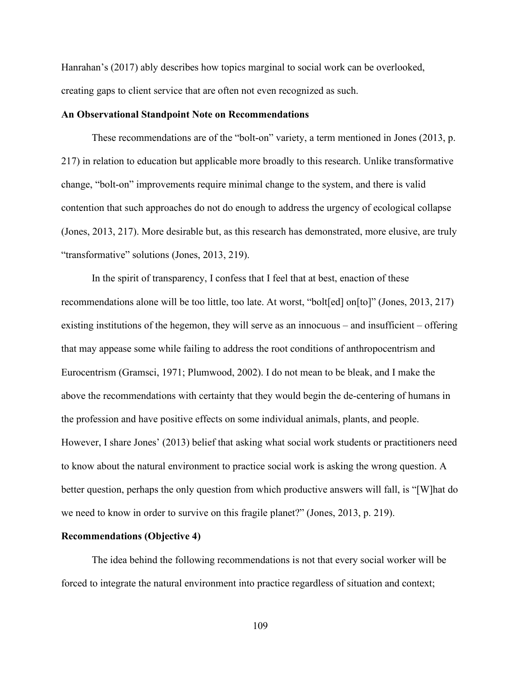Hanrahan's (2017) ably describes how topics marginal to social work can be overlooked, creating gaps to client service that are often not even recognized as such.

## **An Observational Standpoint Note on Recommendations**

These recommendations are of the "bolt-on" variety, a term mentioned in Jones (2013, p. 217) in relation to education but applicable more broadly to this research. Unlike transformative change, "bolt-on" improvements require minimal change to the system, and there is valid contention that such approaches do not do enough to address the urgency of ecological collapse (Jones, 2013, 217). More desirable but, as this research has demonstrated, more elusive, are truly "transformative" solutions (Jones, 2013, 219).

In the spirit of transparency, I confess that I feel that at best, enaction of these recommendations alone will be too little, too late. At worst, "bolt[ed] on[to]" (Jones, 2013, 217) existing institutions of the hegemon, they will serve as an innocuous – and insufficient – offering that may appease some while failing to address the root conditions of anthropocentrism and Eurocentrism (Gramsci, 1971; Plumwood, 2002). I do not mean to be bleak, and I make the above the recommendations with certainty that they would begin the de-centering of humans in the profession and have positive effects on some individual animals, plants, and people. However, I share Jones' (2013) belief that asking what social work students or practitioners need to know about the natural environment to practice social work is asking the wrong question. A better question, perhaps the only question from which productive answers will fall, is "[W]hat do we need to know in order to survive on this fragile planet?" (Jones, 2013, p. 219).

#### **Recommendations (Objective 4)**

The idea behind the following recommendations is not that every social worker will be forced to integrate the natural environment into practice regardless of situation and context;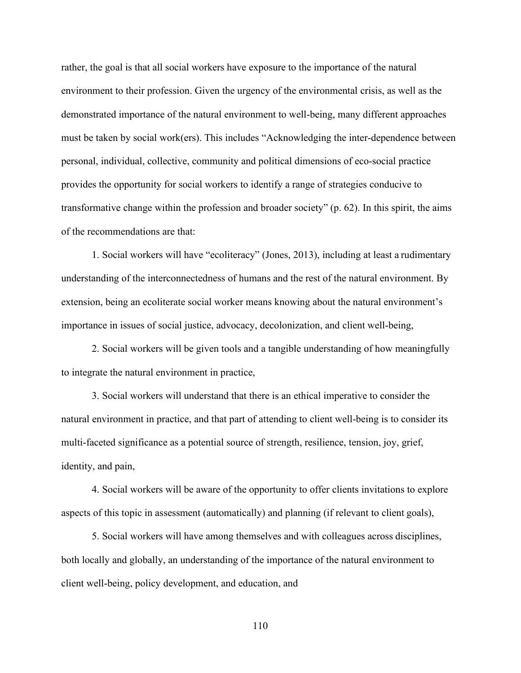rather, the goal is that all social workers have exposure to the importance of the natural environment to their profession. Given the urgency of the environmental crisis, as well as the demonstrated importance of the natural environment to well-being, many different approaches must be taken by social work(ers). This includes "Acknowledging the inter-dependence between personal, individual, collective, community and political dimensions of eco-social practice provides the opportunity for social workers to identify a range of strategies conducive to transformative change within the profession and broader society" (p. 62). In this spirit, the aims of the recommendations are that:

1. Social workers will have "ecoliteracy" (Jones, 2013), including at least a rudimentary understanding of the interconnectedness of humans and the rest of the natural environment. By extension, being an ecoliterate social worker means knowing about the natural environment's importance in issues of social justice, advocacy, decolonization, and client well-being,

2. Social workers will be given tools and a tangible understanding of how meaningfully to integrate the natural environment in practice,

3. Social workers will understand that there is an ethical imperative to consider the natural environment in practice, and that part of attending to client well-being is to consider its multi-faceted significance as a potential source of strength, resilience, tension, joy, grief, identity, and pain,

4. Social workers will be aware of the opportunity to offer clients invitations to explore aspects of this topic in assessment (automatically) and planning (if relevant to client goals),

5. Social workers will have among themselves and with colleagues across disciplines, both locally and globally, an understanding of the importance of the natural environment to client well-being, policy development, and education, and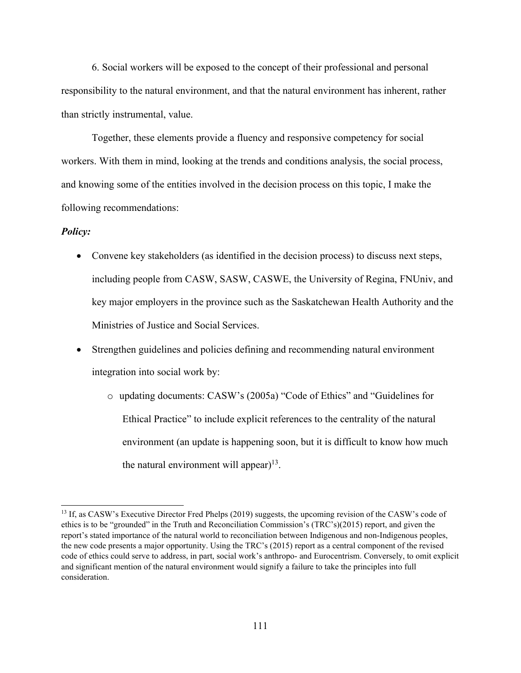6. Social workers will be exposed to the concept of their professional and personal responsibility to the natural environment, and that the natural environment has inherent, rather than strictly instrumental, value.

Together, these elements provide a fluency and responsive competency for social workers. With them in mind, looking at the trends and conditions analysis, the social process, and knowing some of the entities involved in the decision process on this topic, I make the following recommendations:

### *Policy:*

- Convene key stakeholders (as identified in the decision process) to discuss next steps, including people from CASW, SASW, CASWE, the University of Regina, FNUniv, and key major employers in the province such as the Saskatchewan Health Authority and the Ministries of Justice and Social Services.
- Strengthen guidelines and policies defining and recommending natural environment integration into social work by:
	- o updating documents: CASW's (2005a) "Code of Ethics" and "Guidelines for Ethical Practice" to include explicit references to the centrality of the natural environment (an update is happening soon, but it is difficult to know how much the natural environment will appear)<sup>13</sup>.

<sup>&</sup>lt;sup>13</sup> If, as CASW's Executive Director Fred Phelps (2019) suggests, the upcoming revision of the CASW's code of ethics is to be "grounded" in the Truth and Reconciliation Commission's (TRC's)(2015) report, and given the report's stated importance of the natural world to reconciliation between Indigenous and non-Indigenous peoples, the new code presents a major opportunity. Using the TRC's (2015) report as a central component of the revised code of ethics could serve to address, in part, social work's anthropo- and Eurocentrism. Conversely, to omit explicit and significant mention of the natural environment would signify a failure to take the principles into full consideration.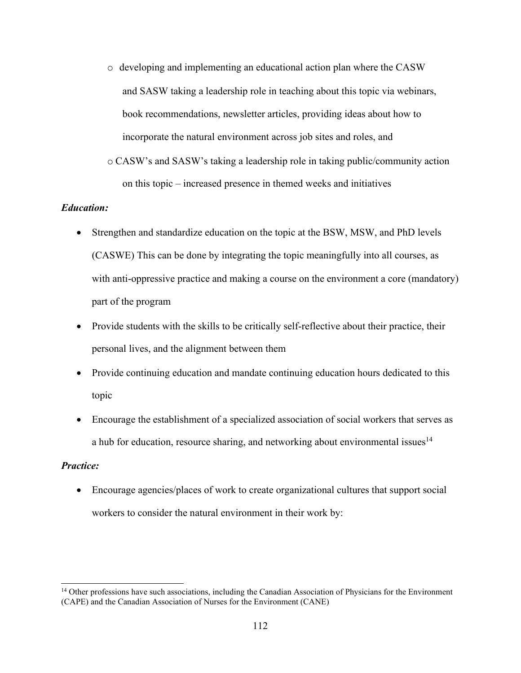- o developing and implementing an educational action plan where the CASW and SASW taking a leadership role in teaching about this topic via webinars, book recommendations, newsletter articles, providing ideas about how to incorporate the natural environment across job sites and roles, and
- o CASW's and SASW's taking a leadership role in taking public/community action on this topic – increased presence in themed weeks and initiatives

# *Education:*

- Strengthen and standardize education on the topic at the BSW, MSW, and PhD levels (CASWE) This can be done by integrating the topic meaningfully into all courses, as with anti-oppressive practice and making a course on the environment a core (mandatory) part of the program
- Provide students with the skills to be critically self-reflective about their practice, their personal lives, and the alignment between them
- Provide continuing education and mandate continuing education hours dedicated to this topic
- Encourage the establishment of a specialized association of social workers that serves as a hub for education, resource sharing, and networking about environmental issues<sup>14</sup>

# *Practice:*

• Encourage agencies/places of work to create organizational cultures that support social workers to consider the natural environment in their work by:

<sup>&</sup>lt;sup>14</sup> Other professions have such associations, including the Canadian Association of Physicians for the Environment (CAPE) and the Canadian Association of Nurses for the Environment (CANE)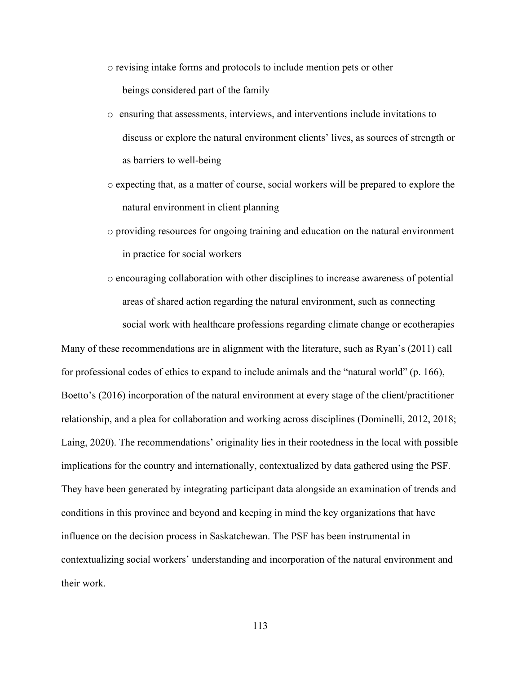- o revising intake forms and protocols to include mention pets or other beings considered part of the family
- o ensuring that assessments, interviews, and interventions include invitations to discuss or explore the natural environment clients' lives, as sources of strength or as barriers to well-being
- o expecting that, as a matter of course, social workers will be prepared to explore the natural environment in client planning
- o providing resources for ongoing training and education on the natural environment in practice for social workers
- o encouraging collaboration with other disciplines to increase awareness of potential areas of shared action regarding the natural environment, such as connecting social work with healthcare professions regarding climate change or ecotherapies

Many of these recommendations are in alignment with the literature, such as Ryan's (2011) call for professional codes of ethics to expand to include animals and the "natural world" (p. 166), Boetto's (2016) incorporation of the natural environment at every stage of the client/practitioner relationship, and a plea for collaboration and working across disciplines (Dominelli, 2012, 2018; Laing, 2020). The recommendations' originality lies in their rootedness in the local with possible implications for the country and internationally, contextualized by data gathered using the PSF. They have been generated by integrating participant data alongside an examination of trends and conditions in this province and beyond and keeping in mind the key organizations that have influence on the decision process in Saskatchewan. The PSF has been instrumental in contextualizing social workers' understanding and incorporation of the natural environment and their work.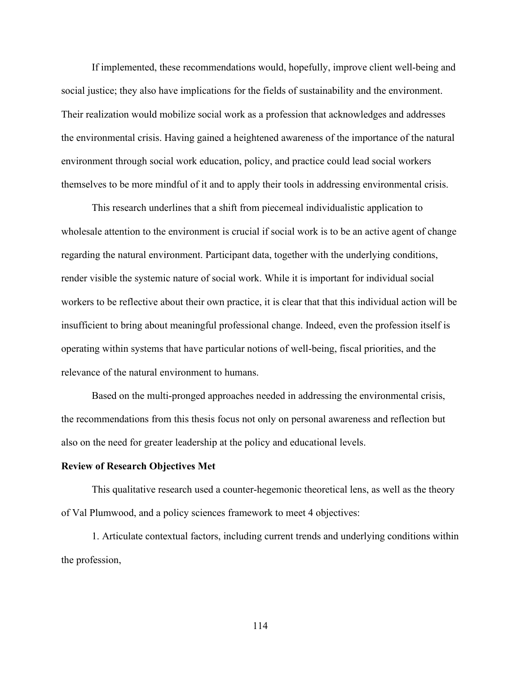If implemented, these recommendations would, hopefully, improve client well-being and social justice; they also have implications for the fields of sustainability and the environment. Their realization would mobilize social work as a profession that acknowledges and addresses the environmental crisis. Having gained a heightened awareness of the importance of the natural environment through social work education, policy, and practice could lead social workers themselves to be more mindful of it and to apply their tools in addressing environmental crisis.

This research underlines that a shift from piecemeal individualistic application to wholesale attention to the environment is crucial if social work is to be an active agent of change regarding the natural environment. Participant data, together with the underlying conditions, render visible the systemic nature of social work. While it is important for individual social workers to be reflective about their own practice, it is clear that that this individual action will be insufficient to bring about meaningful professional change. Indeed, even the profession itself is operating within systems that have particular notions of well-being, fiscal priorities, and the relevance of the natural environment to humans.

Based on the multi-pronged approaches needed in addressing the environmental crisis, the recommendations from this thesis focus not only on personal awareness and reflection but also on the need for greater leadership at the policy and educational levels.

## **Review of Research Objectives Met**

This qualitative research used a counter-hegemonic theoretical lens, as well as the theory of Val Plumwood, and a policy sciences framework to meet 4 objectives:

1. Articulate contextual factors, including current trends and underlying conditions within the profession,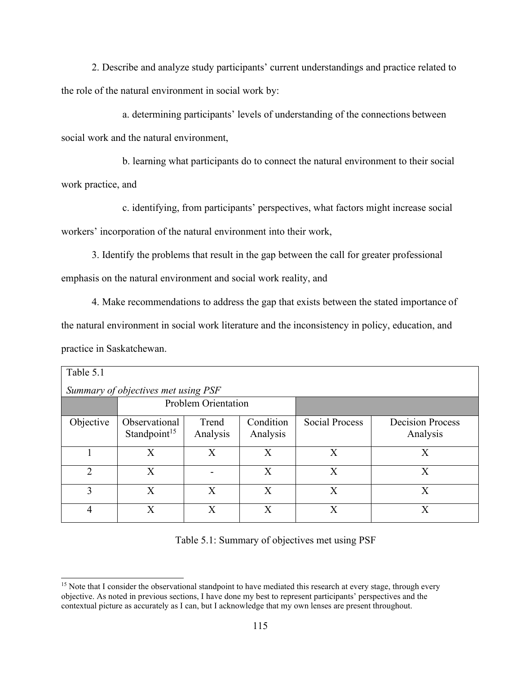2. Describe and analyze study participants' current understandings and practice related to the role of the natural environment in social work by:

a. determining participants' levels of understanding of the connections between social work and the natural environment,

b. learning what participants do to connect the natural environment to their social work practice, and

c. identifying, from participants' perspectives, what factors might increase social workers' incorporation of the natural environment into their work,

3. Identify the problems that result in the gap between the call for greater professional emphasis on the natural environment and social work reality, and

4. Make recommendations to address the gap that exists between the stated importance of the natural environment in social work literature and the inconsistency in policy, education, and practice in Saskatchewan.

| Table 5.1                           |                                           |                   |                       |                       |                                     |  |  |
|-------------------------------------|-------------------------------------------|-------------------|-----------------------|-----------------------|-------------------------------------|--|--|
| Summary of objectives met using PSF |                                           |                   |                       |                       |                                     |  |  |
|                                     | <b>Problem Orientation</b>                |                   |                       |                       |                                     |  |  |
| Objective                           | Observational<br>Standpoint <sup>15</sup> | Trend<br>Analysis | Condition<br>Analysis | <b>Social Process</b> | <b>Decision Process</b><br>Analysis |  |  |
|                                     | X                                         | X                 | X                     | X                     | X                                   |  |  |
| $\overline{2}$                      | X                                         |                   | X                     | X                     | X                                   |  |  |
| 3                                   | X                                         | $\mathbf{X}$      | X                     | $\overline{X}$        | $\rm X$                             |  |  |
| 4                                   | $\overline{X}$                            | $\mathbf{X}$      | $\mathbf{X}$          | X                     | X                                   |  |  |

Table 5.1: Summary of objectives met using PSF

<sup>&</sup>lt;sup>15</sup> Note that I consider the observational standpoint to have mediated this research at every stage, through every objective. As noted in previous sections, I have done my best to represent participants' perspectives and the contextual picture as accurately as I can, but I acknowledge that my own lenses are present throughout.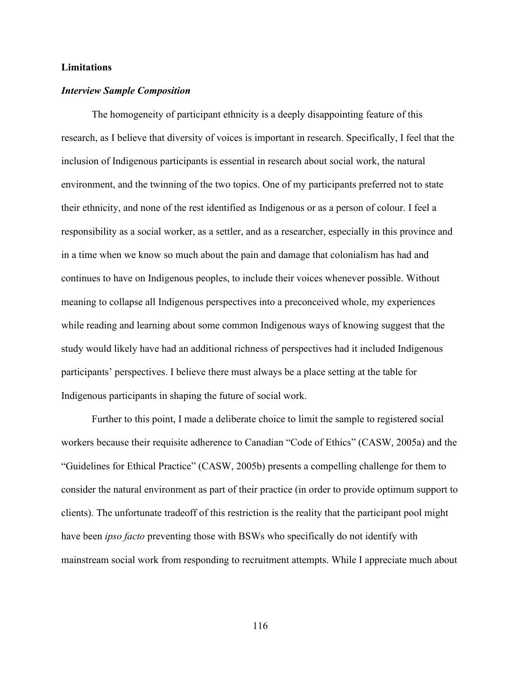# **Limitations**

## *Interview Sample Composition*

The homogeneity of participant ethnicity is a deeply disappointing feature of this research, as I believe that diversity of voices is important in research. Specifically, I feel that the inclusion of Indigenous participants is essential in research about social work, the natural environment, and the twinning of the two topics. One of my participants preferred not to state their ethnicity, and none of the rest identified as Indigenous or as a person of colour. I feel a responsibility as a social worker, as a settler, and as a researcher, especially in this province and in a time when we know so much about the pain and damage that colonialism has had and continues to have on Indigenous peoples, to include their voices whenever possible. Without meaning to collapse all Indigenous perspectives into a preconceived whole, my experiences while reading and learning about some common Indigenous ways of knowing suggest that the study would likely have had an additional richness of perspectives had it included Indigenous participants' perspectives. I believe there must always be a place setting at the table for Indigenous participants in shaping the future of social work.

Further to this point, I made a deliberate choice to limit the sample to registered social workers because their requisite adherence to Canadian "Code of Ethics" (CASW, 2005a) and the "Guidelines for Ethical Practice" (CASW, 2005b) presents a compelling challenge for them to consider the natural environment as part of their practice (in order to provide optimum support to clients). The unfortunate tradeoff of this restriction is the reality that the participant pool might have been *ipso facto* preventing those with BSWs who specifically do not identify with mainstream social work from responding to recruitment attempts. While I appreciate much about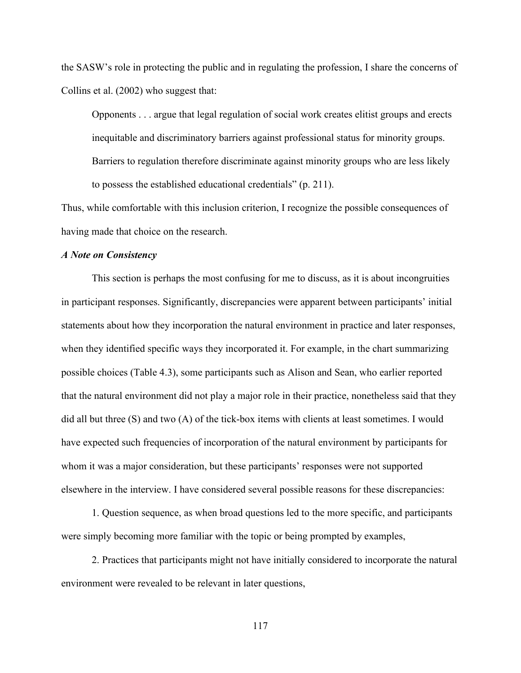the SASW's role in protecting the public and in regulating the profession, I share the concerns of Collins et al. (2002) who suggest that:

Opponents . . . argue that legal regulation of social work creates elitist groups and erects inequitable and discriminatory barriers against professional status for minority groups. Barriers to regulation therefore discriminate against minority groups who are less likely to possess the established educational credentials" (p. 211).

Thus, while comfortable with this inclusion criterion, I recognize the possible consequences of having made that choice on the research.

# *A Note on Consistency*

This section is perhaps the most confusing for me to discuss, as it is about incongruities in participant responses. Significantly, discrepancies were apparent between participants' initial statements about how they incorporation the natural environment in practice and later responses, when they identified specific ways they incorporated it. For example, in the chart summarizing possible choices (Table 4.3), some participants such as Alison and Sean, who earlier reported that the natural environment did not play a major role in their practice, nonetheless said that they did all but three (S) and two (A) of the tick-box items with clients at least sometimes. I would have expected such frequencies of incorporation of the natural environment by participants for whom it was a major consideration, but these participants' responses were not supported elsewhere in the interview. I have considered several possible reasons for these discrepancies:

1. Question sequence, as when broad questions led to the more specific, and participants were simply becoming more familiar with the topic or being prompted by examples,

2. Practices that participants might not have initially considered to incorporate the natural environment were revealed to be relevant in later questions,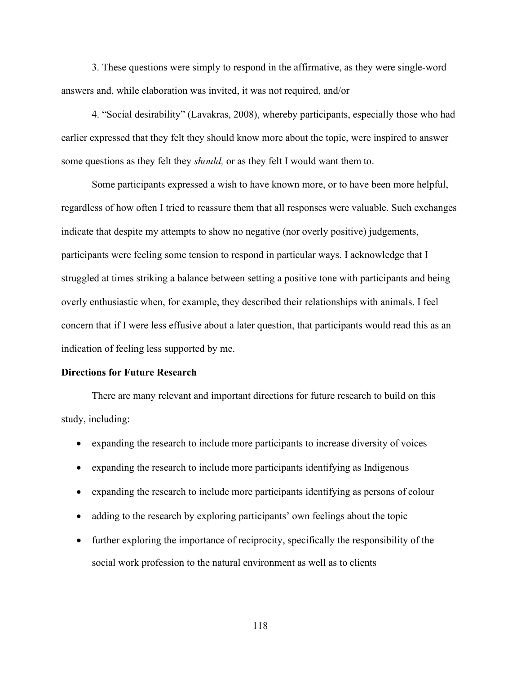3. These questions were simply to respond in the affirmative, as they were single-word answers and, while elaboration was invited, it was not required, and/or

4. "Social desirability" (Lavakras, 2008), whereby participants, especially those who had earlier expressed that they felt they should know more about the topic, were inspired to answer some questions as they felt they *should,* or as they felt I would want them to.

Some participants expressed a wish to have known more, or to have been more helpful, regardless of how often I tried to reassure them that all responses were valuable. Such exchanges indicate that despite my attempts to show no negative (nor overly positive) judgements, participants were feeling some tension to respond in particular ways. I acknowledge that I struggled at times striking a balance between setting a positive tone with participants and being overly enthusiastic when, for example, they described their relationships with animals. I feel concern that if I were less effusive about a later question, that participants would read this as an indication of feeling less supported by me.

# **Directions for Future Research**

There are many relevant and important directions for future research to build on this study, including:

- expanding the research to include more participants to increase diversity of voices
- expanding the research to include more participants identifying as Indigenous
- expanding the research to include more participants identifying as persons of colour
- adding to the research by exploring participants' own feelings about the topic
- further exploring the importance of reciprocity, specifically the responsibility of the social work profession to the natural environment as well as to clients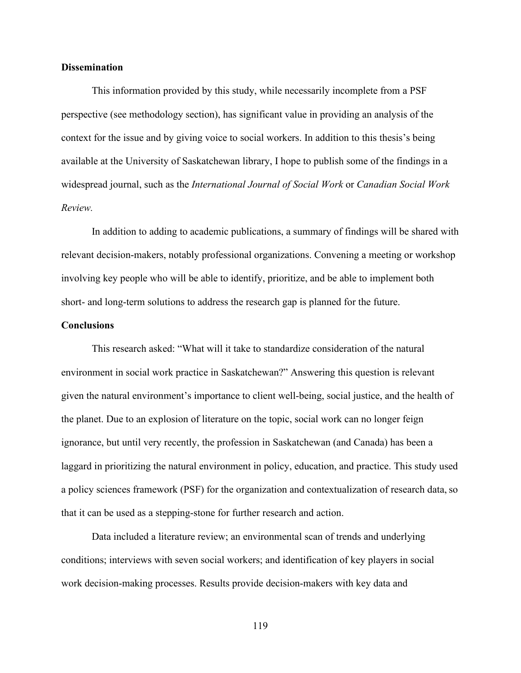## **Dissemination**

This information provided by this study, while necessarily incomplete from a PSF perspective (see methodology section), has significant value in providing an analysis of the context for the issue and by giving voice to social workers. In addition to this thesis's being available at the University of Saskatchewan library, I hope to publish some of the findings in a widespread journal, such as the *International Journal of Social Work* or *Canadian Social Work Review.*

In addition to adding to academic publications, a summary of findings will be shared with relevant decision-makers, notably professional organizations. Convening a meeting or workshop involving key people who will be able to identify, prioritize, and be able to implement both short- and long-term solutions to address the research gap is planned for the future.

## **Conclusions**

This research asked: "What will it take to standardize consideration of the natural environment in social work practice in Saskatchewan?" Answering this question is relevant given the natural environment's importance to client well-being, social justice, and the health of the planet. Due to an explosion of literature on the topic, social work can no longer feign ignorance, but until very recently, the profession in Saskatchewan (and Canada) has been a laggard in prioritizing the natural environment in policy, education, and practice. This study used a policy sciences framework (PSF) for the organization and contextualization of research data,so that it can be used as a stepping-stone for further research and action.

Data included a literature review; an environmental scan of trends and underlying conditions; interviews with seven social workers; and identification of key players in social work decision-making processes. Results provide decision-makers with key data and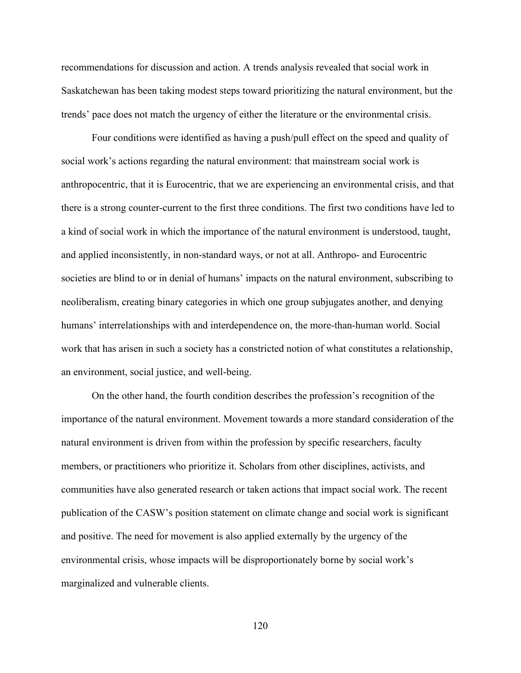recommendations for discussion and action. A trends analysis revealed that social work in Saskatchewan has been taking modest steps toward prioritizing the natural environment, but the trends' pace does not match the urgency of either the literature or the environmental crisis.

Four conditions were identified as having a push/pull effect on the speed and quality of social work's actions regarding the natural environment: that mainstream social work is anthropocentric, that it is Eurocentric, that we are experiencing an environmental crisis, and that there is a strong counter-current to the first three conditions. The first two conditions have led to a kind of social work in which the importance of the natural environment is understood, taught, and applied inconsistently, in non-standard ways, or not at all. Anthropo- and Eurocentric societies are blind to or in denial of humans' impacts on the natural environment, subscribing to neoliberalism, creating binary categories in which one group subjugates another, and denying humans' interrelationships with and interdependence on, the more-than-human world. Social work that has arisen in such a society has a constricted notion of what constitutes a relationship, an environment, social justice, and well-being.

On the other hand, the fourth condition describes the profession's recognition of the importance of the natural environment. Movement towards a more standard consideration of the natural environment is driven from within the profession by specific researchers, faculty members, or practitioners who prioritize it. Scholars from other disciplines, activists, and communities have also generated research or taken actions that impact social work. The recent publication of the CASW's position statement on climate change and social work is significant and positive. The need for movement is also applied externally by the urgency of the environmental crisis, whose impacts will be disproportionately borne by social work's marginalized and vulnerable clients.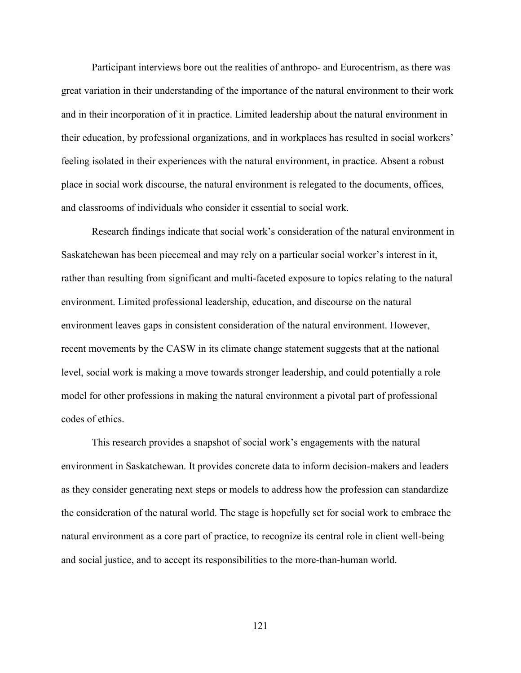Participant interviews bore out the realities of anthropo- and Eurocentrism, as there was great variation in their understanding of the importance of the natural environment to their work and in their incorporation of it in practice. Limited leadership about the natural environment in their education, by professional organizations, and in workplaces has resulted in social workers' feeling isolated in their experiences with the natural environment, in practice. Absent a robust place in social work discourse, the natural environment is relegated to the documents, offices, and classrooms of individuals who consider it essential to social work.

Research findings indicate that social work's consideration of the natural environment in Saskatchewan has been piecemeal and may rely on a particular social worker's interest in it, rather than resulting from significant and multi-faceted exposure to topics relating to the natural environment. Limited professional leadership, education, and discourse on the natural environment leaves gaps in consistent consideration of the natural environment. However, recent movements by the CASW in its climate change statement suggests that at the national level, social work is making a move towards stronger leadership, and could potentially a role model for other professions in making the natural environment a pivotal part of professional codes of ethics.

This research provides a snapshot of social work's engagements with the natural environment in Saskatchewan. It provides concrete data to inform decision-makers and leaders as they consider generating next steps or models to address how the profession can standardize the consideration of the natural world. The stage is hopefully set for social work to embrace the natural environment as a core part of practice, to recognize its central role in client well-being and social justice, and to accept its responsibilities to the more-than-human world.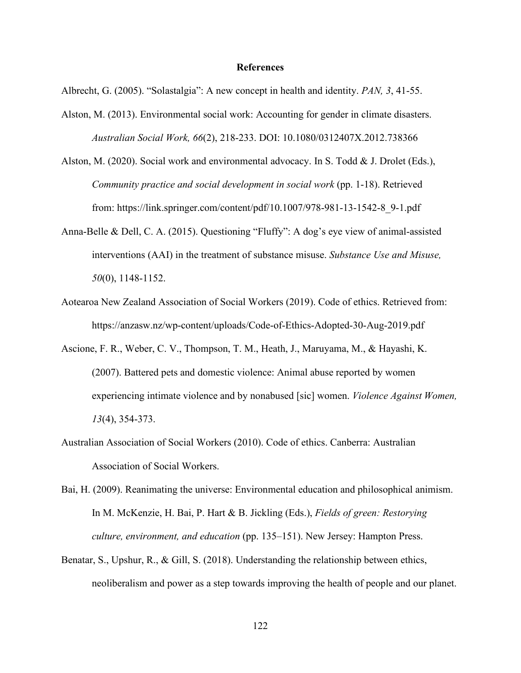## **References**

Albrecht, G. (2005). "Solastalgia": A new concept in health and identity. *PAN, 3*, 41-55.

- Alston, M. (2013). Environmental social work: Accounting for gender in climate disasters. *Australian Social Work, 66*(2), 218-233. DOI: 10.1080/0312407X.2012.738366
- Alston, M. (2020). Social work and environmental advocacy. In S. Todd & J. Drolet (Eds.), *Community practice and social development in social work* (pp. 1-18). Retrieved from: https://link.springer.com/content/pdf/10.1007/978-981-13-1542-8\_9-1.pdf
- Anna-Belle & Dell, C. A. (2015). Questioning "Fluffy": A dog's eye view of animal-assisted interventions (AAI) in the treatment of substance misuse. *Substance Use and Misuse, 50*(0), 1148-1152.
- Aotearoa New Zealand Association of Social Workers (2019). Code of ethics. Retrieved from: https://anzasw.nz/wp-content/uploads/Code-of-Ethics-Adopted-30-Aug-2019.pdf
- Ascione, F. R., Weber, C. V., Thompson, T. M., Heath, J., Maruyama, M., & Hayashi, K. (2007). Battered pets and domestic violence: Animal abuse reported by women experiencing intimate violence and by nonabused [sic] women. *Violence Against Women, 13*(4), 354-373.
- Australian Association of Social Workers (2010). Code of ethics. Canberra: Australian Association of Social Workers.
- Bai, H. (2009). Reanimating the universe: Environmental education and philosophical animism. In M. McKenzie, H. Bai, P. Hart & B. Jickling (Eds.), *Fields of green: Restorying culture, environment, and education* (pp. 135–151). New Jersey: Hampton Press.
- Benatar, S., Upshur, R., & Gill, S. (2018). Understanding the relationship between ethics, neoliberalism and power as a step towards improving the health of people and our planet.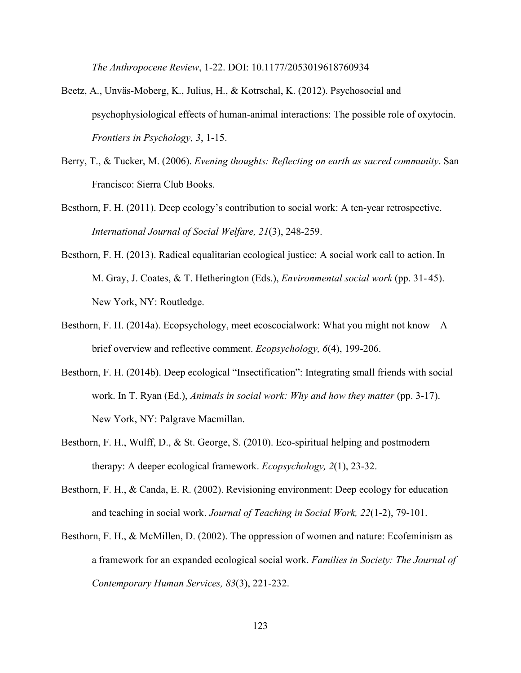*The Anthropocene Review*, 1-22. DOI: 10.1177/2053019618760934

- Beetz, A., Unväs-Moberg, K., Julius, H., & Kotrschal, K. (2012). Psychosocial and psychophysiological effects of human-animal interactions: The possible role of oxytocin. *Frontiers in Psychology, 3*, 1-15.
- Berry, T., & Tucker, M. (2006). *Evening thoughts: Reflecting on earth as sacred community*. San Francisco: Sierra Club Books.
- Besthorn, F. H. (2011). Deep ecology's contribution to social work: A ten-year retrospective. *International Journal of Social Welfare, 21*(3), 248-259.
- Besthorn, F. H. (2013). Radical equalitarian ecological justice: A social work call to action. In M. Gray, J. Coates, & T. Hetherington (Eds.), *Environmental social work* (pp. 31- 45). New York, NY: Routledge.
- Besthorn, F. H. (2014a). Ecopsychology, meet ecoscocialwork: What you might not know  $-A$ brief overview and reflective comment. *Ecopsychology, 6*(4), 199-206.
- Besthorn, F. H. (2014b). Deep ecological "Insectification": Integrating small friends with social work. In T. Ryan (Ed.), *Animals in social work: Why and how they matter* (pp. 3-17). New York, NY: Palgrave Macmillan.
- Besthorn, F. H., Wulff, D., & St. George, S. (2010). Eco-spiritual helping and postmodern therapy: A deeper ecological framework. *Ecopsychology, 2*(1), 23-32.
- Besthorn, F. H., & Canda, E. R. (2002). Revisioning environment: Deep ecology for education and teaching in social work. *Journal of Teaching in Social Work, 22*(1-2), 79-101.
- Besthorn, F. H., & McMillen, D. (2002). The oppression of women and nature: Ecofeminism as a framework for an expanded ecological social work. *Families in Society: The Journal of Contemporary Human Services, 83*(3), 221-232.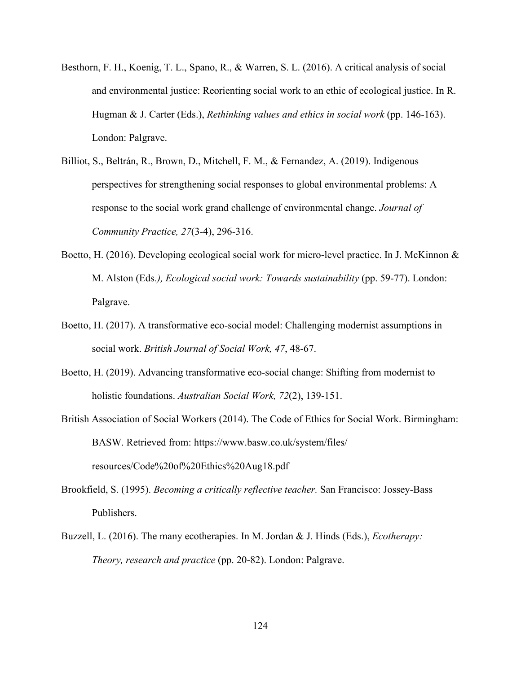- Besthorn, F. H., Koenig, T. L., Spano, R., & Warren, S. L. (2016). A critical analysis of social and environmental justice: Reorienting social work to an ethic of ecological justice. In R. Hugman & J. Carter (Eds.), *Rethinking values and ethics in social work* (pp. 146-163). London: Palgrave.
- Billiot, S., Beltrán, R., Brown, D., Mitchell, F. M., & Fernandez, A. (2019). Indigenous perspectives for strengthening social responses to global environmental problems: A response to the social work grand challenge of environmental change. *Journal of Community Practice, 27*(3-4), 296-316.
- Boetto, H. (2016). Developing ecological social work for micro-level practice. In J. McKinnon & M. Alston (Eds*.), Ecological social work: Towards sustainability* (pp. 59-77). London: Palgrave.
- Boetto, H. (2017). A transformative eco-social model: Challenging modernist assumptions in social work. *British Journal of Social Work, 47*, 48-67.
- Boetto, H. (2019). Advancing transformative eco-social change: Shifting from modernist to holistic foundations. *Australian Social Work, 72*(2), 139-151.
- British Association of Social Workers (2014). The Code of Ethics for Social Work. Birmingham: BASW. Retrieved from: https:/[/www.basw.co.uk/system/files/](http://www.basw.co.uk/system/files/) resources/Code%20of%20Ethics%20Aug18.pdf
- Brookfield, S. (1995). *Becoming a critically reflective teacher.* San Francisco: Jossey-Bass Publishers.
- Buzzell, L. (2016). The many ecotherapies. In M. Jordan & J. Hinds (Eds.), *Ecotherapy: Theory, research and practice* (pp. 20-82). London: Palgrave.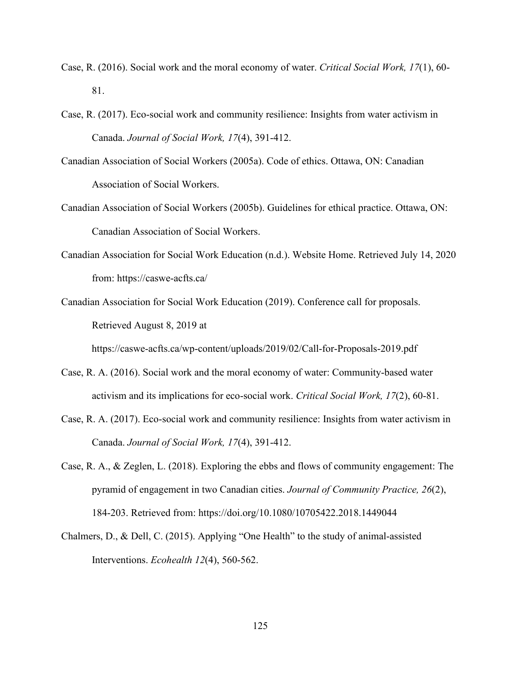- Case, R. (2016). Social work and the moral economy of water. *Critical Social Work, 17*(1), 60- 81.
- Case, R. (2017). Eco-social work and community resilience: Insights from water activism in Canada. *Journal of Social Work, 17*(4), 391-412.
- Canadian Association of Social Workers (2005a). Code of ethics. Ottawa, ON: Canadian Association of Social Workers.
- Canadian Association of Social Workers (2005b). Guidelines for ethical practice. Ottawa, ON: Canadian Association of Social Workers.
- Canadian Association for Social Work Education (n.d.). Website Home. Retrieved July 14, 2020 from: https://caswe-acfts.ca/
- Canadian Association for Social Work Education (2019). Conference call for proposals. Retrieved August 8, 2019 at

https://caswe-acfts.ca/wp-content/uploads/2019/02/Call-for-Proposals-2019.pdf

- Case, R. A. (2016). Social work and the moral economy of water: Community-based water activism and its implications for eco-social work. *Critical Social Work, 17*(2), 60-81.
- Case, R. A. (2017). Eco-social work and community resilience: Insights from water activism in Canada. *Journal of Social Work, 17*(4), 391-412.
- Case, R. A., & Zeglen, L. (2018). Exploring the ebbs and flows of community engagement: The pyramid of engagement in two Canadian cities. *Journal of Community Practice, 26*(2), 184-203. Retrieved from: https://doi.org/10.1080/10705422.2018.1449044
- Chalmers, D., & Dell, C. (2015). Applying "One Health" to the study of animal-assisted Interventions. *Ecohealth 12*(4), 560-562.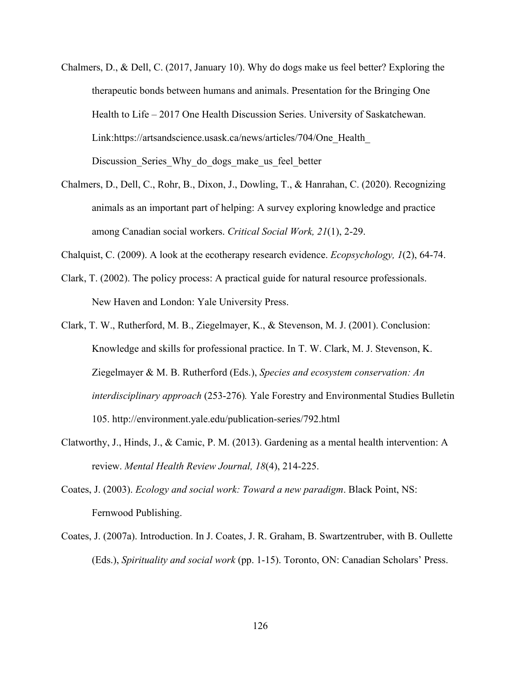- Chalmers, D., & Dell, C. (2017, January 10). Why do dogs make us feel better? Exploring the therapeutic bonds between humans and animals. Presentation for the Bringing One Health to Life – 2017 One Health Discussion Series. University of Saskatchewan. Link:https://artsandscience.usask.ca/news/articles/704/One\_Health\_ Discussion Series Why do dogs make us feel better
- Chalmers, D., Dell, C., Rohr, B., Dixon, J., Dowling, T., & Hanrahan, C. (2020). Recognizing animals as an important part of helping: A survey exploring knowledge and practice among Canadian social workers. *Critical Social Work, 21*(1), 2-29.
- Chalquist, C. (2009). A look at the ecotherapy research evidence. *Ecopsychology, 1*(2), 64-74.
- Clark, T. (2002). The policy process: A practical guide for natural resource professionals. New Haven and London: Yale University Press.
- Clark, T. W., Rutherford, M. B., Ziegelmayer, K., & Stevenson, M. J. (2001). Conclusion: Knowledge and skills for professional practice. In T. W. Clark, M. J. Stevenson, K. Ziegelmayer & M. B. Rutherford (Eds.), *Species and ecosystem conservation: An interdisciplinary approach* (253-276)*.* Yale Forestry and Environmental Studies Bulletin [105. http://environment.yale.edu/publication-series/792.html](http://environment.yale.edu/publication-series/792.html)
- Clatworthy, J., Hinds, J., & Camic, P. M. (2013). Gardening as a mental health intervention: A review. *Mental Health Review Journal, 18*(4), 214-225.
- Coates, J. (2003). *Ecology and social work: Toward a new paradigm*. Black Point, NS: Fernwood Publishing.
- Coates, J. (2007a). Introduction. In J. Coates, J. R. Graham, B. Swartzentruber, with B. Oullette (Eds.), *Spirituality and social work* (pp. 1-15). Toronto, ON: Canadian Scholars' Press.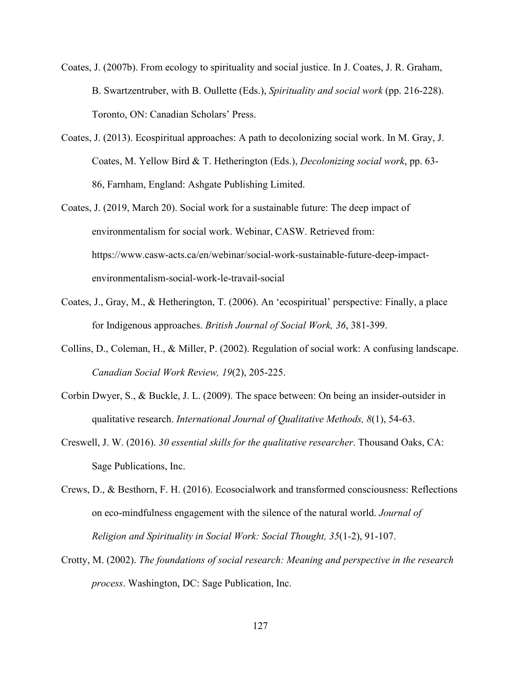- Coates, J. (2007b). From ecology to spirituality and social justice. In J. Coates, J. R. Graham, B. Swartzentruber, with B. Oullette (Eds.), *Spirituality and social work* (pp. 216-228). Toronto, ON: Canadian Scholars' Press.
- Coates, J. (2013). Ecospiritual approaches: A path to decolonizing social work. In M. Gray, J. Coates, M. Yellow Bird & T. Hetherington (Eds.), *Decolonizing social work*, pp. 63- 86, Farnham, England: Ashgate Publishing Limited.
- Coates, J. (2019, March 20). Social work for a sustainable future: The deep impact of environmentalism for social work. Webinar, CASW. Retrieved from: https:[//www.casw-acts.ca/en/webinar/social-work-sustainable-future-deep-impact](http://www.casw-acts.ca/en/webinar/social-work-sustainable-future-deep-impact-)environmentalism-social-work-le-travail-social
- Coates, J., Gray, M., & Hetherington, T. (2006). An 'ecospiritual' perspective: Finally, a place for Indigenous approaches. *British Journal of Social Work, 36*, 381-399.
- Collins, D., Coleman, H., & Miller, P. (2002). Regulation of social work: A confusing landscape. *Canadian Social Work Review, 19*(2), 205-225.
- Corbin Dwyer, S., & Buckle, J. L. (2009). The space between: On being an insider-outsider in qualitative research. *International Journal of Qualitative Methods, 8*(1), 54-63.
- Creswell, J. W. (2016). *30 essential skills for the qualitative researcher*. Thousand Oaks, CA: Sage Publications, Inc.
- Crews, D., & Besthorn, F. H. (2016). Ecosocialwork and transformed consciousness: Reflections on eco-mindfulness engagement with the silence of the natural world. *Journal of Religion and Spirituality in Social Work: Social Thought, 35*(1-2), 91-107.
- Crotty, M. (2002). *The foundations of social research: Meaning and perspective in the research process*. Washington, DC: Sage Publication, Inc.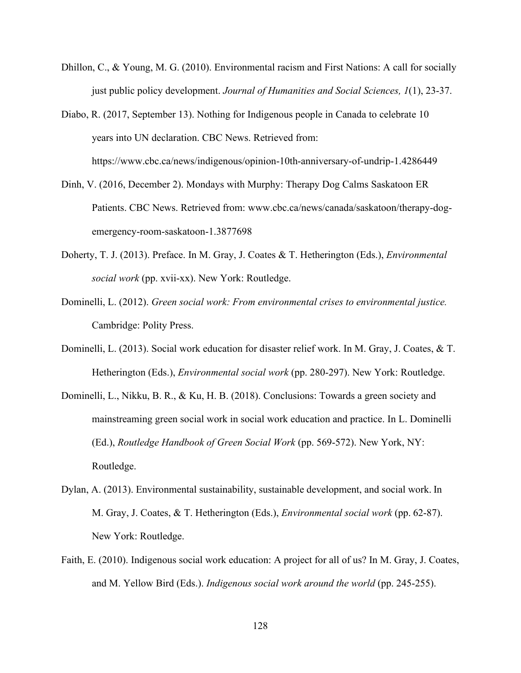- Dhillon, C., & Young, M. G. (2010). Environmental racism and First Nations: A call for socially just public policy development. *Journal of Humanities and Social Sciences, 1*(1), 23-37.
- Diabo, R. (2017, September 13). Nothing for Indigenous people in Canada to celebrate 10 years into UN declaration. CBC News. Retrieved from: https:[//www.cbc.ca/news/indigenous/opinion-10th-anniversary-of-undrip-1.4286449](http://www.cbc.ca/news/indigenous/opinion-10th-anniversary-of-undrip-1.4286449)
- Dinh, V. (2016, December 2). Mondays with Murphy: Therapy Dog Calms Saskatoon ER Patients. CBC News. Retrieved from: [www.cbc.ca/news/canada/saskatoon/therapy-dog](http://www.cbc.ca/news/canada/saskatoon/therapy-dog-)emergency-room-saskatoon-1.3877698
- Doherty, T. J. (2013). Preface. In M. Gray, J. Coates & T. Hetherington (Eds.), *Environmental social work* (pp. xvii-xx). New York: Routledge.
- Dominelli, L. (2012). *Green social work: From environmental crises to environmental justice.* Cambridge: Polity Press.
- Dominelli, L. (2013). Social work education for disaster relief work. In M. Gray, J. Coates, & T. Hetherington (Eds.), *Environmental social work* (pp. 280-297). New York: Routledge.
- Dominelli, L., Nikku, B. R., & Ku, H. B. (2018). Conclusions: Towards a green society and mainstreaming green social work in social work education and practice. In L. Dominelli (Ed.), *Routledge Handbook of Green Social Work* (pp. 569-572). New York, NY: Routledge.
- Dylan, A. (2013). Environmental sustainability, sustainable development, and social work. In M. Gray, J. Coates, & T. Hetherington (Eds.), *Environmental social work* (pp. 62-87). New York: Routledge.
- Faith, E. (2010). Indigenous social work education: A project for all of us? In M. Gray, J. Coates, and M. Yellow Bird (Eds.). *Indigenous social work around the world* (pp. 245-255).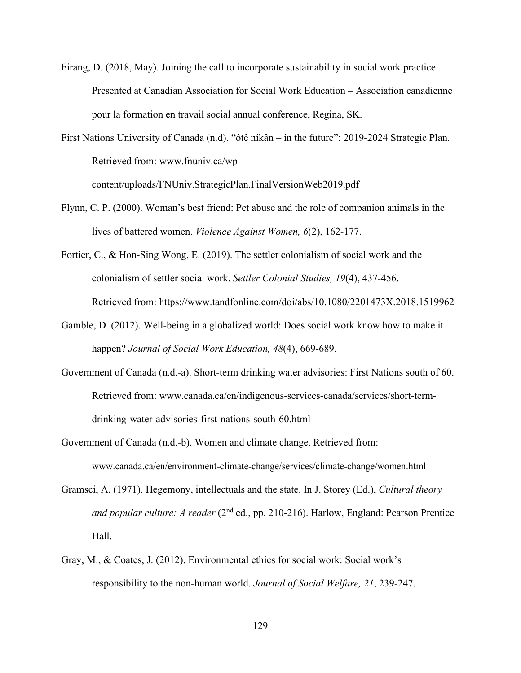- Firang, D. (2018, May). Joining the call to incorporate sustainability in social work practice. Presented at Canadian Association for Social Work Education – Association canadienne pour la formation en travail social annual conference, Regina, SK.
- First Nations University of Canada (n.d). "ôtê níkân in the future": 2019-2024 Strategic Plan. Retrieved from: [www.fnuniv.ca/wp-](http://www.fnuniv.ca/wp-)

content/uploads/FNUniv.StrategicPlan.FinalVersionWeb2019.pdf

- Flynn, C. P. (2000). Woman's best friend: Pet abuse and the role of companion animals in the lives of battered women. *Violence Against Women, 6*(2), 162-177.
- Fortier, C., & Hon-Sing Wong, E. (2019). The settler colonialism of social work and the colonialism of settler social work. *Settler Colonial Studies, 19*(4), 437-456. Retrieved from: ht[tps://www.tandfonline.com/doi/abs/10.1080/2201473X.2018.1519962](http://www.tandfonline.com/doi/abs/10.1080/2201473X.2018.1519962)
- Gamble, D. (2012). Well-being in a globalized world: Does social work know how to make it happen? *Journal of Social Work Education, 48*(4), 669-689.
- Government of Canada (n.d.-a). Short-term drinking water advisories: First Nations south of 60. Retrieved from: [www.canada.ca/en/indigenous-services-canada/services/short-term](http://www.canada.ca/en/indigenous-services-canada/services/short-term-)drinking-water-advisories-first-nations-south-60.html
- Government of Canada (n.d.-b). Women and climate change. Retrieved from: [www.canada.ca/en/environment-climate-change/services/climate-change/women.html](http://www.canada.ca/en/environment-climate-change/services/climate-change/women.html)
- Gramsci, A. (1971). Hegemony, intellectuals and the state. In J. Storey (Ed.), *Cultural theory and popular culture: A reader* (2<sup>nd</sup> ed., pp. 210-216). Harlow, England: Pearson Prentice Hall.
- Gray, M., & Coates, J. (2012). Environmental ethics for social work: Social work's responsibility to the non-human world. *Journal of Social Welfare, 21*, 239-247.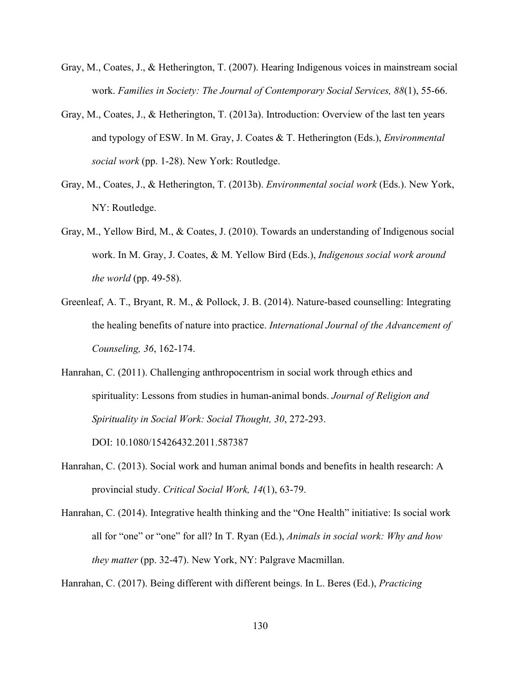- Gray, M., Coates, J., & Hetherington, T. (2007). Hearing Indigenous voices in mainstream social work. *Families in Society: The Journal of Contemporary Social Services, 88*(1), 55-66.
- Gray, M., Coates, J., & Hetherington, T. (2013a). Introduction: Overview of the last ten years and typology of ESW. In M. Gray, J. Coates & T. Hetherington (Eds.), *Environmental social work* (pp. 1-28). New York: Routledge.
- Gray, M., Coates, J., & Hetherington, T. (2013b). *Environmental social work* (Eds.). New York, NY: Routledge.
- Gray, M., Yellow Bird, M., & Coates, J. (2010). Towards an understanding of Indigenous social work. In M. Gray, J. Coates, & M. Yellow Bird (Eds.), *Indigenous social work around the world* (pp. 49-58).
- Greenleaf, A. T., Bryant, R. M., & Pollock, J. B. (2014). Nature-based counselling: Integrating the healing benefits of nature into practice. *International Journal of the Advancement of Counseling, 36*, 162-174.
- Hanrahan, C. (2011). Challenging anthropocentrism in social work through ethics and spirituality: Lessons from studies in human-animal bonds. *Journal of Religion and Spirituality in Social Work: Social Thought, 30*, 272-293. DOI: 10.1080/15426432.2011.587387
- Hanrahan, C. (2013). Social work and human animal bonds and benefits in health research: A provincial study. *Critical Social Work, 14*(1), 63-79.
- Hanrahan, C. (2014). Integrative health thinking and the "One Health" initiative: Is social work all for "one" or "one" for all? In T. Ryan (Ed.), *Animals in social work: Why and how they matter* (pp. 32-47). New York, NY: Palgrave Macmillan.

Hanrahan, C. (2017). Being different with different beings. In L. Beres (Ed.), *Practicing*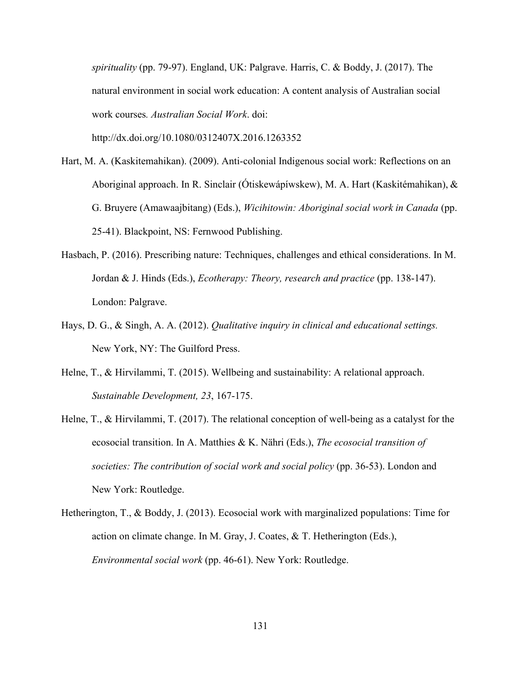*spirituality* (pp. 79-97). England, UK: Palgrave. Harris, C. & Boddy, J. (2017). The natural environment in social work education: A content analysis of Australian social work courses*. Australian Social Work*. doi:

<http://dx.doi.org/10.1080/0312407X.2016.1263352>

- Hart, M. A. (Kaskitemahikan). (2009). Anti-colonial Indigenous social work: Reflections on an Aboriginal approach. In R. Sinclair (Ótiskewápíwskew), M. A. Hart (Kaskitémahikan), & G. Bruyere (Amawaajbitang) (Eds.), *Wicihitowin: Aboriginal social work in Canada* (pp. 25-41). Blackpoint, NS: Fernwood Publishing.
- Hasbach, P. (2016). Prescribing nature: Techniques, challenges and ethical considerations. In M. Jordan & J. Hinds (Eds.), *Ecotherapy: Theory, research and practice* (pp. 138-147). London: Palgrave.
- Hays, D. G., & Singh, A. A. (2012). *Qualitative inquiry in clinical and educational settings.* New York, NY: The Guilford Press.
- Helne, T., & Hirvilammi, T. (2015). Wellbeing and sustainability: A relational approach. *Sustainable Development, 23*, 167-175.
- Helne, T., & Hirvilammi, T. (2017). The relational conception of well-being as a catalyst for the ecosocial transition. In A. Matthies & K. Nähri (Eds.), *The ecosocial transition of societies: The contribution of social work and social policy* (pp. 36-53). London and New York: Routledge.
- Hetherington, T., & Boddy, J. (2013). Ecosocial work with marginalized populations: Time for action on climate change. In M. Gray, J. Coates, & T. Hetherington (Eds.), *Environmental social work* (pp. 46-61). New York: Routledge.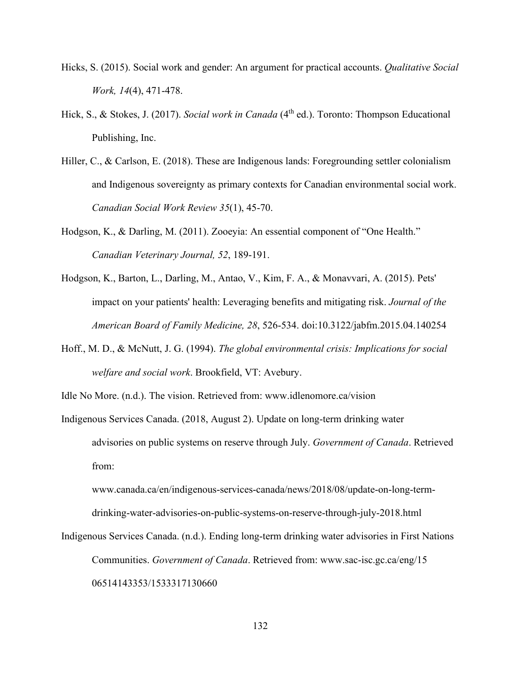- Hicks, S. (2015). Social work and gender: An argument for practical accounts. *Qualitative Social Work, 14*(4), 471-478.
- Hick, S., & Stokes, J. (2017). *Social work in Canada* (4th ed.). Toronto: Thompson Educational Publishing, Inc.
- Hiller, C., & Carlson, E. (2018). These are Indigenous lands: Foregrounding settler colonialism and Indigenous sovereignty as primary contexts for Canadian environmental social work. *Canadian Social Work Review 35*(1), 45-70.
- Hodgson, K., & Darling, M. (2011). Zooeyia: An essential component of "One Health." *Canadian Veterinary Journal, 52*, 189-191.
- Hodgson, K., Barton, L., Darling, M., Antao, V., Kim, F. A., & Monavvari, A. (2015). Pets' impact on your patients' health: Leveraging benefits and mitigating risk. *Journal of the American Board of Family Medicine, 28*, 526-534. doi:10.3122/jabfm.2015.04.140254
- Hoff., M. D., & McNutt, J. G. (1994). *The global environmental crisis: Implications for social welfare and social work*. Brookfield, VT: Avebury.

Idle No More. (n.d.). The vision. Retrieved from: [www.idlenomore.ca/vision](http://www.idlenomore.ca/vision)

Indigenous Services Canada. (2018, August 2). Update on long-term drinking water advisories on public systems on reserve through July. *Government of Canada*. Retrieved from:

[www.canada.ca/en/indigenous-services-canada/news/2018/08/update-on-long-term](http://www.canada.ca/en/indigenous-services-canada/news/2018/08/update-on-long-term-)drinking-water-advisories-on-public-systems-on-reserve-through-july-2018.html

Indigenous Services Canada. (n.d.). Ending long-term drinking water advisories in First Nations Communities. *Government of Canada*. Retrieved from: [www.sac-isc.gc.ca/eng/15](http://www.sac-isc.gc.ca/eng/15) 06514143353/1533317130660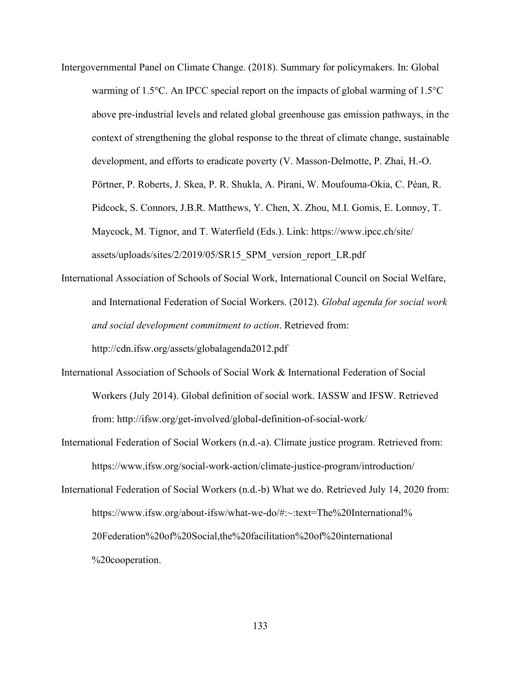- Intergovernmental Panel on Climate Change. (2018). Summary for policymakers. In: Global warming of 1.5°C. An IPCC special report on the impacts of global warming of 1.5°C above pre-industrial levels and related global greenhouse gas emission pathways, in the context of strengthening the global response to the threat of climate change, sustainable development, and efforts to eradicate poverty (V. Masson-Delmotte, P. Zhai, H.-O. Pörtner, P. Roberts, J. Skea, P. R. Shukla, A. Pirani, W. Moufouma-Okia, C. Péan, R. Pidcock, S. Connors, J.B.R. Matthews, Y. Chen, X. Zhou, M.I. Gomis, E. Lonnoy, T. Maycock, M. Tignor, and T. Waterfield (Eds.). Link: ht[tps://www.ipcc.ch/site/](http://www.ipcc.ch/site/) assets/uploads/sites/2/2019/05/SR15\_SPM\_version\_report\_LR.pdf
- International Association of Schools of Social Work, International Council on Social Welfare, and International Federation of Social Workers. (2012). *Global agenda for social work and social development commitment to action*. Retrieved from:

<http://cdn.ifsw.org/assets/globalagenda2012.pdf>

- International Association of Schools of Social Work & International Federation of Social Workers (July 2014). Global definition of social work. IASSW and IFSW. Retrieved from:<http://ifsw.org/get-involved/global-definition-of-social-work/>
- International Federation of Social Workers (n.d.-a). Climate justice program. Retrieved from: ht[tps://www.ifsw.org/social-work-action/climate-justice-program/introduction/](http://www.ifsw.org/social-work-action/climate-justice-program/introduction/)
- International Federation of Social Workers (n.d.-b) What we do. Retrieved July 14, 2020 from: https:/[/www.ifsw.org/about-ifsw/what-we-do/#:~:text=The%20International%](http://www.ifsw.org/about-ifsw/what-we-do/#%3A%7E%3Atext%3DThe%20International%25) 20Federation%20of%20Social,the%20facilitation%20of%20international %20cooperation.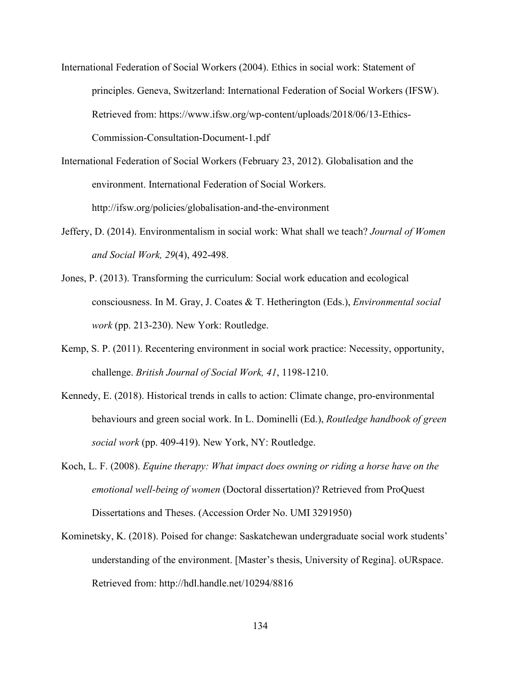- International Federation of Social Workers (2004). Ethics in social work: Statement of principles. Geneva, Switzerland: International Federation of Social Workers (IFSW). Retrieved f[rom: https://www.ifsw.org/wp-content/uploads/2018/06/13-Ethics-](https://www.ifsw.org/wp-content/uploads/2018/06/13-Ethics-%09Commission-Consultation-Document-1.pdf)[Commission-Consultation-Document-1.pdf](https://www.ifsw.org/wp-content/uploads/2018/06/13-Ethics-%09Commission-Consultation-Document-1.pdf)
- International Federation of Social Workers (February 23, 2012). Globalisation and the environment. International Federation of Social Workers. <http://ifsw.org/policies/globalisation-and-the-environment>
- Jeffery, D. (2014). Environmentalism in social work: What shall we teach? *Journal of Women and Social Work, 29*(4), 492-498.
- Jones, P. (2013). Transforming the curriculum: Social work education and ecological consciousness. In M. Gray, J. Coates & T. Hetherington (Eds.), *Environmental social work* (pp. 213-230). New York: Routledge.
- Kemp, S. P. (2011). Recentering environment in social work practice: Necessity, opportunity, challenge. *British Journal of Social Work, 41*, 1198-1210.
- Kennedy, E. (2018). Historical trends in calls to action: Climate change, pro-environmental behaviours and green social work. In L. Dominelli (Ed.), *Routledge handbook of green social work* (pp. 409-419). New York, NY: Routledge.
- Koch, L. F. (2008). *Equine therapy: What impact does owning or riding a horse have on the emotional well-being of women* (Doctoral dissertation)? Retrieved from ProQuest Dissertations and Theses. (Accession Order No. UMI 3291950)
- Kominetsky, K. (2018). Poised for change: Saskatchewan undergraduate social work students' understanding of the environment. [Master's thesis, University of Regina]. oURspace. Retrieved f[rom: http://hdl.handle.net/10294/8816](http://hdl.handle.net/10294/8816)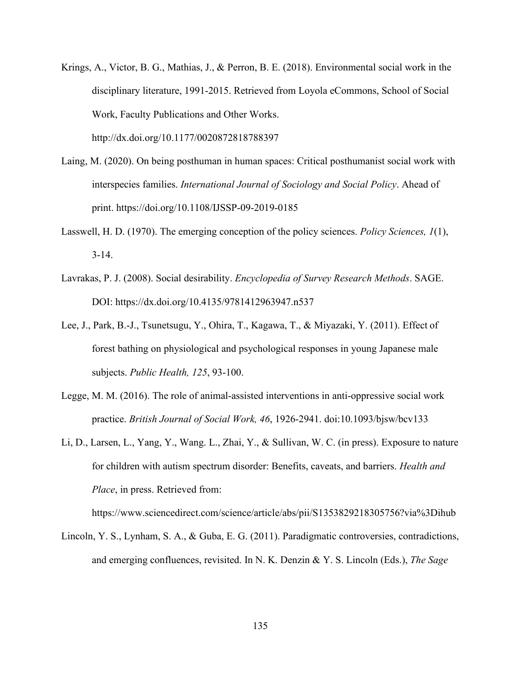Krings, A., Victor, B. G., Mathias, J., & Perron, B. E. (2018). Environmental social work in the disciplinary literature, 1991-2015. Retrieved from Loyola eCommons, School of Social Work, Faculty Publications and Other Works.

<http://dx.doi.org/10.1177/0020872818788397>

- Laing, M. (2020). On being posthuman in human spaces: Critical posthumanist social work with interspecies families. *International Journal of Sociology and Social Policy*. Ahead of print. https://doi.org/10.1108/IJSSP-09-2019-0185
- Lasswell, H. D. (1970). The emerging conception of the policy sciences. *Policy Sciences, 1*(1), 3-14.
- Lavrakas, P. J. (2008). Social desirability. *Encyclopedia of Survey Research Methods*. SAGE. DOI: https://dx.doi.org/10.4135/9781412963947.n537
- Lee, J., Park, B.-J., Tsunetsugu, Y., Ohira, T., Kagawa, T., & Miyazaki, Y. (2011). Effect of forest bathing on physiological and psychological responses in young Japanese male subjects. *Public Health, 125*, 93-100.
- Legge, M. M. (2016). The role of animal-assisted interventions in anti-oppressive social work practice. *British Journal of Social Work, 46*, 1926-2941. doi:10.1093/bjsw/bcv133
- Li, D., Larsen, L., Yang, Y., Wang. L., Zhai, Y., & Sullivan, W. C. (in press). Exposure to nature for children with autism spectrum disorder: Benefits, caveats, and barriers. *Health and Place*, in press. Retrieved from:

ht[tps://www.sciencedirect.com/science/article/abs/pii/S1353829218305756?via%3Dihub](http://www.sciencedirect.com/science/article/abs/pii/S1353829218305756?via%3Dihub)

Lincoln, Y. S., Lynham, S. A., & Guba, E. G. (2011). Paradigmatic controversies, contradictions, and emerging confluences, revisited. In N. K. Denzin & Y. S. Lincoln (Eds.), *The Sage*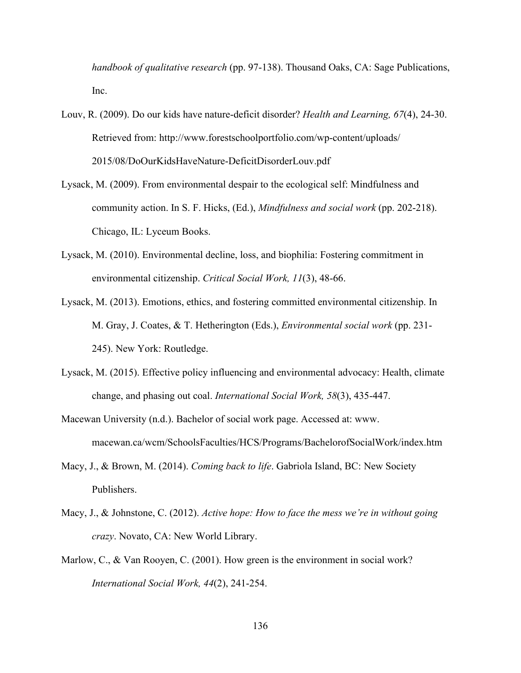*handbook of qualitative research* (pp. 97-138). Thousand Oaks, CA: Sage Publications, Inc.

- Louv, R. (2009). Do our kids have nature-deficit disorder? *Health and Learning, 67*(4), 24-30. Retrieved f[rom: http://www.forestschoolportfolio.com/wp-content/uploads/](http://www.forestschoolportfolio.com/wp-content/uploads/) 2015/08/DoOurKidsHaveNature-DeficitDisorderLouv.pdf
- Lysack, M. (2009). From environmental despair to the ecological self: Mindfulness and community action. In S. F. Hicks, (Ed.), *Mindfulness and social work* (pp. 202-218). Chicago, IL: Lyceum Books.
- Lysack, M. (2010). Environmental decline, loss, and biophilia: Fostering commitment in environmental citizenship. *Critical Social Work, 11*(3), 48-66.
- Lysack, M. (2013). Emotions, ethics, and fostering committed environmental citizenship. In M. Gray, J. Coates, & T. Hetherington (Eds.), *Environmental social work* (pp. 231- 245). New York: Routledge.
- Lysack, M. (2015). Effective policy influencing and environmental advocacy: Health, climate change, and phasing out coal. *International Social Work, 58*(3), 435-447.
- Macewan University (n.d.). Bachelor of social work page. Accessed at: [www.](http://www/) macewan.ca/wcm/SchoolsFaculties/HCS/Programs/BachelorofSocialWork/index.htm
- Macy, J., & Brown, M. (2014). *Coming back to life*. Gabriola Island, BC: New Society Publishers.
- Macy, J., & Johnstone, C. (2012). *Active hope: How to face the mess we're in without going crazy*. Novato, CA: New World Library.
- Marlow, C., & Van Rooyen, C. (2001). How green is the environment in social work? *International Social Work, 44*(2), 241-254.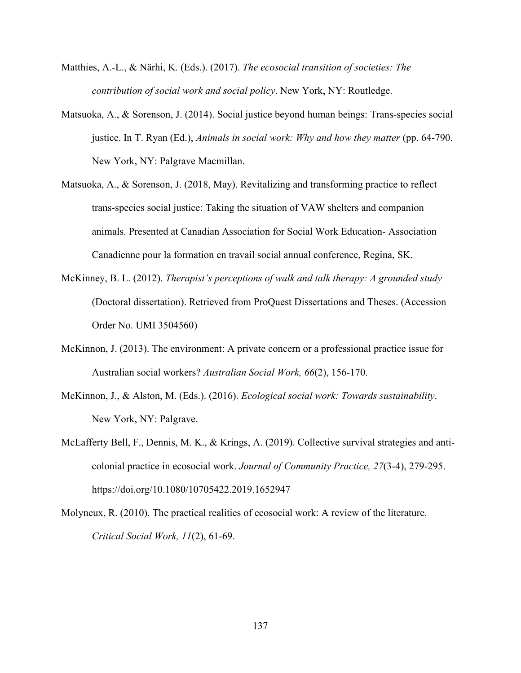- Matthies, A.-L., & Närhi, K. (Eds.). (2017). *The ecosocial transition of societies: The contribution of social work and social policy*. New York, NY: Routledge.
- Matsuoka, A., & Sorenson, J. (2014). Social justice beyond human beings: Trans-species social justice. In T. Ryan (Ed.), *Animals in social work: Why and how they matter* (pp. 64-790. New York, NY: Palgrave Macmillan.
- Matsuoka, A., & Sorenson, J. (2018, May). Revitalizing and transforming practice to reflect trans-species social justice: Taking the situation of VAW shelters and companion animals. Presented at Canadian Association for Social Work Education- Association Canadienne pour la formation en travail social annual conference, Regina, SK.
- McKinney, B. L. (2012). *Therapist's perceptions of walk and talk therapy: A grounded study*  (Doctoral dissertation). Retrieved from ProQuest Dissertations and Theses. (Accession Order No. UMI 3504560)
- McKinnon, J. (2013). The environment: A private concern or a professional practice issue for Australian social workers? *Australian Social Work, 66*(2), 156-170.
- McKinnon, J., & Alston, M. (Eds.). (2016). *Ecological social work: Towards sustainability*. New York, NY: Palgrave.
- McLafferty Bell, F., Dennis, M. K., & Krings, A. (2019). Collective survival strategies and anticolonial practice in ecosocial work. *Journal of Community Practice, 27*(3-4), 279-295. https://doi.org/10.1080/10705422.2019.1652947
- Molyneux, R. (2010). The practical realities of ecosocial work: A review of the literature. *Critical Social Work, 11*(2), 61-69.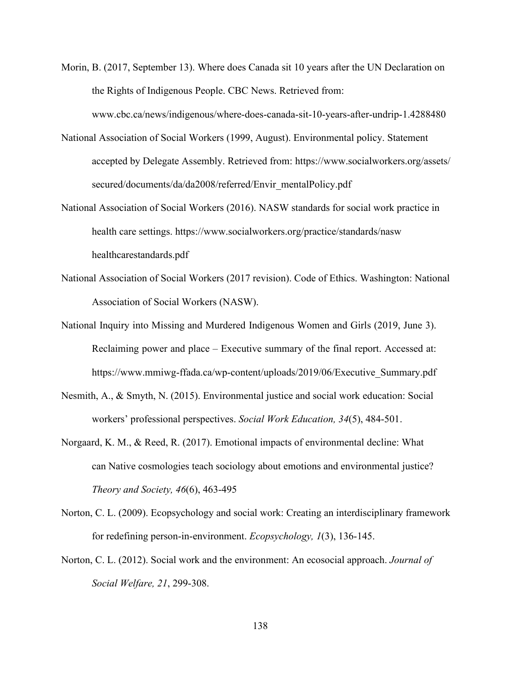Morin, B. (2017, September 13). Where does Canada sit 10 years after the UN Declaration on the Rights of Indigenous People. CBC News. Retrieved from:

[www.cbc.ca/news/indigenous/where-does-canada-sit-10-years-after-undrip-1.4288480](http://www.cbc.ca/news/indigenous/where-does-canada-sit-10-years-after-undrip-1.4288480)

- National Association of Social Workers (1999, August). Environmental policy. Statement accepted by Delegate Assembly. Retrieved from: ht[tps://www.socialworkers.org/assets/](http://www.socialworkers.org/assets/) secured/documents/da/da2008/referred/Envir\_mentalPolicy.pdf
- National Association of Social Workers (2016). NASW standards for social work practice in health care settings. ht[tps://www.socialworkers.org/practice/standards/nasw](http://www.socialworkers.org/practice/standards/nasw) healthcarestandards.pdf
- National Association of Social Workers (2017 revision). Code of Ethics. Washington: National Association of Social Workers (NASW).
- National Inquiry into Missing and Murdered Indigenous Women and Girls (2019, June 3). Reclaiming power and place – Executive summary of the final report. Accessed at: ht[tps://www.mmiwg-ffada.ca/wp-content/uploads/2019/06/Executive\\_Summary.pdf](http://www.mmiwg-ffada.ca/wp-content/uploads/2019/06/Executive_Summary.pdf)
- Nesmith, A., & Smyth, N. (2015). Environmental justice and social work education: Social workers' professional perspectives. *Social Work Education, 34*(5), 484-501.
- Norgaard, K. M., & Reed, R. (2017). Emotional impacts of environmental decline: What can Native cosmologies teach sociology about emotions and environmental justice? *Theory and Society, 46*(6), 463-495
- Norton, C. L. (2009). Ecopsychology and social work: Creating an interdisciplinary framework for redefining person-in-environment. *Ecopsychology, 1*(3), 136-145.
- Norton, C. L. (2012). Social work and the environment: An ecosocial approach. *Journal of Social Welfare, 21*, 299-308.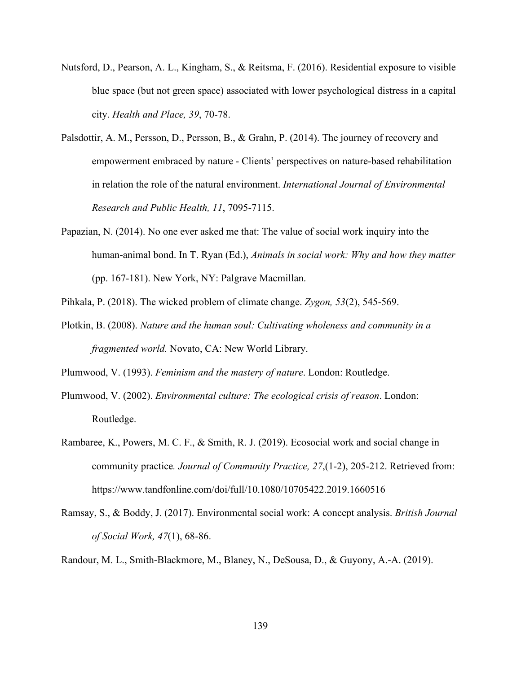- Nutsford, D., Pearson, A. L., Kingham, S., & Reitsma, F. (2016). Residential exposure to visible blue space (but not green space) associated with lower psychological distress in a capital city. *Health and Place, 39*, 70-78.
- Palsdottir, A. M., Persson, D., Persson, B., & Grahn, P. (2014). The journey of recovery and empowerment embraced by nature - Clients' perspectives on nature-based rehabilitation in relation the role of the natural environment. *International Journal of Environmental Research and Public Health, 11*, 7095-7115.
- Papazian, N. (2014). No one ever asked me that: The value of social work inquiry into the human-animal bond. In T. Ryan (Ed.), *Animals in social work: Why and how they matter*  (pp. 167-181). New York, NY: Palgrave Macmillan.
- Pihkala, P. (2018). The wicked problem of climate change. *Zygon, 53*(2), 545-569.
- Plotkin, B. (2008). *Nature and the human soul: Cultivating wholeness and community in a fragmented world.* Novato, CA: New World Library.
- Plumwood, V. (1993). *Feminism and the mastery of nature*. London: Routledge.
- Plumwood, V. (2002). *Environmental culture: The ecological crisis of reason*. London: Routledge.
- Rambaree, K., Powers, M. C. F., & Smith, R. J. (2019). Ecosocial work and social change in community practice*. Journal of Community Practice, 27*,(1-2), 205-212. Retrieved from: ht[tps://www.tandfonline.com/doi/full/10.1080/10705422.2019.1660516](http://www.tandfonline.com/doi/full/10.1080/10705422.2019.1660516)
- Ramsay, S., & Boddy, J. (2017). Environmental social work: A concept analysis. *British Journal of Social Work, 47*(1), 68-86.
- Randour, M. L., Smith-Blackmore, M., Blaney, N., DeSousa, D., & Guyony, A.-A. (2019).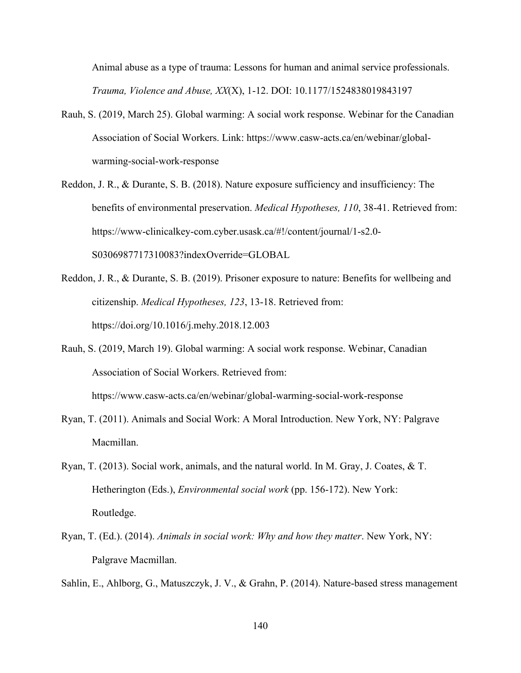Animal abuse as a type of trauma: Lessons for human and animal service professionals. *Trauma, Violence and Abuse, XX*(X), 1-12. DOI: 10.1177/1524838019843197

- Rauh, S. (2019, March 25). Global warming: A social work response. Webinar for the Canadian Association of Social Workers. Link: ht[tps://www.casw-acts.ca/en/webinar/global](http://www.casw-acts.ca/en/webinar/global-)warming-social-work-response
- Reddon, J. R., & Durante, S. B. (2018). Nature exposure sufficiency and insufficiency: The benefits of environmental preservation. *Medical Hypotheses, 110*, 38-41. Retrieved from: https://www-clinicalkey-com.cyber.usask.ca/#!/content/journal/1-s2.0- S0306987717310083?indexOverride=GLOBAL
- Reddon, J. R., & Durante, S. B. (2019). Prisoner exposure to nature: Benefits for wellbeing and citizenship. *Medical Hypotheses, 123*, 13-18. Retrieved from: https://doi.org/10.1016/j.mehy.2018.12.003
- Rauh, S. (2019, March 19). Global warming: A social work response. Webinar, Canadian Association of Social Workers. Retrieved from:

ht[tps://www.casw-acts.ca/en/webinar/global-warming-social-work-response](http://www.casw-acts.ca/en/webinar/global-warming-social-work-response)

- Ryan, T. (2011). Animals and Social Work: A Moral Introduction. New York, NY: Palgrave Macmillan.
- Ryan, T. (2013). Social work, animals, and the natural world. In M. Gray, J. Coates, & T. Hetherington (Eds.), *Environmental social work* (pp. 156-172). New York: Routledge.
- Ryan, T. (Ed.). (2014). *Animals in social work: Why and how they matter*. New York, NY: Palgrave Macmillan.

Sahlin, E., Ahlborg, G., Matuszczyk, J. V., & Grahn, P. (2014). Nature-based stress management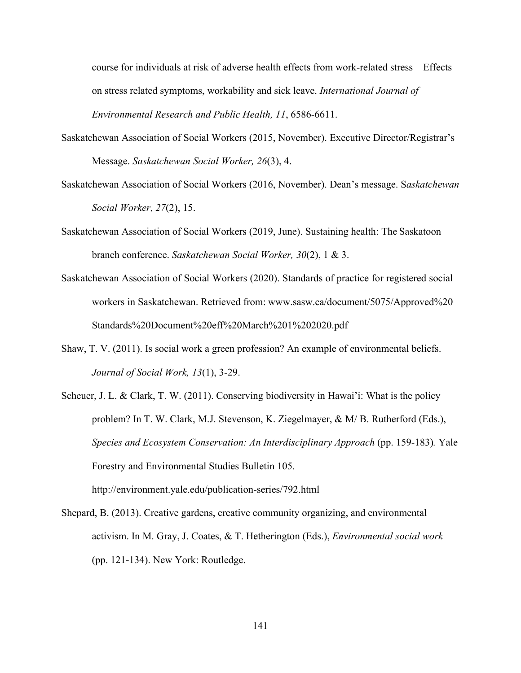course for individuals at risk of adverse health effects from work-related stress—Effects on stress related symptoms, workability and sick leave. *International Journal of Environmental Research and Public Health, 11*, 6586-6611.

- Saskatchewan Association of Social Workers (2015, November). Executive Director/Registrar's Message. *Saskatchewan Social Worker, 26*(3), 4.
- Saskatchewan Association of Social Workers (2016, November). Dean's message. S*askatchewan Social Worker, 27*(2), 15.
- Saskatchewan Association of Social Workers (2019, June). Sustaining health: The Saskatoon branch conference. *Saskatchewan Social Worker, 30*(2), 1 & 3.
- Saskatchewan Association of Social Workers (2020). Standards of practice for registered social workers in Saskatchewan. Retrieved from: [www.sasw.ca/document/5075/Approved%20](http://www.sasw.ca/document/5075/Approved) Standards%20Document%20eff%20March%201%202020.pdf
- Shaw, T. V. (2011). Is social work a green profession? An example of environmental beliefs. *Journal of Social Work, 13*(1), 3-29.
- Scheuer, J. L. & Clark, T. W. (2011). Conserving biodiversity in Hawai'i: What is the policy problem? In T. W. Clark, M.J. Stevenson, K. Ziegelmayer, & M/ B. Rutherford (Eds.), *Species and Ecosystem Conservation: An Interdisciplinary Approach* (pp. 159-183). Yale Forestry and Environmental Studies Bulletin 105. <http://environment.yale.edu/publication-series/792.html>
- Shepard, B. (2013). Creative gardens, creative community organizing, and environmental activism. In M. Gray, J. Coates, & T. Hetherington (Eds.), *Environmental social work*  (pp. 121-134). New York: Routledge.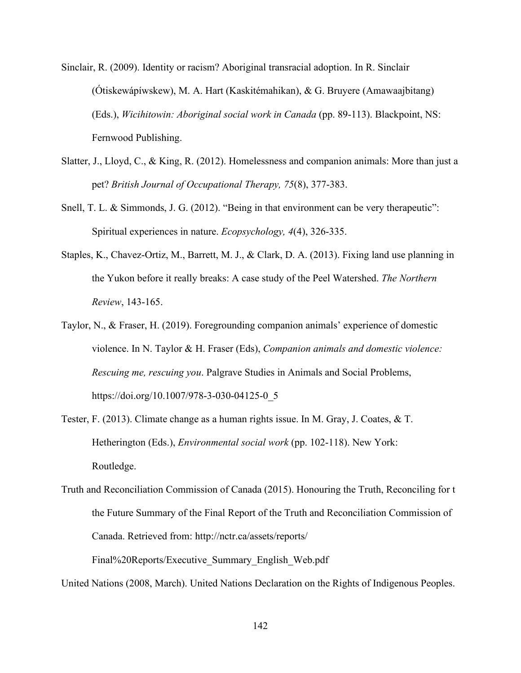- Sinclair, R. (2009). Identity or racism? Aboriginal transracial adoption. In R. Sinclair (Ótiskewápíwskew), M. A. Hart (Kaskitémahikan), & G. Bruyere (Amawaajbitang) (Eds.), *Wicihitowin: Aboriginal social work in Canada* (pp. 89-113). Blackpoint, NS: Fernwood Publishing.
- Slatter, J., Lloyd, C., & King, R. (2012). Homelessness and companion animals: More than just a pet? *British Journal of Occupational Therapy, 75*(8), 377-383.
- Snell, T. L. & Simmonds, J. G. (2012). "Being in that environment can be very therapeutic": Spiritual experiences in nature. *Ecopsychology, 4*(4), 326-335.
- Staples, K., Chavez-Ortiz, M., Barrett, M. J., & Clark, D. A. (2013). Fixing land use planning in the Yukon before it really breaks: A case study of the Peel Watershed. *The Northern Review*, 143-165.
- Taylor, N., & Fraser, H. (2019). Foregrounding companion animals' experience of domestic violence. In N. Taylor & H. Fraser (Eds), *Companion animals and domestic violence: Rescuing me, rescuing you*. Palgrave Studies in Animals and Social Problems, https://doi.org/10.1007/978-3-030-04125-0\_5
- Tester, F. (2013). Climate change as a human rights issue. In M. Gray, J. Coates, & T. Hetherington (Eds.), *Environmental social work* (pp. 102-118). New York: Routledge.

United Nations (2008, March). United Nations Declaration on the Rights of Indigenous Peoples.

Truth and Reconciliation Commission of Canada (2015). Honouring the Truth, Reconciling for t the Future Summary of the Final Report of the Truth and Reconciliation Commission of Canada. Retrieved from:<http://nctr.ca/assets/reports/> Final%20Reports/Executive\_Summary\_English\_Web.pdf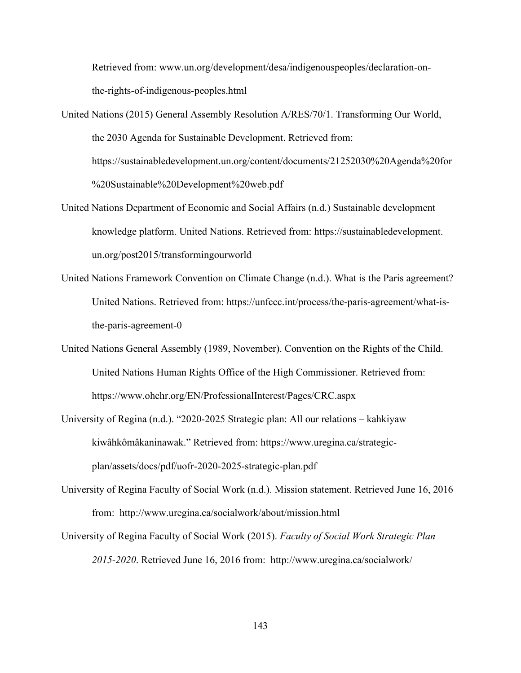Retrieved from: [www.un.org/development/desa/indigenouspeoples/declaration-on](http://www.un.org/development/desa/indigenouspeoples/declaration-on-)the-rights-of-indigenous-peoples.html

- United Nations (2015) General Assembly Resolution A/RES/70/1. Transforming Our World, the 2030 Agenda for Sustainable Development. Retrieved from: https://sustainabledevelopment.un.org/content/documents/21252030%20Agenda%20for %20Sustainable%20Development%20web.pdf
- United Nations Department of Economic and Social Affairs (n.d.) Sustainable development knowledge platform. United Nations. Retrieved from: https://sustainabledevelopment. un.org/post2015/transformingourworld
- United Nations Framework Convention on Climate Change (n.d.). What is the Paris agreement? United Nations. Retrieved from: https://unfccc.int/process/the-paris-agreement/what-isthe-paris-agreement-0
- United Nations General Assembly (1989, November). Convention on the Rights of the Child. United Nations Human Rights Office of the High Commissioner. Retrieved from: ht[tps://www.ohchr.org/EN/ProfessionalInterest/Pages/CRC.aspx](http://www.ohchr.org/EN/ProfessionalInterest/Pages/CRC.aspx)
- University of Regina (n.d.). "2020-2025 Strategic plan: All our relations kahkiyaw kiwâhkômâkaninawak." Retrieved f[rom: https://www.uregina.ca/strategic](http://www.uregina.ca/strategic-)plan/assets/docs/pdf/uofr-2020-2025-strategic-plan.pdf
- University of Regina Faculty of Social Work (n.d.). Mission statement. Retrieved June 16, 2016 from: <http://www.uregina.ca/socialwork/about/mission.html>
- University of Regina Faculty of Social Work (2015). *Faculty of Social Work Strategic Plan 2015-2020*. Retrieved June 16, 2016 from: <http://www.uregina.ca/socialwork/>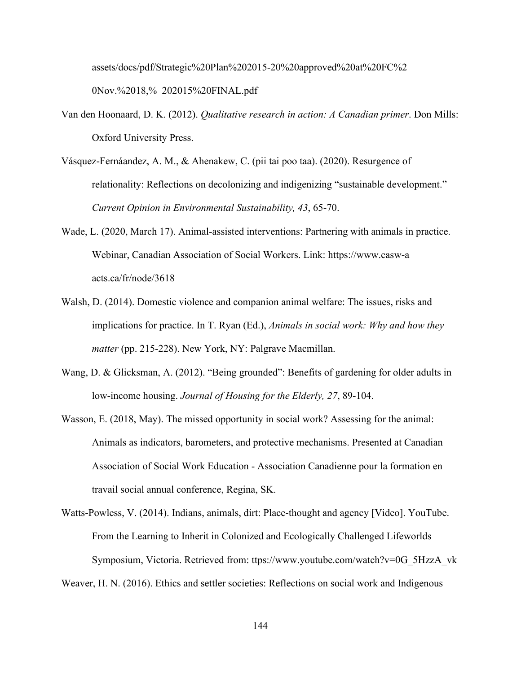assets/docs/pdf/Strategic%20Plan%202015-20%20approved%20at%20FC%2 0Nov.%2018,% 202015%20FINAL.pdf

- Van den Hoonaard, D. K. (2012). *Qualitative research in action: A Canadian primer*. Don Mills: Oxford University Press.
- Vásquez-Fernáandez, A. M., & Ahenakew, C. (pii tai poo taa). (2020). Resurgence of relationality: Reflections on decolonizing and indigenizing "sustainable development." *Current Opinion in Environmental Sustainability, 43*, 65-70.
- Wade, L. (2020, March 17). Animal-assisted interventions: Partnering with animals in practice. Webinar, Canadian Association of Social Workers. Link: https://www.casw-a acts.ca/fr/node/3618
- Walsh, D. (2014). Domestic violence and companion animal welfare: The issues, risks and implications for practice. In T. Ryan (Ed.), *Animals in social work: Why and how they matter* (pp. 215-228). New York, NY: Palgrave Macmillan.
- Wang, D. & Glicksman, A. (2012). "Being grounded": Benefits of gardening for older adults in low-income housing. *Journal of Housing for the Elderly, 27*, 89-104.
- Wasson, E. (2018, May). The missed opportunity in social work? Assessing for the animal: Animals as indicators, barometers, and protective mechanisms. Presented at Canadian Association of Social Work Education - Association Canadienne pour la formation en travail social annual conference, Regina, SK.

Watts-Powless, V. (2014). Indians, animals, dirt: Place-thought and agency [Video]. YouTube. From the Learning to Inherit in Colonized and Ecologically Challenged Lifeworlds Symposium, Victoria. Retrieved from: ttps:[//www.youtube.com/watch?v=0G\\_5HzzA\\_vk](http://www.youtube.com/watch?v=0G_5HzzA_vk)

Weaver, H. N. (2016). Ethics and settler societies: Reflections on social work and Indigenous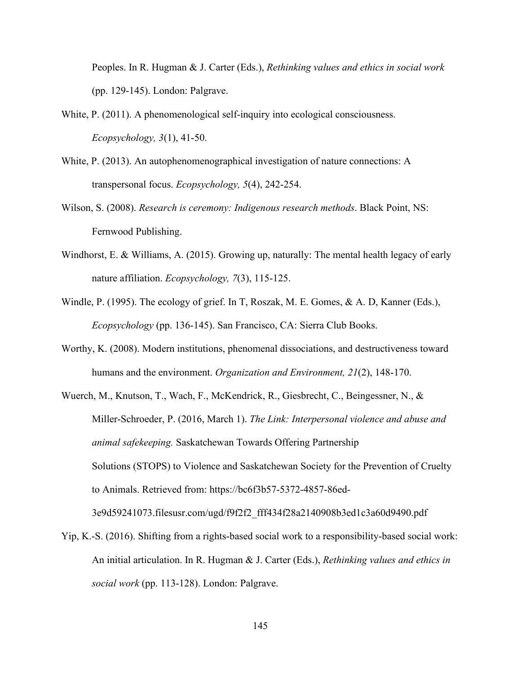Peoples. In R. Hugman & J. Carter (Eds.), *Rethinking values and ethics in social work* (pp. 129-145). London: Palgrave.

- White, P. (2011). A phenomenological self-inquiry into ecological consciousness. *Ecopsychology, 3*(1), 41-50.
- White, P. (2013). An autophenomenographical investigation of nature connections: A transpersonal focus. *Ecopsychology, 5*(4), 242-254.
- Wilson, S. (2008). *Research is ceremony: Indigenous research methods*. Black Point, NS: Fernwood Publishing.
- Windhorst, E. & Williams, A. (2015). Growing up, naturally: The mental health legacy of early nature affiliation. *Ecopsychology, 7*(3), 115-125.
- Windle, P. (1995). The ecology of grief. In T, Roszak, M. E. Gomes, & A. D, Kanner (Eds.), *Ecopsychology* (pp. 136-145). San Francisco, CA: Sierra Club Books.
- Worthy, K. (2008). Modern institutions, phenomenal dissociations, and destructiveness toward humans and the environment. *Organization and Environment, 21*(2), 148-170.
- Wuerch, M., Knutson, T., Wach, F., McKendrick, R., Giesbrecht, C., Beingessner, N., & Miller-Schroeder, P. (2016, March 1). *The Link: Interpersonal violence and abuse and animal safekeeping.* Saskatchewan Towards Offering Partnership Solutions (STOPS) to Violence and Saskatchewan Society for the Prevention of Cruelty to Animals. Retrieved from: https://bc6f3b57-5372-4857-86ed-3e9d59241073.filesusr.com/ugd/f9f2f2\_fff434f28a2140908b3ed1c3a60d9490.pdf
- Yip, K.-S. (2016). Shifting from a rights-based social work to a responsibility-based social work: An initial articulation. In R. Hugman & J. Carter (Eds.), *Rethinking values and ethics in social work* (pp. 113-128). London: Palgrave.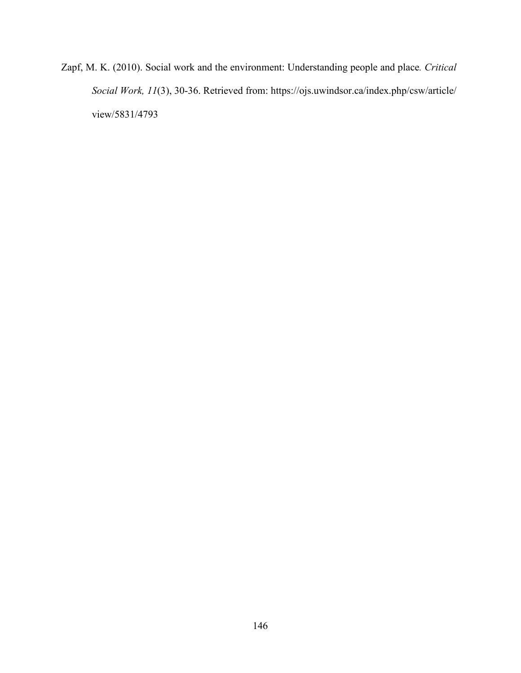Zapf, M. K. (2010). Social work and the environment: Understanding people and place*. Critical Social Work, 11*(3), 30-36. Retrieved from: https://ojs.uwindsor.ca/index.php/csw/article/ view/5831/4793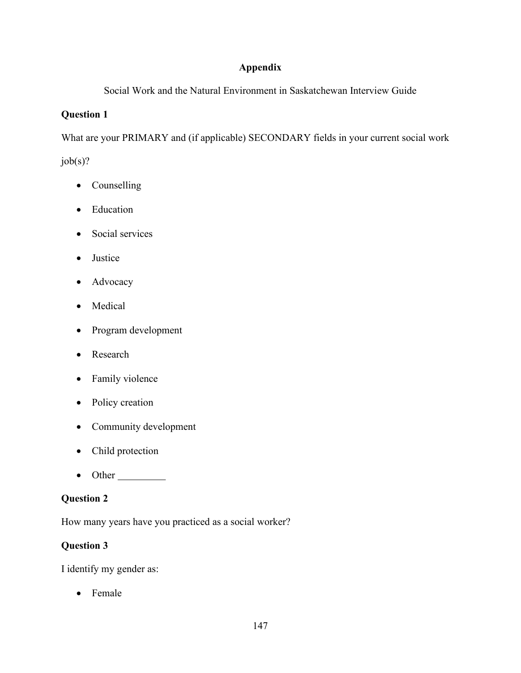## **Appendix**

Social Work and the Natural Environment in Saskatchewan Interview Guide

# **Question 1**

What are your PRIMARY and (if applicable) SECONDARY fields in your current social work

job(s)?

- Counselling
- Education
- Social services
- Justice
- Advocacy
- Medical
- Program development
- Research
- Family violence
- Policy creation
- Community development
- Child protection
- Other

# **Question 2**

How many years have you practiced as a social worker?

# **Question 3**

I identify my gender as:

• Female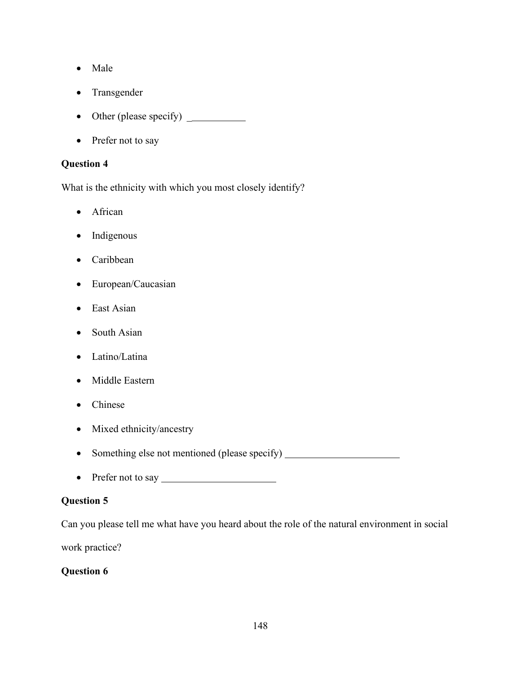- Male
- Transgender
- Other (please specify) \_
- Prefer not to say

### **Question 4**

What is the ethnicity with which you most closely identify?

- African
- Indigenous
- Caribbean
- European/Caucasian
- East Asian
- South Asian
- Latino/Latina
- Middle Eastern
- Chinese
- Mixed ethnicity/ancestry
- Something else not mentioned (please specify) \_\_\_\_\_\_\_\_\_\_\_\_\_\_\_\_\_\_\_\_\_\_\_\_\_\_\_\_\_\_\_\_
- Prefer not to say

### **Question 5**

Can you please tell me what have you heard about the role of the natural environment in social

work practice?

### **Question 6**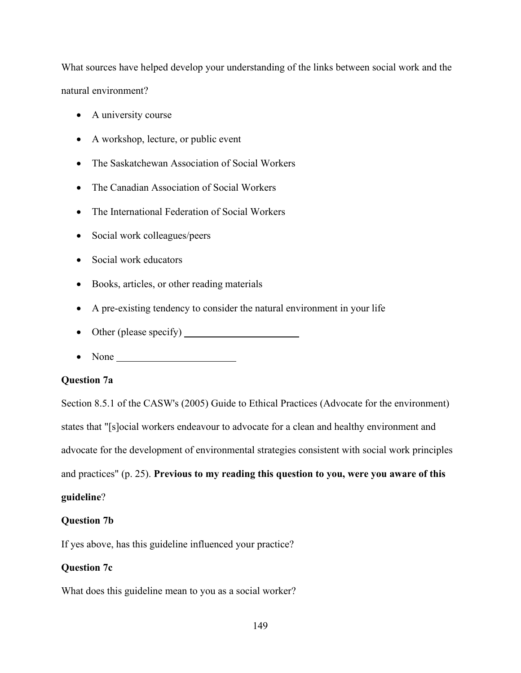What sources have helped develop your understanding of the links between social work and the natural environment?

- A university course
- A workshop, lecture, or public event
- The Saskatchewan Association of Social Workers
- The Canadian Association of Social Workers
- The International Federation of Social Workers
- Social work colleagues/peers
- Social work educators
- Books, articles, or other reading materials
- A pre-existing tendency to consider the natural environment in your life
- Other (please specify)
- None

#### **Question 7a**

Section 8.5.1 of the CASW's (2005) Guide to Ethical Practices (Advocate for the environment) states that "[s]ocial workers endeavour to advocate for a clean and healthy environment and advocate for the development of environmental strategies consistent with social work principles and practices" (p. 25). **Previous to my reading this question to you, were you aware of this guideline**?

#### **Question 7b**

If yes above, has this guideline influenced your practice?

#### **Question 7c**

What does this guideline mean to you as a social worker?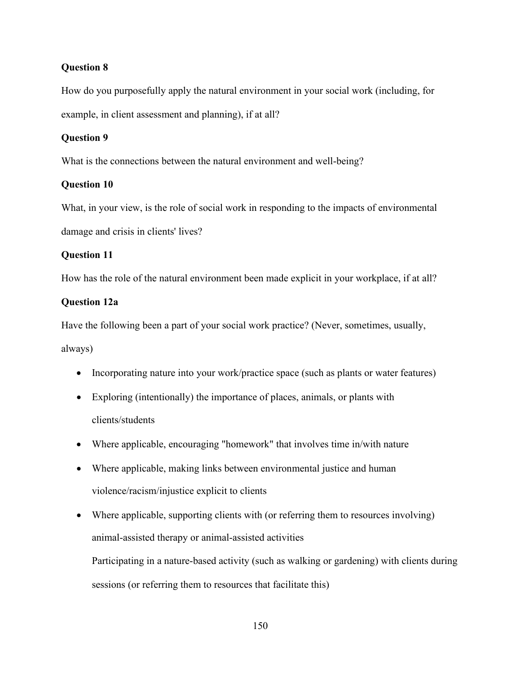### **Question 8**

How do you purposefully apply the natural environment in your social work (including, for example, in client assessment and planning), if at all?

#### **Question 9**

What is the connections between the natural environment and well-being?

### **Question 10**

What, in your view, is the role of social work in responding to the impacts of environmental damage and crisis in clients' lives?

### **Question 11**

How has the role of the natural environment been made explicit in your workplace, if at all?

### **Question 12a**

Have the following been a part of your social work practice? (Never, sometimes, usually, always)

- Incorporating nature into your work/practice space (such as plants or water features)
- Exploring (intentionally) the importance of places, animals, or plants with clients/students
- Where applicable, encouraging "homework" that involves time in/with nature
- Where applicable, making links between environmental justice and human violence/racism/injustice explicit to clients
- Where applicable, supporting clients with (or referring them to resources involving) animal-assisted therapy or animal-assisted activities

Participating in a nature-based activity (such as walking or gardening) with clients during sessions (or referring them to resources that facilitate this)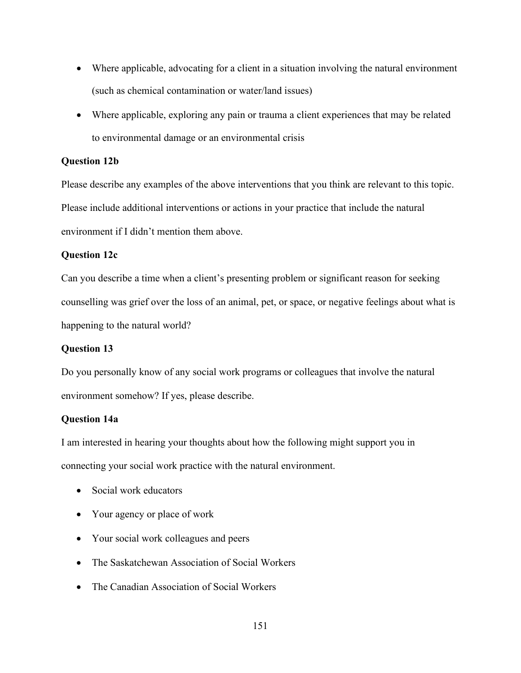- Where applicable, advocating for a client in a situation involving the natural environment (such as chemical contamination or water/land issues)
- Where applicable, exploring any pain or trauma a client experiences that may be related to environmental damage or an environmental crisis

### **Question 12b**

Please describe any examples of the above interventions that you think are relevant to this topic. Please include additional interventions or actions in your practice that include the natural environment if I didn't mention them above.

### **Question 12c**

Can you describe a time when a client's presenting problem or significant reason for seeking counselling was grief over the loss of an animal, pet, or space, or negative feelings about what is happening to the natural world?

#### **Question 13**

Do you personally know of any social work programs or colleagues that involve the natural environment somehow? If yes, please describe.

### **Question 14a**

I am interested in hearing your thoughts about how the following might support you in connecting your social work practice with the natural environment.

- Social work educators
- Your agency or place of work
- Your social work colleagues and peers
- The Saskatchewan Association of Social Workers
- The Canadian Association of Social Workers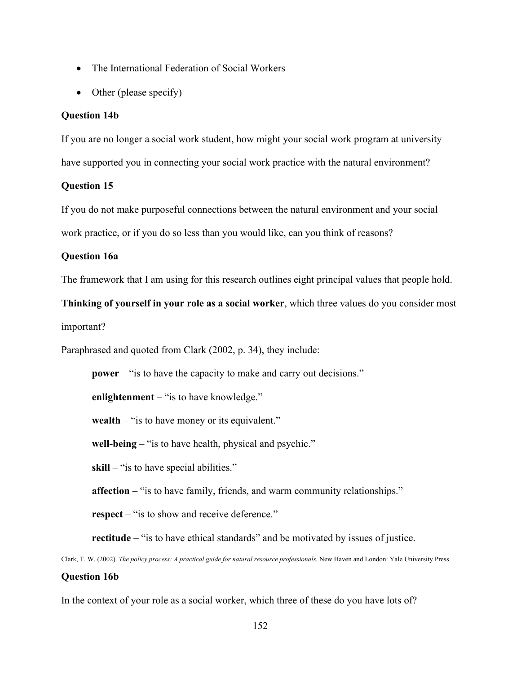- The International Federation of Social Workers
- Other (please specify)

#### **Question 14b**

If you are no longer a social work student, how might your social work program at university have supported you in connecting your social work practice with the natural environment?

#### **Question 15**

If you do not make purposeful connections between the natural environment and your social work practice, or if you do so less than you would like, can you think of reasons?

#### **Question 16a**

The framework that I am using for this research outlines eight principal values that people hold.

**Thinking of yourself in your role as a social worker**, which three values do you consider most important?

Paraphrased and quoted from Clark (2002, p. 34), they include:

**power** – "is to have the capacity to make and carry out decisions."

**enlightenment** – "is to have knowledge."

**wealth** – "is to have money or its equivalent."

**well-being** – "is to have health, physical and psychic."

skill – "is to have special abilities."

**affection** – "is to have family, friends, and warm community relationships."

**respect** – "is to show and receive deference."

**rectitude** – "is to have ethical standards" and be motivated by issues of justice.

Clark, T. W. (2002). *The policy process: A practical guide for natural resource professionals*. New Haven and London: Yale University Press. **Question 16b**

In the context of your role as a social worker, which three of these do you have lots of?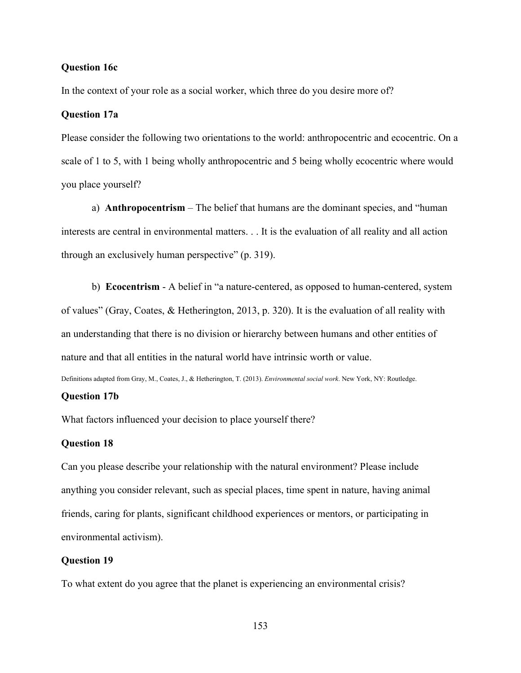#### **Question 16c**

In the context of your role as a social worker, which three do you desire more of?

#### **Question 17a**

Please consider the following two orientations to the world: anthropocentric and ecocentric. On a scale of 1 to 5, with 1 being wholly anthropocentric and 5 being wholly ecocentric where would you place yourself?

a) **Anthropocentrism** – The belief that humans are the dominant species, and "human interests are central in environmental matters. . . It is the evaluation of all reality and all action through an exclusively human perspective" (p. 319).

b) **Ecocentrism** - A belief in "a nature-centered, as opposed to human-centered, system of values" (Gray, Coates, & Hetherington, 2013, p. 320). It is the evaluation of all reality with an understanding that there is no division or hierarchy between humans and other entities of nature and that all entities in the natural world have intrinsic worth or value.

Definitions adapted from Gray, M., Coates, J., & Hetherington, T. (2013). *Environmental social work*. New York, NY: Routledge.

#### **Question 17b**

What factors influenced your decision to place yourself there?

#### **Question 18**

Can you please describe your relationship with the natural environment? Please include anything you consider relevant, such as special places, time spent in nature, having animal friends, caring for plants, significant childhood experiences or mentors, or participating in environmental activism).

#### **Question 19**

To what extent do you agree that the planet is experiencing an environmental crisis?

153